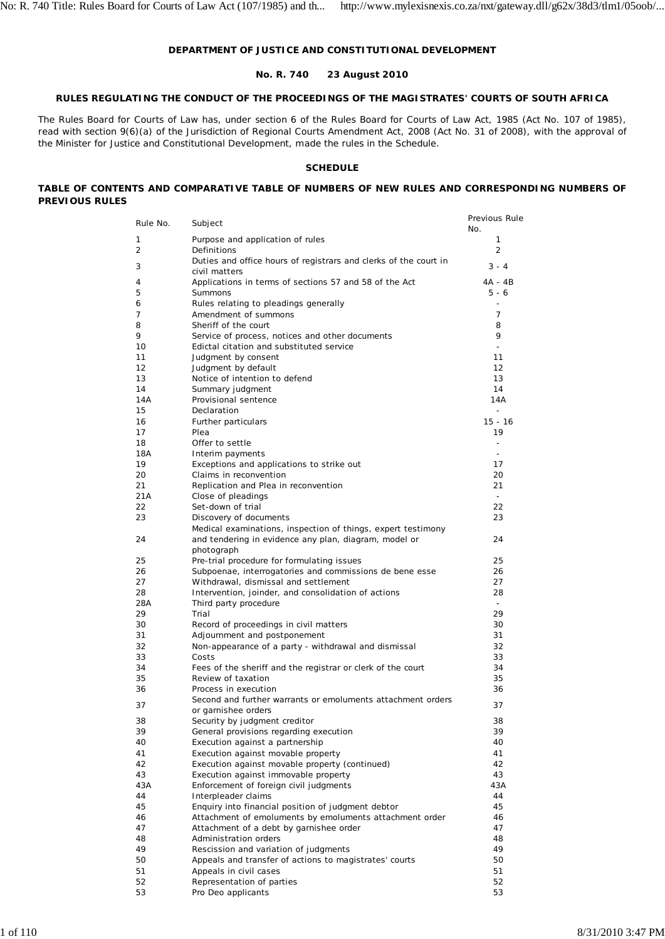## **DEPARTMENT OF JUSTICE AND CONSTITUTIONAL DEVELOPMENT**

## **No. R. 740 23 August 2010**

## **RULES REGULATING THE CONDUCT OF THE PROCEEDINGS OF THE MAGISTRATES' COURTS OF SOUTH AFRICA**

The Rules Board for Courts of Law has, under section 6 of the Rules Board for Courts of Law Act, 1985 (Act No. 107 of 1985), read with section 9(6)(a) of the Jurisdiction of Regional Courts Amendment Act, 2008 (Act No. 31 of 2008), with the approval of the Minister for Justice and Constitutional Development, made the rules in the Schedule.

### **SCHEDULE**

### **TABLE OF CONTENTS AND COMPARATIVE TABLE OF NUMBERS OF NEW RULES AND CORRESPONDING NUMBERS OF PREVIOUS RULES**

| Rule No. | Subject                                                                                               | Previous Rule<br>No. |
|----------|-------------------------------------------------------------------------------------------------------|----------------------|
| 1        | Purpose and application of rules                                                                      | 1                    |
| 2        | Definitions                                                                                           | $\overline{2}$       |
| 3        | Duties and office hours of registrars and clerks of the court in                                      | $3 - 4$              |
|          | civil matters                                                                                         | $4A - 4B$            |
| 4<br>5   | Applications in terms of sections 57 and 58 of the Act<br><b>Summons</b>                              | $5 - 6$              |
| 6        | Rules relating to pleadings generally                                                                 |                      |
| 7        | Amendment of summons                                                                                  | $\overline{7}$       |
| 8        | Sheriff of the court                                                                                  | 8                    |
| 9        | Service of process, notices and other documents                                                       | 9                    |
| 10       | Edictal citation and substituted service                                                              | $\overline{a}$       |
| 11       | Judgment by consent                                                                                   | 11                   |
| 12<br>13 | Judgment by default<br>Notice of intention to defend                                                  | 12<br>13             |
| 14       | Summary judgment                                                                                      | 14                   |
| 14A      | Provisional sentence                                                                                  | 14A                  |
| 15       | Declaration                                                                                           | $\overline{a}$       |
| 16       | Further particulars                                                                                   | $15 - 16$            |
| 17       | Plea                                                                                                  | 19                   |
| 18       | Offer to settle                                                                                       | ٠                    |
| 18A      | Interim payments                                                                                      | $\overline{a}$       |
| 19<br>20 | Exceptions and applications to strike out<br>Claims in reconvention                                   | 17<br>20             |
| 21       | Replication and Plea in reconvention                                                                  | 21                   |
| 21A      | Close of pleadings                                                                                    | $\sim$               |
| 22       | Set-down of trial                                                                                     | 22                   |
| 23       | Discovery of documents                                                                                | 23                   |
|          | Medical examinations, inspection of things, expert testimony                                          |                      |
| 24       | and tendering in evidence any plan, diagram, model or                                                 | 24                   |
|          | photograph                                                                                            |                      |
| 25<br>26 | Pre-trial procedure for formulating issues<br>Subpoenae, interrogatories and commissions de bene esse | 25<br>26             |
| 27       | Withdrawal, dismissal and settlement                                                                  | 27                   |
| 28       | Intervention, joinder, and consolidation of actions                                                   | 28                   |
| 28A      | Third party procedure                                                                                 | $\sim$               |
| 29       | Trial                                                                                                 | 29                   |
| 30       | Record of proceedings in civil matters                                                                | 30                   |
| 31       | Adjournment and postponement                                                                          | 31                   |
| 32<br>33 | Non-appearance of a party - withdrawal and dismissal<br>Costs                                         | 32<br>33             |
| 34       | Fees of the sheriff and the registrar or clerk of the court                                           | 34                   |
| 35       | Review of taxation                                                                                    | 35                   |
| 36       | Process in execution                                                                                  | 36                   |
| 37       | Second and further warrants or emoluments attachment orders                                           | 37                   |
|          | or garnishee orders                                                                                   |                      |
| 38       | Security by judgment creditor                                                                         | 38                   |
| 39       | General provisions regarding execution                                                                | 39                   |
| 40<br>41 | Execution against a partnership<br>Execution against movable property                                 | 40<br>41             |
| 42       | Execution against movable property (continued)                                                        | 42                   |
| 43       | Execution against immovable property                                                                  | 43                   |
| 43A      | Enforcement of foreign civil judgments                                                                | 43A                  |
| 44       | Interpleader claims                                                                                   | 44                   |
| 45       | Enquiry into financial position of judgment debtor                                                    | 45                   |
| 46       | Attachment of emoluments by emoluments attachment order                                               | 46                   |
| 47       | Attachment of a debt by garnishee order                                                               | 47                   |
| 48<br>49 | Administration orders<br>Rescission and variation of judgments                                        | 48<br>49             |
| 50       | Appeals and transfer of actions to magistrates' courts                                                | 50                   |
| 51       | Appeals in civil cases                                                                                | 51                   |
| 52       | Representation of parties                                                                             | 52                   |
| 53       | Pro Deo applicants                                                                                    | 53                   |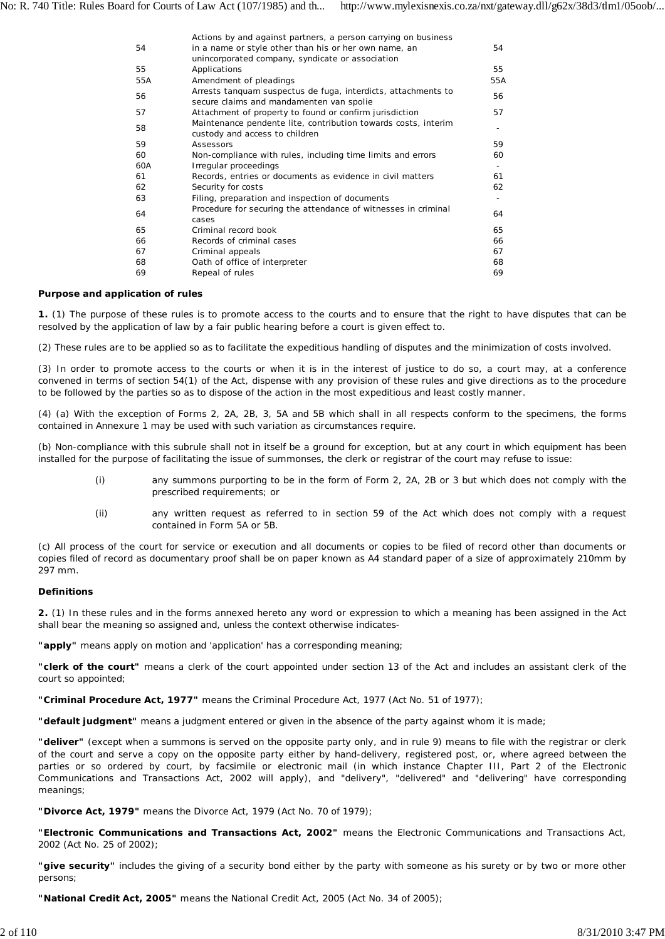|     | Actions by and against partners, a person carrying on business                                   |     |
|-----|--------------------------------------------------------------------------------------------------|-----|
| 54  | in a name or style other than his or her own name, an                                            | 54  |
|     | unincorporated company, syndicate or association                                                 |     |
| 55  | Applications                                                                                     | 55  |
| 55A | Amendment of pleadings                                                                           | 55A |
| 56  | Arrests <i>tanquam suspectus de fuga</i> , interdicts, attachments to                            | 56  |
|     | secure claims and mandamenten van spolie                                                         |     |
| 57  | Attachment of property to found or confirm jurisdiction                                          | 57  |
| 58  | Maintenance pendente lite, contribution towards costs, interim<br>custody and access to children |     |
| 59  | Assessors                                                                                        | 59  |
| 60  | Non-compliance with rules, including time limits and errors                                      | 60  |
| 60A | Irregular proceedings                                                                            |     |
| 61  | Records, entries or documents as evidence in civil matters                                       | 61  |
| 62  | Security for costs                                                                               | 62  |
| 63  | Filing, preparation and inspection of documents                                                  |     |
| 64  | Procedure for securing the attendance of witnesses in criminal<br>cases                          | 64  |
| 65  | Criminal record book                                                                             | 65  |
| 66  | Records of criminal cases                                                                        | 66  |
|     |                                                                                                  |     |
| 67  | Criminal appeals                                                                                 | 67  |
| 68  | Oath of office of interpreter                                                                    | 68  |
| 69  | Repeal of rules                                                                                  | 69  |
|     |                                                                                                  |     |

#### **Purpose and application of rules**

**1.** (1) The purpose of these rules is to promote access to the courts and to ensure that the right to have disputes that can be resolved by the application of law by a fair public hearing before a court is given effect to.

(2) These rules are to be applied so as to facilitate the expeditious handling of disputes and the minimization of costs involved.

(3) In order to promote access to the courts or when it is in the interest of justice to do so, a court may, at a conference convened in terms of section 54(1) of the Act, dispense with any provision of these rules and give directions as to the procedure to be followed by the parties so as to dispose of the action in the most expeditious and least costly manner.

(4) (a) With the exception of Forms 2, 2A, 2B, 3, 5A and 5B which shall in all respects conform to the specimens, the forms contained in Annexure 1 may be used with such variation as circumstances require.

(b) Non-compliance with this subrule shall not in itself be a ground for exception, but at any court in which equipment has been installed for the purpose of facilitating the issue of summonses, the clerk or registrar of the court may refuse to issue:

- (i) any summons purporting to be in the form of Form 2, 2A, 2B or 3 but which does not comply with the prescribed requirements; or
- (ii) any written request as referred to in section 59 of the Act which does not comply with a request contained in Form 5A or 5B.

(c) All process of the court for service or execution and all documents or copies to be filed of record other than documents or copies filed of record as documentary proof shall be on paper known as A4 standard paper of a size of approximately 210mm by 297 mm.

#### **Definitions**

**2.** (1) In these rules and in the forms annexed hereto any word or expression to which a meaning has been assigned in the Act shall bear the meaning so assigned and, unless the context otherwise indicates-

**"apply"** means apply on motion and 'application' has a corresponding meaning;

**"clerk of the court"** means a clerk of the court appointed under section 13 of the Act and includes an assistant clerk of the court so appointed;

**"Criminal Procedure Act, 1977"** means the Criminal Procedure Act, 1977 (Act No. 51 of 1977);

**"default judgment"** means a judgment entered or given in the absence of the party against whom it is made;

**"deliver"** (except when a summons is served on the opposite party only, and in rule 9) means to file with the registrar or clerk of the court and serve a copy on the opposite party either by hand-delivery, registered post, or, where agreed between the parties or so ordered by court, by facsimile or electronic mail (in which instance Chapter III, Part 2 of the Electronic Communications and Transactions Act, 2002 will apply), and "delivery", "delivered" and "delivering" have corresponding meanings;

**"Divorce Act, 1979"** means the Divorce Act, 1979 (Act No. 70 of 1979);

**"Electronic Communications and Transactions Act, 2002"** means the Electronic Communications and Transactions Act, 2002 (Act No. 25 of 2002);

**"give security"** includes the giving of a security bond either by the party with someone as his surety or by two or more other persons;

**"National Credit Act, 2005"** means the National Credit Act, 2005 (Act No. 34 of 2005);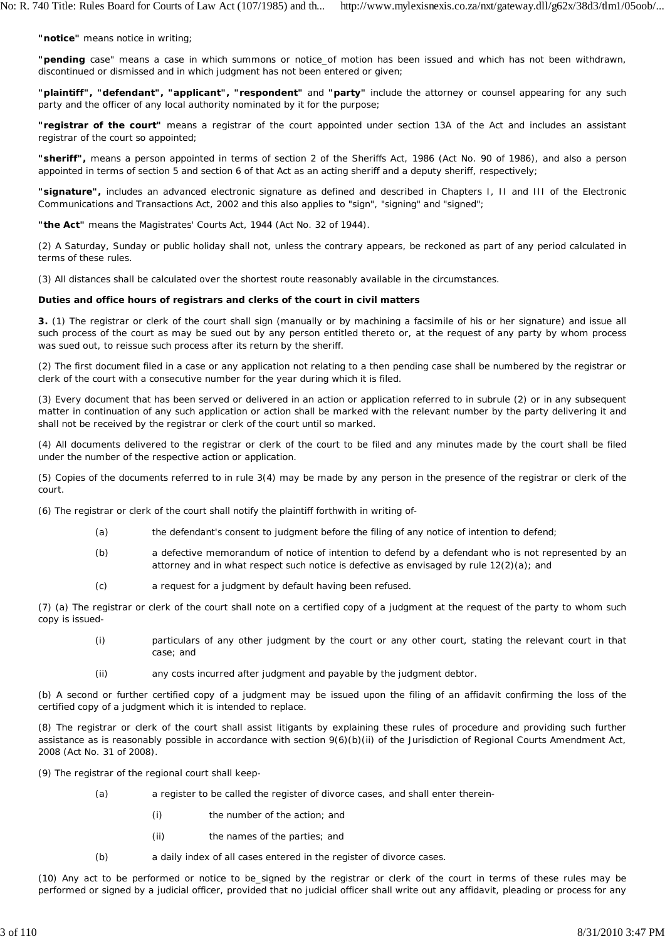**"notice"** means notice in writing;

**"pending** case" means a case in which summons or notice\_of motion has been issued and which has not been withdrawn, discontinued or dismissed and in which judgment has not been entered or given;

**"plaintiff", "defendant", "applicant", "respondent"** and **"party"** include the attorney or counsel appearing for any such party and the officer of any local authority nominated by it for the purpose;

**"registrar of the court"** means a registrar of the court appointed under section 13A of the Act and includes an assistant registrar of the court so appointed;

**"sheriff",** means a person appointed in terms of section 2 of the Sheriffs Act, 1986 (Act No. 90 of 1986), and also a person appointed in terms of section 5 and section 6 of that Act as an acting sheriff and a deputy sheriff, respectively;

**"signature",** includes an advanced electronic signature as defined and described in Chapters I, II and III of the Electronic Communications and Transactions Act, 2002 and this also applies to "sign", "signing" and "signed";

**"the Act"** means the Magistrates' Courts Act, 1944 (Act No. 32 of 1944).

(2) A Saturday, Sunday or public holiday shall not, unless the contrary appears, be reckoned as part of any period calculated in terms of these rules.

(3) All distances shall be calculated over the shortest route reasonably available in the circumstances.

#### **Duties and office hours of registrars and clerks of the court in civil matters**

**3.** (1) The registrar or clerk of the court shall sign (manually or by machining a facsimile of his or her signature) and issue all such process of the court as may be sued out by any person entitled thereto or, at the request of any party by whom process was sued out, to reissue such process after its return by the sheriff.

(2) The first document filed in a case or any application not relating to a then pending case shall be numbered by the registrar or clerk of the court with a consecutive number for the year during which it is filed.

(3) Every document that has been served or delivered in an action or application referred to in subrule (2) or in any subsequent matter in continuation of any such application or action shall be marked with the relevant number by the party delivering it and shall not be received by the registrar or clerk of the court until so marked.

(4) All documents delivered to the registrar or clerk of the court to be filed and any minutes made by the court shall be filed under the number of the respective action or application.

(5) Copies of the documents referred to in rule 3(4) may be made by any person in the presence of the registrar or clerk of the court.

(6) The registrar or clerk of the court shall notify the plaintiff forthwith in writing of-

- (a) the defendant's consent to judgment before the filing of any notice of intention to defend;
- (b) a defective memorandum of notice of intention to defend by a defendant who is not represented by an attorney and in what respect such notice is defective as envisaged by rule 12(2)(a); and
- (c) a request for a judgment by default having been refused.

(7) (a) The registrar or clerk of the court shall note on a certified copy of a judgment at the request of the party to whom such copy is issued-

- (i) particulars of any other judgment by the court or any other court, stating the relevant court in that case; and
- (ii) any costs incurred after judgment and payable by the judgment debtor.

(b) A second or further certified copy of a judgment may be issued upon the filing of an affidavit confirming the loss of the certified copy of a judgment which it is intended to replace.

(8) The registrar or clerk of the court shall assist litigants by explaining these rules of procedure and providing such further assistance as is reasonably possible in accordance with section 9(6)(b)(ii) of the Jurisdiction of Regional Courts Amendment Act, 2008 (Act No. 31 of 2008).

(9) The registrar of the regional court shall keep-

- (a) a register to be called the register of divorce cases, and shall enter therein-
	- (i) the number of the action; and
	- (ii) the names of the parties; and
- (b) a daily index of all cases entered in the register of divorce cases.

(10) Any act to be performed or notice to be\_signed by the registrar or clerk of the court in terms of these rules may be performed or signed by a judicial officer, provided that no judicial officer shall write out any affidavit, pleading or process for any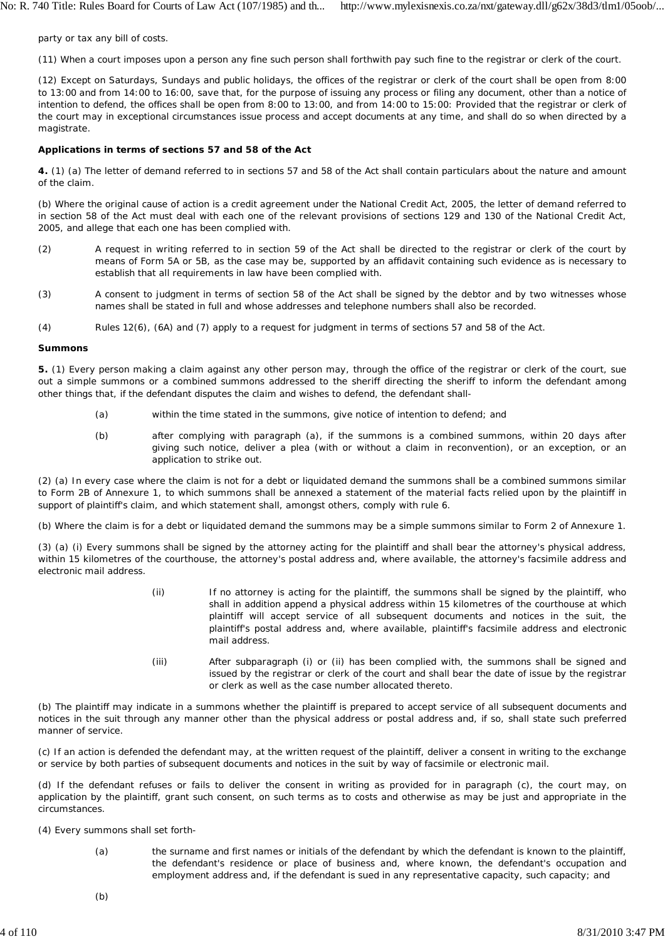party or tax any bill of costs.

(11) When a court imposes upon a person any fine such person shall forthwith pay such fine to the registrar or clerk of the court.

(12) Except on Saturdays, Sundays and public holidays, the offices of the registrar or clerk of the court shall be open from 8:00 to 13:00 and from 14:00 to 16:00, save that, for the purpose of issuing any process or filing any document, other than a notice of intention to defend, the offices shall be open from 8:00 to 13:00, and from 14:00 to 15:00: Provided that the registrar or clerk of the court may in exceptional circumstances issue process and accept documents at any time, and shall do so when directed by a magistrate.

#### **Applications in terms of sections 57 and 58 of the Act**

**4.** (1) (a) The letter of demand referred to in sections 57 and 58 of the Act shall contain particulars about the nature and amount of the claim.

(b) Where the original cause of action is a credit agreement under the National Credit Act, 2005, the letter of demand referred to in section 58 of the Act must deal with each one of the relevant provisions of sections 129 and 130 of the National Credit Act, 2005, and allege that each one has been complied with.

- (2) A request in writing referred to in section 59 of the Act shall be directed to the registrar or clerk of the court by means of Form 5A or 5B, as the case may be, supported by an affidavit containing such evidence as is necessary to establish that all requirements in law have been complied with.
- (3) A consent to judgment in terms of section 58 of the Act shall be signed by the debtor and by two witnesses whose names shall be stated in full and whose addresses and telephone numbers shall also be recorded.
- (4) Rules 12(6), (6A) and (7) apply to a request for judgment in terms of sections 57 and 58 of the Act.

#### **Summons**

**5.** (1) Every person making a claim against any other person may, through the office of the registrar or clerk of the court, sue out a simple summons or a combined summons addressed to the sheriff directing the sheriff to inform the defendant among other things that, if the defendant disputes the claim and wishes to defend, the defendant shall-

- (a) within the time stated in the summons, give notice of intention to defend; and
- (b) after complying with paragraph (a), if the summons is a combined summons, within 20 days after giving such notice, deliver a plea (with or without a claim in reconvention), or an exception, or an application to strike out.

(2) (a) In every case where the claim is not for a debt or liquidated demand the summons shall be a combined summons similar to Form 2B of Annexure 1, to which summons shall be annexed a statement of the material facts relied upon by the plaintiff in support of plaintiff's claim, and which statement shall, amongst others, comply with rule 6.

(b) Where the claim is for a debt or liquidated demand the summons may be a simple summons similar to Form 2 of Annexure 1.

(3) (a) (i) Every summons shall be signed by the attorney acting for the plaintiff and shall bear the attorney's physical address, within 15 kilometres of the courthouse, the attorney's postal address and, where available, the attorney's facsimile address and electronic mail address.

- (ii) If no attorney is acting for the plaintiff, the summons shall be signed by the plaintiff, who shall in addition append a physical address within 15 kilometres of the courthouse at which plaintiff will accept service of all subsequent documents and notices in the suit, the plaintiff's postal address and, where available, plaintiff's facsimile address and electronic mail address.
- (iii) After subparagraph (i) or (ii) has been complied with, the summons shall be signed and issued by the registrar or clerk of the court and shall bear the date of issue by the registrar or clerk as well as the case number allocated thereto.

(b) The plaintiff may indicate in a summons whether the plaintiff is prepared to accept service of all subsequent documents and notices in the suit through any manner other than the physical address or postal address and, if so, shall state such preferred manner of service.

(c) If an action is defended the defendant may, at the written request of the plaintiff, deliver a consent in writing to the exchange or service by both parties of subsequent documents and notices in the suit by way of facsimile or electronic mail.

(d) If the defendant refuses or fails to deliver the consent in writing as provided for in paragraph (c), the court may, on application by the plaintiff, grant such consent, on such terms as to costs and otherwise as may be just and appropriate in the circumstances.

(4) Every summons shall set forth-

(a) the surname and first names or initials of the defendant by which the defendant is known to the plaintiff, the defendant's residence or place of business and, where known, the defendant's occupation and employment address and, if the defendant is sued in any representative capacity, such capacity; and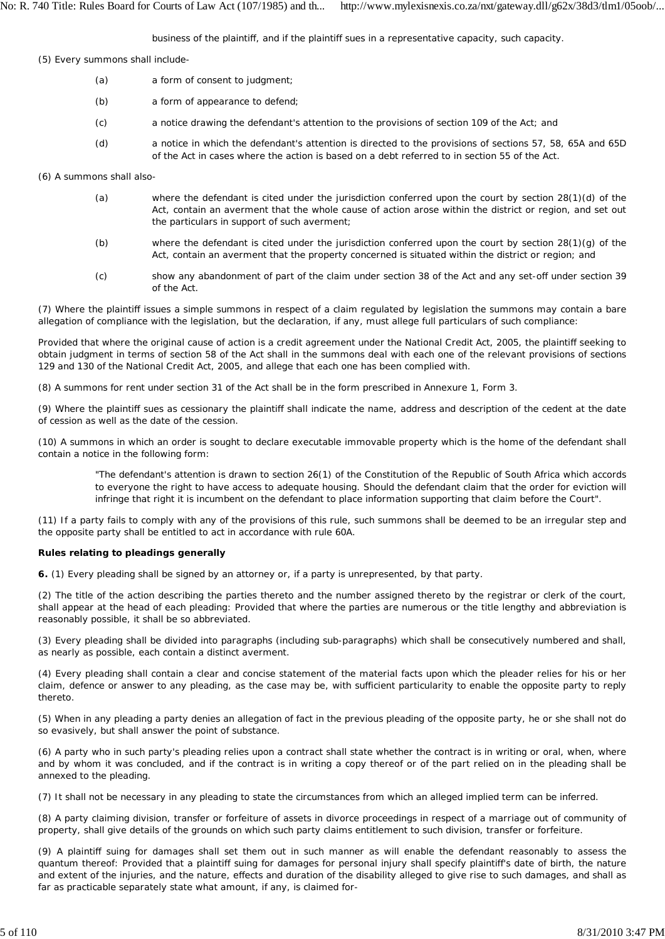business of the plaintiff, and if the plaintiff sues in a representative capacity, such capacity.

(5) Every summons shall include-

- (a) a form of consent to judgment;
- (b) a form of appearance to defend;
- (c) a notice drawing the defendant's attention to the provisions of section 109 of the Act; and
- (d) a notice in which the defendant's attention is directed to the provisions of sections 57, 58, 65A and 65D of the Act in cases where the action is based on a debt referred to in section 55 of the Act.

(6) A summons shall also-

- (a) where the defendant is cited under the jurisdiction conferred upon the court by section 28(1)(d) of the Act, contain an averment that the whole cause of action arose within the district or region, and set out the particulars in support of such averment;
- (b) where the defendant is cited under the jurisdiction conferred upon the court by section 28(1)(g) of the Act, contain an averment that the property concerned is situated within the district or region; and
- (c) show any abandonment of part of the claim under section 38 of the Act and any set-off under section 39 of the Act.

(7) Where the plaintiff issues a simple summons in respect of a claim regulated by legislation the summons may contain a bare allegation of compliance with the legislation, but the declaration, if any, must allege full particulars of such compliance:

Provided that where the original cause of action is a credit agreement under the National Credit Act, 2005, the plaintiff seeking to obtain judgment in terms of section 58 of the Act shall in the summons deal with each one of the relevant provisions of sections 129 and 130 of the National Credit Act, 2005, and allege that each one has been complied with.

(8) A summons for rent under section 31 of the Act shall be in the form prescribed in Annexure 1, Form 3.

(9) Where the plaintiff sues as cessionary the plaintiff shall indicate the name, address and description of the cedent at the date of cession as well as the date of the cession.

(10) A summons in which an order is sought to declare executable immovable property which is the home of the defendant shall contain a notice in the following form:

"The defendant's attention is drawn to section 26(1) of the Constitution of the Republic of South Africa which accords to everyone the right to have access to adequate housing. Should the defendant claim that the order for eviction will infringe that right it is incumbent on the defendant to place information supporting that claim before the Court".

(11) If a party fails to comply with any of the provisions of this rule, such summons shall be deemed to be an irregular step and the opposite party shall be entitled to act in accordance with rule 60A.

### **Rules relating to pleadings generally**

**6.** (1) Every pleading shall be signed by an attorney or, if a party is unrepresented, by that party.

(2) The title of the action describing the parties thereto and the number assigned thereto by the registrar or clerk of the court, shall appear at the head of each pleading: Provided that where the parties are numerous or the title lengthy and abbreviation is reasonably possible, it shall be so abbreviated.

(3) Every pleading shall be divided into paragraphs (including sub-paragraphs) which shall be consecutively numbered and shall, as nearly as possible, each contain a distinct averment.

(4) Every pleading shall contain a clear and concise statement of the material facts upon which the pleader relies for his or her claim, defence or answer to any pleading, as the case may be, with sufficient particularity to enable the opposite party to reply thereto.

(5) When in any pleading a party denies an allegation of fact in the previous pleading of the opposite party, he or she shall not do so evasively, but shall answer the point of substance.

(6) A party who in such party's pleading relies upon a contract shall state whether the contract is in writing or oral, when, where and by whom it was concluded, and if the contract is in writing a copy thereof or of the part relied on in the pleading shall be annexed to the pleading.

(7) It shall not be necessary in any pleading to state the circumstances from which an alleged implied term can be inferred.

(8) A party claiming division, transfer or forfeiture of assets in divorce proceedings in respect of a marriage out of community of property, shall give details of the grounds on which such party claims entitlement to such division, transfer or forfeiture.

(9) A plaintiff suing for damages shall set them out in such manner as will enable the defendant reasonably to assess the quantum thereof: Provided that a plaintiff suing for damages for personal injury shall specify plaintiff's date of birth, the nature and extent of the injuries, and the nature, effects and duration of the disability alleged to give rise to such damages, and shall as far as practicable separately state what amount, if any, is claimed for-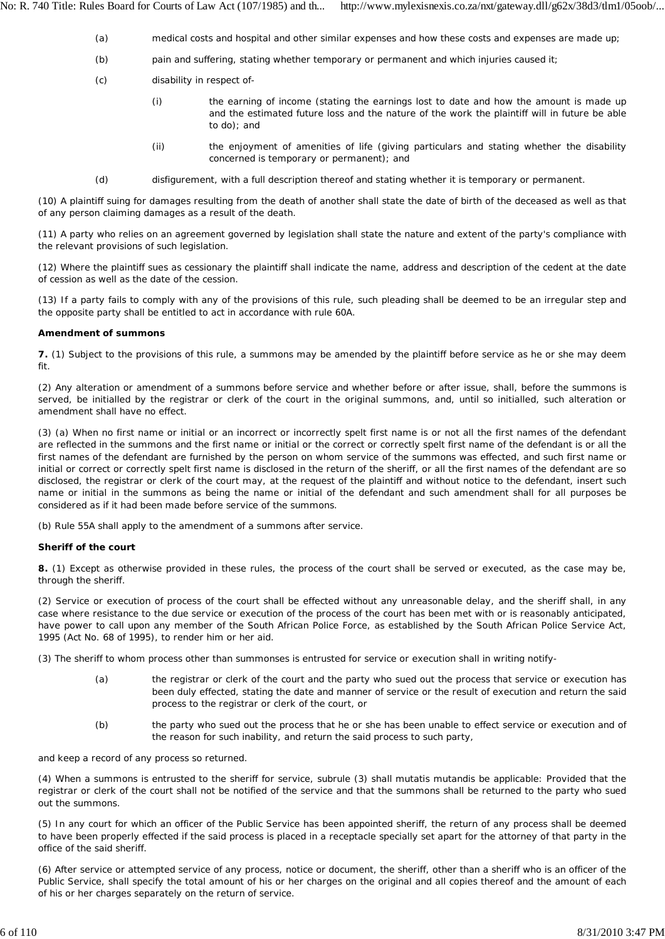- (a) medical costs and hospital and other similar expenses and how these costs and expenses are made up;
- (b) pain and suffering, stating whether temporary or permanent and which injuries caused it;
- (c) disability in respect of-
	- (i) the earning of income (stating the earnings lost to date and how the amount is made up and the estimated future loss and the nature of the work the plaintiff will in future be able to do); and
	- (ii) the enjoyment of amenities of life (giving particulars and stating whether the disability concerned is temporary or permanent); and
- (d) disfigurement, with a full description thereof and stating whether it is temporary or permanent.

(10) A plaintiff suing for damages resulting from the death of another shall state the date of birth of the deceased as well as that of any person claiming damages as a result of the death.

(11) A party who relies on an agreement governed by legislation shall state the nature and extent of the party's compliance with the relevant provisions of such legislation.

(12) Where the plaintiff sues as cessionary the plaintiff shall indicate the name, address and description of the cedent at the date of cession as well as the date of the cession.

(13) If a party fails to comply with any of the provisions of this rule, such pleading shall be deemed to be an irregular step and the opposite party shall be entitled to act in accordance with rule 60A.

## **Amendment of summons**

**7.** (1) Subject to the provisions of this rule, a summons may be amended by the plaintiff before service as he or she may deem fit.

(2) Any alteration or amendment of a summons before service and whether before or after issue, shall, before the summons is served, be initialled by the registrar or clerk of the court in the original summons, and, until so initialled, such alteration or amendment shall have no effect.

(3) (a) When no first name or initial or an incorrect or incorrectly spelt first name is or not all the first names of the defendant are reflected in the summons and the first name or initial or the correct or correctly spelt first name of the defendant is or all the first names of the defendant are furnished by the person on whom service of the summons was effected, and such first name or initial or correct or correctly spelt first name is disclosed in the return of the sheriff, or all the first names of the defendant are so disclosed, the registrar or clerk of the court may, at the request of the plaintiff and without notice to the defendant, insert such name or initial in the summons as being the name or initial of the defendant and such amendment shall for all purposes be considered as if it had been made before service of the summons.

(b) Rule 55A shall apply to the amendment of a summons after service.

## **Sheriff of the court**

**8.** (1) Except as otherwise provided in these rules, the process of the court shall be served or executed, as the case may be, through the sheriff.

(2) Service or execution of process of the court shall be effected without any unreasonable delay, and the sheriff shall, in any case where resistance to the due service or execution of the process of the court has been met with or is reasonably anticipated, have power to call upon any member of the South African Police Force, as established by the South African Police Service Act, 1995 (Act No. 68 of 1995), to render him or her aid.

(3) The sheriff to whom process other than summonses is entrusted for service or execution shall in writing notify-

- (a) the registrar or clerk of the court and the party who sued out the process that service or execution has been duly effected, stating the date and manner of service or the result of execution and return the said process to the registrar or clerk of the court, or
- (b) the party who sued out the process that he or she has been unable to effect service or execution and of the reason for such inability, and return the said process to such party,

and keep a record of any process so returned.

(4) When a summons is entrusted to the sheriff for service, subrule (3) shall *mutatis mutandis* be applicable: Provided that the registrar or clerk of the court shall not be notified of the service and that the summons shall be returned to the party who sued out the summons.

(5) In any court for which an officer of the Public Service has been appointed sheriff, the return of any process shall be deemed to have been properly effected if the said process is placed in a receptacle specially set apart for the attorney of that party in the office of the said sheriff.

(6) After service or attempted service of any process, notice or document, the sheriff, other than a sheriff who is an officer of the Public Service, shall specify the total amount of his or her charges on the original and all copies thereof and the amount of each of his or her charges separately on the return of service.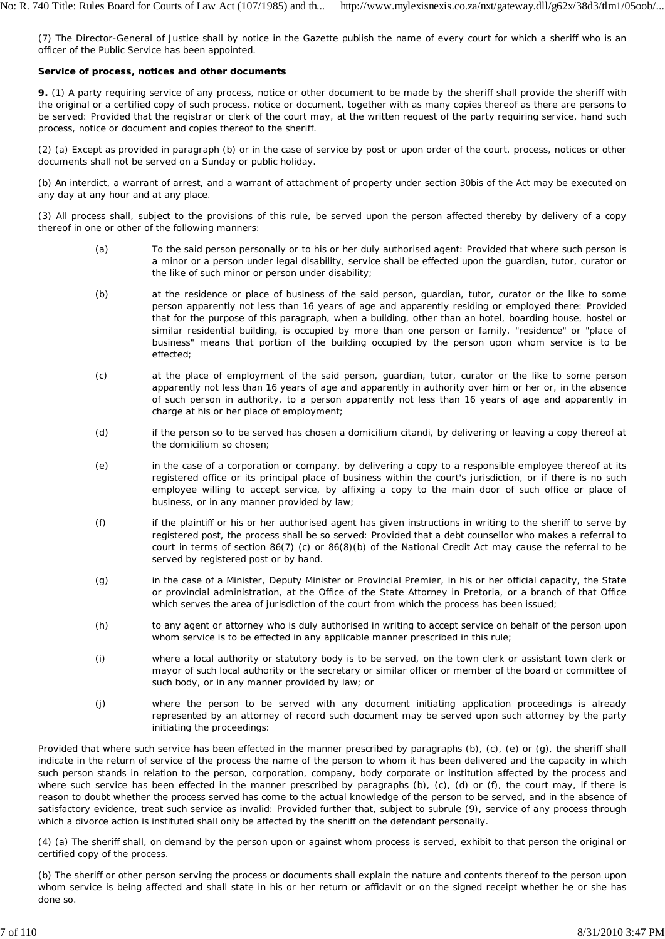(7) The Director-General of Justice shall by notice in the Gazette publish the name of every court for which a sheriff who is an officer of the Public Service has been appointed.

## **Service of process, notices and other documents**

**9.** (1) A party requiring service of any process, notice or other document to be made by the sheriff shall provide the sheriff with the original or a certified copy of such process, notice or document, together with as many copies thereof as there are persons to be served: Provided that the registrar or clerk of the court may, at the written request of the party requiring service, hand such process, notice or document and copies thereof to the sheriff.

(2) (a) Except as provided in paragraph (b) or in the case of service by post or upon order of the court, process, notices or other documents shall not be served on a Sunday or public holiday.

(b) An interdict, a warrant of arrest, and a warrant of attachment of property under section 30bis of the Act may be executed on any day at any hour and at any place.

(3) All process shall, subject to the provisions of this rule, be served upon the person affected thereby by delivery of a copy thereof in one or other of the following manners:

- (a) To the said person personally or to his or her duly authorised agent: Provided that where such person is a minor or a person under legal disability, service shall be effected upon the guardian, tutor, curator or the like of such minor or person under disability;
- (b) at the residence or place of business of the said person, guardian, tutor, curator or the like to some person apparently not less than 16 years of age and apparently residing or employed there: Provided that for the purpose of this paragraph, when a building, other than an hotel, boarding house, hostel or similar residential building, is occupied by more than one person or family, "residence" or "place of business" means that portion of the building occupied by the person upon whom service is to be effected;
- (c) at the place of employment of the said person, guardian, tutor, curator or the like to some person apparently not less than 16 years of age and apparently in authority over him or her or, in the absence of such person in authority, to a person apparently not less than 16 years of age and apparently in charge at his or her place of employment;
- (d) if the person so to be served has chosen a *domicilium citandi,* by delivering or leaving a copy thereof at the *domicilium* so chosen;
- (e) in the case of a corporation or company, by delivering a copy to a responsible employee thereof at its registered office or its principal place of business within the court's jurisdiction, or if there is no such employee willing to accept service, by affixing a copy to the main door of such office or place of business, or in any manner provided by law;
- (f) if the plaintiff or his or her authorised agent has given instructions in writing to the sheriff to serve by registered post, the process shall be so served: Provided that a debt counsellor who makes a referral to court in terms of section 86(7) (c) or 86(8)(b) of the National Credit Act may cause the referral to be served by registered post or by hand.
- (g) in the case of a Minister, Deputy Minister or Provincial Premier, in his or her official capacity, the State or provincial administration, at the Office of the State Attorney in Pretoria, or a branch of that Office which serves the area of jurisdiction of the court from which the process has been issued;
- (h) to any agent or attorney who is duly authorised in writing to accept service on behalf of the person upon whom service is to be effected in any applicable manner prescribed in this rule;
- (i) where a local authority or statutory body is to be served, on the town clerk or assistant town clerk or mayor of such local authority or the secretary or similar officer or member of the board or committee of such body, or in any manner provided by law; or
- (j) where the person to be served with any document initiating application proceedings is already represented by an attorney of record such document may be served upon such attorney by the party initiating the proceedings:

Provided that where such service has been effected in the manner prescribed by paragraphs (b), (c), (e) or (g), the sheriff shall indicate in the return of service of the process the name of the person to whom it has been delivered and the capacity in which such person stands in relation to the person, corporation, company, body corporate or institution affected by the process and where such service has been effected in the manner prescribed by paragraphs (b), (c), (d) or (f), the court may, if there is reason to doubt whether the process served has come to the actual knowledge of the person to be served, and in the absence of satisfactory evidence, treat such service as invalid: Provided further that, subject to subrule (9), service of any process through which a divorce action is instituted shall only be affected by the sheriff on the defendant personally.

(4) (a) The sheriff shall, on demand by the person upon or against whom process is served, exhibit to that person the original or certified copy of the process.

(b) The sheriff or other person serving the process or documents shall explain the nature and contents thereof to the person upon whom service is being affected and shall state in his or her return or affidavit or on the signed receipt whether he or she has done so.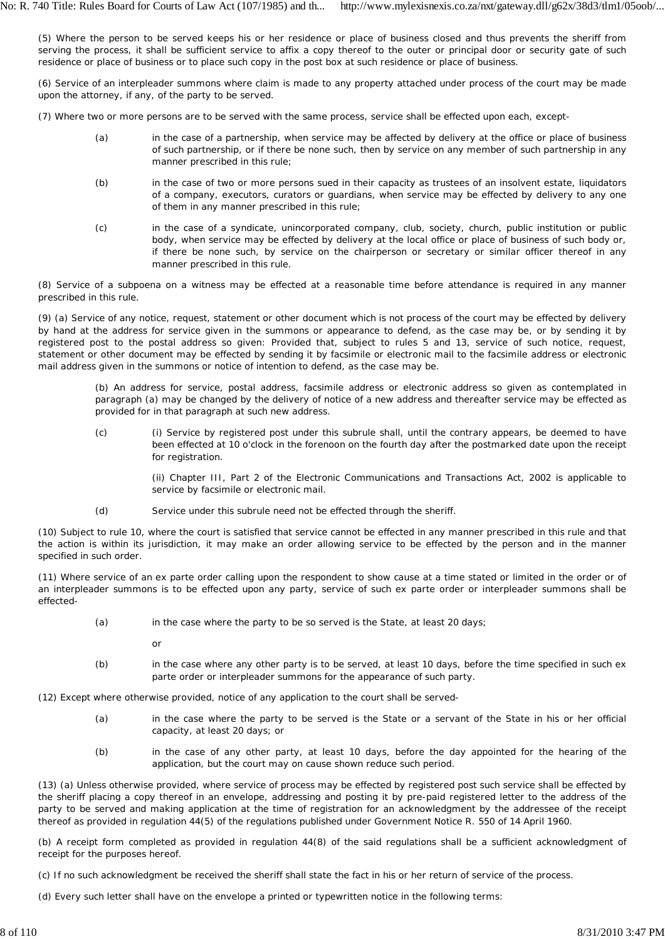(5) Where the person to be served keeps his or her residence or place of business closed and thus prevents the sheriff from serving the process, it shall be sufficient service to affix a copy thereof to the outer or principal door or security gate of such residence or place of business or to place such copy in the post box at such residence or place of business.

(6) Service of an interpleader summons where claim is made to any property attached under process of the court may be made upon the attorney, if any, of the party to be served.

(7) Where two or more persons are to be served with the same process, service shall be effected upon each, except-

- (a) in the case of a partnership, when service may be affected by delivery at the office or place of business of such partnership, or if there be none such, then by service on any member of such partnership in any manner prescribed in this rule;
- (b) in the case of two or more persons sued in their capacity as trustees of an insolvent estate, liquidators of a company, executors, curators or guardians, when service may be effected by delivery to any one of them in any manner prescribed in this rule;
- (c) in the case of a syndicate, unincorporated company, club, society, church, public institution or public body, when service may be effected by delivery at the local office or place of business of such body or, if there be none such, by service on the chairperson or secretary or similar officer thereof in any manner prescribed in this rule.

(8) Service of a subpoena on a witness may be effected at a reasonable time before attendance is required in any manner prescribed in this rule.

(9) (a) Service of any notice, request, statement or other document which is not process of the court may be effected by delivery by hand at the address for service given in the summons or appearance to defend, as the case may be, or by sending it by registered post to the postal address so given: Provided that, subject to rules 5 and 13, service of such notice, request, statement or other document may be effected by sending it by facsimile or electronic mail to the facsimile address or electronic mail address given in the summons or notice of intention to defend, as the case may be.

(b) An address for service, postal address, facsimile address or electronic address so given as contemplated in paragraph (a) may be changed by the delivery of notice of a new address and thereafter service may be effected as provided for in that paragraph at such new address.

(c) (i) Service by registered post under this subrule shall, until the contrary appears, be deemed to have been effected at 10 o'clock in the forenoon on the fourth day after the postmarked date upon the receipt for registration.

> (ii) Chapter III, Part 2 of the Electronic Communications and Transactions Act, 2002 is applicable to service by facsimile or electronic mail.

(d) Service under this subrule need not be effected through the sheriff.

(10) Subject to rule 10, where the court is satisfied that service cannot be effected in any manner prescribed in this rule and that the action is within its jurisdiction, it may make an order allowing service to be effected by the person and in the manner specified in such order.

(11) Where service of an *ex parte* order calling upon the respondent to show cause at a time stated or limited in the order or of an interpleader summons is to be effected upon any party, service of such *ex parte* order or interpleader summons shall be effected-

(a) in the case where the party to be so served is the State, at least 20 days;

or

(b) in the case where any other party is to be served, at least 10 days, before the time specified in such ex *parte* order or interpleader summons for the appearance of such party.

(12) Except where otherwise provided, notice of any application to the court shall be served-

- (a) in the case where the party to be served is the State or a servant of the State in his or her official capacity, at least 20 days; or
- (b) in the case of any other party, at least 10 days, before the day appointed for the hearing of the application, but the court may on cause shown reduce such period.

(13) (a) Unless otherwise provided, where service of process may be effected by registered post such service shall be effected by the sheriff placing a copy thereof in an envelope, addressing and posting it by pre-paid registered letter to the address of the party to be served and making application at the time of registration for an acknowledgment by the addressee of the receipt thereof as provided in regulation 44(5) of the regulations published under Government Notice R. 550 of 14 April 1960.

(b) A receipt form completed as provided in regulation 44(8) of the said regulations shall be a sufficient acknowledgment of receipt for the purposes hereof.

(c) If no such acknowledgment be received the sheriff shall state the fact in his or her return of service of the process.

(d) Every such letter shall have on the envelope a printed or typewritten notice in the following terms: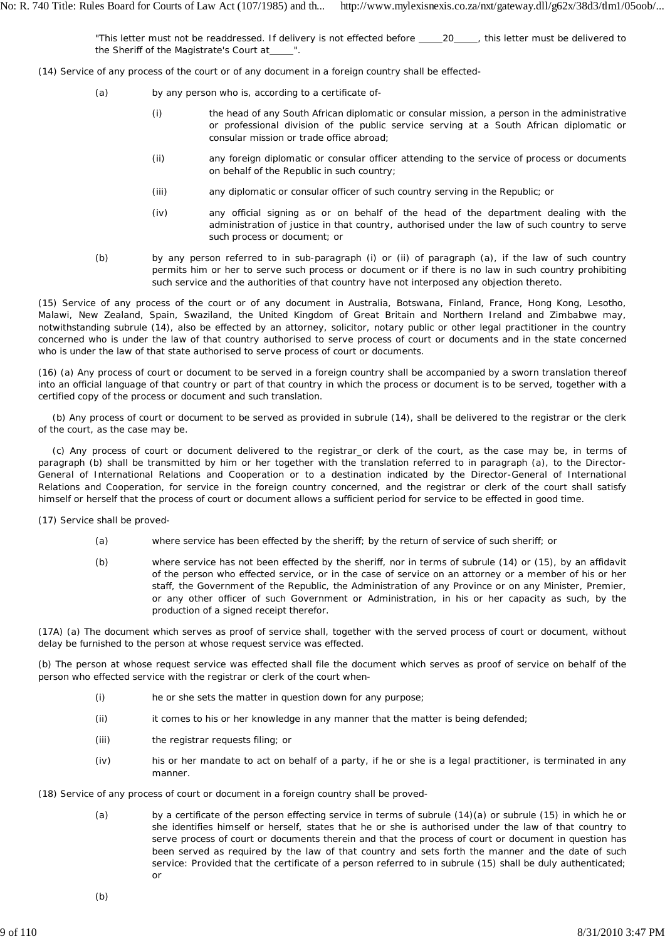"This letter must not be readdressed. If delivery is not effected before \_\_\_\_\_\_\_\_\_\_\_\_\_\_, this letter must be delivered to the Sheriff of the Magistrate's Court at

- (14) Service of any process of the court or of any document in a foreign country shall be effected-
	- (a) by any person who is, according to a certificate of-
		- (i) the head of any South African diplomatic or consular mission, a person in the administrative or professional division of the public service serving at a South African diplomatic or consular mission or trade office abroad;
		- (ii) any foreign diplomatic or consular officer attending to the service of process or documents on behalf of the Republic in such country;
		- (iii) any diplomatic or consular officer of such country serving in the Republic; or
		- (iv) any official signing as or on behalf of the head of the department dealing with the administration of justice in that country, authorised under the law of such country to serve such process or document; or
	- (b) by any person referred to in sub-paragraph (i) or (ii) of paragraph (a), if the law of such country permits him or her to serve such process or document or if there is no law in such country prohibiting such service and the authorities of that country have not interposed any objection thereto.

(15) Service of any process of the court or of any document in Australia, Botswana, Finland, France, Hong Kong, Lesotho, Malawi, New Zealand, Spain, Swaziland, the United Kingdom of Great Britain and Northern Ireland and Zimbabwe may, notwithstanding subrule (14), also be effected by an attorney, solicitor, notary public or other legal practitioner in the country concerned who is under the law of that country authorised to serve process of court or documents and in the state concerned who is under the law of that state authorised to serve process of court or documents.

(16) (a) Any process of court or document to be served in a foreign country shall be accompanied by a sworn translation thereof into an official language of that country or part of that country in which the process or document is to be served, together with a certified copy of the process or document and such translation.

(b) Any process of court or document to be served as provided in subrule (14), shall be delivered to the registrar or the clerk of the court, as the case may be.

(c) Any process of court or document delivered to the registrar or clerk of the court, as the case may be, in terms of paragraph (b) shall be transmitted by him or her together with the translation referred to in paragraph (a), to the Director-General of International Relations and Cooperation or to a destination indicated by the Director-General of International Relations and Cooperation, for service in the foreign country concerned, and the registrar or clerk of the court shall satisfy himself or herself that the process of court or document allows a sufficient period for service to be effected in good time.

(17) Service shall be proved-

- (a) where service has been effected by the sheriff; by the return of service of such sheriff; or
- (b) where service has not been effected by the sheriff, nor in terms of subrule (14) or (15), by an affidavit of the person who effected service, or in the case of service on an attorney or a member of his or her staff, the Government of the Republic, the Administration of any Province or on any Minister, Premier, or any other officer of such Government or Administration, in his or her capacity as such, by the production of a signed receipt therefor.

(17A) (a) The document which serves as proof of service shall, together with the served process of court or document, without delay be furnished to the person at whose request service was effected.

(b) The person at whose request service was effected shall file the document which serves as proof of service on behalf of the person who effected service with the registrar or clerk of the court when-

- (i) he or she sets the matter in question down for any purpose;
- (ii) it comes to his or her knowledge in any manner that the matter is being defended;
- (iii) the registrar requests filing; or
- (iv) his or her mandate to act on behalf of a party, if he or she is a legal practitioner, is terminated in any manner.

(18) Service of any process of court or document in a foreign country shall be proved-

(a) by a certificate of the person effecting service in terms of subrule (14)(a) or subrule (15) in which he or she identifies himself or herself, states that he or she is authorised under the law of that country to serve process of court or documents therein and that the process of court or document in question has been served as required by the law of that country and sets forth the manner and the date of such service: Provided that the certificate of a person referred to in subrule (15) shall be duly authenticated; or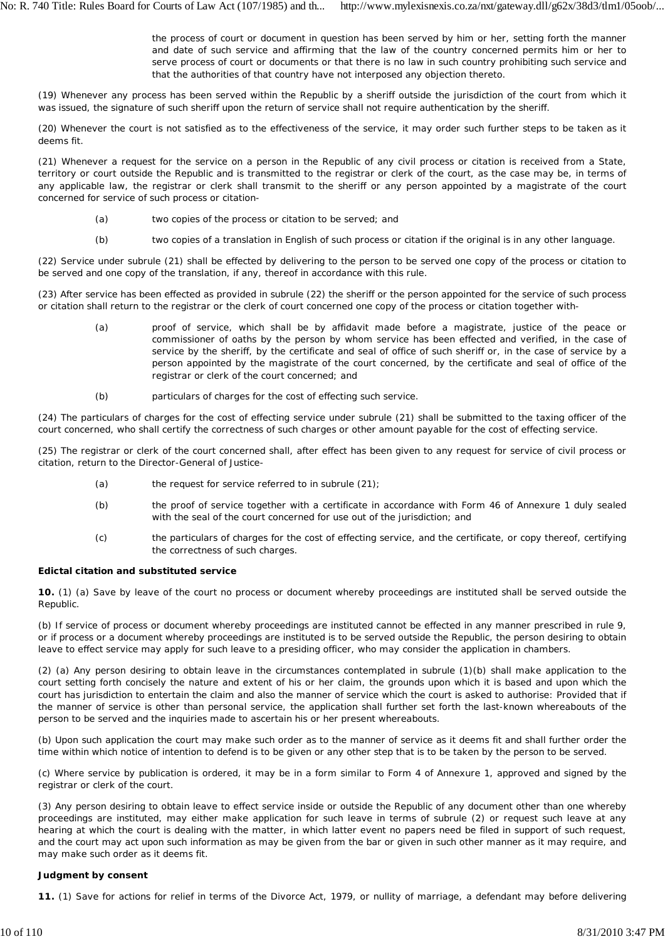the process of court or document in question has been served by him or her, setting forth the manner and date of such service and affirming that the law of the country concerned permits him or her to serve process of court or documents or that there is no law in such country prohibiting such service and that the authorities of that country have not interposed any objection thereto.

(19) Whenever any process has been served within the Republic by a sheriff outside the jurisdiction of the court from which it was issued, the signature of such sheriff upon the return of service shall not require authentication by the sheriff.

(20) Whenever the court is not satisfied as to the effectiveness of the service, it may order such further steps to be taken as it deems fit.

(21) Whenever a request for the service on a person in the Republic of any civil process or citation is received from a State, territory or court outside the Republic and is transmitted to the registrar or clerk of the court, as the case may be, in terms of any applicable law, the registrar or clerk shall transmit to the sheriff or any person appointed by a magistrate of the court concerned for service of such process or citation-

- (a) two copies of the process or citation to be served; and
- (b) two copies of a translation in English of such process or citation if the original is in any other language.

(22) Service under subrule (21) shall be effected by delivering to the person to be served one copy of the process or citation to be served and one copy of the translation, if any, thereof in accordance with this rule.

(23) After service has been effected as provided in subrule (22) the sheriff or the person appointed for the service of such process or citation shall return to the registrar or the clerk of court concerned one copy of the process or citation together with-

- (a) proof of service, which shall be by affidavit made before a magistrate, justice of the peace or commissioner of oaths by the person by whom service has been effected and verified, in the case of service by the sheriff, by the certificate and seal of office of such sheriff or, in the case of service by a person appointed by the magistrate of the court concerned, by the certificate and seal of office of the registrar or clerk of the court concerned; and
- (b) particulars of charges for the cost of effecting such service.

(24) The particulars of charges for the cost of effecting service under subrule (21) shall be submitted to the taxing officer of the court concerned, who shall certify the correctness of such charges or other amount payable for the cost of effecting service.

(25) The registrar or clerk of the court concerned shall, after effect has been given to any request for service of civil process or citation, return to the Director-General of Justice-

- (a) the request for service referred to in subrule (21);
- (b) the proof of service together with a certificate in accordance with Form 46 of Annexure 1 duly sealed with the seal of the court concerned for use out of the jurisdiction; and
- (c) the particulars of charges for the cost of effecting service, and the certificate, or copy thereof, certifying the correctness of such charges.

### **Edictal citation and substituted service**

**10.** (1) (a) Save by leave of the court no process or document whereby proceedings are instituted shall be served outside the Republic.

(b) If service of process or document whereby proceedings are instituted cannot be effected in any manner prescribed in rule 9, or if process or a document whereby proceedings are instituted is to be served outside the Republic, the person desiring to obtain leave to effect service may apply for such leave to a presiding officer, who may consider the application in chambers.

(2) (a) Any person desiring to obtain leave in the circumstances contemplated in subrule (1)(b) shall make application to the court setting forth concisely the nature and extent of his or her claim, the grounds upon which it is based and upon which the court has jurisdiction to entertain the claim and also the manner of service which the court is asked to authorise: Provided that if the manner of service is other than personal service, the application shall further set forth the last-known whereabouts of the person to be served and the inquiries made to ascertain his or her present whereabouts.

(b) Upon such application the court may make such order as to the manner of service as it deems fit and shall further order the time within which notice of intention to defend is to be given or any other step that is to be taken by the person to be served.

(c) Where service by publication is ordered, it may be in a form similar to Form 4 of Annexure 1, approved and signed by the registrar or clerk of the court.

(3) Any person desiring to obtain leave to effect service inside or outside the Republic of any document other than one whereby proceedings are instituted, may either make application for such leave in terms of subrule (2) or request such leave at any hearing at which the court is dealing with the matter, in which latter event no papers need be filed in support of such request, and the court may act upon such information as may be given from the bar or given in such other manner as it may require, and may make such order as it deems fit.

## **Judgment by consent**

**11.** (1) Save for actions for relief in terms of the Divorce Act, 1979, or nullity of marriage, a defendant may before delivering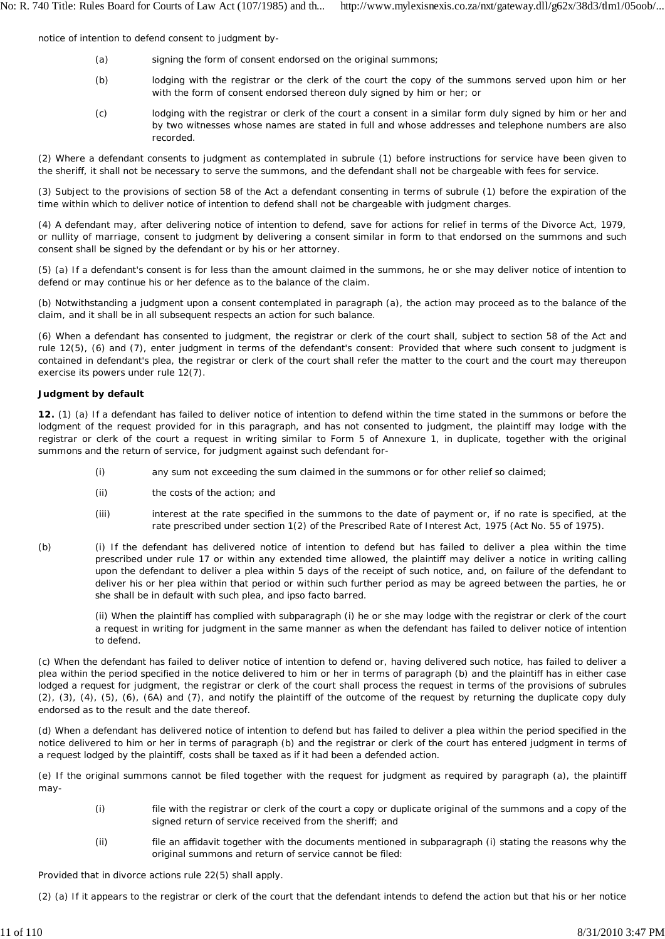notice of intention to defend consent to judgment by-

- (a) signing the form of consent endorsed on the original summons;
- (b) lodging with the registrar or the clerk of the court the copy of the summons served upon him or her with the form of consent endorsed thereon duly signed by him or her; or
- (c) lodging with the registrar or clerk of the court a consent in a similar form duly signed by him or her and by two witnesses whose names are stated in full and whose addresses and telephone numbers are also recorded.

(2) Where a defendant consents to judgment as contemplated in subrule (1) before instructions for service have been given to the sheriff, it shall not be necessary to serve the summons, and the defendant shall not be chargeable with fees for service.

(3) Subject to the provisions of section 58 of the Act a defendant consenting in terms of subrule (1) before the expiration of the time within which to deliver notice of intention to defend shall not be chargeable with judgment charges.

(4) A defendant may, after delivering notice of intention to defend, save for actions for relief in terms of the Divorce Act, 1979, or nullity of marriage, consent to judgment by delivering a consent similar in form to that endorsed on the summons and such consent shall be signed by the defendant or by his or her attorney.

(5) (a) If a defendant's consent is for less than the amount claimed in the summons, he or she may deliver notice of intention to defend or may continue his or her defence as to the balance of the claim.

(b) Notwithstanding a judgment upon a consent contemplated in paragraph (a), the action may proceed as to the balance of the claim, and it shall be in all subsequent respects an action for such balance.

(6) When a defendant has consented to judgment, the registrar or clerk of the court shall, subject to section 58 of the Act and rule 12(5), (6) and (7), enter judgment in terms of the defendant's consent: Provided that where such consent to judgment is contained in defendant's plea, the registrar or clerk of the court shall refer the matter to the court and the court may thereupon exercise its powers under rule 12(7).

## **Judgment by default**

**12.** (1) (a) If a defendant has failed to deliver notice of intention to defend within the time stated in the summons or before the lodgment of the request provided for in this paragraph, and has not consented to judgment, the plaintiff may lodge with the registrar or clerk of the court a request in writing similar to Form 5 of Annexure 1, in duplicate, together with the original summons and the return of service, for judgment against such defendant for-

- (i) any sum not exceeding the sum claimed in the summons or for other relief so claimed;
- (ii) the costs of the action; and
- (iii) interest at the rate specified in the summons to the date of payment or, if no rate is specified, at the rate prescribed under section 1(2) of the Prescribed Rate of Interest Act, 1975 (Act No. 55 of 1975).
- (b) (i) If the defendant has delivered notice of intention to defend but has failed to deliver a plea within the time prescribed under rule 17 or within any extended time allowed, the plaintiff may deliver a notice in writing calling upon the defendant to deliver a plea within 5 days of the receipt of such notice, and, on failure of the defendant to deliver his or her plea within that period or within such further period as may be agreed between the parties, he or she shall be in default with such plea, and *ipso facto* barred.

(ii) When the plaintiff has complied with subparagraph (i) he or she may lodge with the registrar or clerk of the court a request in writing for judgment in the same manner as when the defendant has failed to deliver notice of intention to defend.

(c) When the defendant has failed to deliver notice of intention to defend or, having delivered such notice, has failed to deliver a plea within the period specified in the notice delivered to him or her in terms of paragraph (b) and the plaintiff has in either case lodged a request for judgment, the registrar or clerk of the court shall process the request in terms of the provisions of subrules (2), (3), (4), (5), (6), (6A) and (7), and notify the plaintiff of the outcome of the request by returning the duplicate copy duly endorsed as to the result and the date thereof.

(d) When a defendant has delivered notice of intention to defend but has failed to deliver a plea within the period specified in the notice delivered to him or her in terms of paragraph (b) and the registrar or clerk of the court has entered judgment in terms of a request lodged by the plaintiff, costs shall be taxed as if it had been a defended action.

(e) If the original summons cannot be filed together with the request for judgment as required by paragraph (a), the plaintiff may-

- (i) file with the registrar or clerk of the court a copy or duplicate original of the summons and a copy of the signed return of service received from the sheriff; and
- (ii) file an affidavit together with the documents mentioned in subparagraph (i) stating the reasons why the original summons and return of service cannot be filed:

Provided that in divorce actions rule 22(5) shall apply.

(2) (a) If it appears to the registrar or clerk of the court that the defendant intends to defend the action but that his or her notice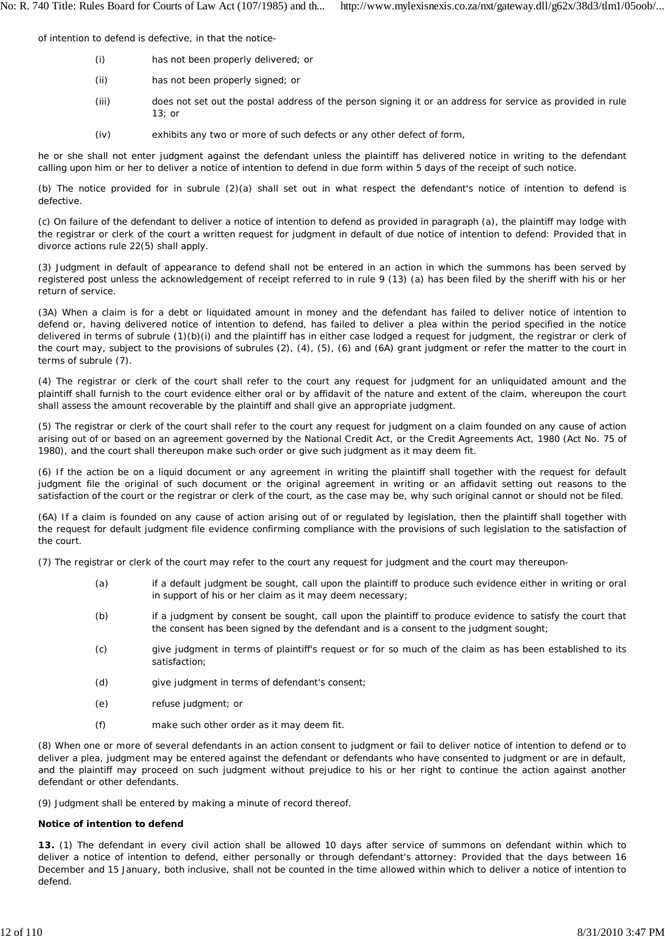of intention to defend is defective, in that the notice-

- (i) has not been properly delivered; or
- (ii) has not been properly signed; or
- (iii) does not set out the postal address of the person signing it or an address for service as provided in rule 13; or
- (iv) exhibits any two or more of such defects or any other defect of form,

he or she shall not enter judgment against the defendant unless the plaintiff has delivered notice in writing to the defendant calling upon him or her to deliver a notice of intention to defend in due form within 5 days of the receipt of such notice.

(b) The notice provided for in subrule (2)(a) shall set out in what respect the defendant's notice of intention to defend is defective.

(c) On failure of the defendant to deliver a notice of intention to defend as provided in paragraph (a), the plaintiff may lodge with the registrar or clerk of the court a written request for judgment in default of due notice of intention to defend: Provided that in divorce actions rule 22(5) shall apply.

(3) Judgment in default of appearance to defend shall not be entered in an action in which the summons has been served by registered post unless the acknowledgement of receipt referred to in rule 9 (13) (a) has been filed by the sheriff with his or her return of service.

(3A) When a claim is for a debt or liquidated amount in money and the defendant has failed to deliver notice of intention to defend or, having delivered notice of intention to defend, has failed to deliver a plea within the period specified in the notice delivered in terms of subrule (1)(b)(i) and the plaintiff has in either case lodged a request for judgment, the registrar or clerk of the court may, subject to the provisions of subrules (2), (4), (5), (6) and (6A) grant judgment or refer the matter to the court in terms of subrule (7).

(4) The registrar or clerk of the court shall refer to the court any request for judgment for an unliquidated amount and the plaintiff shall furnish to the court evidence either oral or by affidavit of the nature and extent of the claim, whereupon the court shall assess the amount recoverable by the plaintiff and shall give an appropriate judgment.

(5) The registrar or clerk of the court shall refer to the court any request for judgment on a claim founded on any cause of action arising out of or based on an agreement governed by the National Credit Act, or the Credit Agreements Act, 1980 (Act No. 75 of 1980), and the court shall thereupon make such order or give such judgment as it may deem fit.

(6) If the action be on a liquid document or any agreement in writing the plaintiff shall together with the request for default judgment file the original of such document or the original agreement in writing or an affidavit setting out reasons to the satisfaction of the court or the registrar or clerk of the court, as the case may be, why such original cannot or should not be filed.

(6A) If a claim is founded on any cause of action arising out of or regulated by legislation, then the plaintiff shall together with the request for default judgment file evidence confirming compliance with the provisions of such legislation to the satisfaction of the court.

(7) The registrar or clerk of the court may refer to the court any request for judgment and the court may thereupon-

- (a) if a default judgment be sought, call upon the plaintiff to produce such evidence either in writing or oral in support of his or her claim as it may deem necessary;
- (b) if a judgment by consent be sought, call upon the plaintiff to produce evidence to satisfy the court that the consent has been signed by the defendant and is a consent to the judgment sought;
- (c) give judgment in terms of plaintiff's request or for so much of the claim as has been established to its satisfaction;
- (d) give judgment in terms of defendant's consent;
- (e) refuse judgment; or
- (f) make such other order as it may deem fit.

(8) When one or more of several defendants in an action consent to judgment or fail to deliver notice of intention to defend or to deliver a plea, judgment may be entered against the defendant or defendants who have consented to judgment or are in default, and the plaintiff may proceed on such judgment without prejudice to his or her right to continue the action against another defendant or other defendants.

(9) Judgment shall be entered by making a minute of record thereof.

### **Notice of intention to defend**

**13.** (1) The defendant in every civil action shall be allowed 10 days after service of summons on defendant within which to deliver a notice of intention to defend, either personally or through defendant's attorney: Provided that the days between 16 December and 15 January, both inclusive, shall not be counted in the time allowed within which to deliver a notice of intention to defend.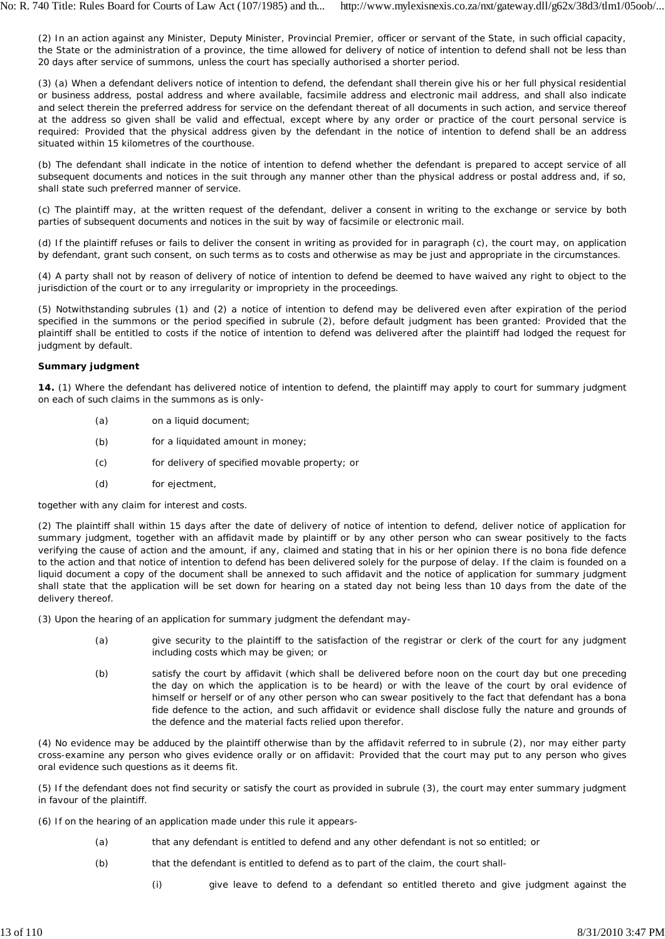(2) In an action against any Minister, Deputy Minister, Provincial Premier, officer or servant of the State, in such official capacity, the State or the administration of a province, the time allowed for delivery of notice of intention to defend shall not be less than 20 days after service of summons, unless the court has specially authorised a shorter period.

(3) (a) When a defendant delivers notice of intention to defend, the defendant shall therein give his or her full physical residential or business address, postal address and where available, facsimile address and electronic mail address, and shall also indicate and select therein the preferred address for service on the defendant thereat of all documents in such action, and service thereof at the address so given shall be valid and effectual, except where by any order or practice of the court personal service is required: Provided that the physical address given by the defendant in the notice of intention to defend shall be an address situated within 15 kilometres of the courthouse.

(b) The defendant shall indicate in the notice of intention to defend whether the defendant is prepared to accept service of all subsequent documents and notices in the suit through any manner other than the physical address or postal address and, if so, shall state such preferred manner of service.

(c) The plaintiff may, at the written request of the defendant, deliver a consent in writing to the exchange or service by both parties of subsequent documents and notices in the suit by way of facsimile or electronic mail.

(d) If the plaintiff refuses or fails to deliver the consent in writing as provided for in paragraph (c), the court may, on application by defendant, grant such consent, on such terms as to costs and otherwise as may be just and appropriate in the circumstances.

(4) A party shall not by reason of delivery of notice of intention to defend be deemed to have waived any right to object to the jurisdiction of the court or to any irregularity or impropriety in the proceedings.

(5) Notwithstanding subrules (1) and (2) a notice of intention to defend may be delivered even after expiration of the period specified in the summons or the period specified in subrule (2), before default judgment has been granted: Provided that the plaintiff shall be entitled to costs if the notice of intention to defend was delivered after the plaintiff had lodged the request for judgment by default.

## **Summary judgment**

**14.** (1) Where the defendant has delivered notice of intention to defend, the plaintiff may apply to court for summary judgment on each of such claims in the summons as is only-

- (a) on a liquid document;
- (b) for a liquidated amount in money;
- (c) for delivery of specified movable property; or
- (d) for ejectment,

together with any claim for interest and costs.

(2) The plaintiff shall within 15 days after the date of delivery of notice of intention to defend, deliver notice of application for summary judgment, together with an affidavit made by plaintiff or by any other person who can swear positively to the facts verifying the cause of action and the amount, if any, claimed and stating that in his or her opinion there is no *bona fide* defence to the action and that notice of intention to defend has been delivered solely for the purpose of delay. If the claim is founded on a liquid document a copy of the document shall be annexed to such affidavit and the notice of application for summary judgment shall state that the application will be set down for hearing on a stated day not being less than 10 days from the date of the delivery thereof.

(3) Upon the hearing of an application for summary judgment the defendant may-

- (a) give security to the plaintiff to the satisfaction of the registrar or clerk of the court for any judgment including costs which may be given; or
- (b) satisfy the court by affidavit (which shall be delivered before noon on the court day but one preceding the day on which the application is to be heard) or with the leave of the court by oral evidence of himself or herself or of any other person who can swear positively to the fact that defendant has a *bona fide* defence to the action, and such affidavit or evidence shall disclose fully the nature and grounds of the defence and the material facts relied upon therefor.

(4) No evidence may be adduced by the plaintiff otherwise than by the affidavit referred to in subrule (2), nor may either party cross-examine any person who gives evidence orally or on affidavit: Provided that the court may put to any person who gives oral evidence such questions as it deems fit.

(5) If the defendant does not find security or satisfy the court as provided in subrule (3), the court may enter summary judgment in favour of the plaintiff.

(6) If on the hearing of an application made under this rule it appears-

- (a) that any defendant is entitled to defend and any other defendant is not so entitled; or
- (b) that the defendant is entitled to defend as to part of the claim, the court shall-
	- (i) give leave to defend to a defendant so entitled thereto and give judgment against the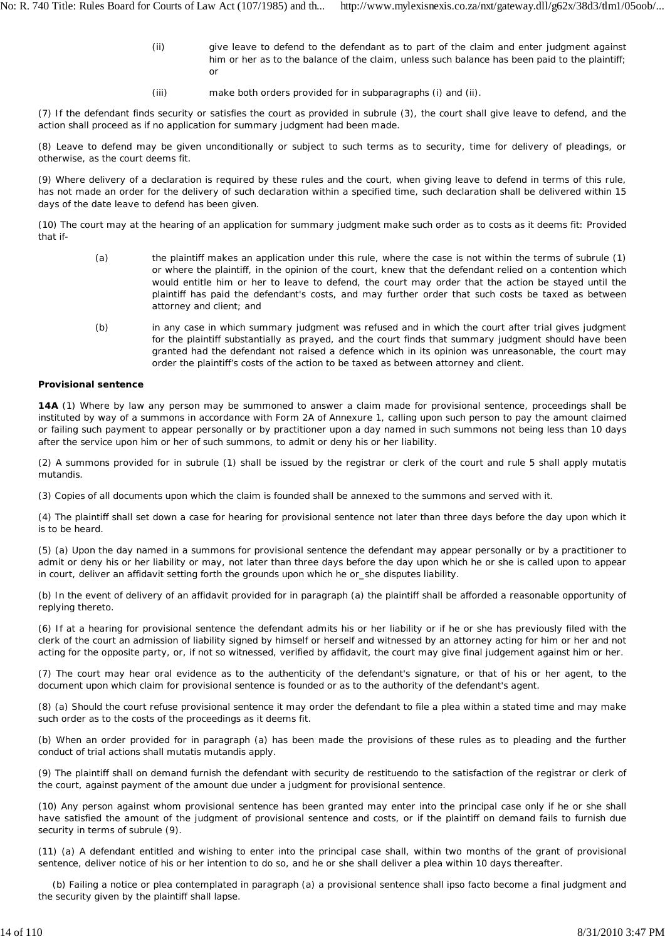- (ii) give leave to defend to the defendant as to part of the claim and enter judgment against him or her as to the balance of the claim, unless such balance has been paid to the plaintiff; or
- (iii) make both orders provided for in subparagraphs (i) and (ii).

(7) If the defendant finds security or satisfies the court as provided in subrule (3), the court shall give leave to defend, and the action shall proceed as if no application for summary judgment had been made.

(8) Leave to defend may be given unconditionally or subject to such terms as to security, time for delivery of pleadings, or otherwise, as the court deems fit.

(9) Where delivery of a declaration is required by these rules and the court, when giving leave to defend in terms of this rule, has not made an order for the delivery of such declaration within a specified time, such declaration shall be delivered within 15 days of the date leave to defend has been given.

(10) The court may at the hearing of an application for summary judgment make such order as to costs as it deems fit: Provided that if-

- (a) the plaintiff makes an application under this rule, where the case is not within the terms of subrule (1) or where the plaintiff, in the opinion of the court, knew that the defendant relied on a contention which would entitle him or her to leave to defend, the court may order that the action be stayed until the plaintiff has paid the defendant's costs, and may further order that such costs be taxed as between attorney and client; and
- (b) in any case in which summary judgment was refused and in which the court after trial gives judgment for the plaintiff substantially as prayed, and the court finds that summary judgment should have been granted had the defendant not raised a defence which in its opinion was unreasonable, the court may order the plaintiff's costs of the action to be taxed as between attorney and client.

### **Provisional sentence**

**14A** (1) Where by law any person may be summoned to answer a claim made for provisional sentence, proceedings shall be instituted by way of a summons in accordance with Form 2A of Annexure 1, calling upon such person to pay the amount claimed or failing such payment to appear personally or by practitioner upon a day named in such summons not being less than 10 days after the service upon him or her of such summons, to admit or deny his or her liability.

(2) A summons provided for in subrule (1) shall be issued by the registrar or clerk of the court and rule 5 shall apply *mutatis mutandis.*

(3) Copies of all documents upon which the claim is founded shall be annexed to the summons and served with it.

(4) The plaintiff shall set down a case for hearing for provisional sentence not later than three days before the day upon which it is to be heard.

(5) (a) Upon the day named in a summons for provisional sentence the defendant may appear personally or by a practitioner to admit or deny his or her liability or may, not later than three days before the day upon which he or she is called upon to appear in court, deliver an affidavit setting forth the grounds upon which he or\_she disputes liability.

(b) In the event of delivery of an affidavit provided for in paragraph (a) the plaintiff shall be afforded a reasonable opportunity of replying thereto.

(6) If at a hearing for provisional sentence the defendant admits his or her liability or if he or she has previously filed with the clerk of the court an admission of liability signed by himself or herself and witnessed by an attorney acting for him or her and not acting for the opposite party, or, if not so witnessed, verified by affidavit, the court may give final judgement against him or her.

(7) The court may hear oral evidence as to the authenticity of the defendant's signature, or that of his or her agent, to the document upon which claim for provisional sentence is founded or as to the authority of the defendant's agent.

(8) (a) Should the court refuse provisional sentence it may order the defendant to file a plea within a stated time and may make such order as to the costs of the proceedings as it deems fit.

(b) When an order provided for in paragraph (a) has been made the provisions of these rules as to pleading and the further conduct of trial actions shall *mutatis mutandis* apply.

(9) The plaintiff shall on demand furnish the defendant with security *de restituendo* to the satisfaction of the registrar or clerk of the court, against payment of the amount due under a judgment for provisional sentence.

(10) Any person against whom provisional sentence has been granted may enter into the principal case only if he or she shall have satisfied the amount of the judgment of provisional sentence and costs, or if the plaintiff on demand fails to furnish due security in terms of subrule (9).

(11) (a) A defendant entitled and wishing to enter into the principal case shall, within two months of the grant of provisional sentence, deliver notice of his or her intention to do so, and he or she shall deliver a plea within 10 days thereafter.

(b) Failing a notice or plea contemplated in paragraph (a) a provisional sentence shall *ipso facto* become a final judgment and the security given by the plaintiff shall lapse.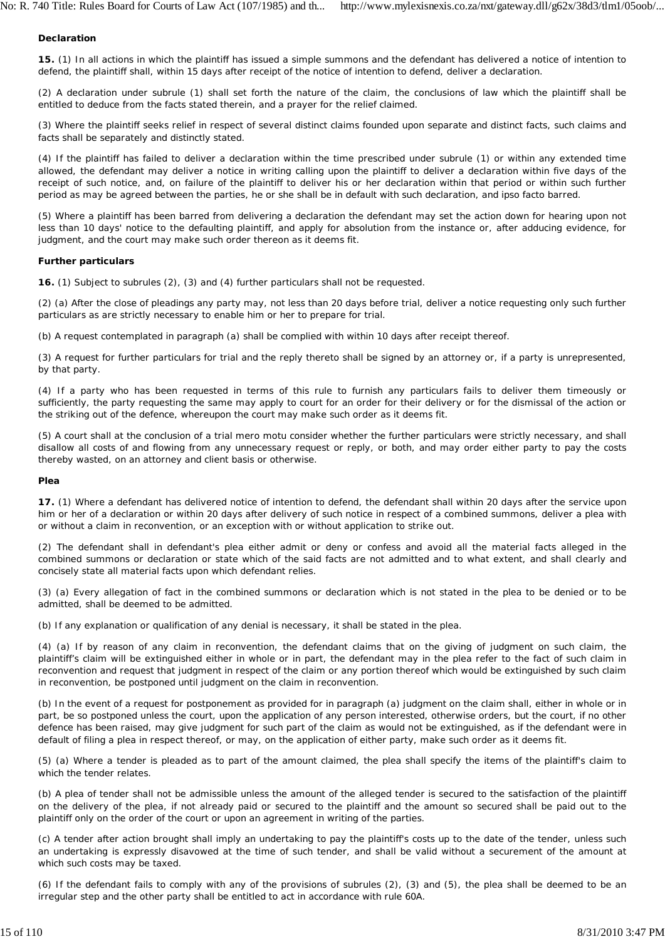### **Declaration**

**15.** (1) In all actions in which the plaintiff has issued a simple summons and the defendant has delivered a notice of intention to defend, the plaintiff shall, within 15 days after receipt of the notice of intention to defend, deliver a declaration.

(2) A declaration under subrule (1) shall set forth the nature of the claim, the conclusions of law which the plaintiff shall be entitled to deduce from the facts stated therein, and a prayer for the relief claimed.

(3) Where the plaintiff seeks relief in respect of several distinct claims founded upon separate and distinct facts, such claims and facts shall be separately and distinctly stated.

(4) If the plaintiff has failed to deliver a declaration within the time prescribed under subrule (1) or within any extended time allowed, the defendant may deliver a notice in writing calling upon the plaintiff to deliver a declaration within five days of the receipt of such notice, and, on failure of the plaintiff to deliver his or her declaration within that period or within such further period as may be agreed between the parties, he or she shall be in default with such declaration, and *ipso facto* barred.

(5) Where a plaintiff has been barred from delivering a declaration the defendant may set the action down for hearing upon not less than 10 days' notice to the defaulting plaintiff, and apply for absolution from the instance or, after adducing evidence, for judgment, and the court may make such order thereon as it deems fit.

#### **Further particulars**

**16.** (1) Subject to subrules (2), (3) and (4) further particulars shall not be requested.

(2) (a) After the close of pleadings any party may, not less than 20 days before trial, deliver a notice requesting only such further particulars as are strictly necessary to enable him or her to prepare for trial.

(b) A request contemplated in paragraph (a) shall be complied with within 10 days after receipt thereof.

(3) A request for further particulars for trial and the reply thereto shall be signed by an attorney or, if a party is unrepresented, by that party.

(4) If a party who has been requested in terms of this rule to furnish any particulars fails to deliver them timeously or sufficiently, the party requesting the same may apply to court for an order for their delivery or for the dismissal of the action or the striking out of the defence, whereupon the court may make such order as it deems fit.

(5) A court shall at the conclusion of a trial *mero motu* consider whether the further particulars were strictly necessary, and shall disallow all costs of and flowing from any unnecessary request or reply, or both, and may order either party to pay the costs thereby wasted, on an attorney and client basis or otherwise.

#### **Plea**

**17.** (1) Where a defendant has delivered notice of intention to defend, the defendant shall within 20 days after the service upon him or her of a declaration or within 20 days after delivery of such notice in respect of a combined summons, deliver a plea with or without a claim in reconvention, or an exception with or without application to strike out.

(2) The defendant shall in defendant's plea either admit or deny or confess and avoid all the material facts alleged in the combined summons or declaration or state which of the said facts are not admitted and to what extent, and shall clearly and concisely state all material facts upon which defendant relies.

(3) (a) Every allegation of fact in the combined summons or declaration which is not stated in the plea to be denied or to be admitted, shall be deemed to be admitted.

(b) If any explanation or qualification of any denial is necessary, it shall be stated in the plea.

(4) (a) If by reason of any claim in reconvention, the defendant claims that on the giving of judgment on such claim, the plaintiff's claim will be extinguished either in whole or in part, the defendant may in the plea refer to the fact of such claim in reconvention and request that judgment in respect of the claim or any portion thereof which would be extinguished by such claim in reconvention, be postponed until judgment on the claim in reconvention.

(b) In the event of a request for postponement as provided for in paragraph (a) judgment on the claim shall, either in whole or in part, be so postponed unless the court, upon the application of any person interested, otherwise orders, but the court, if no other defence has been raised, may give judgment for such part of the claim as would not be extinguished, as if the defendant were in default of filing a plea in respect thereof, or may, on the application of either party, make such order as it deems fit.

(5) (a) Where a tender is pleaded as to part of the amount claimed, the plea shall specify the items of the plaintiff's claim to which the tender relates.

(b) A plea of tender shall not be admissible unless the amount of the alleged tender is secured to the satisfaction of the plaintiff on the delivery of the plea, if not already paid or secured to the plaintiff and the amount so secured shall be paid out to the plaintiff only on the order of the court or upon an agreement in writing of the parties.

(c) A tender after action brought shall imply an undertaking to pay the plaintiff's costs up to the date of the tender, unless such an undertaking is expressly disavowed at the time of such tender, and shall be valid without a securement of the amount at which such costs may be taxed.

(6) If the defendant fails to comply with any of the provisions of subrules (2), (3) and (5), the plea shall be deemed to be an irregular step and the other party shall be entitled to act in accordance with rule 60A.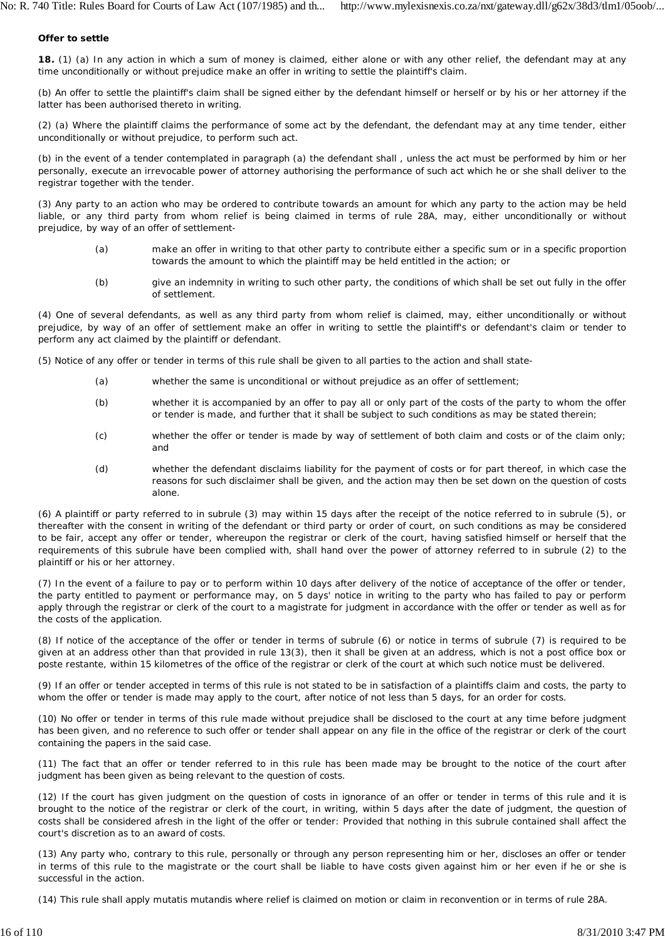### **Offer to settle**

**18.** (1) (a) In any action in which a sum of money is claimed, either alone or with any other relief, the defendant may at any time unconditionally or without prejudice make an offer in writing to settle the plaintiff's claim.

(b) An offer to settle the plaintiff's claim shall be signed either by the defendant himself or herself or by his or her attorney if the latter has been authorised thereto in writing.

(2) (a) Where the plaintiff claims the performance of some act by the defendant, the defendant may at any time tender, either unconditionally or without prejudice, to perform such act.

(b) in the event of a tender contemplated in paragraph (a) the defendant shall , unless the act must be performed by him or her personally, execute an irrevocable power of attorney authorising the performance of such act which he or she shall deliver to the registrar together with the tender.

(3) Any party to an action who may be ordered to contribute towards an amount for which any party to the action may be held liable, or any third party from whom relief is being claimed in terms of rule 28A, may, either unconditionally or without prejudice, by way of an offer of settlement-

- (a) make an offer in writing to that other party to contribute either a specific sum or in a specific proportion towards the amount to which the plaintiff may be held entitled in the action; or
- (b) give an indemnity in writing to such other party, the conditions of which shall be set out fully in the offer of settlement.

(4) One of several defendants, as well as any third party from whom relief is claimed, may, either unconditionally or without prejudice, by way of an offer of settlement make an offer in writing to settle the plaintiff's or defendant's claim or tender to perform any act claimed by the plaintiff or defendant.

(5) Notice of any offer or tender in terms of this rule shall be given to all parties to the action and shall state-

- (a) whether the same is unconditional or without prejudice as an offer of settlement;
- (b) whether it is accompanied by an offer to pay all or only part of the costs of the party to whom the offer or tender is made, and further that it shall be subject to such conditions as may be stated therein;
- (c) whether the offer or tender is made by way of settlement of both claim and costs or of the claim only; and
- (d) whether the defendant disclaims liability for the payment of costs or for part thereof, in which case the reasons for such disclaimer shall be given, and the action may then be set down on the question of costs alone.

(6) A plaintiff or party referred to in subrule (3) may within 15 days after the receipt of the notice referred to in subrule (5), or thereafter with the consent in writing of the defendant or third party or order of court, on such conditions as may be considered to be fair, accept any offer or tender, whereupon the registrar or clerk of the court, having satisfied himself or herself that the requirements of this subrule have been complied with, shall hand over the power of attorney referred to in subrule (2) to the plaintiff or his or her attorney.

(7) In the event of a failure to pay or to perform within 10 days after delivery of the notice of acceptance of the offer or tender, the party entitled to payment or performance may, on 5 days' notice in writing to the party who has failed to pay or perform apply through the registrar or clerk of the court to a magistrate for judgment in accordance with the offer or tender as well as for the costs of the application.

(8) If notice of the acceptance of the offer or tender in terms of subrule (6) or notice in terms of subrule (7) is required to be given at an address other than that provided in rule 13(3), then it shall be given at an address, which is not a post office box or *poste restante,* within 15 kilometres of the office of the registrar or clerk of the court at which such notice must be delivered.

(9) If an offer or tender accepted in terms of this rule is not stated to be in satisfaction of a plaintiffs claim and costs, the party to whom the offer or tender is made may apply to the court, after notice of not less than 5 days, for an order for costs.

(10) No offer or tender in terms of this rule made without prejudice shall be disclosed to the court at any time before judgment has been given, and no reference to such offer or tender shall appear on any file in the office of the registrar or clerk of the court containing the papers in the said case.

(11) The fact that an offer or tender referred to in this rule has been made may be brought to the notice of the court after judgment has been given as being relevant to the question of costs.

(12) If the court has given judgment on the question of costs in ignorance of an offer or tender in terms of this rule and it is brought to the notice of the registrar or clerk of the court, in writing, within 5 days after the date of judgment, the question of costs shall be considered afresh in the light of the offer or tender: Provided that nothing in this subrule contained shall affect the court's discretion as to an award of costs.

(13) Any party who, contrary to this rule, personally or through any person representing him or her, discloses an offer or tender in terms of this rule to the magistrate or the court shall be liable to have costs given against him or her even if he or she is successful in the action.

(14) This rule shall apply *mutatis mutandis* where relief is claimed on motion or claim in reconvention or in terms of rule 28A.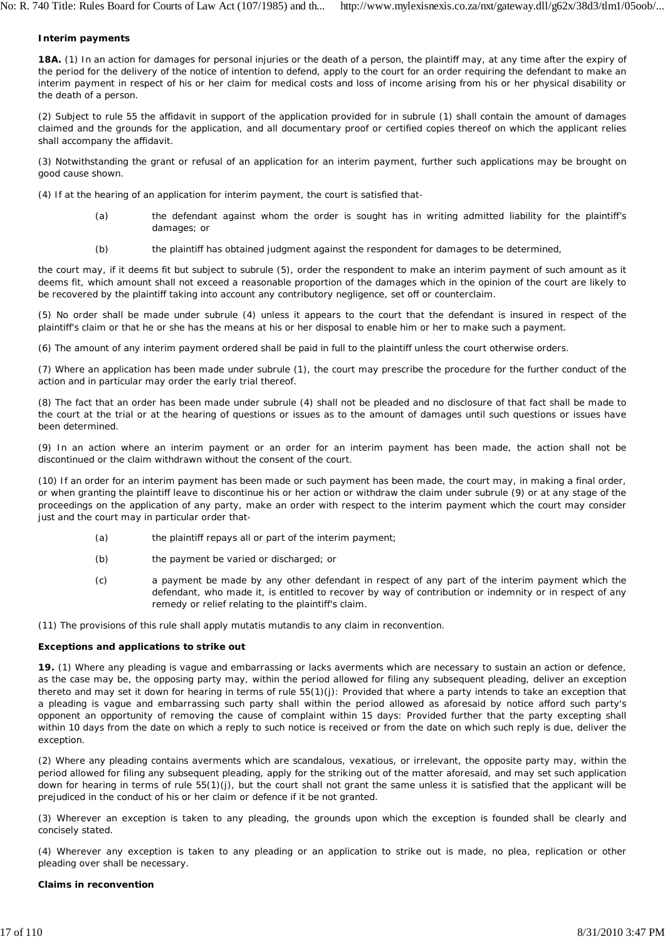### **Interim payments**

**18A.** (1) In an action for damages for personal injuries or the death of a person, the plaintiff may, at any time after the expiry of the period for the delivery of the notice of intention to defend, apply to the court for an order requiring the defendant to make an interim payment in respect of his or her claim for medical costs and loss of income arising from his or her physical disability or the death of a person.

(2) Subject to rule 55 the affidavit in support of the application provided for in subrule (1) shall contain the amount of damages claimed and the grounds for the application, and all documentary proof or certified copies thereof on which the applicant relies shall accompany the affidavit.

(3) Notwithstanding the grant or refusal of an application for an interim payment, further such applications may be brought on good cause shown.

(4) If at the hearing of an application for interim payment, the court is satisfied that-

- (a) the defendant against whom the order is sought has in writing admitted liability for the plaintiff's damages; or
- (b) the plaintiff has obtained judgment against the respondent for damages to be determined,

the court may, if it deems fit but subject to subrule (5), order the respondent to make an interim payment of such amount as it deems fit, which amount shall not exceed a reasonable proportion of the damages which in the opinion of the court are likely to be recovered by the plaintiff taking into account any contributory negligence, set off or counterclaim.

(5) No order shall be made under subrule (4) unless it appears to the court that the defendant is insured in respect of the plaintiff's claim or that he or she has the means at his or her disposal to enable him or her to make such a payment.

(6) The amount of any interim payment ordered shall be paid in full to the plaintiff unless the court otherwise orders.

(7) Where an application has been made under subrule (1), the court may prescribe the procedure for the further conduct of the action and in particular may order the early trial thereof.

(8) The fact that an order has been made under subrule (4) shall not be pleaded and no disclosure of that fact shall be made to the court at the trial or at the hearing of questions or issues as to the amount of damages until such questions or issues have been determined.

(9) In an action where an interim payment or an order for an interim payment has been made, the action shall not be discontinued or the claim withdrawn without the consent of the court.

(10) If an order for an interim payment has been made or such payment has been made, the court may, in making a final order, or when granting the plaintiff leave to discontinue his or her action or withdraw the claim under subrule (9) or at any stage of the proceedings on the application of any party, make an order with respect to the interim payment which the court may consider just and the court may in particular order that-

- (a) the plaintiff repays all or part of the interim payment;
- (b) the payment be varied or discharged; or
- (c) a payment be made by any other defendant in respect of any part of the interim payment which the defendant, who made it, is entitled to recover by way of contribution or indemnity or in respect of any remedy or relief relating to the plaintiff's claim.

(11) The provisions of this rule shall apply *mutatis mutandis* to any claim in reconvention.

## **Exceptions and applications to strike out**

**19.** (1) Where any pleading is vague and embarrassing or lacks averments which are necessary to sustain an action or defence, as the case may be, the opposing party may, within the period allowed for filing any subsequent pleading, deliver an exception thereto and may set it down for hearing in terms of rule 55(1)(j): Provided that where a party intends to take an exception that a pleading is vague and embarrassing such party shall within the period allowed as aforesaid by notice afford such party's opponent an opportunity of removing the cause of complaint within 15 days: Provided further that the party excepting shall within 10 days from the date on which a reply to such notice is received or from the date on which such reply is due, deliver the exception.

(2) Where any pleading contains averments which are scandalous, vexatious, or irrelevant, the opposite party may, within the period allowed for filing any subsequent pleading, apply for the striking out of the matter aforesaid, and may set such application down for hearing in terms of rule 55(1)(j), but the court shall not grant the same unless it is satisfied that the applicant will be prejudiced in the conduct of his or her claim or defence if it be not granted.

(3) Wherever an exception is taken to any pleading, the grounds upon which the exception is founded shall be clearly and concisely stated.

(4) Wherever any exception is taken to any pleading or an application to strike out is made, no plea, replication or other pleading over shall be necessary.

### **Claims in reconvention**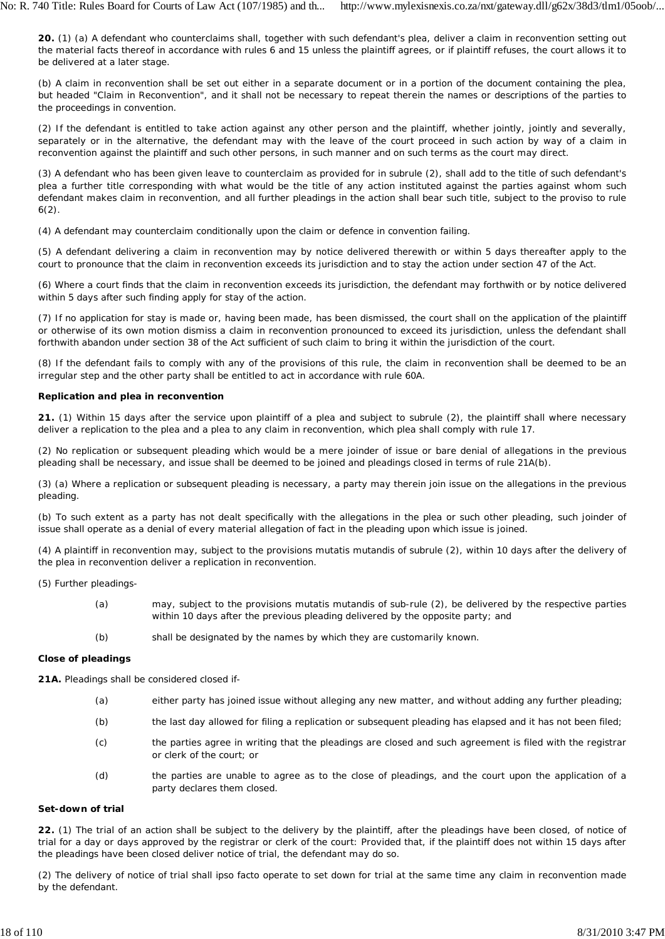**20.** (1) (a) A defendant who counterclaims shall, together with such defendant's plea, deliver a claim in reconvention setting out the material facts thereof in accordance with rules 6 and 15 unless the plaintiff agrees, or if plaintiff refuses, the court allows it to be delivered at a later stage.

(b) A claim in reconvention shall be set out either in a separate document or in a portion of the document containing the plea, but headed "Claim in Reconvention", and it shall not be necessary to repeat therein the names or descriptions of the parties to the proceedings in convention.

(2) If the defendant is entitled to take action against any other person and the plaintiff, whether jointly, jointly and severally, separately or in the alternative, the defendant may with the leave of the court proceed in such action by way of a claim in reconvention against the plaintiff and such other persons, in such manner and on such terms as the court may direct.

(3) A defendant who has been given leave to counterclaim as provided for in subrule (2), shall add to the title of such defendant's plea a further title corresponding with what would be the title of any action instituted against the parties against whom such defendant makes claim in reconvention, and all further pleadings in the action shall bear such title, subject to the proviso to rule 6(2).

(4) A defendant may counterclaim conditionally upon the claim or defence in convention failing.

(5) A defendant delivering a claim in reconvention may by notice delivered therewith or within 5 days thereafter apply to the court to pronounce that the claim in reconvention exceeds its jurisdiction and to stay the action under section 47 of the Act.

(6) Where a court finds that the claim in reconvention exceeds its jurisdiction, the defendant may forthwith or by notice delivered within 5 days after such finding apply for stay of the action.

(7) If no application for stay is made or, having been made, has been dismissed, the court shall on the application of the plaintiff or otherwise of its own motion dismiss a claim in reconvention pronounced to exceed its jurisdiction, unless the defendant shall forthwith abandon under section 38 of the Act sufficient of such claim to bring it within the jurisdiction of the court.

(8) If the defendant fails to comply with any of the provisions of this rule, the claim in reconvention shall be deemed to be an irregular step and the other party shall be entitled to act in accordance with rule 60A.

# **Replication and plea in reconvention**

**21.** (1) Within 15 days after the service upon plaintiff of a plea and subject to subrule (2), the plaintiff shall where necessary deliver a replication to the plea and a plea to any claim in reconvention, which plea shall comply with rule 17.

(2) No replication or subsequent pleading which would be a mere joinder of issue or bare denial of allegations in the previous pleading shall be necessary, and issue shall be deemed to be joined and pleadings closed in terms of rule 21A(b).

(3) (a) Where a replication or subsequent pleading is necessary, a party may therein join issue on the allegations in the previous pleading.

(b) To such extent as a party has not dealt specifically with the allegations in the plea or such other pleading, such joinder of issue shall operate as a denial of every material allegation of fact in the pleading upon which issue is joined.

(4) A plaintiff in reconvention may, subject to the provisions *mutatis mutandis* of subrule (2), within 10 days after the delivery of the plea in reconvention deliver a replication in reconvention.

(5) Further pleadings-

- (a) may, subject to the provisions *mutatis mutandis* of sub-rule (2), be delivered by the respective parties within 10 days after the previous pleading delivered by the opposite party; and
- (b) shall be designated by the names by which they are customarily known.

## **Close of pleadings**

**21A.** Pleadings shall be considered closed if-

- (a) either party has joined issue without alleging any new matter, and without adding any further pleading;
- (b) the last day allowed for filing a replication or subsequent pleading has elapsed and it has not been filed;
- $(c)$ the parties agree in writing that the pleadings are closed and such agreement is filed with the registrar or clerk of the court; or
- (d) the parties are unable to agree as to the close of pleadings, and the court upon the application of a party declares them closed.

## **Set-down of trial**

**22.** (1) The trial of an action shall be subject to the delivery by the plaintiff, after the pleadings have been closed, of notice of trial for a day or days approved by the registrar or clerk of the court: Provided that, if the plaintiff does not within 15 days after the pleadings have been closed deliver notice of trial, the defendant may do so.

(2) The delivery of notice of trial shall *ipso facto* operate to set down for trial at the same time any claim in reconvention made by the defendant.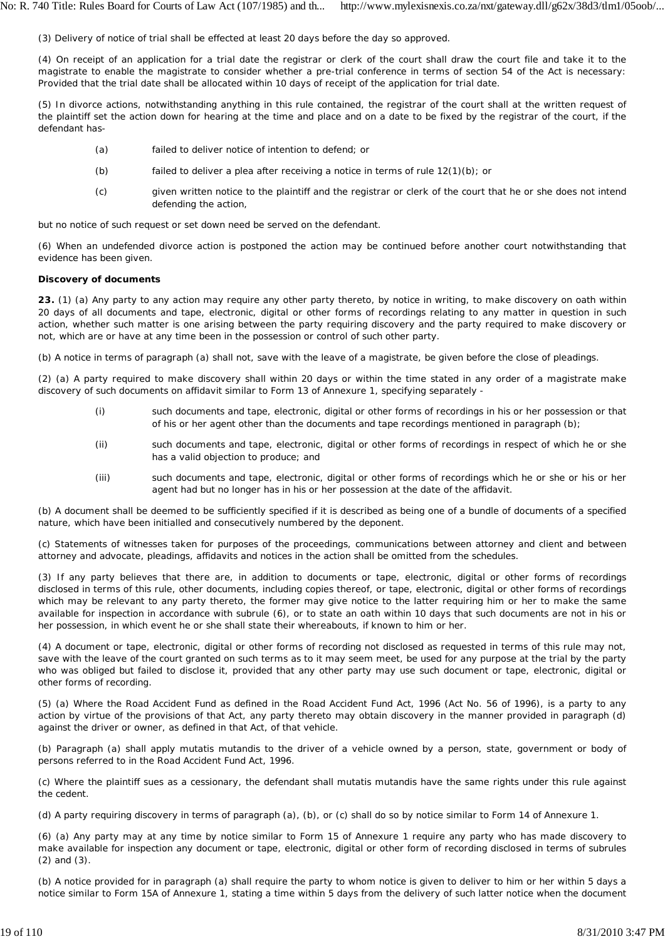(3) Delivery of notice of trial shall be effected at least 20 days before the day so approved.

(4) On receipt of an application for a trial date the registrar or clerk of the court shall draw the court file and take it to the magistrate to enable the magistrate to consider whether a pre-trial conference in terms of section 54 of the Act is necessary: Provided that the trial date shall be allocated within 10 days of receipt of the application for trial date.

(5) In divorce actions, notwithstanding anything in this rule contained, the registrar of the court shall at the written request of the plaintiff set the action down for hearing at the time and place and on a date to be fixed by the registrar of the court, if the defendant has-

- (a) failed to deliver notice of intention to defend; or
- (b) failed to deliver a plea after receiving a notice in terms of rule 12(1)(b); or
- $(c)$ given written notice to the plaintiff and the registrar or clerk of the court that he or she does not intend defending the action,

but no notice of such request or set down need be served on the defendant.

(6) When an undefended divorce action is postponed the action may be continued before another court notwithstanding that evidence has been given.

### **Discovery of documents**

**23.** (1) (a) Any party to any action may require any other party thereto, by notice in writing, to make discovery on oath within 20 days of all documents and tape, electronic, digital or other forms of recordings relating to any matter in question in such action, whether such matter is one arising between the party requiring discovery and the party required to make discovery or not, which are or have at any time been in the possession *or* control of such other party.

(b) A notice in terms of paragraph (a) shall not, save with the leave of a magistrate, be given before the close of pleadings.

(2) (a) A party required to make discovery shall within 20 days or within the time stated in any order of a magistrate make discovery of such documents on affidavit similar to Form 13 of Annexure 1, specifying separately -

- (i) such documents and tape, electronic, digital or other forms of recordings in his or her possession or that of his or her agent other than the documents and tape recordings mentioned in paragraph *(b);*
- (ii) such documents and tape, electronic, digital or other forms of recordings in respect of which he or she has a valid objection to produce; and
- (iii) such documents and tape, electronic, digital or other forms of recordings which he or she or his or her agent had but no longer has in his or her possession at the date of the affidavit.

(b) A document shall be deemed to be sufficiently specified if it is described as being one of a bundle of documents of a specified nature, which have been initialled and consecutively numbered by the deponent.

(c) Statements of witnesses taken for purposes of the proceedings, communications between attorney and client and between attorney and advocate, pleadings, affidavits and notices in the action shall be omitted from the schedules.

(3) If any party believes that there are, in addition to documents or tape, electronic, digital or other forms of recordings disclosed in terms of this rule, other documents, including copies thereof, or tape, electronic, digital or other forms of recordings which may be relevant to any party thereto, the former may give notice to the latter requiring him or her to make the same available for inspection in accordance with subrule (6), or to state an oath within 10 days that such documents are not in his or her possession, in which event he or she shall state their whereabouts, if known to him or her.

(4) A document or tape, electronic, digital or other forms of recording not disclosed as requested in terms of this rule may not, save with the leave of the court granted on such terms as to it may seem meet, be used for any purpose at the trial by the party who was obliged but failed to disclose it, provided that any other party may use such document or tape, electronic, digital or other forms of recording.

(5) (a) Where the Road Accident Fund as defined in the Road Accident Fund Act, 1996 (Act No. 56 of 1996), is a party to any action by virtue of the provisions of that Act, any party thereto may obtain discovery in the manner provided in paragraph *(d)* against the driver or owner, as defined in that Act, of that vehicle.

(b) Paragraph (a) shall apply *mutatis mutandis* to the driver of a vehicle owned by a person, state, government or body of persons referred to in the Road Accident Fund Act, 1996.

(c) Where the plaintiff sues as a cessionary, the defendant shall *mutatis mutandis* have the same rights under this rule against the cedent.

(d) A party requiring discovery in terms of paragraph (a), (b), or (c) shall do so by notice similar to Form 14 of Annexure 1.

(6) (a) Any party may at any time by notice similar to Form 15 of Annexure 1 require any party who has made discovery to make available for inspection any document or tape, electronic, digital or other form of recording disclosed in terms of subrules (2) and (3).

(b) A notice provided for in paragraph (a) shall require the party to whom notice is given to deliver to him or her within 5 days a notice similar to Form 15A of Annexure 1, stating a time within 5 days from the delivery of such latter notice when the document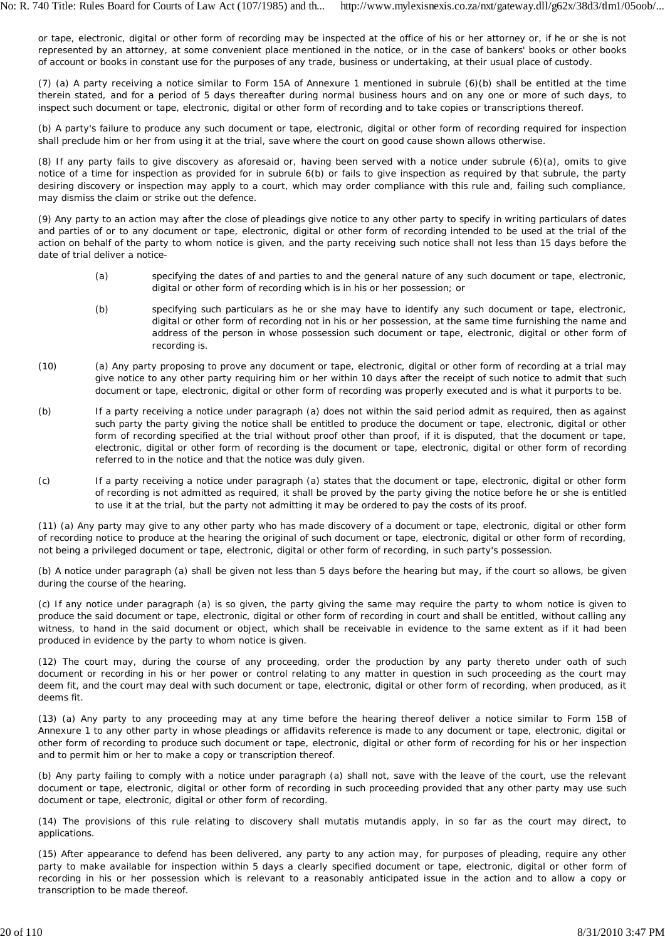or tape, electronic, digital or other form of recording may be inspected at the office of his or her attorney or, if he or she is not represented by an attorney, at some convenient place mentioned in the notice, or in the case of bankers' books or other books of account or books in constant use for the purposes of any trade, business or undertaking, at their usual place of custody.

(7) (a) A party receiving a notice similar to Form 15A of Annexure 1 mentioned in subrule (6)(b) shall be entitled at the time therein stated, and for a period of 5 days thereafter during normal business hours and on any one or more of such days, to inspect such document or tape, electronic, digital or other form of recording and to take copies or transcriptions thereof.

(b) A party's failure to produce any such document or tape, electronic, digital or other form of recording required for inspection shall preclude him or her from using it at the trial, save where the court on good cause shown allows otherwise.

(8) If any party fails to give discovery as aforesaid or, having been served with a notice under subrule (6)(a), omits to give notice of a time for inspection as provided for in subrule 6(b) or fails to give inspection as required by that subrule, the party desiring discovery or inspection may apply to a court, which may order compliance with this rule and, failing such compliance, may dismiss the claim or strike out the defence.

(9) Any party to an action may after the close of pleadings give notice to any other party to specify in writing particulars of dates and parties of or to any document or tape, electronic, digital or other form of recording intended to be used at the trial of the action on behalf of the party to whom notice is given, and the party receiving such notice shall not less than 15 days before the date of trial deliver a notice-

- (a) specifying the dates of and parties to and the general nature of any such document or tape, electronic, digital or other form of recording which is in his or her possession; or
- (b) specifying such particulars as he or she may have to identify any such document or tape, electronic, digital or other form of recording not in his or her possession, at the same time furnishing the name and address of the person in whose possession such document or tape, electronic, digital or other form of recording is.
- (10) (a) Any party proposing to prove any document or tape, electronic, digital or other form of recording at a trial may give notice to any other party requiring him or her within 10 days after the receipt of such notice to admit that such document or tape, electronic, digital or other form of recording was properly executed and is what it purports to be.
- (b) If a party receiving a notice under paragraph (a) does not within the said period admit as required, then as against such party the party giving the notice shall be entitled to produce the document or tape, electronic, digital or other form of recording specified at the trial without proof other than proof, if it is disputed, that the document or tape, electronic, digital or other form of recording is the document or tape, electronic, digital or other form of recording referred to in the notice and that the notice was duly given.
- (c) If a party receiving a notice under paragraph (a) states that the document or tape, electronic, digital or other form of recording is not admitted as required, it shall be proved by the party giving the notice before he or she is entitled to use it at the trial, but the party not admitting it may be ordered to pay the costs of its proof.

(11) (a) Any party may give to any other party who has made discovery of a document or tape, electronic, digital or other form of recording notice to produce at the hearing the original of such document or tape, electronic, digital or other form of recording, not being a privileged document or tape, electronic, digital or other form of recording, in such party's possession.

(b) A notice under paragraph (a) shall be given not less than 5 days before the hearing but may, if the court so allows, be given during the course of the hearing.

(c) If any notice under paragraph (a) is so given, the party giving the same may require the party to whom notice is given to produce the said document or tape, electronic, digital or other form of recording in court and shall be entitled, without calling any witness, to hand in the said document or object, which shall be receivable in evidence to the same extent as if it had been produced in evidence by the party to whom notice is given.

(12) The court may, during the course of any proceeding, order the production by any party thereto under oath of such document or recording in his or her power or control relating to any matter in question in such proceeding as the court may deem fit, and the court may deal with such document or tape, electronic, digital or other form of recording, when produced, as it deems fit.

(13) (a) Any party to any proceeding may at any time before the hearing thereof deliver a notice similar to Form 15B of Annexure 1 to any other party in whose pleadings or affidavits reference is made to any document or tape, electronic, digital or other form of recording to produce such document or tape, electronic, digital or other form of recording for his or her inspection and to permit him or her to make a copy or transcription thereof.

(b) Any party failing to comply with a notice under paragraph (a) shall not, save with the leave of the court, use the relevant document or tape, electronic, digital or other form of recording in such proceeding provided that any other party may use such document or tape, electronic, digital or other form of recording.

(14) The provisions of this rule relating to discovery shall *mutatis mutandis* apply, in so far as the court may direct, to applications.

(15) After appearance to defend has been delivered, any party to any action may, for purposes of pleading, require any other party to make available for inspection within 5 days a clearly specified document or tape, electronic, digital or other form of recording in his or her possession which is relevant to a reasonably anticipated issue in the action and to allow a copy or transcription to be made thereof.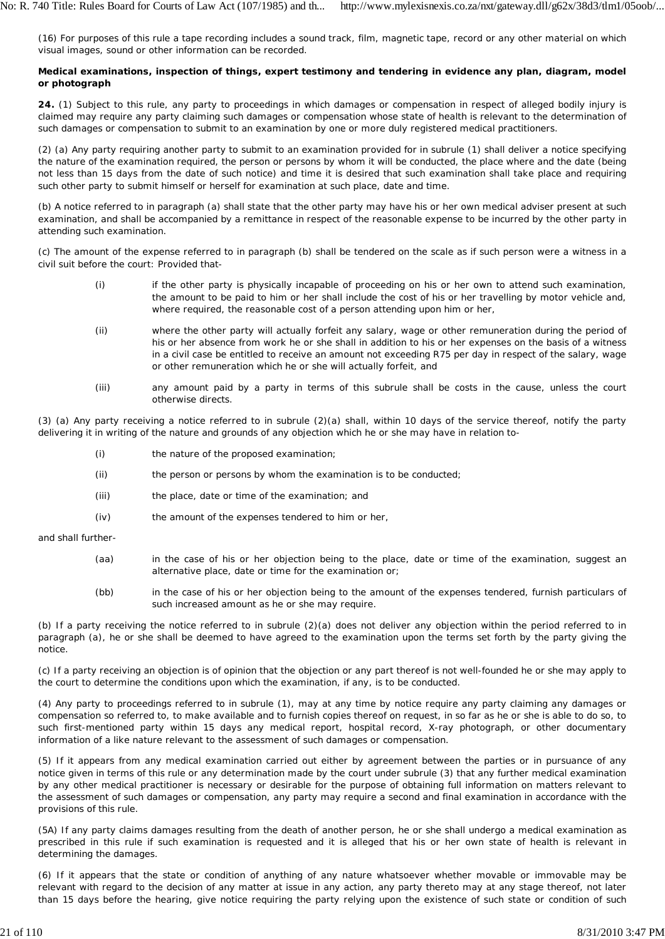(16) For purposes of this rule a tape recording includes a sound track, film, magnetic tape, record or any other material on which visual images, sound or other information can be recorded.

## **Medical examinations, inspection of things, expert testimony and tendering in evidence any plan, diagram, model or photograph**

**24.** (1) Subject to this rule, any party to proceedings in which damages or compensation in respect of alleged bodily injury is claimed may require any party claiming such damages or compensation whose state of health is relevant to the determination of such damages or compensation to submit to an examination by one or more duly registered medical practitioners.

(2) (a) Any party requiring another party to submit to an examination provided for in subrule (1) shall deliver a notice specifying the nature of the examination required, the person or persons by whom it will be conducted, the place where and the date (being not less than 15 days from the date of such notice) and time it is desired that such examination shall take place and requiring such other party to submit himself or herself for examination at such place, date and time.

(b) A notice referred to in paragraph (a) shall state that the other party may have his or her own medical adviser present at such examination, and shall be accompanied by a remittance in respect of the reasonable expense to be incurred by the other party in attending such examination.

(c) The amount of the expense referred to in paragraph (b) shall be tendered on the scale as if such person were a witness in a civil suit before the court: Provided that-

- (i) if the other party is physically incapable of proceeding on his or her own to attend such examination, the amount to be paid to him or her shall include the cost of his or her travelling by motor vehicle and, where required, the reasonable cost of a person attending upon him or her,
- (ii) where the other party will actually forfeit any salary, wage or other remuneration during the period of his or her absence from work he or she shall in addition to his or her expenses on the basis of a witness in a civil case be entitled to receive an amount not exceeding R75 per day in respect of the salary, wage or other remuneration which he or she will actually forfeit, and
- (iii) any amount paid by a party in terms of this subrule shall be costs in the cause, unless the court otherwise directs.

(3) (a) Any party receiving a notice referred to in subrule (2)(a) shall, within 10 days of the service thereof, notify the party delivering it in writing of the nature and grounds of any objection which he or she may have in relation to-

- (i) the nature of the proposed examination;
- (ii) the person or persons by whom the examination is to be conducted;
- (iii) the place, date or time of the examination; and
- $(iv)$ the amount of the expenses tendered to him or her,

and shall further-

- (aa) in the case of his or her objection being to the place, date or time of the examination, suggest an alternative place, date or time for the examination or;
- $(hh)$ in the case of his or her objection being to the amount of the expenses tendered, furnish particulars of such increased amount as he or she may require.

(b) If a party receiving the notice referred to in subrule (2)(a) does not deliver any objection within the period referred to in paragraph (a), he or she shall be deemed to have agreed to the examination upon the terms set forth by the party giving the notice.

(c) If a party receiving an objection is of opinion that the objection or any part thereof is not well-founded he or she may apply to the court to determine the conditions upon which the examination, if any, is to be conducted.

(4) Any party to proceedings referred to in subrule (1), may at any time by notice require any party claiming any damages or compensation so referred to, to make available and to furnish copies thereof on request, in so far as he or she is able to do so, to such first-mentioned party within 15 days any medical report, hospital record, X-ray photograph, or other documentary information of a like nature relevant to the assessment of such damages or compensation.

(5) If it appears from any medical examination carried out either by agreement between the parties or in pursuance of any notice given in terms of this rule or any determination made by the court under subrule (3) that any further medical examination by any other medical practitioner is necessary or desirable for the purpose of obtaining full information on matters relevant to the assessment of such damages or compensation, any party may require a second and final examination in accordance with the provisions of this rule.

(5A) If any party claims damages resulting from the death of another person, he or she shall undergo a medical examination as prescribed in this rule if such examination is requested and it is alleged that his or her own state of health is relevant in determining the damages.

(6) If it appears that the state or condition of anything of any nature whatsoever whether movable or immovable may be relevant with regard to the decision of any matter at issue in any action, any party thereto may at any stage thereof, not later than 15 days before the hearing, give notice requiring the party relying upon the existence of such state or condition of such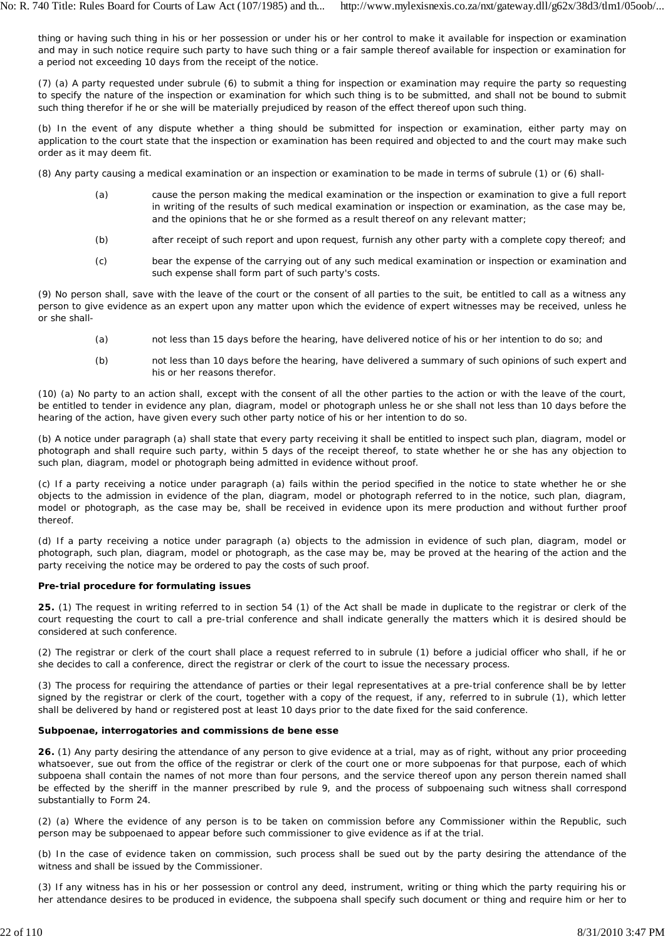thing or having such thing in his or her possession or under his or her control to make it available for inspection or examination and may in such notice require such party to have such thing or a fair sample thereof available for inspection or examination for a period not exceeding 10 days from the receipt of the notice.

(7) (a) A party requested under subrule (6) to submit a thing for inspection or examination may require the party so requesting to specify the nature of the inspection or examination for which such thing is to be submitted, and shall not be bound to submit such thing therefor if he or she will be materially prejudiced by reason of the effect thereof upon such thing.

(b) In the event of any dispute whether a thing should be submitted for inspection or examination, either party may on application to the court state that the inspection or examination has been required and objected to and the court may make such order as it may deem fit.

(8) Any party causing a medical examination or an inspection or examination to be made in terms of subrule (1) or (6) shall-

- (a) cause the person making the medical examination or the inspection or examination to give a full report in writing of the results of such medical examination or inspection or examination, as the case may be, and the opinions that he or she formed as a result thereof on any relevant matter;
- (b) after receipt of such report and upon request, furnish any other party with a complete copy thereof; and
- (c) bear the expense of the carrying out of any such medical examination or inspection or examination and such expense shall form part of such party's costs.

(9) No person shall, save with the leave of the court or the consent of all parties to the suit, be entitled to call as a witness any person to give evidence as an expert upon any matter upon which the evidence of expert witnesses may be received, unless he or she shall-

- (a) not less than 15 days before the hearing, have delivered notice of his or her intention to do so; and
- (b) not less than 10 days before the hearing, have delivered a summary of such opinions of such expert and his or her reasons therefor.

(10) (a) No party to an action shall, except with the consent of all the other parties to the action or with the leave of the court, be entitled to tender in evidence any plan, diagram, model or photograph unless he or she shall not less than 10 days before the hearing of the action, have given every such other party notice of his or her intention to do so.

(b) A notice under paragraph (a) shall state that every party receiving it shall be entitled to inspect such plan, diagram, model or photograph and shall require such party, within 5 days of the receipt thereof, to state whether he or she has any objection to such plan, diagram, model or photograph being admitted in evidence without proof.

(c) If a party receiving a notice under paragraph (a) fails within the period specified in the notice to state whether he or she objects to the admission in evidence of the plan, diagram, model or photograph referred to in the notice, such plan, diagram, model or photograph, as the case may be, shall be received in evidence upon its mere production and without further proof thereof.

(d) If a party receiving a notice under paragraph (a) objects to the admission in evidence of such plan, diagram, model or photograph, such plan, diagram, model or photograph, as the case may be, may be proved at the hearing of the action and the party receiving the notice may be ordered to pay the costs of such proof.

### **Pre-trial procedure for formulating issues**

**25.** (1) The request in writing referred to in section 54 (1) of the Act shall be made in duplicate to the registrar or clerk of the court requesting the court to call a pre-trial conference and shall indicate generally the matters which it is desired should be considered at such conference.

(2) The registrar or clerk of the court shall place a request referred to in subrule (1) before a judicial officer who shall, if he or she decides to call a conference, direct the registrar or clerk of the court to issue the necessary process.

(3) The process for requiring the attendance of parties or their legal representatives at a pre-trial conference shall be by letter signed by the registrar or clerk of the court, together with a copy of the request, if any, referred to in subrule (1), which letter shall be delivered by hand or registered post at least 10 days prior to the date fixed for the said conference.

## **Subpoenae, interrogatories and commissions de bene esse**

**26.** (1) Any party desiring the attendance of any person to give evidence at a trial, may as of right, without any prior proceeding whatsoever, sue out from the office of the registrar or clerk of the court one or more subpoenas for that purpose, each of which subpoena shall contain the names of not more than four persons, and the service thereof upon any person therein named shall be effected by the sheriff in the manner prescribed by rule 9, and the process of subpoenaing such witness shall correspond substantially to Form 24.

(2) (a) Where the evidence of any person is to be taken on commission before any Commissioner within the Republic, such person may be subpoenaed to appear before such commissioner to give evidence as if at the trial.

(b) In the case of evidence taken on commission, such process shall be sued out by the party desiring the attendance of the witness and shall be issued by the Commissioner.

(3) If any witness has in his or her possession or control any deed, instrument, writing or thing which the party requiring his or her attendance desires to be produced in evidence, the subpoena shall specify such document or thing and require him or her to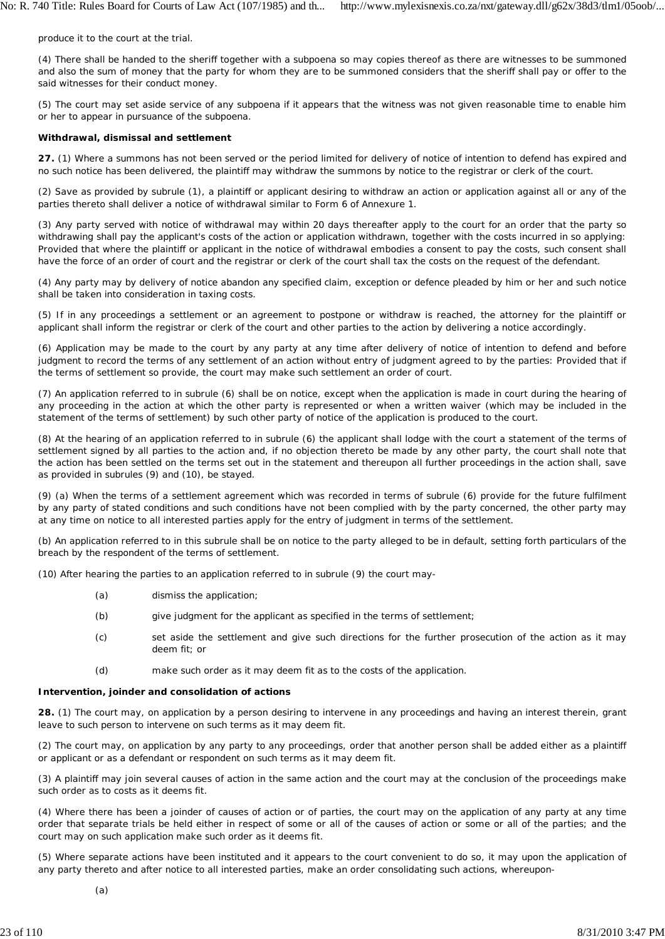produce it to the court at the trial.

(4) There shall be handed to the sheriff together with a subpoena so may copies thereof as there are witnesses to be summoned and also the sum of money that the party for whom they are to be summoned considers that the sheriff shall pay or offer to the said witnesses for their conduct money.

(5) The court may set aside service of any subpoena if it appears that the witness was not given reasonable time to enable him or her to appear in pursuance of the subpoena.

#### **Withdrawal, dismissal and settlement**

**27.** (1) Where a summons has not been served or the period limited for delivery of notice of intention to defend has expired and no such notice has been delivered, the plaintiff may withdraw the summons by notice to the registrar or clerk of the court.

(2) Save as provided by subrule (1), a plaintiff or applicant desiring to withdraw an action or application against all or any of the parties thereto shall deliver a notice of withdrawal similar to Form 6 of Annexure 1.

(3) Any party served with notice of withdrawal may within 20 days thereafter apply to the court for an order that the party so withdrawing shall pay the applicant's costs of the action or application withdrawn, together with the costs incurred in so applying: Provided that where the plaintiff or applicant in the notice of withdrawal embodies a consent to pay the costs, such consent shall have the force of an order of court and the registrar or clerk of the court shall tax the costs on the request of the defendant.

(4) Any party may by delivery of notice abandon any specified claim, exception or defence pleaded by him or her and such notice shall be taken into consideration in taxing costs.

(5) If in any proceedings a settlement or an agreement to postpone or withdraw is reached, the attorney for the plaintiff or applicant shall inform the registrar or clerk of the court and other parties to the action by delivering a notice accordingly.

(6) Application may be made to the court by any party at any time after delivery of notice of intention to defend and before judgment to record the terms of any settlement of an action without entry of judgment agreed to by the parties: Provided that if the terms of settlement so provide, the court may make such settlement an order of court.

(7) An application referred to in subrule (6) shall be on notice, except when the application is made in court during the hearing of any proceeding in the action at which the other party is represented or when a written waiver (which may be included in the statement of the terms of settlement) by such other party of notice of the application is produced to the court.

(8) At the hearing of an application referred to in subrule (6) the applicant shall lodge with the court a statement of the terms of settlement signed by all parties to the action and, if no objection thereto be made by any other party, the court shall note that the action has been settled on the terms set out in the statement and thereupon all further proceedings in the action shall, save as provided in subrules (9) and (10), be stayed.

(9) (a) When the terms of a settlement agreement which was recorded in terms of subrule (6) provide for the future fulfilment by any party of stated conditions and such conditions have not been complied with by the party concerned, the other party may at any time on notice to all interested parties apply for the entry of judgment in terms of the settlement.

(b) An application referred to in this subrule shall be on notice to the party alleged to be in default, setting forth particulars of the breach by the respondent of the terms of settlement.

(10) After hearing the parties to an application referred to in subrule (9) the court may-

- $(a)$ dismiss the application;
- (b) give judgment for the applicant as specified in the terms of settlement;
- (c) set aside the settlement and give such directions for the further prosecution of the action as it may deem fit; or
- (d) make such order as it may deem fit as to the costs of the application.

#### **Intervention, joinder and consolidation of actions**

**28.** (1) The court may, on application by a person desiring to intervene in any proceedings and having an interest therein, grant leave to such person to intervene on such terms as it may deem fit.

(2) The court may, on application by any party to any proceedings, order that another person shall be added either as a plaintiff or applicant or as a defendant or respondent on such terms as it may deem fit.

(3) A plaintiff may join several causes of action in the same action and the court may at the conclusion of the proceedings make such order as to costs as it deems fit.

(4) Where there has been a joinder of causes of action or of parties, the court may on the application of any party at any time order that separate trials be held either in respect of some or all of the causes of action or some or all of the parties; and the court may on such application make such order as it deems fit.

(5) Where separate actions have been instituted and it appears to the court convenient to do so, it may upon the application of any party thereto and after notice to all interested parties, make an order consolidating such actions, whereupon-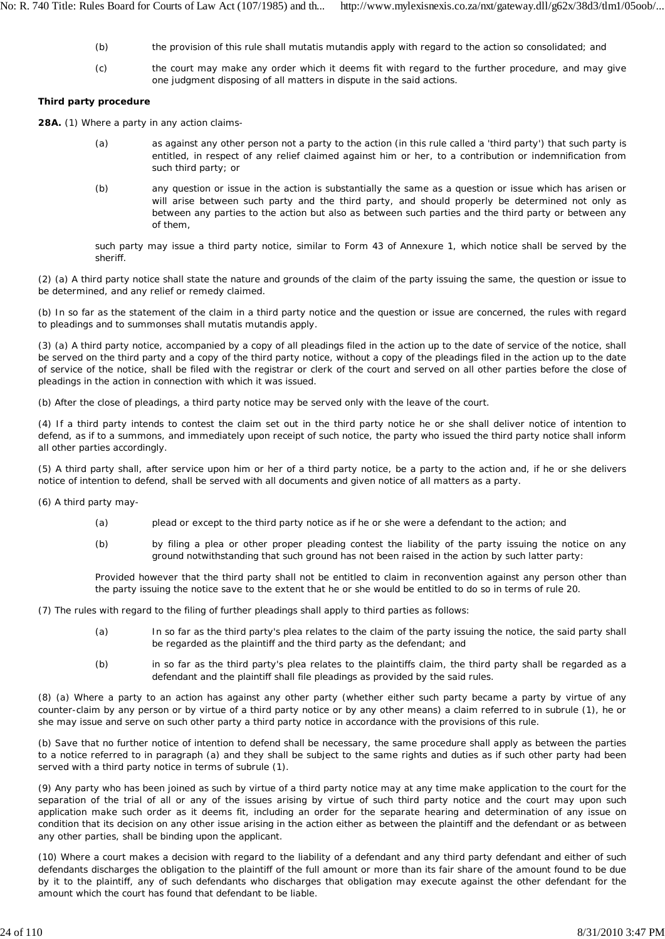- (b) the provision of this rule shall *mutatis mutandis* apply with regard to the action so consolidated; and
- (c) the court may make any order which it deems fit with regard to the further procedure, and may give one judgment disposing of all matters in dispute in the said actions.

## **Third party procedure**

**28A.** (1) Where a party in any action claims-

- (a) as against any other person not a party to the action (in this rule called a 'third party') that such party is entitled, in respect of any relief claimed against him or her, to a contribution or indemnification from such third party; or
- (b) any question or issue in the action is substantially the same as a question or issue which has arisen or will arise between such party and the third party, and should properly be determined not only as between any parties to the action but also as between such parties and the third party or between any of them,

such party may issue a third party notice, similar to Form 43 of Annexure 1, which notice shall be served by the sheriff.

(2) (a) A third party notice shall state the nature and grounds of the claim of the party issuing the same, the question or issue to be determined, and any relief or remedy claimed.

(b) In so far as the statement of the claim in a third party notice and the question or issue are concerned, the rules with regard to pleadings and to summonses shall *mutatis mutandis* apply.

(3) (a) A third party notice, accompanied by a copy of all pleadings filed in the action up to the date of service of the notice, shall be served on the third party and a copy of the third party notice, without a copy of the pleadings filed in the action up to the date of service of the notice, shall be filed with the registrar or clerk of the court and served on all other parties before the close of pleadings in the action in connection with which it was issued.

(b) After the close of pleadings, a third party notice may be served only with the leave of the court.

(4) If a third party intends to contest the claim set out in the third party notice he or she shall deliver notice of intention to defend, as if to a summons, and immediately upon receipt of such notice, the party who issued the third party notice shall inform all other parties accordingly.

(5) A third party shall, after service upon him or her of a third party notice, be a party to the action and, if he or she delivers notice of intention to defend, shall be served with all documents and given notice of all matters as a party.

(6) A third party may-

- (a) plead or except to the third party notice as if he or she were a defendant to the action; and
- (b) by filing a plea or other proper pleading contest the liability of the party issuing the notice on any ground notwithstanding that such ground has not been raised in the action by such latter party:

Provided however that the third party shall not be entitled to claim in reconvention against any person other than the party issuing the notice save to the extent that he or she would be entitled to do so in terms of rule 20.

(7) The rules with regard to the filing of further pleadings shall apply to third parties as follows:

- (a) In so far as the third party's plea relates to the claim of the party issuing the notice, the said party shall be regarded as the plaintiff and the third party as the defendant; and
- (b) in so far as the third party's plea relates to the plaintiffs claim, the third party shall be regarded as a defendant and the plaintiff shall file pleadings as provided by the said rules.

(8) (a) Where a party to an action has against any other party (whether either such party became a party by virtue of any counter-claim by any person or by virtue of a third party notice or by any other means) a claim referred to in subrule (1), he or she may issue and serve on such other party a third party notice in accordance with the provisions of this rule.

(b) Save that no further notice of intention to defend shall be necessary, the same procedure shall apply as between the parties to a notice referred to in paragraph (a) and they shall be subject to the same rights and duties as if such other party had been served with a third party notice in terms of subrule (1).

(9) Any party who has been joined as such by virtue of a third party notice may at any time make application to the court for the separation of the trial of all or any of the issues arising by virtue of such third party notice and the court may upon such application make such order as it deems fit, including an order for the separate hearing and determination of any issue on condition that its decision on any other issue arising in the action either as between the plaintiff and the defendant or as between any other parties, shall be binding upon the applicant.

(10) Where a court makes a decision with regard to the liability of a defendant and any third party defendant and either of such defendants discharges the obligation to the plaintiff of the full amount or more than its fair share of the amount found to be due by it to the plaintiff, any of such defendants who discharges that obligation may execute against the other defendant for the amount which the court has found that defendant to be liable.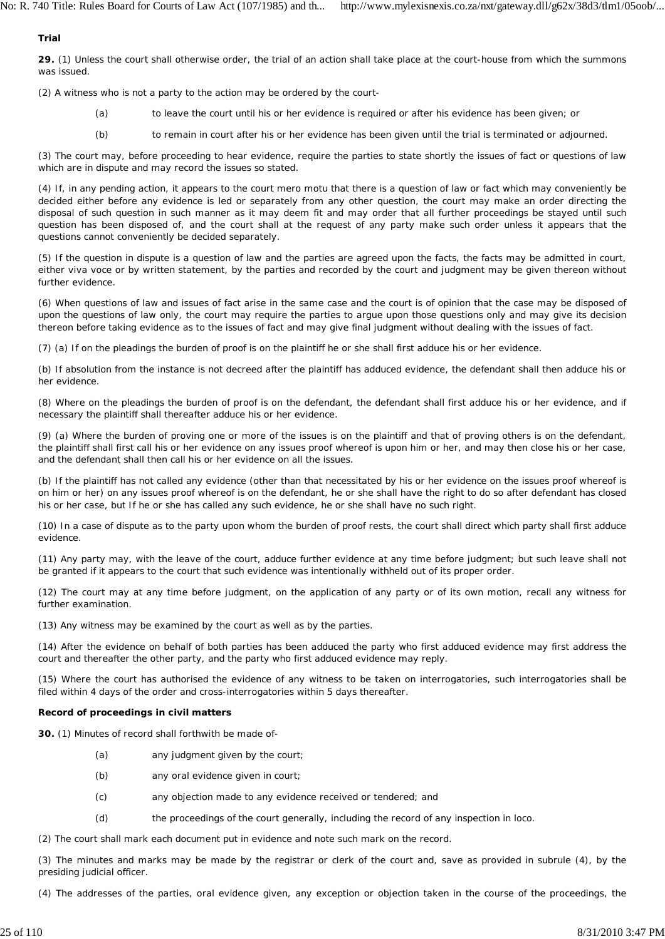### **Trial**

**29.** (1) Unless the court shall otherwise order, the trial of an action shall take place at the court-house from which the summons was issued.

(2) A witness who is not a party to the action may be ordered *by* the court-

- (a) to leave the court until his or her evidence is required or after his evidence has been given; or
- (b) to remain in court after his or her evidence has been given until the trial is terminated or adjourned.

(3) The court may, before proceeding to hear evidence, require the parties to state shortly the issues of fact or questions of law which are in dispute and may record the issues so stated.

(4) If, in any pending action, it appears to the court *mero motu* that there is a question of law or fact which may conveniently be decided either before any evidence is led or separately from any other question, the court may make an order directing the disposal of such question in such manner as it may deem fit and may order that all further proceedings be stayed until such question has been disposed of, and the court shall at the request of any party make such order unless it appears that the questions cannot conveniently be decided separately.

(5) If the question in dispute is a question of law and the parties are agreed upon the facts, the facts may be admitted in court, either viva voce or by written statement, by the parties and recorded by the court and judgment may be given thereon without further evidence.

(6) When questions of law and issues of fact arise in the same case and the court is of opinion that the case may be disposed of upon the questions of law only, the court may require the parties to argue upon those questions only and may give its decision thereon before taking evidence as to the issues of fact and may give final judgment without dealing with the issues of fact.

(7) (a) If on the pleadings the burden of proof is on the plaintiff he or she shall first adduce his or her evidence.

(b) If absolution from the instance is not decreed after the plaintiff has adduced evidence, the defendant shall then adduce his or her evidence.

(8) Where on the pleadings the burden of proof is on the defendant, the defendant shall first adduce his or her evidence, and if necessary the plaintiff shall thereafter adduce his or her evidence.

(9) (a) Where the burden of proving one or more of the issues is on the plaintiff and that of proving others is on the defendant, the plaintiff shall first call his or her evidence on any issues proof whereof is upon him or her, and may then close his or her case, and the defendant shall then call his or her evidence on all the issues.

(b) If the plaintiff has not called any evidence (other than that necessitated by his or her evidence on the issues proof whereof is on him or her) on any issues proof whereof is on the defendant, he or she shall have the right to do so after defendant has closed his or her case, but If he or she has called any such evidence, he or she shall have no such right.

(10) In a case of dispute as to the party upon whom the burden of proof rests, the court shall direct which party shall first adduce evidence.

(11) Any party may, with the leave of the court, adduce further evidence at any time before judgment; but such leave shall not be granted if it appears to the court that such evidence was intentionally withheld out of its proper order.

(12) The court may at any time before judgment, on the application of any party or of its own motion, recall any witness for further examination.

(13) Any witness may be examined by the court as well as by the parties.

(14) After the evidence on behalf of both parties has been adduced the party who first adduced evidence may first address the court and thereafter the other party, and the party who first adduced evidence may reply.

(15) Where the court has authorised the evidence of any witness to be taken on interrogatories, such interrogatories shall be filed within 4 days of the order and cross-interrogatories within 5 days thereafter.

### **Record of proceedings in civil matters**

**30.** (1) Minutes of record shall forthwith be made of-

- (a) any judgment given by the court;
- (b) any oral evidence given in court;
- (c) any objection made to any evidence received or tendered; and
- (d) the proceedings of the court generally, including the record of any inspection in loco.
- (2) The court shall mark each document put in evidence and note such mark on the record.

(3) The minutes and marks may be made by the registrar or clerk of the court and, save as provided in subrule (4), by the presiding judicial officer.

(4) The addresses of the parties, oral evidence given, any exception or objection taken in the course of the proceedings, the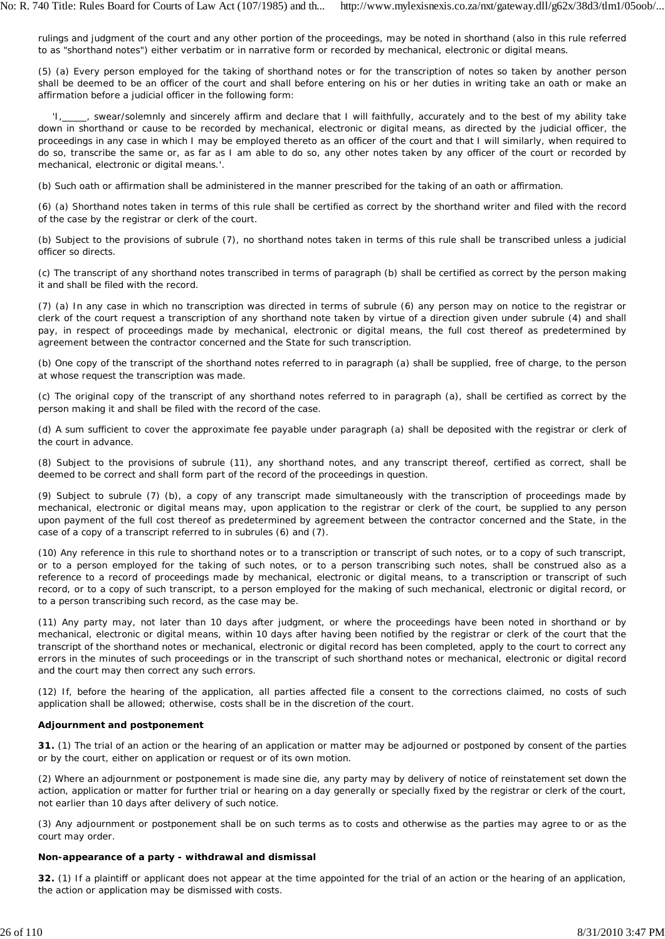rulings and judgment of the court and any other portion of the proceedings, may be noted in shorthand (also in this rule referred to as "shorthand notes") either verbatim or in narrative form or recorded by mechanical, electronic or digital means.

(5) (a) Every person employed for the taking of shorthand notes or for the transcription of notes so taken by another person shall be deemed to be an officer of the court and shall before entering on his or her duties in writing take an oath or make an affirmation before a judicial officer in the following form:

., swear/solemnly and sincerely affirm and declare that I will faithfully, accurately and to the best of my ability take down in shorthand or cause to be recorded by mechanical, electronic or digital means, as directed by the judicial officer, the proceedings in any case in which I may be employed thereto as an officer of the court and that I will similarly, when required to do so, transcribe the same or, as far as I am able to do so, any other notes taken by any officer of the court or recorded by mechanical, electronic or digital means.'.

(b) Such oath or affirmation shall be administered in the manner prescribed for the taking of an oath or affirmation.

(6) (a) Shorthand notes taken in terms of this rule shall be certified as correct by the shorthand writer and filed with the record of the case by the registrar or clerk of the court.

(b) Subject to the provisions of subrule (7), no shorthand notes taken in terms of this rule shall be transcribed unless a judicial officer so directs.

(c) The transcript of any shorthand notes transcribed in terms of paragraph (b) shall be certified as *correct by* the person making it and shall be filed with the record.

(7) (a) In any case in which no transcription was directed in terms of subrule (6) any person may on notice to the registrar or clerk of the court request a transcription of any shorthand note taken by virtue of a direction given under subrule (4) and shall pay, in respect of proceedings made by mechanical, electronic or digital means, the full cost thereof as predetermined by agreement between the contractor concerned and the State for such transcription.

(b) One copy of the transcript of the shorthand notes referred to in paragraph (a) shall be supplied, free of charge, to the person at whose request the transcription was made.

(c) The original copy of the transcript of any shorthand notes referred to in paragraph (a), shall be certified as correct by the person making it and shall be filed with the record of the case.

(d) A sum sufficient to cover the approximate fee payable under paragraph (a) shall be deposited with the registrar or clerk of the court in advance.

(8) Subject to the provisions of subrule (11), any shorthand notes, and any transcript thereof, certified as correct, shall be deemed to be correct and shall form part of the record of the proceedings in question.

(9) Subject to subrule (7) (b), a copy of any transcript made simultaneously with the transcription of proceedings made by mechanical, electronic or digital means may, upon application to the registrar or clerk of the court, be supplied to any person upon payment of the full cost thereof as predetermined by agreement between the contractor concerned and the State, in the case of a copy of a transcript referred to in subrules (6) and (7).

(10) Any reference in this rule to shorthand notes or to a transcription or transcript of such notes, or to a copy of such transcript, or to a person employed for the taking of such notes, or to a person transcribing such notes, shall be construed also as a reference to a record of proceedings made by mechanical, electronic or digital means, to a transcription or transcript of such record, or to a copy of such transcript, to a person employed for the making of such mechanical, electronic or digital record, or to a person transcribing such record, as the case may be.

(11) Any party may, not later than 10 days after judgment, or where the proceedings have been noted in shorthand or by mechanical, electronic or digital means, within 10 days after having been notified by the registrar or clerk of the court that the transcript of the shorthand notes or mechanical, electronic or digital record has been completed, apply to the court to correct any errors in the minutes of such proceedings or in the transcript of such shorthand notes or mechanical, electronic or digital record and the court may then correct any such errors.

(12) If, before the hearing of the application, all parties affected file a consent to the corrections claimed, no costs of such application shall be allowed; otherwise, costs shall be in the discretion of the court.

# **Adjournment and postponement**

**31.** (1) The trial of an action or the hearing of an application or matter may be adjourned or postponed by consent of the parties or by the court, either on application or request or of its own motion.

(2) Where an adjournment or postponement is made sine die, any party may by delivery of notice of reinstatement set down the action, application or matter for further trial or hearing on a day generally or specially fixed by the registrar or clerk of the court, not earlier than 10 days after delivery of such notice.

(3) Any adjournment or postponement shall be on such terms as to costs and otherwise as the parties may agree to or as the court may order.

# **Non-appearance of a party - withdrawal and dismissal**

**32.** (1) If a plaintiff or applicant does not appear at the time appointed for the trial of an action or the hearing of an application, the action or application may be dismissed with costs.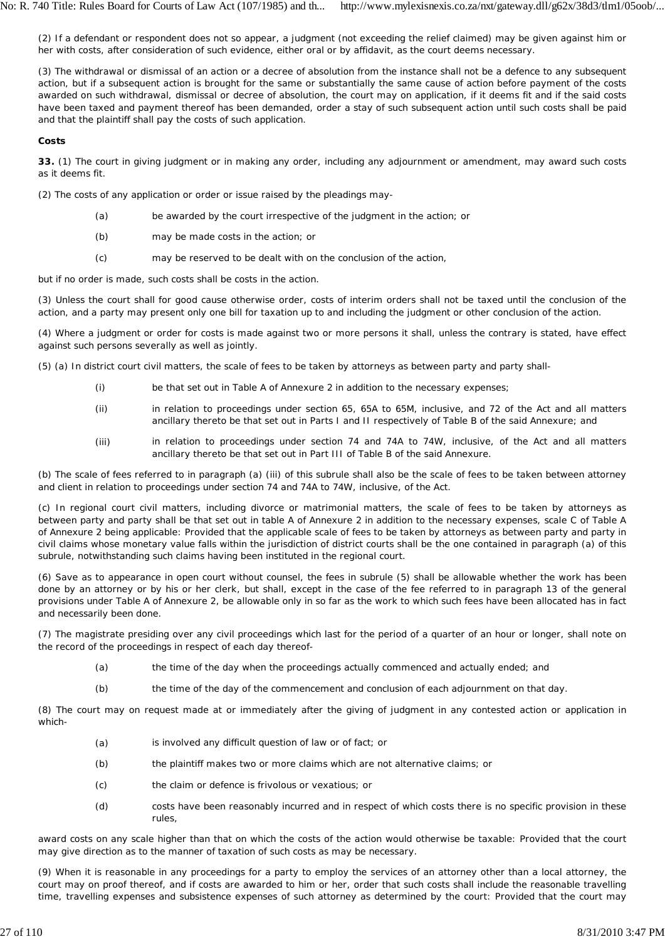(2) If a defendant or respondent does not so appear, a judgment (not exceeding the relief claimed) may be given against him or her with costs, after consideration of such evidence, either oral or by affidavit, as the court deems necessary.

(3) The withdrawal or dismissal of an action or a decree of absolution from the instance shall not be a defence to any subsequent action, but if a subsequent action is brought for the same or substantially the same cause of action before payment of the costs awarded on such withdrawal, dismissal or decree of absolution, the court may on application, if it deems fit and if the said costs have been taxed and payment thereof has been demanded, order a stay of such subsequent action until such costs shall be paid and that the plaintiff shall pay the costs of such application.

## **Costs**

**33.** (1) The court in giving judgment or in making any order, including any adjournment or amendment, may award such costs as it deems fit.

(2) The costs of any application or order or issue raised by the pleadings may-

- (a) be awarded by the court irrespective of the judgment in the action; or
- (b) may be made costs in the action; or
- (c) may be reserved to be dealt with on the conclusion of the action,

but if no order is made, such costs shall be costs in the action.

(3) Unless the court shall for good cause otherwise order, costs of interim orders shall not be taxed until the conclusion of the action, and a party may present only one bill for taxation up to and including the judgment or other conclusion of the action.

(4) Where a judgment or order for costs is made against two or more persons it shall, unless the contrary is stated, have effect against such persons severally as well as jointly.

(5) (a) In district court civil matters, the scale of fees to be taken by attorneys as between party and party shall-

- (i) be that set out in Table A of Annexure 2 in addition to the necessary expenses;
- (ii) in relation to proceedings under section 65, 65A to 65M, inclusive, and 72 of the Act and all matters ancillary thereto be that set out in Parts I and II respectively of Table B of the said Annexure; and
- (iii) in relation to proceedings under section 74 and 74A to 74W, inclusive, of the Act and all matters ancillary thereto be that set out in Part III of Table B of the said Annexure.

(b) The scale of fees referred to in paragraph (a) (iii) of this subrule shall also be the scale of fees to be taken between attorney and client in relation to proceedings under section 74 and 74A to 74W, inclusive, of the Act.

(c) In regional court civil matters, including divorce or matrimonial matters, the scale of fees to be taken by attorneys as between party and party shall be that set out in table A of Annexure 2 in addition to the necessary expenses, scale C of Table A of Annexure 2 being applicable: Provided that the applicable scale of fees to be taken by attorneys as between party and party in civil claims whose monetary value falls within the jurisdiction of district courts shall be the one contained in paragraph (a) of this subrule, notwithstanding such claims having been instituted in the regional court.

(6) Save as to appearance in open court without counsel, the fees in subrule (5) shall be allowable whether the work has been done by an attorney or by his or her clerk, but shall, except in the case of the fee referred to in paragraph 13 of the general provisions under Table A of Annexure 2, be allowable only in so far as the work to which such fees have been allocated has in fact and necessarily been done.

(7) The magistrate presiding over any civil proceedings which last for the period of a quarter of an hour or longer, shall note on the record of the proceedings in respect of each day thereof-

- (a) the time of the day when the proceedings actually commenced and actually ended; and
- (b) the time of the day of the commencement and conclusion of each adjournment on that day.

(8) The court may on request made at or immediately after the giving of judgment in any contested action or application in which-

- (a) is involved any difficult question of law or of fact; or
- (b) the plaintiff makes two or more claims which are not alternative claims; or
- (c) the claim or defence is frivolous or vexatious; or
- (d) costs have been reasonably incurred and in respect of which costs there is no specific provision in these rules,

award costs on any scale higher than that on which the costs of the action would otherwise be taxable: Provided that the court may give direction as to the manner of taxation of such costs as may be necessary.

(9) When it is reasonable in any proceedings for a party to employ the services of an attorney other than a local attorney, the court may on proof thereof, and if costs are awarded to him or her, order that such costs shall include the reasonable travelling time, travelling expenses and subsistence expenses of such attorney as determined by the court: Provided that the court may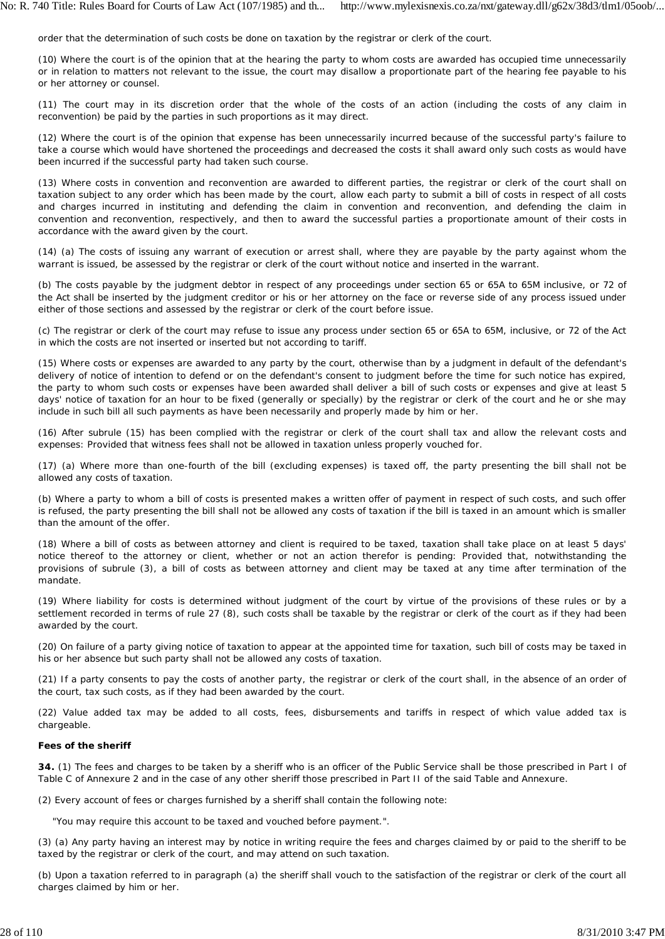order that the determination of such costs be done on taxation by the registrar or clerk of the court.

(10) Where the court is of the opinion that at the hearing the party to whom costs are awarded has occupied time unnecessarily or in relation to matters not relevant to the issue, the court may disallow a proportionate part of the hearing fee payable to his or her attorney or counsel.

(11) The court may in its discretion order that the whole of the costs of an action (including the costs of any claim in reconvention) be paid by the parties in such proportions as it may direct.

(12) Where the court is of the opinion that expense has been unnecessarily incurred because of the successful party's failure to take a course which would have shortened the proceedings and decreased the costs it shall award only such costs as would have been incurred if the successful party had taken such course.

(13) Where costs in convention and reconvention are awarded to different parties, the registrar or clerk of the court shall on taxation subject to any order which has been made by the court, allow each party to submit a bill of costs in respect of all costs and charges incurred in instituting and defending the claim in convention and reconvention, and defending the claim in convention and reconvention, respectively, and then to award the successful parties a proportionate amount of their costs in accordance with the award given by the court.

(14) (a) The costs of issuing any warrant of execution or arrest shall, where they are payable by the party against whom the warrant is issued, be assessed by the registrar or clerk of the court without notice and inserted in the warrant.

(b) The costs payable by the judgment debtor in respect of any proceedings under section 65 or 65A to 65M inclusive, or 72 of the Act shall be inserted by the judgment creditor or his or her attorney on the face or reverse side of any process issued under either of those sections and assessed by the registrar or clerk of the court before issue.

(c) The registrar or clerk of the court may refuse to issue any process under section 65 or 65A to 65M, inclusive, or 72 of the Act in which the costs are not inserted or inserted but not according to tariff.

(15) Where costs or expenses are awarded to any party by the court, otherwise than by a judgment in default of the defendant's delivery of notice of intention to defend or on the defendant's consent to judgment before the time for such notice has expired, the party to whom such costs or expenses have been awarded shall deliver a bill of such costs or expenses and give at least 5 days' notice of taxation for an hour to be fixed (generally or specially) by the registrar or clerk of the court and he or she may include in such bill all such payments as have been necessarily and properly made by him or her.

(16) After subrule (15) has been complied with the registrar or clerk of the court shall tax and allow the relevant costs and expenses: Provided that witness fees shall not be allowed in taxation unless properly vouched for.

(17) (a) Where more than one-fourth of the bill (excluding expenses) is taxed off, the party presenting the bill shall not be allowed any costs of taxation.

(b) Where a party to whom a bill of costs is presented makes a written offer of payment in respect of such costs, and such offer is refused, the party presenting the bill shall not be allowed any costs of taxation if the bill is taxed in an amount which is smaller than the amount of the offer.

(18) Where a bill of costs as between attorney and client is required to be taxed, taxation shall take place on at least 5 days' notice thereof to the attorney or client, whether or not an action therefor is pending: Provided that, notwithstanding the provisions of subrule (3), a bill of costs as between attorney and client may be taxed at any time after termination of the mandate.

(19) Where liability for costs is determined without judgment of the court by virtue of the provisions of these rules or by a settlement recorded in terms of rule 27 (8), such costs shall be taxable by the registrar or clerk of the court as if they had been awarded by the court.

(20) On failure of a party giving notice of taxation to appear at the appointed time for taxation, such bill of costs may be taxed in his or her absence but such party shall not be allowed any costs of taxation.

(21) If a party consents to pay the costs of another party, the registrar or clerk of the court shall, in the absence of an order of the court, tax such costs, as if they had been awarded by the court.

(22) Value added tax may be added to all costs, fees, disbursements and tariffs in respect of which value added tax is chargeable.

### **Fees of the sheriff**

**34.** (1) The fees and charges to be taken by a sheriff who is an officer of the Public Service shall be those prescribed in Part I of Table C of Annexure 2 and in the case of any other sheriff those prescribed in Part II of the said Table and Annexure.

(2) Every account of fees or charges furnished by a sheriff shall contain the following note:

"You may require this account to be taxed and vouched before payment.".

(3) (a) Any party having an interest may by notice in writing require the fees and charges claimed by or paid to the sheriff to be taxed by the registrar or clerk of the court, and may attend on such taxation.

(b) Upon a taxation referred to in paragraph (a) the sheriff shall vouch to the satisfaction of the registrar or clerk of the court all charges claimed by him or her.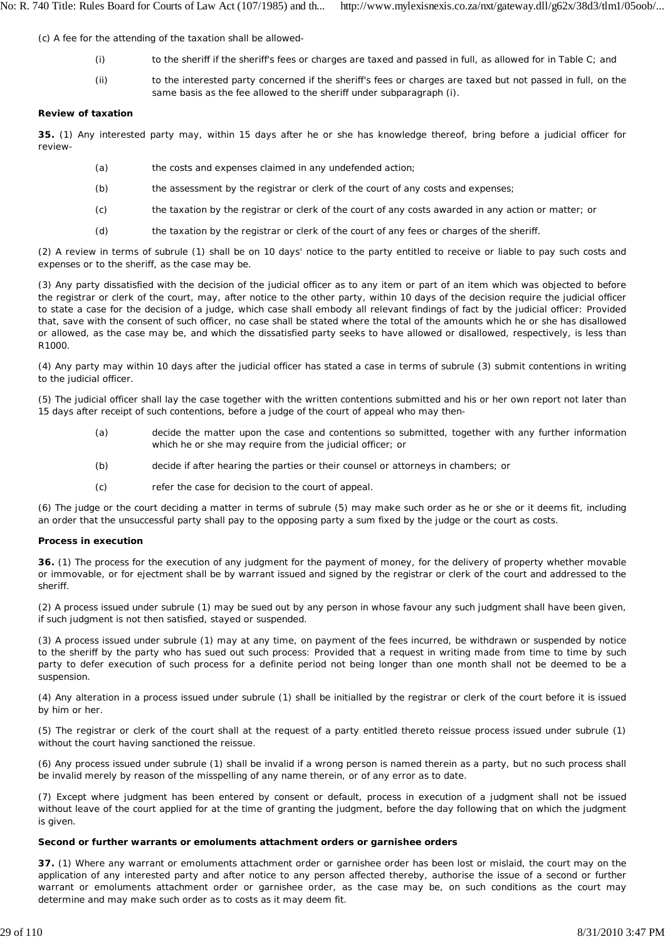(c) A fee for the attending of the taxation shall be allowed-

- (i) to the sheriff if the sheriff's fees or charges are taxed and passed in full, as allowed for in Table C; and
- (ii) to the interested party concerned if the sheriff's fees or charges are taxed but not passed in full, on the same basis as the fee allowed to the sheriff under subparagraph (i).

## **Review of taxation**

**35.** (1) Any interested party may, within 15 days after he or she has knowledge thereof, bring before a judicial officer for review-

- (a) the costs and expenses claimed in any undefended action;
- (b) the assessment by the registrar or clerk of the court of any costs and expenses;
- $(c)$ the taxation by the registrar or clerk of the court of any costs awarded in any action or matter; or
- (d) the taxation by the registrar or clerk of the court of any fees or charges of the sheriff.

(2) A review in terms of subrule (1) shall be on 10 days' notice to the party entitled to receive or liable to pay such costs and expenses or to the sheriff, as the case may be.

(3) Any party dissatisfied with the decision of the judicial officer as to any item or part of an item which was objected to before the registrar *or* clerk of the court, may, after notice to the other party, within 10 days of the decision require the judicial officer to state a case for the decision of a judge, which case shall embody all relevant findings of fact by the judicial officer: Provided that, save with the consent of such officer, no case shall be stated where the total of the amounts which he or she has disallowed or allowed, as the case may be, and which the dissatisfied party seeks to have allowed or disallowed, respectively, is less than R1000.

(4) Any party may within 10 days after the judicial officer has stated a case in terms of subrule (3) submit contentions in writing to the judicial officer.

(5) The judicial officer shall lay the case together with the written contentions submitted and his or her own report not later than 15 days after receipt of such contentions, before a judge of the court of appeal who may then-

- (a) decide the matter upon the case and contentions so submitted, together with any further information which he or she may require from the judicial officer; or
- (b) decide if after hearing the parties or their counsel or attorneys in chambers; or
- $(c)$ refer the case for decision to the court of appeal.

(6) The judge or the court deciding a matter in terms of subrule (5) may make such order as he or she or it deems fit, including an order that the unsuccessful party shall pay to the opposing party a sum fixed by the judge or the court as costs.

## **Process in execution**

**36.** (1) The process for the execution of any judgment for the payment of money, for the delivery of property whether movable or immovable, or for ejectment shall be by warrant issued and signed by the registrar or clerk of the court and addressed to the sheriff.

(2) A process issued under subrule (1) may be sued out by any person in whose favour any such judgment shall have been given, if such judgment is not then satisfied, stayed or suspended.

(3) A process issued under subrule (1) may at any time, on payment of the fees incurred, be withdrawn or suspended by notice to the sheriff by the party who has sued out such process: Provided that a request in writing made from time to time by such party to defer execution of such process for a definite period not being longer than one month shall not be deemed to be a suspension.

(4) Any alteration in a process issued under subrule (1) shall be initialled by the registrar or clerk of the court before it is issued by him or her.

(5) The registrar or clerk of the court shall at the request of a party entitled thereto reissue process issued under subrule (1) without the court having sanctioned the reissue.

(6) Any process issued under subrule (1) shall be invalid if a wrong person is named therein as a party, but no such process shall be invalid merely by reason of the misspelling of any name therein, or of any error as to date.

(7) Except where judgment has been entered by consent or default, process in execution of a judgment shall not be issued without leave of the court applied for at the time of granting the judgment, before the day following that on which the judgment is given.

## **Second or further warrants or emoluments attachment orders or garnishee orders**

**37.** (1) Where any warrant or emoluments attachment order or garnishee order has been lost or mislaid, the court may on the application of any interested party and after notice to any person affected thereby, authorise the issue of a second or further warrant or emoluments attachment order or garnishee order, as the case may be, on such conditions as the court may determine and may make such order as to costs as it may deem fit.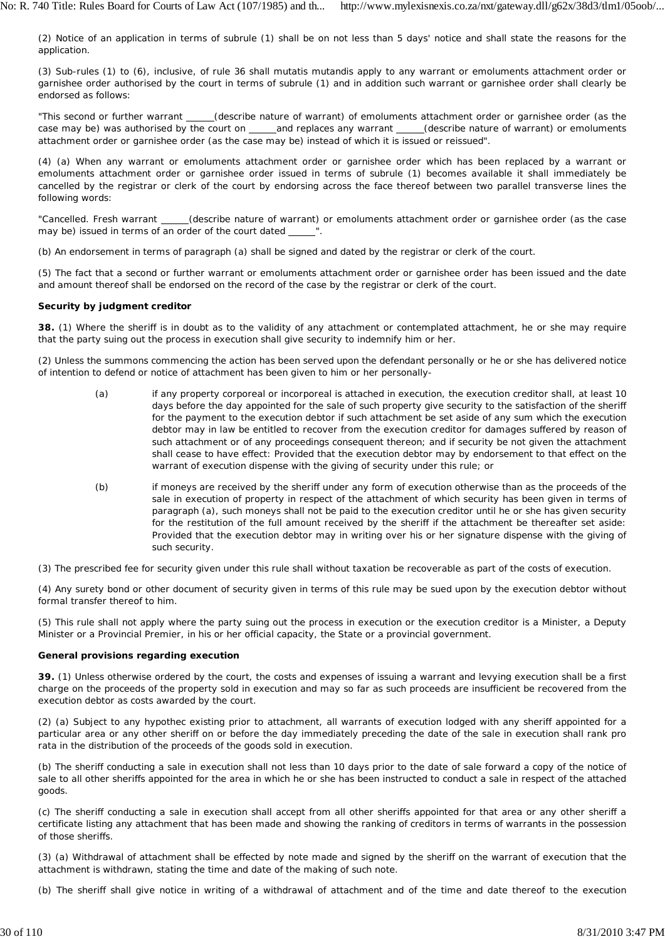(2) Notice of an application in terms of subrule (1) shall be on not less than 5 days' notice and shall state the reasons for the application.

(3) Sub-rules (1) to (6), inclusive, of rule 36 shall *mutatis mutandis* apply to any warrant or emoluments attachment order or garnishee order authorised by the court in terms of subrule (1) and in addition such warrant or garnishee order shall clearly be endorsed as follows:

"This second or further warrant \_\_\_\_\_(describe nature of warrant) of emoluments attachment order or garnishee order (as the case may be) was authorised by the court on \_\_\_\_\_\_and replaces any warrant \_\_\_\_\_\_(describe nature of warrant) or emoluments attachment order or garnishee order (as the case may be) instead of which it is issued or reissued".

(4) (a) When any warrant or emoluments attachment order or garnishee order which has been replaced by a warrant or emoluments attachment order or garnishee order issued in terms of subrule (1) becomes available it shall immediately be cancelled by the registrar or clerk of the court by endorsing across the face thereof between two parallel transverse lines the following words:

"Cancelled. Fresh warrant \_\_\_\_\_(describe nature of warrant) or emoluments attachment order or garnishee order (as the case may be) issued in terms of an order of the court dated "

(b) An endorsement in terms of paragraph (a) shall be signed and dated by the registrar or clerk of the court.

(5) The fact that a second or further warrant or emoluments attachment order or garnishee order has been issued and the date and amount thereof shall be endorsed on the record of the case by the registrar or clerk of the court.

# **Security by judgment creditor**

**38.** (1) Where the sheriff is in doubt as to the validity of any attachment or contemplated attachment, he or she may require that the party suing out the process in execution shall give security to indemnify him or her.

(2) Unless the summons commencing the action has been served upon the defendant personally or he or she has delivered notice of intention to defend or notice of attachment has been given to him or her personally-

- (a) if any property corporeal or incorporeal is attached in execution, the execution creditor shall, at least 10 days before the day appointed for the sale of such property give security to the satisfaction of the sheriff for the payment to the execution debtor if such attachment be set aside of any sum which the execution debtor may in law be entitled to recover from the execution creditor for damages suffered by reason of such attachment or of any proceedings consequent thereon; and if security be not given the attachment shall cease to have effect: Provided that the execution debtor may by endorsement to that effect on the warrant of execution dispense with the giving of security under this rule; or
- (b) if moneys are received by the sheriff under any form of execution otherwise than as the proceeds of the sale in execution of property in respect of the attachment of which security has been given in terms of paragraph (a), such moneys shall not be paid to the execution creditor until he or she has given security for the restitution of the full amount received by the sheriff if the attachment be thereafter set aside: Provided that the execution debtor may in writing over his or her signature dispense with the giving of such security.

(3) The prescribed fee for security given under this rule shall without taxation be recoverable as part of the costs of execution.

(4) Any surety bond or other document of security given in terms of this rule may be sued upon by the execution debtor without formal transfer thereof to him.

(5) This rule shall not apply where the party suing out the process in execution or the execution creditor is a Minister, a Deputy Minister or a Provincial Premier, in his or her official capacity, the State or a provincial government.

# **General provisions regarding execution**

**39.** (1) Unless otherwise ordered by the court, the costs and expenses of issuing a warrant and levying execution shall be a first charge on the proceeds of the property sold in execution and may so far as such proceeds are insufficient be recovered from the execution debtor as costs awarded by the court.

(2) (a) Subject to any hypothec existing prior to attachment, all warrants of execution lodged with any sheriff appointed for a particular area or any other sheriff on or before the day immediately preceding the date of the sale in execution shall rank pro rata in the distribution of the proceeds of the goods sold in execution.

(b) The sheriff conducting a sale in execution shall not less than 10 days prior to the date of sale forward a copy of the notice of sale to all other sheriffs appointed for the area in which he or she has been instructed to conduct a sale in respect of the attached goods.

(c) The sheriff conducting a sale in execution shall accept from all other sheriffs appointed for that area or any other sheriff a certificate listing any attachment that has been made and showing the ranking of creditors in terms of warrants in the possession of those sheriffs.

(3) (a) Withdrawal of attachment shall be effected by note made and signed by the sheriff on the warrant of execution that the attachment is withdrawn, stating the time and date of the making of such note.

(b) The sheriff shall give notice in writing of a withdrawal of attachment and of the time and date thereof to the execution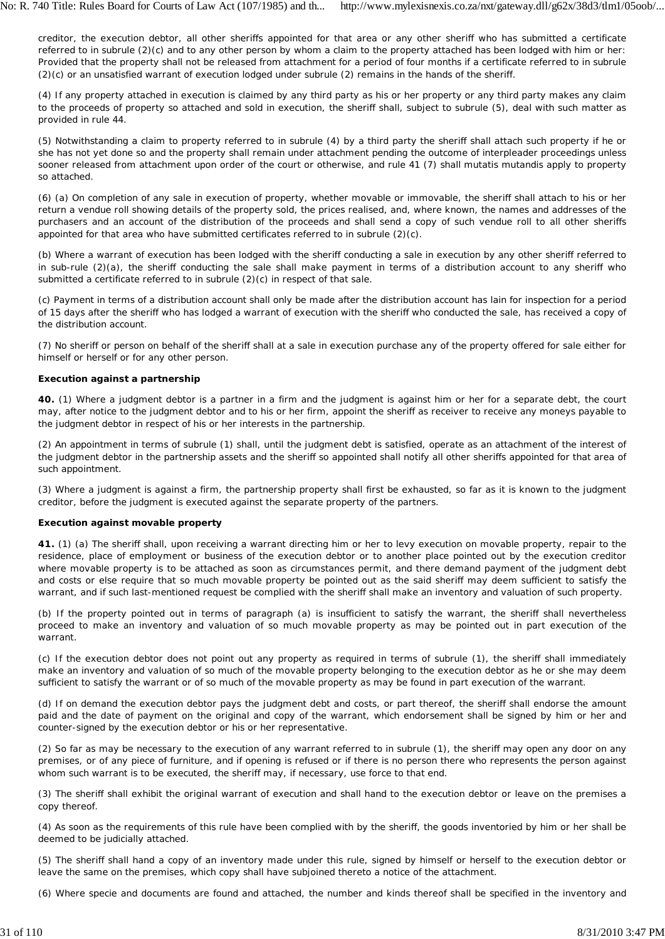creditor, the execution debtor, all other sheriffs appointed for that area or any other sheriff who has submitted a certificate referred to in subrule (2)(c) and to any other person by whom a claim to the property attached has been lodged with him or her: Provided that the property shall not be released from attachment for a period of four months if a certificate referred to in subrule (2)(c) or an unsatisfied warrant of execution lodged under subrule (2) remains in the hands of the sheriff.

(4) If any property attached in execution is claimed by any third party as his or her property or any third party makes any claim to the proceeds of property so attached and sold in execution, the sheriff shall, subject to subrule (5), deal with such matter as provided in rule 44.

(5) Notwithstanding a claim to property referred to in subrule (4) by a third party the sheriff shall attach such property if he or she has not yet done so and the property shall remain under attachment pending the outcome of interpleader proceedings unless sooner released from attachment upon order of the court or otherwise, and rule 41 (7) shall *mutatis mutandis* apply to property so attached.

(6) (a) On completion of any sale in execution of property, whether movable or immovable, the sheriff shall attach to his or her return a vendue roll showing details of the property sold, the prices realised, and, where known, the names and addresses of the purchasers and an account of the distribution of the proceeds and shall send a copy of such vendue roll to all other sheriffs appointed for that area who have submitted certificates referred to in subrule (2)(c).

(b) Where a warrant of execution has been lodged with the sheriff conducting a sale in execution by any other sheriff referred to in sub-rule (2)(a), the sheriff conducting the sale shall make payment in terms of a distribution account to any sheriff who submitted a certificate referred to in subrule (2)(c) in respect of that sale.

(c) Payment in terms of a distribution account shall only be made after the distribution account has lain for inspection for a period of 15 days after the sheriff who has lodged a warrant of execution with the sheriff who conducted the sale, has received a copy of the distribution account.

(7) No sheriff or person on behalf of the sheriff shall at a sale in execution purchase any of the property offered for sale either for himself or herself or for any other person.

## **Execution against a partnership**

**40.** (1) Where a judgment debtor is a partner in a firm and the judgment is against him or her for a separate debt, the court may, after notice to the judgment debtor and to his or her firm, appoint the sheriff as receiver to receive any moneys payable to the judgment debtor in respect of his or her interests in the partnership.

(2) An appointment in terms of subrule (1) shall, until the judgment debt is satisfied, operate as an attachment of the interest of the judgment debtor in the partnership assets and the sheriff so appointed shall notify all other sheriffs appointed for that area of such appointment.

(3) Where a judgment is against a firm, the partnership property shall first be exhausted, so far as it is known to the judgment creditor, before the judgment is executed against the separate property of the partners.

## **Execution against movable property**

**41.** (1) (a) The sheriff shall, upon receiving a warrant directing him or her to levy execution on movable property, repair to the residence, place of employment or business of the execution debtor or to another place pointed out by the execution creditor where movable property is to be attached as soon as circumstances permit, and there demand payment of the judgment debt and costs or else require that so much movable property be pointed out as the said sheriff may deem sufficient to satisfy the warrant, and if such last-mentioned request be complied with the sheriff shall make an inventory and valuation of such property.

(b) If the property pointed out in terms of paragraph (a) is insufficient to satisfy the warrant, the sheriff shall nevertheless proceed to make an inventory and valuation of so much movable property as may be pointed out in part execution of the warrant.

(c) If the execution debtor does not point out any property as required in terms of subrule (1), the sheriff shall immediately make an inventory and valuation of so much of the movable property belonging to the execution debtor as he or she may deem sufficient to satisfy the warrant or of so much of the movable property as may be found in part execution of the warrant.

(d) If on demand the execution debtor pays the judgment debt and costs, or part thereof, the sheriff shall endorse the amount paid and the date of payment on the original and copy of the warrant, which endorsement shall be signed by him or her and counter-signed by the execution debtor or his or her representative.

(2) So far as may be necessary to the execution of any warrant referred to in subrule (1), the sheriff may open any door on any premises, or of any piece of furniture, and if opening is refused or if there is no person there who represents the person against whom such warrant is to be executed, the sheriff may, if necessary, use force to that end.

(3) The sheriff shall exhibit the original warrant of execution and shall hand to the execution debtor or leave on the premises a copy thereof.

(4) As soon as the requirements of this rule have been complied with by the sheriff, the goods inventoried by him or her shall be deemed to be judicially attached.

(5) The sheriff shall hand a copy of an inventory made under this rule, signed by himself or herself to the execution debtor or leave the same on the premises, which copy shall have subjoined thereto a notice of the attachment.

(6) Where specie and documents are found and attached, the number and kinds thereof shall be specified in the inventory and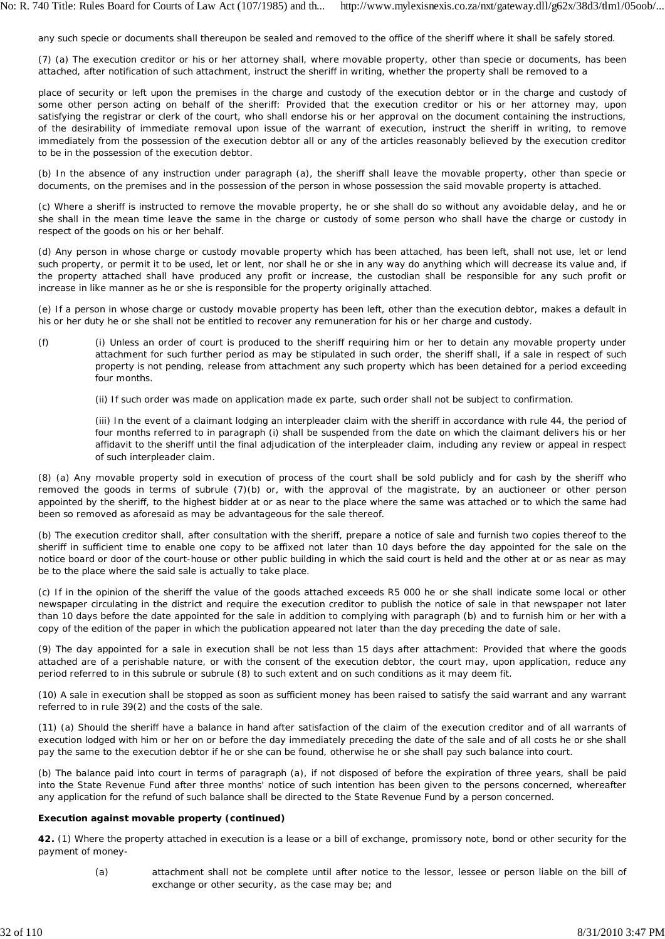any such specie or documents shall thereupon be sealed and removed to the office of the sheriff where it shall be safely stored.

(7) (a) The execution creditor or his or her attorney shall, where movable property, other than specie or documents, has been attached, after notification of such attachment, instruct the sheriff in writing, whether the property shall be removed to a

place of security or left upon the premises in the charge and custody of the execution debtor or in the charge and custody of some other person acting on behalf of the sheriff: Provided that the execution creditor or his or her attorney may, upon satisfying the registrar or clerk of the court, who shall endorse his or her approval on the document containing the instructions, of the desirability of immediate removal upon issue of the warrant of execution, instruct the sheriff in writing, to remove immediately from the possession of the execution debtor all or any of the articles reasonably believed by the execution creditor to be in the possession of the execution debtor.

(b) In the absence of any instruction under paragraph (a), the sheriff shall leave the movable property, other than specie or documents, on the premises and in the possession of the person in whose possession the said movable property is attached.

(c) Where a sheriff is instructed to remove the movable property, he or she shall do so without any avoidable delay, and he or she shall in the mean time leave the same in the charge or custody of some person who shall have the charge or custody in respect of the goods on his or her behalf.

(d) Any person in whose charge or custody movable property which has been attached, has been left, shall not use, let or lend such property, or permit it to be used, let or lent, nor shall he or she in any way do anything which will decrease its value and, if the property attached shall have produced any profit or increase, the custodian shall be responsible for any such profit or increase in like manner as he or she is responsible for the property originally attached.

(e) If a person in whose charge or custody movable property has been left, other than the execution debtor, makes a default in his or her duty he or she shall not be entitled to recover any remuneration for his or her charge and custody.

- (f) (i) Unless an order of court is produced to the sheriff requiring him or her to detain any movable property under attachment for such further period as may be stipulated in such order, the sheriff shall, if a sale in respect of such property is not pending, release from attachment any such property which has been detained for a period exceeding four months.
	- (ii) If such order was made on application made ex *parte,* such order shall not be subject to confirmation.

(iii) In the event of a claimant lodging an interpleader claim with the sheriff in accordance with rule 44, the period of four months referred to in paragraph (i) shall be suspended from the date on which the claimant delivers his or her affidavit to the sheriff until the final adjudication of the interpleader claim, including any review or appeal in respect of such interpleader claim.

(8) (a) Any movable property sold in execution of process of the court shall be sold publicly and for cash by the sheriff who removed the goods in terms of subrule (7)(b) or, with the approval of the magistrate, by an auctioneer or other person appointed by the sheriff, to the highest bidder at or as near to the place where the same was attached or to which the same had been so removed as aforesaid as may be advantageous for the sale thereof.

(b) The execution creditor shall, after consultation with the sheriff, prepare a notice of sale and furnish two copies thereof to the sheriff in sufficient time to enable one copy to be affixed not later than 10 days before the day appointed for the sale on the notice board or door of the court-house or other public building in which the said court is held and the other at or as near as may be to the place where the said sale is actually to take place.

(c) If in the opinion of the sheriff the value of the goods attached exceeds R5 000 he or she shall indicate some local or other newspaper circulating in the district and require the execution creditor to publish the notice of sale in that newspaper not later than 10 days before the date appointed for the sale in addition to complying with paragraph (b) and to furnish him or her with a copy of the edition of the paper in which the publication appeared not later than the day preceding the date of sale.

(9) The day appointed for a sale in execution shall be not less than 15 days after attachment: Provided that where the goods attached are of a perishable nature, or with the consent of the execution debtor, the court may, upon application, reduce any period referred to in this subrule or subrule (8) to such extent and on such conditions as it may deem fit.

(10) A sale in execution shall be stopped as soon as sufficient money has been raised to satisfy the said warrant and any warrant referred to in rule 39(2) and the costs of the sale.

(11) (a) Should the sheriff have a balance in hand after satisfaction of the claim of the execution creditor and of all warrants of execution lodged with him or her on or before the day immediately preceding the date of the sale and of all costs he or she shall pay the same to the execution debtor if he or she can be found, otherwise he or she shall pay such balance into court.

(b) The balance paid into court in terms of paragraph (a), if not disposed of before the expiration of three years, shall be paid into the State Revenue Fund after three months' notice of such intention has been given to the persons concerned, whereafter any application for the refund of such balance shall be directed to the State Revenue Fund by a person concerned.

# **Execution against movable property (continued)**

**42.** (1) Where the property attached in execution is a lease or a bill of exchange, promissory note, bond or other security for the payment of money-

(a) attachment shall not be complete until after notice to the lessor, lessee or person liable on the bill of exchange or other security, as the case may be; and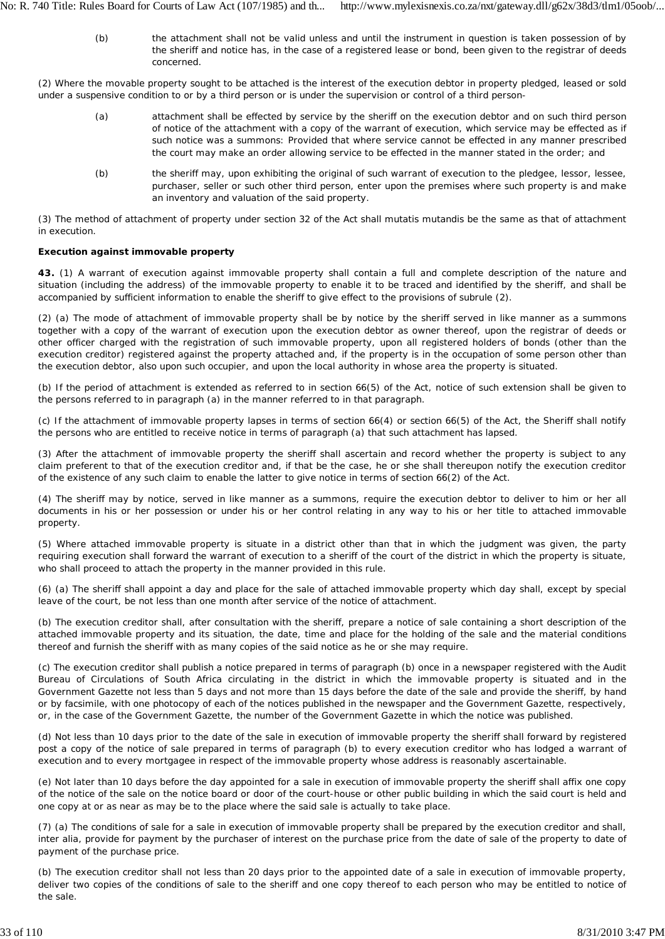(b) the attachment shall not be valid unless and until the instrument in question is taken possession of by the sheriff and notice has, in the case of a registered lease or bond, been given to the registrar of deeds concerned.

(2) Where the movable property sought to be attached is the interest of the execution debtor in property pledged, leased or sold under a suspensive condition to or by a third person or is under the supervision or control of a third person-

- (a) attachment shall be effected by service by the sheriff on the execution debtor and on such third person of notice of the attachment with a copy of the warrant of execution, which service may be effected as if such notice was a summons: Provided that where service cannot be effected in any manner prescribed the court may make an order allowing service to be effected in the manner stated in the order; and
- (b) the sheriff may, upon exhibiting the original of such warrant of execution to the pledgee, lessor, lessee, purchaser, seller or such other third person, enter upon the premises where such property is and make an inventory and valuation of the said property.

(3) The method of attachment of property under section 32 of the Act shall *mutatis mutandis* be the same as that of attachment in execution.

## **Execution against immovable property**

**43.** (1) A warrant of execution against immovable property shall contain a full and complete description of the nature and situation (including the address) of the immovable property to enable it to be traced and identified by the sheriff, and shall be accompanied by sufficient information to enable the sheriff to give effect to the provisions of subrule (2).

(2) (a) The mode of attachment of immovable property shall be by notice by the sheriff served in like manner as a summons together with a copy of the warrant of execution upon the execution debtor as owner thereof, upon the registrar of deeds or other officer charged with the registration of such immovable property, upon all registered holders of bonds (other than the execution creditor) registered against the property attached and, if the property is in the occupation of some person other than the execution debtor, also upon such occupier, and upon the local authority in whose area the property is situated.

(b) If the period of attachment is extended as referred to in section 66(5) of the Act, notice of such extension shall be given to the persons referred to in paragraph (a) in the manner referred to in that paragraph.

(c) If the attachment of immovable property lapses in terms of section 66(4) or section 66(5) of the Act, the Sheriff shall notify the persons who are entitled to receive notice in terms of paragraph (a) that such attachment has lapsed.

(3) After the attachment of immovable property the sheriff shall ascertain and record whether the property is subject to any claim preferent to that of the execution creditor and, if that be the case, he or she shall thereupon notify the execution creditor of the existence of any such claim to enable the latter to give notice in terms of section 66(2) of the Act.

(4) The sheriff may by notice, served in like manner as a summons, require the execution debtor to deliver to him or her all documents in his or her possession or under his or her control relating in any way to his or her title to attached immovable property.

(5) Where attached immovable property is situate in a district other than that in which the judgment was given, the party requiring execution shall forward the warrant of execution to a sheriff of the court of the district in which the property is situate, who shall proceed to attach the property in the manner provided in this rule.

(6) (a) The sheriff shall appoint a day and place for the sale of attached immovable property which day shall, except by special leave of the court, be not less than one month after service of the notice of attachment.

(b) The execution creditor shall, after consultation with the sheriff, prepare a notice of sale containing a short description of the attached immovable property and its situation, the date, time and place for the holding of the sale and the material conditions thereof and furnish the sheriff with as many copies of the said notice as he or she may require.

(c) The execution creditor shall publish a notice prepared in terms of paragraph (b) once in a newspaper registered with the Audit Bureau of Circulations of South Africa circulating in the district in which the immovable property is situated and in the *Government Gazette* not less than 5 days and not more than 15 days before the date of the sale and provide the sheriff, by hand or by facsimile, with one photocopy of each of the notices published in the newspaper and the *Government Gazette,* respectively, or, in the case of the *Government Gazette,* the number of the *Government Gazette* in which the notice was published.

(d) Not less than 10 days prior to the date of the sale in execution of immovable property the sheriff shall forward by registered post a copy of the notice of sale prepared in terms of paragraph (b) to every execution creditor who has lodged a warrant of execution and to every mortgagee in respect of the immovable property whose address is reasonably ascertainable.

(e) Not later than 10 days before the day appointed for a sale in execution of immovable property the sheriff shall affix one copy of the notice of the sale on the notice board or door of the court-house or other public building in which the said court is held and one copy at or as near as may be to the place where the said sale is actually to take place.

(7) (a) The conditions of sale for a sale in execution of immovable property shall be prepared by the execution creditor and shall, *inter alia,* provide for payment by the purchaser of interest on the purchase price from the date of sale of the property to date of payment of the purchase price.

(b) The execution creditor shall not less than 20 days prior to the appointed date of a sale in execution of immovable property, deliver two copies of the conditions of sale to the sheriff and one copy thereof to each person who may be entitled to notice of the sale.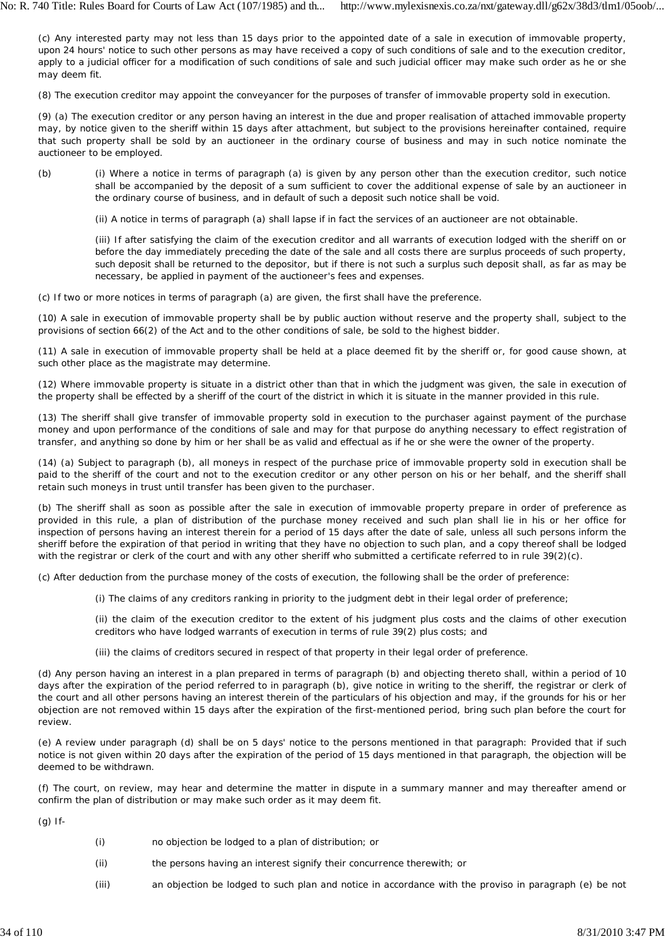(c) Any interested party may not less than 15 days prior to the appointed date of a sale in execution of immovable property, upon 24 hours' notice to such other persons as may have received a copy of such conditions of sale and to the execution creditor, apply to a judicial officer for a modification of such conditions of sale and such judicial officer may make such order as he or she may deem fit.

(8) The execution creditor may appoint the conveyancer for the purposes of transfer of immovable property sold in execution.

(9) (a) The execution creditor or any person having an interest in the due and proper realisation of attached immovable property may, by notice given to the sheriff within 15 days after attachment, but subject to the provisions hereinafter contained, require that such property shall be sold by an auctioneer in the ordinary course of business and may in such notice nominate the auctioneer to be employed.

- (b) (i) Where a notice in terms of paragraph (a) is given by any person other than the execution creditor, such notice shall be accompanied by the deposit of a sum sufficient to cover the additional expense of sale by an auctioneer in the ordinary course of business, and in default of such a deposit such notice shall be void.
	- (ii) A notice in terms of paragraph (a) shall lapse if in fact the services of an auctioneer are not obtainable.

(iii) If after satisfying the claim of the execution creditor and all warrants of execution lodged with the sheriff on or before the day immediately preceding the date of the sale and all costs there are surplus proceeds of such property, such deposit shall be returned to the depositor, but if there is not such a surplus such deposit shall, as far as may be necessary, be applied in payment of the auctioneer's fees and expenses.

(c) If two or more notices in terms of paragraph (a) are given, the first shall have the preference.

(10) A sale in execution of immovable property shall be by public auction without reserve and the property shall, subject to the provisions of section 66(2) of the Act and to the other conditions of sale, be sold to the highest bidder.

(11) A sale in execution of immovable property shall be held at a place deemed fit by the sheriff or, for good cause shown, at such other place as the magistrate may determine.

(12) Where immovable property is situate in a district other than that in which the judgment was given, the sale in execution of the property shall be effected by a sheriff of the court of the district in which it is situate in the manner provided in this rule.

(13) The sheriff shall give transfer of immovable property sold in execution to the purchaser against payment of the purchase money and upon performance of the conditions of sale and may for that purpose do anything necessary to effect registration of transfer, and anything so done by him or her shall be as valid and effectual as if he or she were the owner of the property.

(14) (a) Subject to paragraph (b), all moneys in respect of the purchase price of immovable property sold in execution shall be paid to the sheriff of the court and not to the execution creditor or any other person on his or her behalf, and the sheriff shall retain such moneys in trust until transfer has been given to the purchaser.

(b) The sheriff shall as soon as possible after the sale in execution of immovable property prepare in order of preference as provided in this rule, a plan of distribution of the purchase money received and such plan shall lie in his or her office for inspection of persons having an interest therein for a period of 15 days after the date of sale, unless all such persons inform the sheriff before the expiration of that period in writing that they have no objection to such plan, and a copy thereof shall be lodged with the registrar or clerk of the court and with any other sheriff who submitted a certificate referred to in rule 39(2)(c).

(c) After deduction from the purchase money of the costs of execution, the following shall be the order of preference:

(i) The claims of any creditors ranking in priority to the judgment debt in their legal order of preference;

(ii) the claim of the execution creditor to the extent of his judgment plus costs and the claims of other execution creditors who have lodged warrants of execution in terms of rule 39(2) plus costs; and

(iii) the claims of creditors secured in respect of that property in their legal order of preference.

(d) Any person having an interest in a plan prepared in terms of paragraph (b) and objecting thereto shall, within a period of 10 days after the expiration of the period referred to in paragraph (b), give notice in writing to the sheriff, the registrar or clerk of the court and all other persons having an interest therein of the particulars of his objection and may, if the grounds for his or her objection are not removed within 15 days after the expiration of the first-mentioned period, bring such plan before the court for review.

(e) A review under paragraph (d) shall be on 5 days' notice to the persons mentioned in that paragraph: Provided that if such notice is not given within 20 days after the expiration of the period of 15 days mentioned in that paragraph, the objection will be deemed to be withdrawn.

(f) The court, on review, may hear and determine the matter in dispute in a summary manner and may thereafter amend or confirm the plan of distribution or may make such order as it may deem fit.

(g) If-

- (i) no objection be lodged to a plan of distribution; or
- (ii) the persons having an interest signify their concurrence therewith; or
- (iii) an objection be lodged to such plan and notice in accordance with the proviso in paragraph (e) be not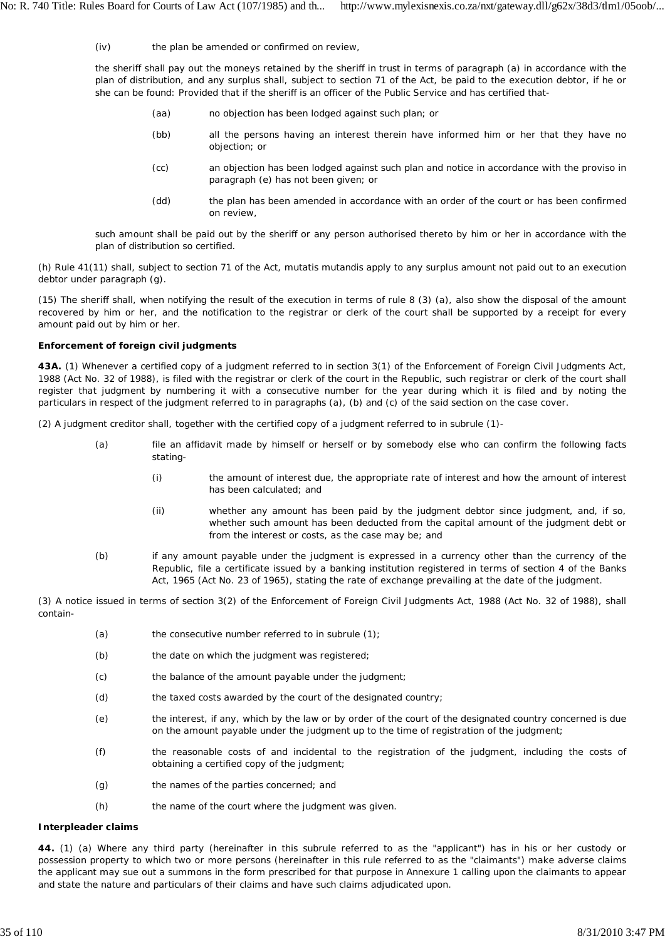$(iv)$ the plan be amended or confirmed on review,

the sheriff shall pay out the moneys retained by the sheriff in trust in terms of paragraph (a) in accordance with the plan of distribution, and any surplus shall, subject to section 71 of the Act, be paid to the execution debtor, if he or she can be found: Provided that if the sheriff is an officer of the Public Service and has certified that-

- (aa) no objection has been lodged against such plan; or
- (bb) all the persons having an interest therein have informed him or her that they have no objection; or
- (cc) an objection has been lodged against such plan and notice in accordance with the proviso in paragraph (e) has not been given; or
- (dd) the plan has been amended in accordance with an order of the court or has been confirmed on review,

such amount shall be paid out by the sheriff or any person authorised thereto by him or her in accordance with the plan of distribution so certified.

(h) Rule 41(11) shall, subject to section 71 of the Act, *mutatis mutandis* apply to any surplus amount not paid out to an execution debtor under paragraph (g).

(15) The sheriff shall, when notifying the result of the execution in terms of rule 8 (3) (a), also show the disposal of the amount recovered by him or her, and the notification to the registrar or clerk of the court shall be supported by a receipt for every amount paid out by him or her.

## **Enforcement of foreign civil judgments**

**43A.** (1) Whenever a certified copy of a judgment referred to in section 3(1) of the Enforcement of Foreign Civil Judgments Act, 1988 (Act No. 32 of 1988), is filed with the registrar or clerk of the court in the Republic, such registrar or clerk of the court shall register that judgment by numbering it with a consecutive number for the year during which it is filed and by noting the particulars in respect of the judgment referred to in paragraphs (a), (b) and (c) of the said section on the case cover.

(2) A judgment creditor shall, together with the certified copy of a judgment referred to in subrule (1)-

- (a) file an affidavit made by himself or herself or by somebody else who can confirm the following facts stating-
	- (i) the amount of interest due, the appropriate rate of interest and how the amount of interest has been calculated; and
	- (ii) whether any amount has been paid by the judgment debtor since judgment, and, if so, whether such amount has been deducted from the capital amount of the judgment debt or from the interest or costs, as the case may be; and
- (b) if any amount payable under the judgment is expressed in a currency other than the currency of the Republic, file a certificate issued by a banking institution registered in terms of section 4 of the Banks Act, 1965 (Act No. 23 of 1965), stating the rate of exchange prevailing at the date of the judgment.

(3) A notice issued in terms of section 3(2) of the Enforcement of Foreign Civil Judgments Act, 1988 (Act No. 32 of 1988), shall contain-

- (a) the consecutive number referred to in subrule (1);
- (b) the date on which the judgment was registered;
- (c) the balance of the amount payable under the judgment;
- (d) the taxed costs awarded by the court of the designated country;
- (e) the interest, if any, which by the law or by order of the court of the designated country concerned is due on the amount payable under the judgment up to the time of registration of the judgment;
- (f) the reasonable costs of and incidental to the registration of the judgment, including the costs of obtaining a certified copy of the judgment;
- (g) the names of the parties concerned; and
- (h) the name of the court where the judgment was given.

### **Interpleader claims**

**44.** (1) (a) Where any third party (hereinafter in this subrule referred to as the "applicant") has in his or her custody or possession property to which two or more persons (hereinafter in this rule referred to as the "claimants") make adverse claims the applicant may sue out a summons in the form prescribed for that purpose in Annexure 1 calling upon the claimants to appear and state the nature and particulars of their claims and have such claims adjudicated upon.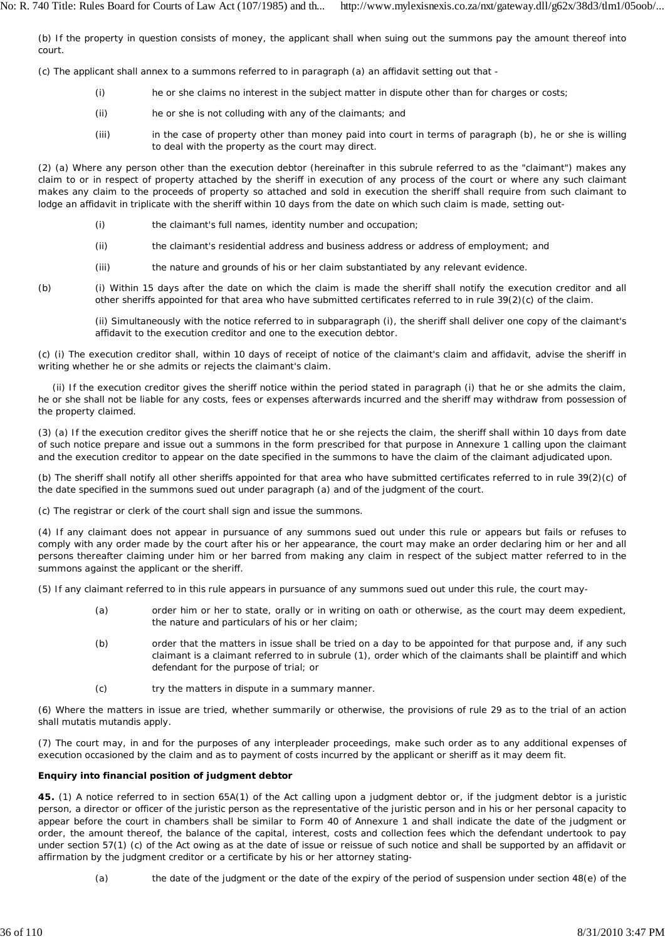(b) If the property in question consists of money, the applicant shall when suing out the summons pay the amount thereof into court.

(c) The applicant shall annex to a summons referred to in paragraph (a) an affidavit setting out that -

- (i) he or she claims no interest in the subject matter in dispute other than for charges or costs;
- (ii) he or she is not colluding with any of the claimants; and
- (iii) in the case of property other than money paid into court in terms of paragraph (b), he or she is willing to deal with the property as the court may direct.

(2) (a) Where any person other than the execution debtor (hereinafter in this subrule referred to as the "claimant") makes any claim to or in respect of property attached by the sheriff in execution of any process of the court or where any such claimant makes any claim to the proceeds of property so attached and sold in execution the sheriff shall require from such claimant to lodge an affidavit in triplicate with the sheriff within 10 days from the date on which such claim is made, setting out-

- (i) the claimant's full names, identity number and occupation;
- (ii) the claimant's residential address and business address or address of employment; and
- (iii) the nature and grounds of his or her claim substantiated by any relevant evidence.
- (b) (i) Within 15 days after the date on which the claim is made the sheriff shall notify the execution creditor and all other sheriffs appointed for that area who have submitted certificates referred to in rule 39(2)(c) of the claim.

(ii) Simultaneously with the notice referred to in subparagraph (i), the sheriff shall deliver one copy of the claimant's affidavit to the execution creditor and one to the execution debtor.

(c) (i) The execution creditor shall, within 10 days of receipt of notice of the claimant's claim and affidavit, advise the sheriff in writing whether he or she admits or rejects the claimant's claim.

(ii) If the execution creditor gives the sheriff notice within the period stated in paragraph (i) that he or she admits the claim, he or she shall not be liable for any costs, fees or expenses afterwards incurred and the sheriff may withdraw from possession of the property claimed.

(3) (a) If the execution creditor gives the sheriff notice that he or she rejects the claim, the sheriff shall within 10 days from date of such notice prepare and issue out a summons in the form prescribed for that purpose in Annexure 1 calling upon the claimant and the execution creditor to appear on the date specified in the summons to have the claim of the claimant adjudicated upon.

(b) The sheriff shall notify all other sheriffs appointed for that area who have submitted certificates referred to in rule 39(2)(c) of the date specified in the summons sued out under paragraph (a) and of the judgment of the court.

(c) The registrar or clerk of the court shall sign and issue the summons.

(4) If any claimant does not appear in pursuance of any summons sued out under this rule or appears but fails or refuses to comply with any order made by the court after his or her appearance, the court may make an order declaring him or her and all persons thereafter claiming under him or her barred from making any claim in respect of the subject matter referred to in the summons against the applicant or the sheriff.

(5) If any claimant referred to in this rule appears in pursuance of any summons sued out under this rule, the court may-

- (a) order him or her to state, orally or in writing on oath or otherwise, as the court may deem expedient, the nature and particulars of his or her claim;
- (b) order that the matters in issue shall be tried on a day to be appointed for that purpose and, if any such claimant is a claimant referred to in subrule (1), order which of the claimants shall be plaintiff and which defendant for the purpose of trial; or
- (c) try the matters in dispute in a summary manner.

(6) Where the matters in issue are tried, whether summarily or otherwise, the provisions of rule 29 as to the trial of an action shall *mutatis mutandis* apply.

(7) The court may, in and for the purposes of any interpleader proceedings, make such order as to any additional expenses of execution occasioned by the claim and as to payment of costs incurred by the applicant or sheriff as it may deem fit.

# **Enquiry into financial position of judgment debtor**

**45.** (1) A notice referred to in section 65A(1) of the Act calling upon a judgment debtor or, if the judgment debtor is a juristic person, a director or officer of the juristic person as the representative of the juristic person and in his or her personal capacity to appear before the court in chambers shall be similar to Form 40 of Annexure 1 and shall indicate the date of the judgment or order, the amount thereof, the balance of the capital, interest, costs and collection fees which the defendant undertook to pay under section 57(1) (c) of the Act owing as at the date of issue or reissue of such notice and shall be supported by an affidavit or affirmation by the judgment creditor or a certificate by his or her attorney stating-

(a) the date of the judgment or the date of the expiry of the period of suspension under section 48(e) of the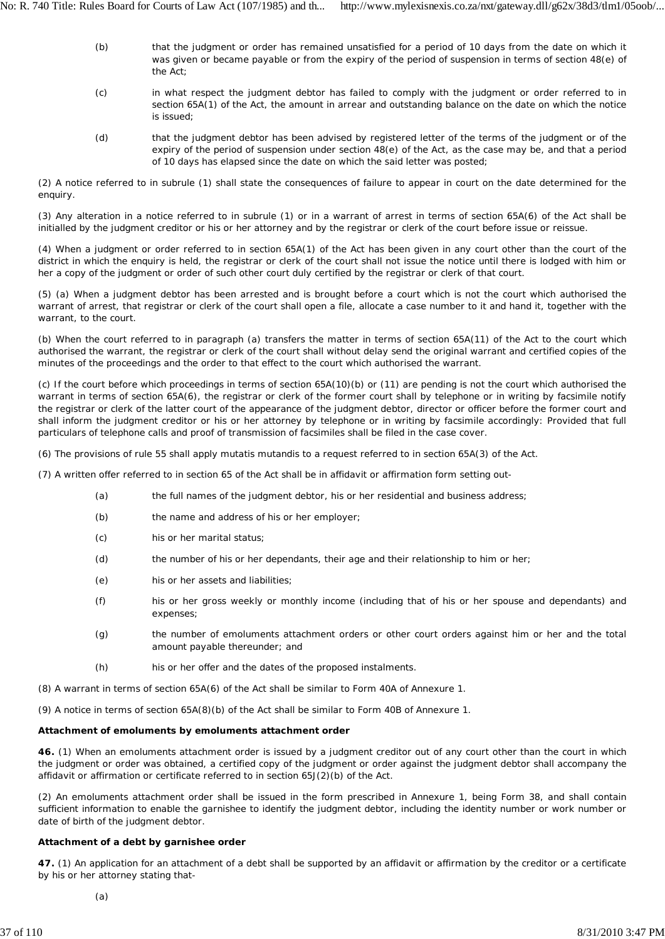- (b) that the judgment or order has remained unsatisfied for a period of 10 days from the date on which it was given or became payable or from the expiry of the period of suspension in terms of section 48(e) of the Act;
- (c) in what respect the judgment debtor has failed to comply with the judgment or order referred to in section 65A(1) of the Act, the amount in arrear and outstanding balance on the date on which the notice is issued;
- (d) that the judgment debtor has been advised by registered letter of the terms of the judgment or of the expiry of the period of suspension under section 48(e) of the Act, as the case may be, and that a period of 10 days has elapsed since the date on which the said letter was posted;

(2) A notice referred to in subrule (1) shall state the consequences of failure to appear in court on the date determined for the enquiry.

(3) Any alteration in a notice referred to in subrule (1) or in a warrant of arrest in terms of section 65A(6) of the Act shall be initialled by the judgment creditor or his or her attorney and by the registrar or clerk of the court before issue or reissue.

(4) When a judgment or order referred to in section 65A(1) of the Act has been given in any court other than the court of the district in which the enquiry is held, the registrar or clerk of the court shall not issue the notice until there is lodged with him or her a copy of the judgment or order of such other court duly certified by the registrar or clerk of that court.

(5) (a) When a judgment debtor has been arrested and is brought before a court which is not the court which authorised the warrant of arrest, that registrar or clerk of the court shall open a file, allocate a case number to it and hand it, together with the warrant, to the court.

(b) When the court referred to in paragraph (a) transfers the matter in terms of section 65A(11) of the Act to the court which authorised the warrant, the registrar or clerk of the court shall without delay send the original warrant and certified copies of the minutes of the proceedings and the order to that effect to the court which authorised the warrant.

(c) If the court before which proceedings in terms of section 65A(10)(b) or (11) are pending is not the court which authorised the warrant in terms of section 65A(6), the registrar or clerk of the former court shall by telephone or in writing by facsimile notify the registrar or clerk of the latter court of the appearance of the judgment debtor, director or officer before the former court and shall inform the judgment creditor or his or her attorney by telephone or in writing by facsimile accordingly: Provided that full particulars of telephone calls and proof of transmission of facsimiles shall be filed in the case cover.

(6) The provisions of rule 55 shall apply *mutatis mutandis* to a request referred to in section 65A(3) of the Act.

(7) A written offer referred to in section 65 of the Act shall be in affidavit or affirmation form setting out-

- (a) the full names of the judgment debtor, his or her residential and business address;
- (b) the name and address of his or her employer;
- (c) his or her marital status;
- (d) the number of his or her dependants, their age and their relationship to him or her;
- (e) his or her assets and liabilities;
- (f) his or her gross weekly or monthly income (including that of his or her spouse and dependants) and expenses;
- (g) the number of emoluments attachment orders or other court orders against him or her and the total amount payable thereunder; and
- (h) his or her offer and the dates of the proposed instalments.

(8) A warrant in terms of section 65A(6) of the Act shall be similar to Form 40A of Annexure 1.

(9) A notice in terms of section 65A(8)(b) of the Act shall be similar to Form 40B of Annexure 1.

### **Attachment of emoluments by emoluments attachment order**

**46.** (1) When an emoluments attachment order is issued by a judgment creditor out of any court other than the court in which the judgment or order was obtained, a certified copy of the judgment or order against the judgment debtor shall accompany the affidavit or affirmation or certificate referred to in section 65J(2)(b) of the Act.

(2) An emoluments attachment order shall be issued in the form prescribed in Annexure 1, being Form 38, and shall contain sufficient information to enable the garnishee to identify the judgment debtor, including the identity number or work number or date of birth of the judgment debtor.

# **Attachment of a debt by garnishee order**

**47.** (1) An application for an attachment of a debt shall be supported by an affidavit or affirmation by the creditor or a certificate by his or her attorney stating that-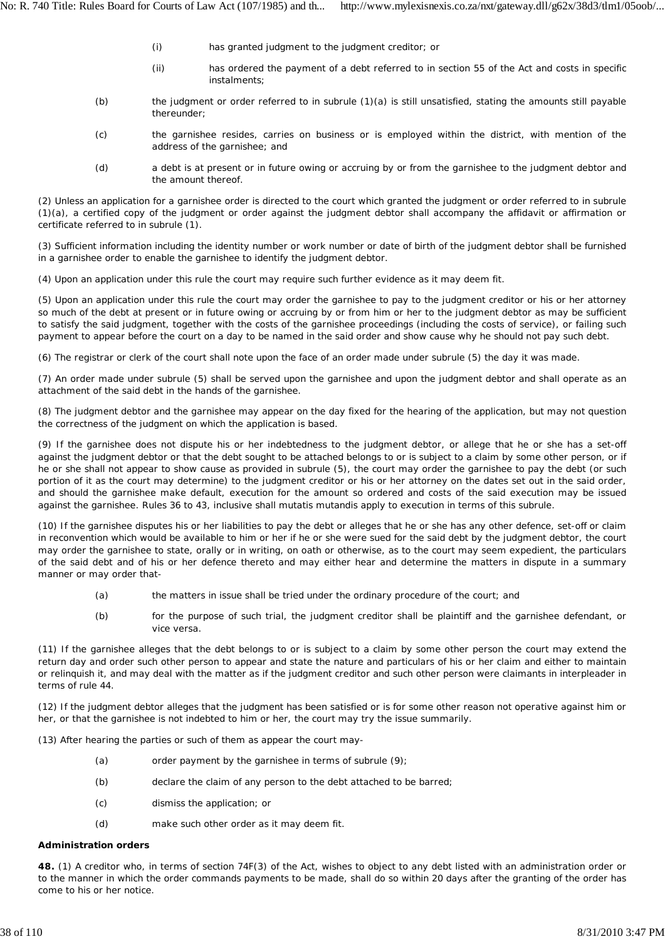- (i) has granted judgment to the judgment creditor; or
- (ii) has ordered the payment of a debt referred to in section 55 of the Act and costs in specific instalments;
- (b) the judgment or order referred to in subrule (1)(a) is still unsatisfied, stating the amounts still payable thereunder;
- $(c)$ the garnishee resides, carries on business or is employed within the district, with mention of the address of the garnishee; and
- (d) a debt is at present or in future owing or accruing by or from the garnishee to the judgment debtor and the amount thereof.

(2) Unless an application for a garnishee order is directed to the court which granted the judgment or order referred to in subrule (1)(a), a certified copy of the judgment or order against the judgment debtor shall accompany the affidavit or affirmation or certificate referred to in subrule (1).

(3) Sufficient information including the identity number or work number or date of birth of the judgment debtor shall be furnished in a garnishee order to enable the garnishee to identify the judgment debtor.

(4) Upon an application under this rule the court may require such further evidence as it may deem fit.

(5) Upon an application under this rule the court may order the garnishee to pay to the judgment creditor or his or her attorney so much of the debt at present or in future owing or accruing by or from him or her to the judgment debtor as may be sufficient to satisfy the said judgment, together with the costs of the garnishee proceedings (including the costs of service), or failing such payment to appear before the court on a day to be named in the said order and show cause why he should not pay such debt.

(6) The registrar or clerk of the court shall note upon the face of an order made under subrule (5) the day it was made.

(7) An order made under subrule (5) shall be served upon the garnishee and upon the judgment debtor and shall operate as an attachment of the said debt in the hands of the garnishee.

(8) The judgment debtor and the garnishee may appear on the day fixed for the hearing of the application, but may not question the correctness of the judgment on which the application is based.

(9) If the garnishee does not dispute his or her indebtedness to the judgment debtor, or allege that he or she has a set-off against the judgment debtor or that the debt sought to be attached belongs to or is subject to a claim by some other person, or if he or she shall not appear to show cause as provided in subrule (5), the court may order the garnishee to pay the debt (or such portion of it as the court may determine) to the judgment creditor or his or her attorney on the dates set out in the said order, and should the garnishee make default, execution for the amount so ordered and costs of the said execution may be issued against the garnishee. Rules 36 to 43, inclusive shall *mutatis mutandis* apply to execution in terms of this subrule.

(10) If the garnishee disputes his or her liabilities to pay the debt or alleges that he or she has any other defence, set-off or claim in reconvention which would be available to him or her if he or she were sued for the said debt by the judgment debtor, the court may order the garnishee to state, orally or in writing, on oath or otherwise, as to the court may seem expedient, the particulars of the said debt and of his or her defence thereto and may either hear and determine the matters in dispute in a summary manner or may order that-

- (a) the matters in issue shall be tried under the ordinary procedure of the court; and
- (b) for the purpose of such trial, the judgment creditor shall be plaintiff and the garnishee defendant, or *vice versa.*

(11) If the garnishee alleges that the debt belongs to or is subject to a claim by some other person the court may extend the return day and order such other person to appear and state the nature and particulars of his or her claim and either to maintain or relinquish it, and may deal with the matter as if the judgment creditor and such other person were claimants in interpleader in terms of rule 44.

(12) If the judgment debtor alleges that the judgment has been satisfied or is for some other reason not operative against him or her, or that the garnishee is not indebted to him or her, the court may try the issue summarily.

(13) After hearing the parties or such of them as appear the court may-

- (a) order payment by the garnishee in terms of subrule (9);
- (b) declare the claim of any person to the debt attached to be barred;
- (c) dismiss the application; or
- (d) make such other order as it may deem fit.

### **Administration orders**

**48.** (1) A creditor who, in terms of section 74F(3) of the Act, wishes to object to any debt listed with an administration order or to the manner in which the order commands payments to be made, shall do so within 20 days after the granting of the order has come to his or her notice.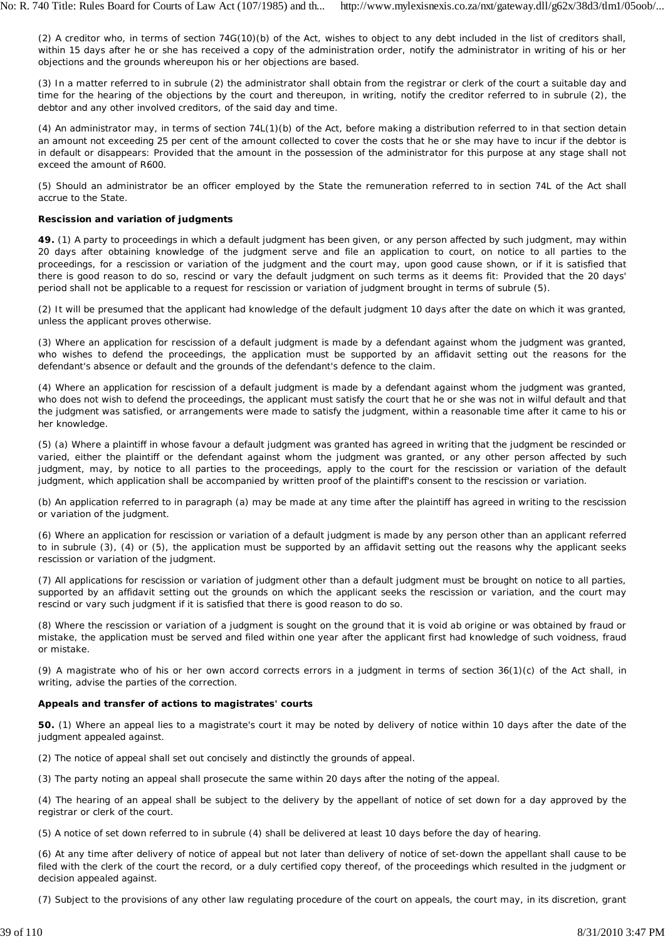(2) A creditor who, in terms of section 74G(10)(b) of the Act, wishes to object to any debt included in the list of creditors shall, within 15 days after he or she has received a copy of the administration order, notify the administrator in writing of his or her objections and the grounds whereupon his or her objections are based.

(3) In a matter referred to in subrule (2) the administrator shall obtain from the registrar or clerk of the court a suitable day and time for the hearing of the objections by the court and thereupon, in writing, notify the creditor referred to in subrule (2), the debtor and any other involved creditors, of the said day and time.

(4) An administrator may, in terms of section 74L(1)(b) of the Act, before making a distribution referred to in that section detain an amount not exceeding 25 per cent of the amount collected to cover the costs that he or she may have to incur if the debtor is in default or disappears: Provided that the amount in the possession of the administrator for this purpose at any stage shall not exceed the amount of R600.

(5) Should an administrator be an officer employed by the State the remuneration referred to in section 74L of the Act shall accrue to the State.

# **Rescission and variation of judgments**

**49.** (1) A party to proceedings in which a default judgment has been given, or any person affected by such judgment, may within 20 days after obtaining knowledge of the judgment serve and file an application to court, on notice to all parties to the proceedings, for a rescission or variation of the judgment and the court may, upon good cause shown, or if it is satisfied that there is good reason to do so, rescind or vary the default judgment on such terms as it deems fit: Provided that the 20 days' period shall not be applicable to a request for rescission or variation of judgment brought in terms of subrule (5).

(2) It will be presumed that the applicant had knowledge of the default judgment 10 days after the date on which it was granted, unless the applicant proves otherwise.

(3) Where an application for rescission of a default judgment is made by a defendant against whom the judgment was granted, who wishes to defend the proceedings, the application must be supported by an affidavit setting out the reasons for the defendant's absence or default and the grounds of the defendant's defence to the claim.

(4) Where an application for rescission of a default judgment is made by a defendant against whom the judgment was granted, who does not wish to defend the proceedings, the applicant must satisfy the court that he or she was not in wilful default and that the judgment was satisfied, or arrangements were made to satisfy the judgment, within a reasonable time after it came to his or her knowledge.

(5) (a) Where a plaintiff in whose favour a default judgment was granted has agreed in writing that the judgment be rescinded or varied, either the plaintiff or the defendant against whom the judgment was granted, or any other person affected by such judgment, may, by notice to all parties to the proceedings, apply to the court for the rescission or variation of the default judgment, which application shall be accompanied by written proof of the plaintiff's consent to the rescission or variation.

(b) An application referred to in paragraph (a) may be made at any time after the plaintiff has agreed in writing to the rescission or variation of the judgment.

(6) Where an application for rescission or variation of a default judgment is made by any person other than an applicant referred to in subrule (3), (4) or (5), the application must be supported by an affidavit setting out the reasons why the applicant seeks rescission or variation of the judgment.

(7) All applications for rescission or variation of judgment other than a default judgment must be brought on notice to all parties, supported by an affidavit setting out the grounds on which the applicant seeks the rescission or variation, and the court may rescind or vary such judgment if it is satisfied that there is good reason to do so.

(8) Where the rescission or variation of a judgment is sought on the ground that it is void *ab origine* or was obtained by fraud or mistake, the application must be served and filed within one year after the applicant first had knowledge of such voidness, fraud or mistake.

(9) A magistrate who of his or her own accord corrects errors in a judgment in terms of section 36(1)(c) of the Act shall, in writing, advise the parties of the correction.

# **Appeals and transfer of actions to magistrates' courts**

**50.** (1) Where an appeal lies to a magistrate's court it may be noted by delivery of notice within 10 days after the date of the judgment appealed against.

(2) The notice of appeal shall set out concisely and distinctly the grounds of appeal.

(3) The party noting an appeal shall prosecute the same within 20 days after the noting of the appeal.

(4) The hearing of an appeal shall be subject to the delivery by the appellant of notice of set down for a day approved by the registrar or clerk of the court.

(5) A notice of set down referred to in subrule (4) shall be delivered at least 10 days before the day of hearing.

(6) At any time after delivery of notice of appeal but not later than delivery of notice of set-down the appellant shall cause to be filed with the clerk of the court the record, or a duly certified copy thereof, of the proceedings which resulted in the judgment or decision appealed against.

(7) Subject to the provisions of any other law regulating procedure of the court on appeals, the court may, in its discretion, grant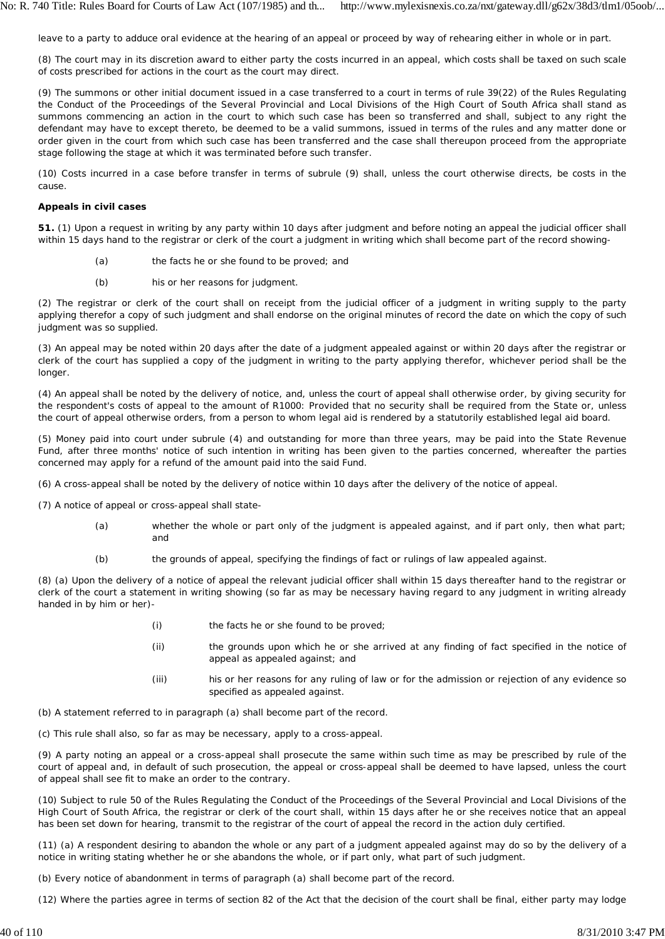leave to a party to adduce oral evidence at the hearing of an appeal or proceed by way of rehearing either in whole or in part.

(8) The court may in its discretion award to either party the costs incurred in an appeal, which costs shall be taxed on such scale of costs prescribed for actions in the court as the court may direct.

(9) The summons or other initial document issued in a case transferred to a court in terms of rule 39(22) of the Rules Regulating the Conduct of the Proceedings of the Several Provincial and Local Divisions of the High Court of South Africa shall stand as summons commencing an action in the court to which such case has been so transferred and shall, subject to any right the defendant may have to except thereto, be deemed to be a valid summons, issued in terms of the rules and any matter done or order given in the court from which such case has been transferred and the case shall thereupon proceed from the appropriate stage following the stage at which it was terminated before such transfer.

(10) Costs incurred in a case before transfer in terms of subrule (9) shall, unless the court otherwise directs, be costs in the cause.

# **Appeals in civil cases**

**51.** (1) Upon a request in writing by any party within 10 days after judgment and before noting an appeal the judicial officer shall within 15 days hand to the registrar or clerk of the court a judgment in writing which shall become part of the record showing-

- (a) the facts he or she found to be proved; and
- (b) his or her reasons for judgment.

(2) The registrar or clerk of the court shall on receipt from the judicial officer of a judgment in writing supply to the party applying therefor a copy of such judgment and shall endorse on the original minutes of record the date on which the copy of such judgment was so supplied.

(3) An appeal may be noted within 20 days after the date of a judgment appealed against or within 20 days after the registrar or clerk of the court has supplied a copy of the judgment in writing to the party applying therefor, whichever period shall be the longer.

(4) An appeal shall be noted by the delivery of notice, and, unless the court of appeal shall otherwise order, by giving security for the respondent's costs of appeal to the amount of R1000: Provided that no security shall be required from the State or, unless the court of appeal otherwise orders, from a person to whom legal aid is rendered by a statutorily established legal aid board.

(5) Money paid into court under subrule (4) and outstanding for more than three years, may be paid into the State Revenue Fund, after three months' notice of such intention in writing has been given to the parties concerned, whereafter the parties concerned may apply for a refund of the amount paid into the said Fund.

(6) A cross-appeal shall be noted by the delivery of notice within 10 days after the delivery of the notice of appeal.

(7) A notice of appeal or cross-appeal shall state-

- (a) whether the whole or part only of the judgment is appealed against, and if part only, then what part; and
- (b) the grounds of appeal, specifying the findings of fact or rulings of law appealed against.

(8) (a) Upon the delivery of a notice of appeal the relevant judicial officer shall within 15 days thereafter hand to the registrar or clerk of the court a statement in writing showing (so far as may be necessary having regard to any judgment in writing already handed in by him or her)-

- (i) the facts he or she found to be proved;
- (ii) the grounds upon which he or she arrived at any finding of fact specified in the notice of appeal as appealed against; and
- (iii) his or her reasons for any ruling of law or for the admission or rejection of any evidence so specified as appealed against.

(b) A statement referred to in paragraph (a) shall become part of the record.

(c) This rule shall also, so far as may be necessary, apply to a cross-appeal.

(9) A party noting an appeal or a cross-appeal shall prosecute the same within such time as may be prescribed by rule of the court of appeal and, in default of such prosecution, the appeal or cross-appeal shall be deemed to have lapsed, unless the court of appeal shall see fit to make an order to the contrary.

(10) Subject to rule 50 of the Rules Regulating the Conduct of the Proceedings of the Several Provincial and Local Divisions of the High Court of South Africa, the registrar or clerk of the court shall, within 15 days after he or she receives notice that an appeal has been set down for hearing, transmit to the registrar of the court of appeal the record in the action duly certified.

(11) (a) A respondent desiring to abandon the whole or any part of a judgment appealed against may do so by the delivery of a notice in writing stating whether he or she abandons the whole, or if part only, what part of such judgment.

(b) Every notice of abandonment in terms of paragraph (a) shall become part of the record.

(12) Where the parties agree in terms of section 82 of the Act that the decision of the court shall be final, either party may lodge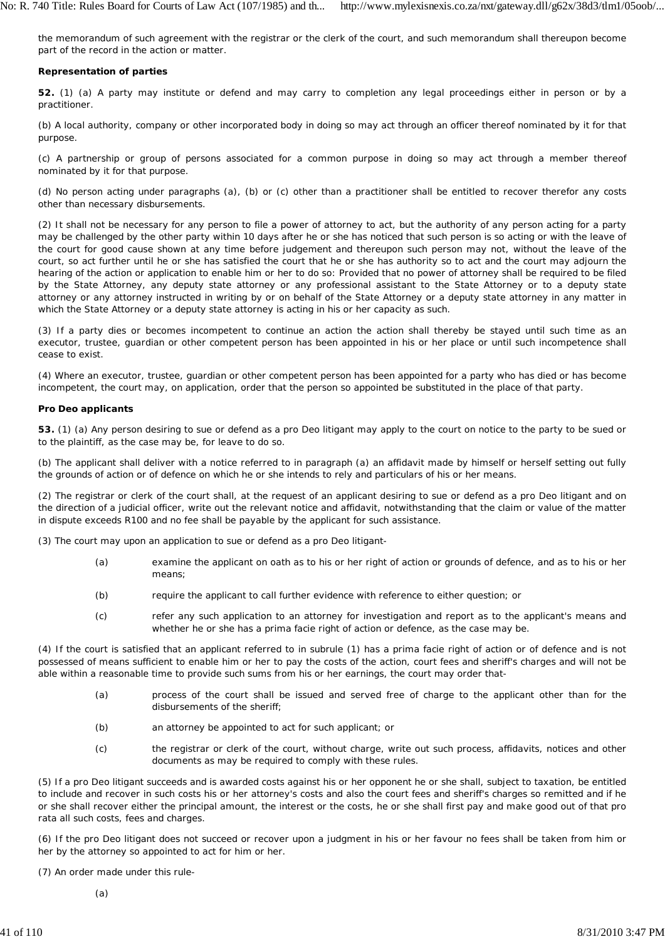the memorandum of such agreement with the registrar or the clerk of the court, and such memorandum shall thereupon become part of the record in the action or matter.

## **Representation of parties**

**52.** (1) (a) A party may institute or defend and may carry to completion any legal proceedings either in person or by a practitioner.

(b) A local authority, company or other incorporated body in doing so may act through an officer thereof nominated by it for that purpose.

(c) A partnership or group of persons associated for a common purpose in doing so may act through a member thereof nominated by it for that purpose.

(d) No person acting under paragraphs (a), (b) or (c) other than a practitioner shall be entitled to recover therefor any costs other than necessary disbursements.

(2) It shall not be necessary for any person to file a power of attorney to act, but the authority of any person acting for a party may be challenged by the other party within 10 days after he or she has noticed that such person is so acting or with the leave of the court for good cause shown at any time before judgement and thereupon such person may not, without the leave of the court, so act further until he or she has satisfied the court that he or she has authority so to act and the court may adjourn the hearing of the action or application to enable him or her to do so: Provided that no power of attorney shall be required to be filed by the State Attorney, any deputy state attorney or any professional assistant to the State Attorney or to a deputy state attorney or any attorney instructed in writing by or on behalf of the State Attorney or a deputy state attorney in any matter in which the State Attorney or a deputy state attorney is acting in his or her capacity as such.

(3) If a party dies or becomes incompetent to continue an action the action shall thereby be stayed until such time as an executor, trustee, guardian or other competent person has been appointed in his or her place or until such incompetence shall cease to exist.

(4) Where an executor, trustee, guardian or other competent person has been appointed for a party who has died or has become incompetent, the court may, on application, order that the person so appointed be substituted in the place of that party.

#### *Pro Deo* **applicants**

**53.** (1) (a) Any person desiring to sue or defend as a *pro Deo* litigant may apply to the court on notice to the party to be sued or to the plaintiff, as the case may be, for leave to do so.

(b) The applicant shall deliver with a notice referred to in paragraph (a) an affidavit made by himself or herself setting out fully the grounds of action or of defence on which he or she intends to rely and particulars of his or her means.

(2) The registrar or clerk of the court shall, at the request of an applicant desiring to sue or defend as a *pro Deo* litigant and on the direction of a judicial officer, write out the relevant notice and affidavit, notwithstanding that the claim or value of the matter in dispute exceeds R100 and no fee shall be payable by the applicant for such assistance.

(3) The court may upon an application to sue or defend as a *pro Deo* litigant-

- (a) examine the applicant on oath as to his or her right of action or grounds of defence, and as to his or her means;
- (b) require the applicant to call further evidence with reference to either question; or
- (c) refer any such application to an attorney for investigation and report as to the applicant's means and whether he or she has a prima facie right of action or defence, as the case may be.

(4) If the court is satisfied that an applicant referred to in subrule (1) has a prima facie right of action or of defence and is not possessed of means sufficient to enable him or her to pay the costs of the action, court fees and sheriff's charges and will not be able within a reasonable time to provide such sums from his or her earnings, the court may order that-

- (a) process of the court shall be issued and served free of charge to the applicant other than for the disbursements of the sheriff;
- (b) an attorney be appointed to act for such applicant; or
- (c) the registrar or clerk of the court, without charge, write out such process, affidavits, notices and other documents as may be required to comply with these rules.

(5) If a *pro Deo* litigant succeeds and is awarded costs against his or her opponent he or she shall, subject to taxation, be entitled to include and recover in such costs his or her attorney's costs and also the court fees and sheriff's charges so remitted and if he or she shall recover either the principal amount, the interest or the costs, he or she shall first pay and make good out of that pro rata all such costs, fees and charges.

(6) If the *pro Deo* litigant does not succeed or recover upon a judgment in his or her favour no fees shall be taken from him or her by the attorney so appointed to act for him or her.

(7) An order made under this rule-

(a)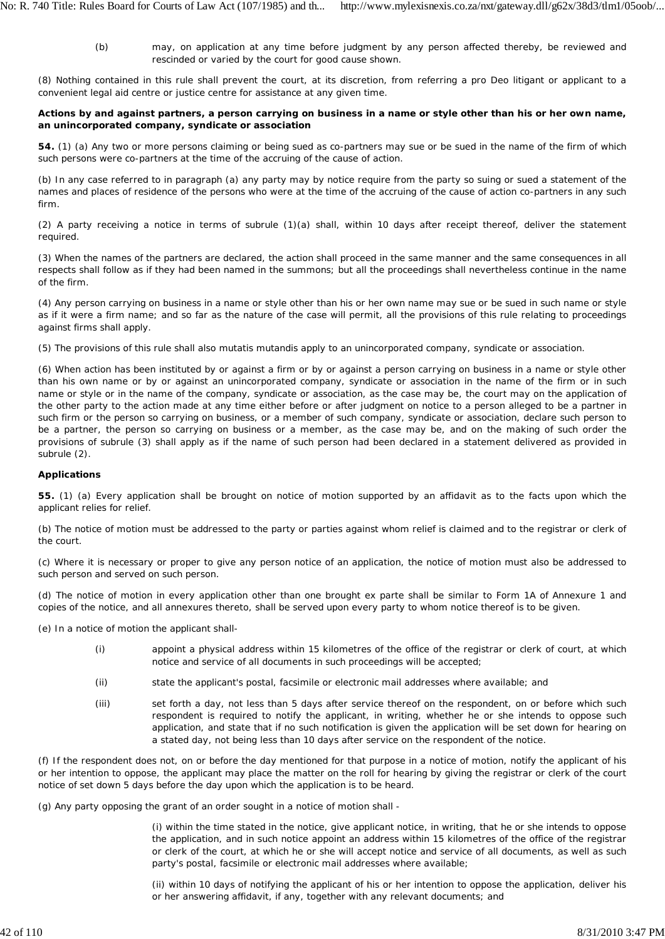(b) may, on application at any time before judgment by any person affected thereby, be reviewed and rescinded or varied by the court for good cause shown.

(8) Nothing contained in this rule shall prevent the court, at its discretion, from referring a *pro Deo* litigant or applicant to a convenient legal aid centre or justice centre for assistance at any given time.

## **Actions by and against partners, a person carrying on business in a name or style other than his or her own name, an unincorporated company, syndicate or association**

**54.** (1) (a) Any two or more persons claiming or being sued as co-partners may sue or be sued in the name of the firm of which such persons were co-partners at the time of the accruing of the cause of action.

(b) In any case referred to in paragraph (a) any party may by notice require from the party so suing or sued a statement of the names and places of residence of the persons who were at the time of the accruing of the cause of action co-partners in any such firm.

(2) A party receiving a notice in terms of subrule (1)(a) shall, within 10 days after receipt thereof, deliver the statement required.

(3) When the names of the partners are declared, the action shall proceed in the same manner and the same consequences in all respects shall follow as if they had been named in the summons; but all the proceedings shall nevertheless continue in the name of the firm.

(4) Any person carrying on business in a name or style other than his or her own name may sue or be sued in such name or style as if it were a firm name; and so far as the nature of the case will permit, all the provisions of this rule relating to proceedings against firms shall apply.

(5) The provisions of this rule shall also *mutatis mutandis* apply to an unincorporated company, syndicate or association.

(6) When action has been instituted by or against a firm or by or against a person carrying on business in a name or style other than his own name or by or against an unincorporated company, syndicate or association in the name of the firm or in such name or style or in the name of the company, syndicate or association, as the case may be, the court may on the application of the other party to the action made at any time either before or after judgment on notice to a person alleged to be a partner in such firm or the person so carrying on business, or a member of such company, syndicate or association, declare such person to be a partner, the person so carrying on business or a member, as the case may be, and on the making of such order the provisions of subrule (3) shall apply as if the name of such person had been declared in a statement delivered as provided in subrule (2).

# **Applications**

**55.** (1) (a) Every application shall be brought on notice of motion supported by an affidavit as to the facts upon which the applicant relies for relief.

(b) The notice of motion must be addressed to the party or parties against whom relief is claimed and to the registrar or clerk of the court.

(c) Where it is necessary or proper to give any person notice of an application, the notice of motion must also be addressed to such person and served on such person.

(d) The notice of motion in every application other than one brought ex *parte* shall be similar to Form 1A of Annexure 1 and copies of the notice, and all annexures thereto, shall be served upon every party to whom notice thereof is to be given.

(e) In a notice of motion the applicant shall-

- (i) appoint a physical address within 15 kilometres of the office of the registrar or clerk of court, at which notice and service of all documents in such proceedings will be accepted;
- (ii) state the applicant's postal, facsimile or electronic mail addresses where available; and
- (iii) set forth a day, not less than 5 days after service thereof on the respondent, on or before which such respondent is required to notify the applicant, in writing, whether he or she intends to oppose such application, and state that if no such notification is given the application will be set down for hearing on a stated day, not being less than 10 days after service on the respondent of the notice.

(f) If the respondent does not, on or before the day mentioned for that purpose in a notice of motion, notify the applicant of his or her intention to oppose, the applicant may place the matter on the roll for hearing by giving the registrar or clerk of the court notice of set down 5 days before the day upon which the application is to be heard.

(g) Any party opposing the grant of an order sought in a notice of motion shall -

(i) within the time stated in the notice, give applicant notice, in writing, that he or she intends to oppose the application, and in such notice appoint an address within 15 kilometres of the office of the registrar or clerk of the court, at which he or she will accept notice and service of all documents, as well as such party's postal, facsimile or electronic mail addresses where available;

(ii) within 10 days of notifying the applicant of his or her intention to oppose the application, deliver his or her answering affidavit, if any, together with any relevant documents; and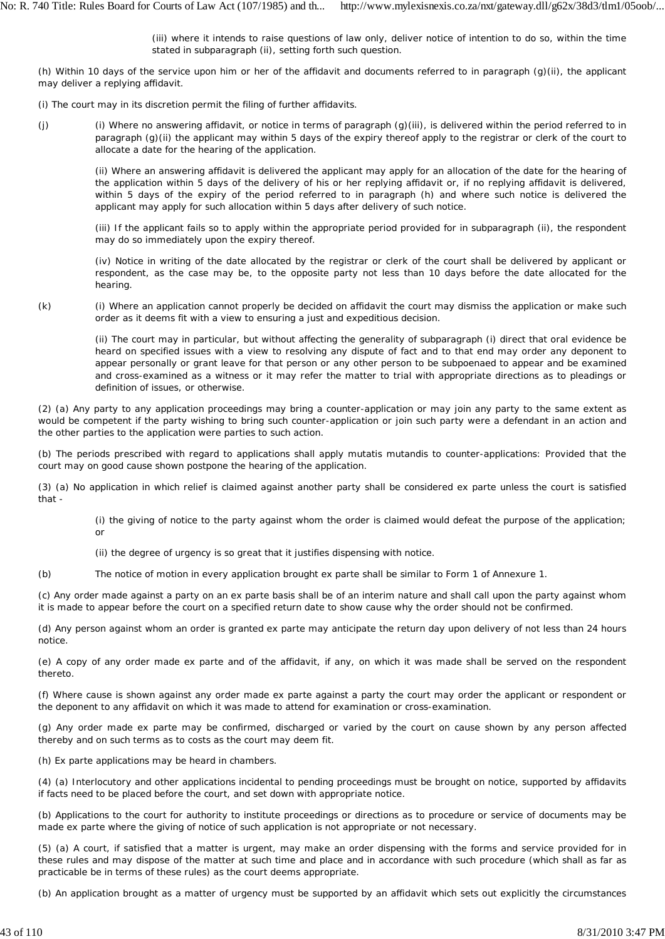(iii) where it intends to raise questions of law only, deliver notice of intention to do so, within the time stated in subparagraph (ii), setting forth such question.

(h) Within 10 days of the service upon him or her of the affidavit and documents referred to in paragraph (g)(ii), the applicant may deliver a replying affidavit.

(i) The court may in its discretion permit the filing of further affidavits.

(j) (i) Where no answering affidavit, or notice in terms of paragraph (g)(iii), is delivered within the period referred to in paragraph (g)(ii) the applicant may within 5 days of the expiry thereof apply to the registrar or clerk of the court to allocate a date for the hearing of the application.

(ii) Where an answering affidavit is delivered the applicant may apply for an allocation of the date for the hearing of the application within 5 days of the delivery of his or her replying affidavit or, if no replying affidavit is delivered, within 5 days of the expiry of the period referred to in paragraph (h) and where such notice is delivered the applicant may apply for such allocation within 5 days after delivery of such notice.

(iii) If the applicant fails so to apply within the appropriate period provided for in subparagraph (ii), the respondent may do so immediately upon the expiry thereof.

(iv) Notice in writing of the date allocated by the registrar or clerk of the court shall be delivered by applicant or respondent, as the case may be, to the opposite party not less than 10 days before the date allocated for the hearing.

(k) (i) Where an application cannot properly be decided on affidavit the court may dismiss the application or make such order as it deems fit with a view to ensuring a just and expeditious decision.

(ii) The court may in particular, but without affecting the generality of subparagraph (i) direct that oral evidence be heard on specified issues with a view to resolving any dispute of fact and to that end may order any deponent to appear personally or grant leave for that person or any other person to be subpoenaed to appear and be examined and cross-examined as a witness or it may refer the matter to trial with appropriate directions as to pleadings or definition of issues, or otherwise.

(2) (a) Any party to any application proceedings may bring a counter-application or may join any party to the same extent as would be competent if the party wishing to bring such counter-application or join such party were a defendant in an action and the other parties to the application were parties to such action.

(b) The periods prescribed with regard to applications shall apply *mutatis mutandis* to counter-applications: Provided that the court may on good cause shown postpone the hearing of the application.

(3) (a) No application in which relief is claimed against another party shall be considered *ex parte* unless the court is satisfied that -

(i) the giving of notice to the party against whom the order is claimed would defeat the purpose of the application; or

(ii) the degree of urgency is so great that it justifies dispensing with notice.

(b) The notice of motion in every application brought ex *parte* shall be similar to Form 1 of Annexure 1.

(c) Any order made against a party on an *ex parte* basis shall be of an interim nature and shall call upon the party against whom it is made to appear before the court on a specified return date to show cause why the order should not be confirmed.

(d) Any person against whom an order is granted *ex parte* may anticipate the return day upon delivery of not less than 24 hours notice.

(e) A copy of any order made ex *parte* and of the affidavit, if any, on which it was made shall be served on the respondent thereto.

(f) Where cause is shown against any order made *ex parte* against a party the court may order the applicant or respondent or the deponent to any affidavit on which it was made to attend for examination or cross-examination.

(g) Any order made *ex parte* may be confirmed, discharged or varied by the court on cause shown by any person affected thereby and on such terms as to costs as the court may deem fit.

(h) *Ex parte* applications may be heard in chambers.

(4) (a) Interlocutory and other applications incidental to pending proceedings must be brought on notice, supported by affidavits if facts need to be placed before the court, and set down with appropriate notice.

(b) Applications to the court for authority to institute proceedings or directions as to procedure or service of documents may be made *ex parte* where the giving of notice of such application is not appropriate or not necessary.

(5) (a) A court, if satisfied that a matter is urgent, may make an order dispensing with the forms and service provided for in these rules and may dispose of the matter at such time and place and in accordance with such procedure (which shall as far as practicable be in terms of these rules) as the court deems appropriate.

(b) An application brought as a matter of urgency must be supported by an affidavit which sets out explicitly the circumstances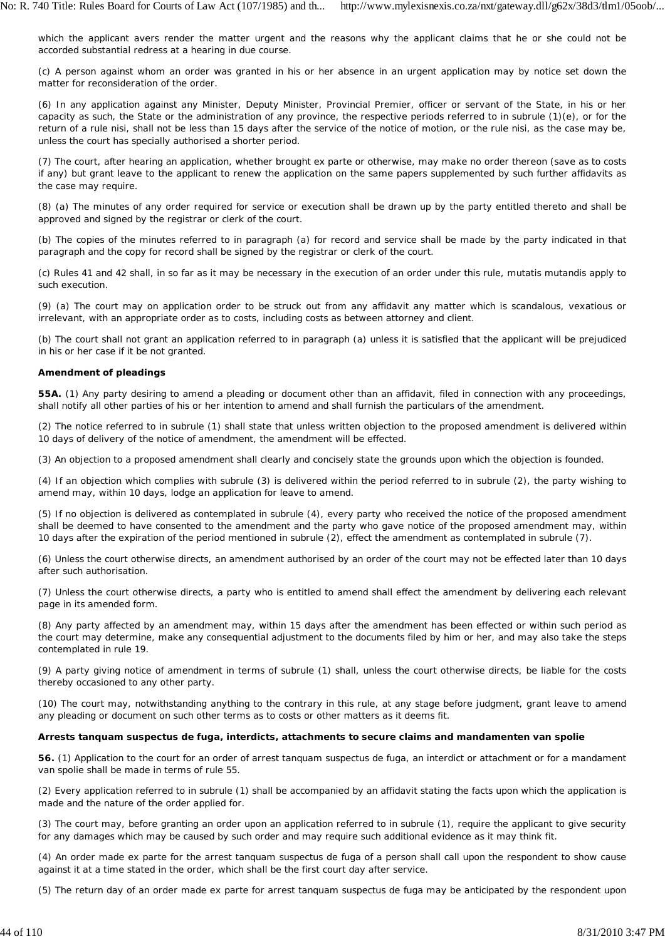which the applicant avers render the matter urgent and the reasons why the applicant claims that he or she could not be accorded substantial redress at a hearing in due course.

(c) A person against whom an order was granted in his or her absence in an urgent application may by notice set down the matter for reconsideration of the order.

(6) In any application against any Minister, Deputy Minister, Provincial Premier, officer or servant of the State, in his or her capacity as such, the State or the administration of any province, the respective periods referred to in subrule (1)(e), or for the return of a *rule nisi,* shall not be less than 15 days after the service of the notice of motion, or the *rule nisi,* as the case may be, unless the court has specially authorised a shorter period.

(7) The court, after hearing an application, whether brought ex *parte* or otherwise, may make no order thereon (save as to costs if any) but grant leave to the applicant to renew the application on the same papers supplemented by such further affidavits as the case may require.

(8) (a) The minutes of any order required for service or execution shall be drawn up by the party entitled thereto and shall be approved and signed by the registrar or clerk of the court.

(b) The copies of the minutes referred to in paragraph (a) for record and service shall be made by the party indicated in that paragraph and the copy for record shall be signed by the registrar or clerk of the court.

(c) Rules 41 and 42 shall, in so far as it may be necessary in the execution of an order under this rule, *mutatis mutandis* apply to such execution.

(9) (a) The court may on application order to be struck out from any affidavit any matter which is scandalous, vexatious or irrelevant, with an appropriate order as to costs, including costs as between attorney and client.

(b) The court shall not grant an application referred to in paragraph (a) unless it is satisfied that the applicant will be prejudiced in his or her case if it be not granted.

## **Amendment of pleadings**

**55A.** (1) Any party desiring to amend a pleading or document other than an affidavit, filed in connection with any proceedings, shall notify all other parties of his or her intention to amend and shall furnish the particulars of the amendment.

(2) The notice referred to in subrule (1) shall state that unless written objection to the proposed amendment is delivered within 10 days of delivery of the notice of amendment, the amendment will be effected.

(3) An objection to a proposed amendment shall clearly and concisely state the grounds upon which the objection is founded.

(4) If an objection which complies with subrule (3) is delivered within the period referred to in subrule (2), the party wishing to amend may, within 10 days, lodge an application for leave to amend.

(5) If no objection is delivered as contemplated in subrule (4), every party who received the notice of the proposed amendment shall be deemed to have consented to the amendment and the party who gave notice of the proposed amendment may, within 10 days after the expiration of the period mentioned in subrule (2), effect the amendment as contemplated in subrule (7).

(6) Unless the court otherwise directs, an amendment authorised by an order of the court may not be effected later than 10 days after such authorisation.

(7) Unless the court otherwise directs, a party who is entitled to amend shall effect the amendment by delivering each relevant page in its amended form.

(8) Any party affected by an amendment may, within 15 days after the amendment has been effected or within such period as the court may determine, make any consequential adjustment to the documents filed by him or her, and may also take the steps contemplated in rule 19.

(9) A party giving notice of amendment in terms of subrule (1) shall, unless the court otherwise directs, be liable for the costs thereby occasioned to any other party.

(10) The court may, notwithstanding anything to the contrary in this rule, at any stage before judgment, grant leave to amend any pleading or document on such other terms as to costs or other matters as it deems fit.

#### **Arrests** *tanquam suspectus de fuga,* **interdicts, attachments to secure claims and** *mandamenten van spolie*

**56.** (1) Application to the court for an order of arrest *tanquam suspectus de fuga,* an interdict or attachment or for a *mandament van spolie* shall be made in terms of rule 55.

(2) Every application referred to in subrule (1) shall be accompanied by an affidavit stating the facts upon which the application is made and the nature of the order applied for.

(3) The court may, before granting an order upon an application referred to in subrule (1), require the applicant to give security for any damages which may be caused by such order and may require such additional evidence as it may think fit.

(4) An order made ex *parte* for the arrest *tanquam suspectus de fuga* of a person shall call upon the respondent to show cause against it at a time stated in the order, which shall be the first court day after service.

(5) The return day of an order made *ex parte* for arrest *tanquam suspectus de fuga* may be anticipated by the respondent upon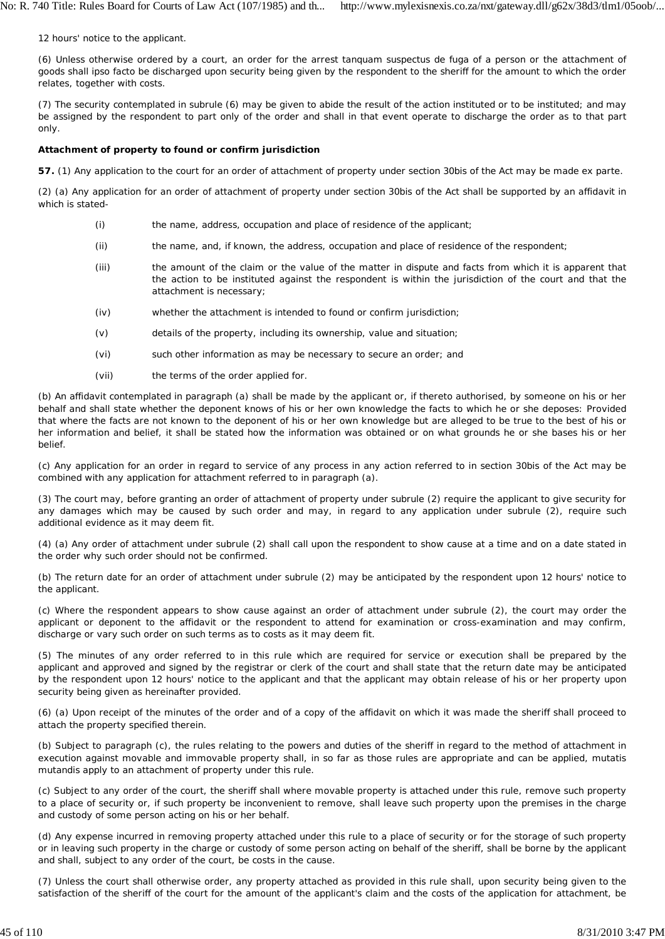12 hours' notice to the applicant.

(6) Unless otherwise ordered by a court, an order for the arrest *tanquam suspectus de fuga* of a person or the attachment of goods shall *ipso facto* be discharged upon security being given by the respondent to the sheriff for the amount to which the order relates, together with costs.

(7) The security contemplated in subrule (6) may be given to abide the result of the action instituted or to be instituted; and may be assigned by the respondent to part only of the order and shall in that event operate to discharge the order as to that part only.

### **Attachment of property to found or confirm jurisdiction**

**57.** (1) Any application to the court for an order of attachment of property under section 30bis of the Act may be made *ex parte.*

(2) (a) Any application for an order of attachment of property under section 30bis of the Act shall be supported by an affidavit in which is stated-

- (i) the name, address, occupation and place of residence of the applicant;
- (ii) the name, and, if known, the address, occupation and place of residence of the respondent;
- (iii) the amount of the claim or the value of the matter in dispute and facts from which it is apparent that the action to be instituted against the respondent is within the jurisdiction of the court and that the attachment is necessary;
- (iv) whether the attachment is intended to found or confirm jurisdiction;
- (v) details of the property, including its ownership, value and situation;
- (vi) such other information as may be necessary to secure an order; and
- (vii) the terms of the order applied for.

(b) An affidavit contemplated in paragraph (a) shall be made by the applicant or, if thereto authorised, by someone on his or her behalf and shall state whether the deponent knows of his or her own knowledge the facts to which he or she deposes: Provided that where the facts are not known to the deponent of his or her own knowledge but are alleged to be true to the best of his or her information and belief, it shall be stated how the information was obtained or on what grounds he or she bases his or her belief.

(c) Any application for an order in regard to service of any process in any action referred to in section 30bis of the Act may be combined with any application for attachment referred to in paragraph (a).

(3) The court may, before granting an order of attachment of property under subrule (2) require the applicant to give security for any damages which may be caused by such order and may, in regard to any application under subrule (2), require such additional evidence as it may deem fit.

(4) (a) Any order of attachment under subrule (2) shall call upon the respondent to show cause at a time and on a date stated in the order why such order should not be confirmed.

(b) The return date for an order of attachment under subrule (2) may be anticipated by the respondent upon 12 hours' notice to the applicant.

(c) Where the respondent appears to show cause against an order of attachment under subrule (2), the court may order the applicant or deponent to the affidavit or the respondent to attend for examination or cross-examination and may confirm, discharge or vary such order on such terms as to costs as it may deem fit.

(5) The minutes of any order referred to in this rule which are required for service or execution shall be prepared by the applicant and approved and signed by the registrar or clerk of the court and shall state that the return date may be anticipated by the respondent upon 12 hours' notice to the applicant and that the applicant may obtain release of his or her property upon security being given as hereinafter provided.

(6) (a) Upon receipt of the minutes of the order and of a copy of the affidavit on which it was made the sheriff shall proceed to attach the property specified therein.

(b) Subject to paragraph (c), the rules relating to the powers and duties of the sheriff in regard to the method of attachment in execution against movable and immovable property shall, in so far as those rules are appropriate and can be applied, *mutatis mutandis* apply to an attachment of property under this rule.

(c) Subject to any order of the court, the sheriff shall where movable property is attached under this rule, remove such property to a place of security or, if such property be inconvenient to remove, shall leave such property upon the premises in the charge and custody of some person acting on his or her behalf.

(d) Any expense incurred in removing property attached under this rule to a place of security or for the storage of such property or in leaving such property in the charge or custody of some person acting on behalf of the sheriff, shall be borne by the applicant and shall, subject to any order of the court, be costs in the cause.

(7) Unless the court shall otherwise order, any property attached as provided in this rule shall, upon security being given to the satisfaction of the sheriff of the court for the amount of the applicant's claim and the costs of the application for attachment, be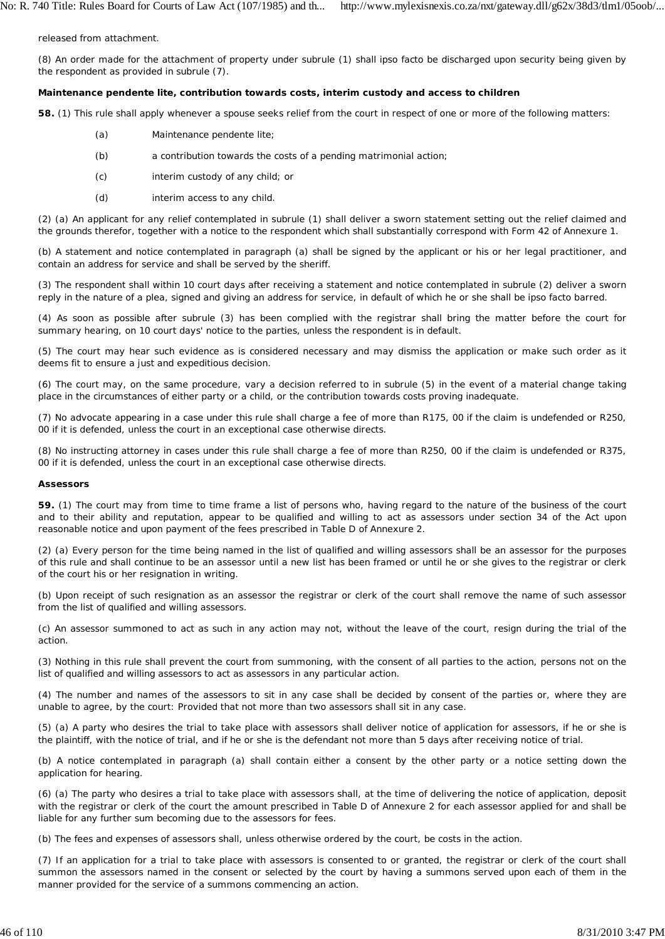released from attachment.

(8) An order made for the attachment of property under subrule (1) shall *ipso facto* be discharged upon security being given by the respondent as provided in subrule (7).

#### **Maintenance** *pendente lite,* **contribution towards costs, interim custody and access to children**

**58.** (1) This rule shall apply whenever a spouse seeks relief from the court in respect of one or more of the following matters:

- (a) Maintenance *pendente lite;*
- (b) a contribution towards the costs of a pending matrimonial action;
- (c) interim custody of any child; or
- (d) interim access to any child.

(2) (a) An applicant for any relief contemplated in subrule (1) shall deliver a sworn statement setting out the relief claimed and the grounds therefor, together with a notice to the respondent which shall substantially correspond with Form 42 of Annexure 1.

(b) A statement and notice contemplated in paragraph (a) shall be signed by the applicant or his or her legal practitioner, and contain an address for service and shall be served by the sheriff.

(3) The respondent shall within 10 court days after receiving a statement and notice contemplated in subrule (2) deliver a sworn reply in the nature of a plea, signed and giving an address for service, in default of which he or she shall be *ipso facto* barred.

(4) As soon as possible after subrule (3) has been complied with the registrar shall bring the matter before the court for summary hearing, on 10 court days' notice to the parties, unless the respondent is in default.

(5) The court may hear such evidence as is considered necessary and may dismiss the application or make such order as it deems fit to ensure a just and expeditious decision.

(6) The court may, on the same procedure, vary a decision referred to in subrule (5) in the event of a material change taking place in the circumstances of either party or a child, or the contribution towards costs proving inadequate.

(7) No advocate appearing in a case under this rule shall charge a fee of more than R175, 00 if the claim is undefended or R250, 00 if it is defended, unless the court in an exceptional case otherwise directs.

(8) No instructing attorney in cases under this rule shall charge a fee of more than R250, 00 if the claim is undefended or R375, 00 if it is defended, unless the court in an exceptional case otherwise directs.

#### **Assessors**

**59.** (1) The court may from time to time frame a list of persons who, having regard to the nature of the business of the court and to their ability and reputation, appear to be qualified and willing to act as assessors under section 34 of the Act upon reasonable notice and upon payment of the fees prescribed in Table D of Annexure 2.

(2) (a) Every person for the time being named in the list of qualified and willing assessors shall be an assessor for the purposes of this rule and shall continue to be an assessor until a new list has been framed or until he or she gives to the registrar or clerk of the court his or her resignation in writing.

(b) Upon receipt of such resignation as an assessor the registrar or clerk of the court shall remove the name of such assessor from the list of qualified and willing assessors.

(c) An assessor summoned to act as such in any action may not, without the leave of the court, resign during the trial of the action.

(3) Nothing in this rule shall prevent the court from summoning, with the consent of all parties to the action, persons not on the list of qualified and willing assessors to act as assessors in any particular action.

(4) The number and names of the assessors to sit in any case shall be decided by consent of the parties or, where they are unable to agree, by the court: Provided that not more than two assessors shall sit in any case.

(5) (a) A party who desires the trial to take place with assessors shall deliver notice of application for assessors, if he or she is the plaintiff, with the notice of trial, and if he or she is the defendant not more than 5 days after receiving notice of trial.

(b) A notice contemplated in paragraph (a) shall contain either a consent by the other party or a notice setting down the application for hearing.

(6) (a) The party who desires a trial to take place with assessors shall, at the time of delivering the notice of application, deposit with the registrar or clerk of the court the amount prescribed in Table D of Annexure 2 for each assessor applied for and shall be liable for any further sum becoming due to the assessors for fees.

(b) The fees and expenses of assessors shall, unless otherwise ordered by the court, be costs in the action.

(7) If an application for a trial to take place with assessors is consented to or granted, the registrar or clerk of the court shall summon the assessors named in the consent or selected by the court by having a summons served upon each of them in the manner provided for the service of a summons commencing an action.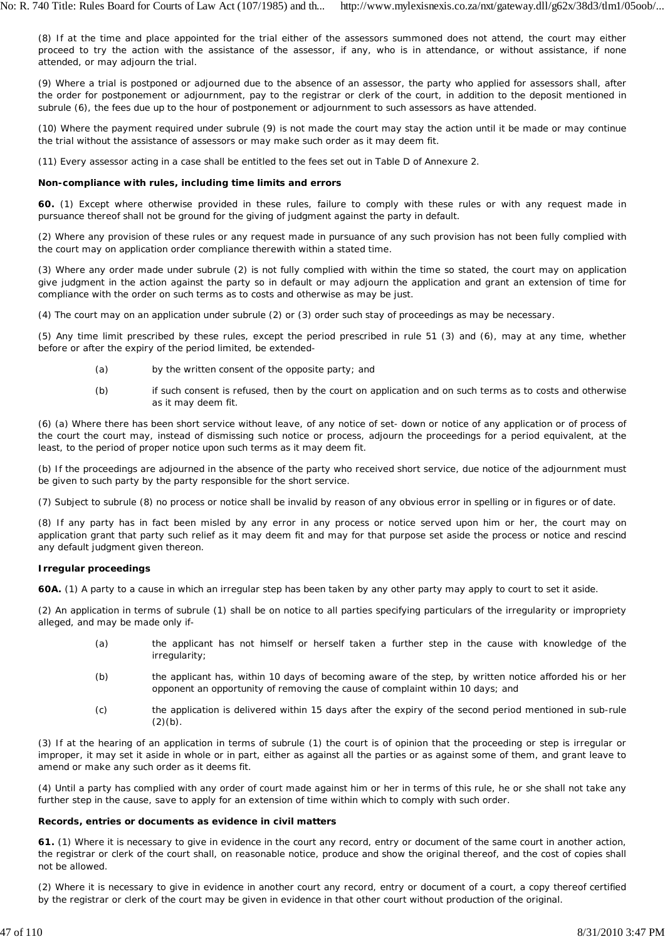(8) If at the time and place appointed for the trial either of the assessors summoned does not attend, the court may either proceed to try the action with the assistance of the assessor, if any, who is in attendance, or without assistance, if none attended, or may adjourn the trial.

(9) Where a trial is postponed or adjourned due to the absence of an assessor, the party who applied for assessors shall, after the order for postponement or adjournment, pay to the registrar or clerk of the court, in addition to the deposit mentioned in subrule (6), the fees due up to the hour of postponement or adjournment to such assessors as have attended.

(10) Where the payment required under subrule (9) is not made the court may stay the action until it be made or may continue the trial without the assistance of assessors or may make such order as it may deem fit.

(11) Every assessor acting in a case shall be entitled to the fees set out in Table D of Annexure 2.

# **Non-compliance with rules, including time limits and errors**

**60.** (1) Except where otherwise provided in these rules, failure to comply with these rules or with any request made in pursuance thereof shall not be ground for the giving of judgment against the party in default.

(2) Where any provision of these rules or any request made in pursuance of any such provision has not been fully complied with the court may on application order compliance therewith within a stated time.

(3) Where any order made under subrule (2) is not fully complied with within the time so stated, the court may on application give judgment in the action against the party so in default or may adjourn the application and grant an extension of time for compliance with the order on such terms as to costs and otherwise as may be just.

(4) The court may on an application under subrule (2) or (3) order such stay of proceedings as may be necessary.

(5) Any time limit prescribed by these rules, except the period prescribed in rule 51 (3) and (6), may at any time, whether before or after the expiry of the period limited, be extended-

- (a) by the written consent of the opposite party; and
- (b) if such consent is refused, then by the court on application and on such terms as to costs and otherwise as it may deem fit.

(6) (a) Where there has been short service without leave, of any notice of set- down or notice of any application or of process of the court the court may, instead of dismissing such notice or process, adjourn the proceedings for a period equivalent, at the least, to the period of proper notice upon such terms as it may deem fit.

(b) If the proceedings are adjourned in the absence of the party who received short service, due notice of the adjournment must be given to such party by the party responsible for the short service.

(7) Subject to subrule (8) no process or notice shall be invalid by reason of any obvious error in spelling or in figures or of date.

(8) If any party has in fact been misled by any error in any process or notice served upon him or her, the court may on application grant that party such relief as it may deem fit and may for that purpose set aside the process or notice and rescind any default judgment given thereon.

# **Irregular proceedings**

**60A.** (1) A party to a cause in which an irregular step has been taken by any other party may apply to court to set it aside.

(2) An application in terms of subrule (1) shall be on notice to all parties specifying particulars of the irregularity or impropriety alleged, and may be made only if-

- (a) the applicant has not himself or herself taken a further step in the cause with knowledge of the irregularity;
- (b) the applicant has, within 10 days of becoming aware of the step, by written notice afforded his or her opponent an opportunity of removing the cause of complaint within 10 days; and
- (c) the application is delivered within 15 days after the expiry of the second period mentioned in sub-rule  $(2)(b)$ .

(3) If at the hearing of an application in terms of subrule (1) the court is of opinion that the proceeding or step is irregular or improper, it may set it aside in whole or in part, either as against all the parties or as against some of them, and grant leave to amend or make any such order as it deems fit.

(4) Until a party has complied with any order of court made against him or her in terms of this rule, he or she shall not take any further step in the cause, save to apply for an extension of time within which to comply with such order.

# **Records, entries or documents as evidence in civil matters**

**61.** (1) Where it is necessary to give in evidence in the court any record, entry or document of the same court in another action, the registrar or clerk of the court shall, on reasonable notice, produce and show the original thereof, and the cost of copies shall not be allowed.

(2) Where it is necessary to give in evidence in another court any record, entry or document of a court, a copy thereof certified by the registrar or clerk of the court may be given in evidence in that other court without production of the original.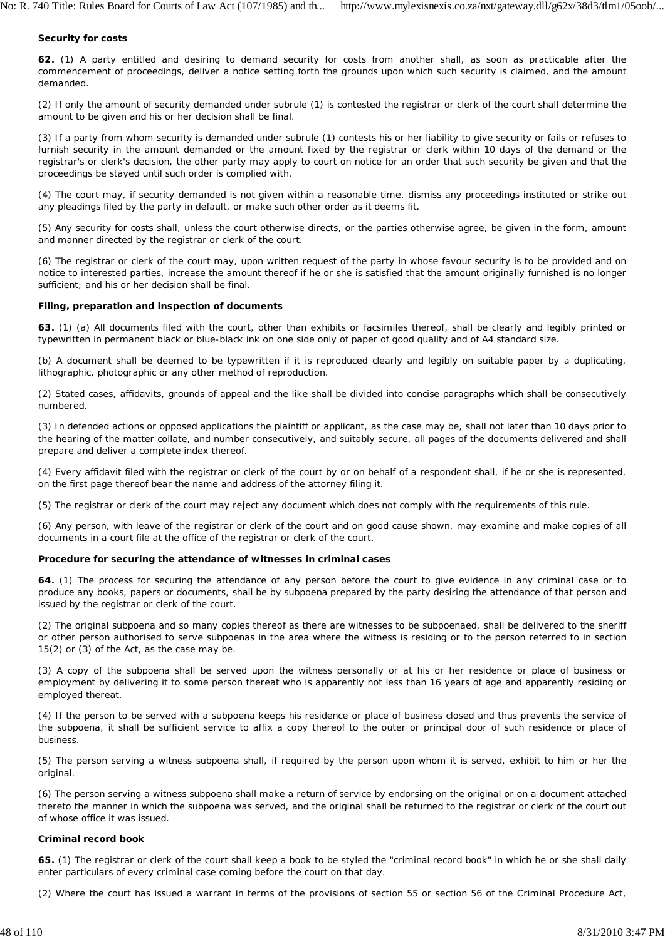### **Security for costs**

**62.** (1) A party entitled and desiring to demand security for costs from another shall, as soon as practicable after the commencement of proceedings, deliver a notice setting forth the grounds upon which such security is claimed, and the amount demanded.

(2) If only the amount of security demanded under subrule (1) is contested the registrar or clerk of the court shall determine the amount to be given and his or her decision shall be final.

(3) If a party from whom security is demanded under subrule (1) contests his or her liability to give security or fails or refuses to furnish security in the amount demanded or the amount fixed by the registrar or clerk within 10 days of the demand or the registrar's or clerk's decision, the other party may apply to court on notice for an order that such security be given and that the proceedings be stayed until such order is complied with.

(4) The court may, if security demanded is not given within a reasonable time, dismiss any proceedings instituted or strike out any pleadings filed by the party in default, or make such other order as it deems fit.

(5) Any security for costs shall, unless the court otherwise directs, or the parties otherwise agree, be given in the form, amount and manner directed by the registrar or clerk of the court.

(6) The registrar or clerk of the court may, upon written request of the party in whose favour security is to be provided and on notice to interested parties, increase the amount thereof if he or she is satisfied that the amount originally furnished is no longer sufficient; and his or her decision shall be final.

### **Filing, preparation and inspection of documents**

**63.** (1) (a) All documents filed with the court, other than exhibits or facsimiles thereof, shall be clearly and legibly printed or typewritten in permanent black or blue-black ink on one side only of paper of good quality and of A4 standard size.

(b) A document shall be deemed to be typewritten if it is reproduced clearly and legibly on suitable paper by a duplicating, lithographic, photographic or any other method of reproduction.

(2) Stated cases, affidavits, grounds of appeal and the like shall be divided into concise paragraphs which shall be consecutively numbered.

(3) In defended actions or opposed applications the plaintiff or applicant, as the case may be, shall not later than 10 days prior to the hearing of the matter collate, and number consecutively, and suitably secure, all pages of the documents delivered and shall prepare and deliver a complete index thereof.

(4) Every affidavit filed with the registrar or clerk of the court by or on behalf of a respondent shall, if he or she is represented, on the first page thereof bear the name and address of the attorney filing it.

(5) The registrar or clerk of the court may reject any document which does not comply with the requirements of this rule.

(6) Any person, with leave of the registrar or clerk of the court and on good cause shown, may examine and make copies of all documents in a court file at the office of the registrar or clerk of the court.

### **Procedure for securing the attendance of witnesses in criminal cases**

**64.** (1) The process for securing the attendance of any person before the court to give evidence in any criminal case or to produce any books, papers or documents, shall be by subpoena prepared by the party desiring the attendance of that person and issued by the registrar or clerk of the court.

(2) The original subpoena and so many copies thereof as there are witnesses to be subpoenaed, shall be delivered to the sheriff or other person authorised to serve subpoenas in the area where the witness is residing or to the person referred to in section 15(2) or (3) of the Act, as the case may be.

(3) A copy of the subpoena shall be served upon the witness personally or at his or her residence or place of business or employment by delivering it to some person thereat who is apparently not less than 16 years of age and apparently residing or employed thereat.

(4) If the person to be served with a subpoena keeps his residence or place of business closed and thus prevents the service of the subpoena, it shall be sufficient service to affix a copy thereof to the outer or principal door of such residence or place of business.

(5) The person serving a witness subpoena shall, if required by the person upon whom it is served, exhibit to him or her the original.

(6) The person serving a witness subpoena shall make a return of service by endorsing on the original or on a document attached thereto the manner in which the subpoena was served, and the original shall be returned to the registrar or clerk of the court out of whose office it was issued.

### **Criminal record book**

**65.** (1) The registrar or clerk of the court shall keep a book to be styled the "criminal record book" in which he or she shall daily enter particulars of every criminal case coming before the court on that day.

(2) Where the court has issued a warrant in terms of the provisions of section 55 or section 56 of the Criminal Procedure Act,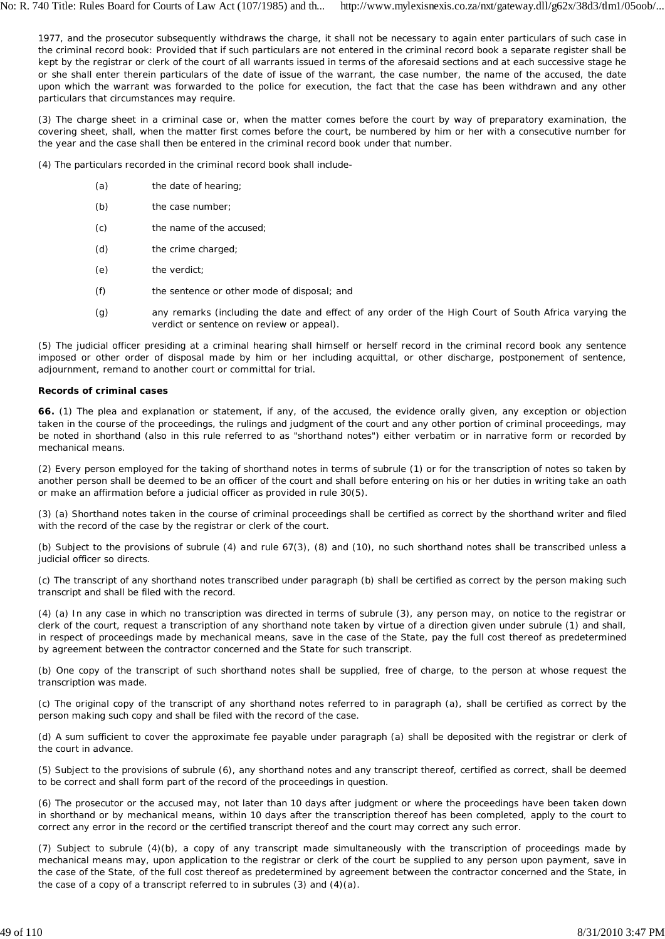1977, and the prosecutor subsequently withdraws the charge, it shall not be necessary to again enter particulars of such case in the criminal record book: Provided that if such particulars are not entered in the criminal record book a separate register shall be kept by the registrar or clerk of the court of all warrants issued in terms of the aforesaid sections and at each successive stage he or she shall enter therein particulars of the date of issue of the warrant, the case number, the name of the accused, the date upon which the warrant was forwarded to the police for execution, the fact that the case has been withdrawn and any other particulars that circumstances may require.

(3) The charge sheet in a criminal case or, when the matter comes before the court by way of preparatory examination, the covering sheet, shall, when the matter first comes before the court, be numbered by him or her with a consecutive number for the year and the case shall then be entered in the criminal record book under that number.

(4) The particulars recorded in the criminal record book shall include-

- (a) the date of hearing;
- (b) the case number;
- (c) the name of the accused;
- (d) the crime charged;
- (e) the verdict;
- (f) the sentence or other mode of disposal; and
- (g) any remarks (including the date and effect of any order of the High Court of South Africa varying the verdict or sentence on review or appeal).

(5) The judicial officer presiding at a criminal hearing shall himself or herself record in the criminal record book any sentence imposed or other order of disposal made by him or her including acquittal, or other discharge, postponement of sentence, adjournment, remand to another court or committal for trial.

#### **Records of criminal cases**

**66.** (1) The plea and explanation or statement, if any, of the accused, the evidence orally given, any exception or objection taken in the course of the proceedings, the rulings and judgment of the court and any other portion of criminal proceedings, may be noted in shorthand (also in this rule referred to as "shorthand notes") either verbatim or in narrative form or recorded by mechanical means.

(2) Every person employed for the taking of shorthand notes in terms of subrule (1) or for the transcription of notes so taken by another person shall be deemed to be an officer of the court and shall before entering on his or her duties in writing take an oath or make an affirmation before a judicial officer as provided in rule 30(5).

(3) (a) Shorthand notes taken in the course of criminal proceedings shall be certified as correct by the shorthand writer and filed with the record of the case by the registrar or clerk of the court.

(b) Subject to the provisions of subrule (4) and rule 67(3), (8) and (10), no such shorthand notes shall be transcribed unless a judicial officer so directs.

(c) The transcript of any shorthand notes transcribed under paragraph (b) shall be certified as correct by the person making such transcript and shall be filed with the record.

(4) (a) In any case in which no transcription was directed in terms of subrule (3), any person may, on notice to the registrar or clerk of the court, request a transcription of any shorthand note taken by virtue of a direction given under subrule (1) and shall, in respect of proceedings made by mechanical means, save in the case of the State, pay the full cost thereof as predetermined by agreement between the contractor concerned and the State for such transcript.

(b) One copy of the transcript of such shorthand notes shall be supplied, free of charge, to the person at whose request the transcription was made.

(c) The original copy of the transcript of any shorthand notes referred to in paragraph (a), shall be certified as correct by the person making such copy and shall be filed with the record of the case.

(d) A sum sufficient to cover the approximate fee payable under paragraph (a) shall be deposited with the registrar or clerk of the court in advance.

(5) Subject to the provisions of subrule (6), any shorthand notes and any transcript thereof, certified as correct, shall be deemed to be correct and shall form part of the record of the proceedings in question.

(6) The prosecutor or the accused may, not later than 10 days after judgment or where the proceedings have been taken down in shorthand or by mechanical means, within 10 days after the transcription thereof has been completed, apply to the court to correct any error in the record or the certified transcript thereof and the court may correct any such error.

(7) Subject to subrule (4)(b), a copy of any transcript made simultaneously with the transcription of proceedings made by mechanical means may, upon application to the registrar or clerk of the court be supplied to any person upon payment, save in the case of the State, of the full cost thereof as predetermined by agreement between the contractor concerned and the State, in the case of a copy of a transcript referred to in subrules (3) and (4)(a).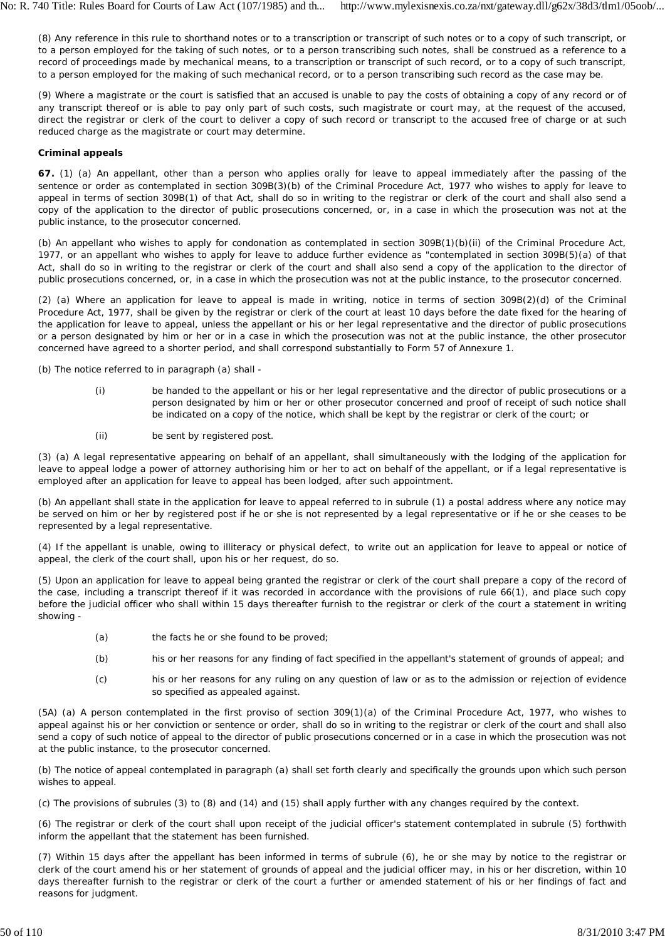(8) Any reference in this rule to shorthand notes or to a transcription or transcript of such notes or to a copy of such transcript, or to a person employed for the taking of such notes, or to a person transcribing such notes, shall be construed as a reference to a record of proceedings made by mechanical means, to a transcription or transcript of such record, or to a copy of such transcript, to a person employed for the making of such mechanical record, or to a person transcribing such record as the case may be.

(9) Where a magistrate or the court is satisfied that an accused is unable to pay the costs of obtaining a copy of any record or of any transcript thereof or is able to pay only part of such costs, such magistrate or court may, at the request of the accused, direct the registrar or clerk of the court to deliver a copy of such record or transcript to the accused free of charge or at such reduced charge as the magistrate or court may determine.

# **Criminal appeals**

**67.** (1) (a) An appellant, other than a person who applies orally for leave to appeal immediately after the passing of the sentence or order as contemplated in section 309B(3)(b) of the Criminal Procedure Act, 1977 who wishes to apply for leave to appeal in terms of section 309B(1) of that Act, shall do so in writing to the registrar or clerk of the court and shall also send a copy of the application to the director of public prosecutions concerned, or, in a case in which the prosecution was not at the public instance, to the prosecutor concerned.

*(b)* An appellant who wishes to apply for condonation as contemplated in section 309B(1)(b)(ii) of the Criminal Procedure Act, 1977, or an appellant who wishes to apply for leave to adduce further evidence as "contemplated in section 309B(5)(a) of that Act, shall do so in writing to the registrar or clerk of the court and shall also send a copy of the application to the director of public prosecutions concerned, or, in a case in which the prosecution was not at the public instance, to the prosecutor concerned.

(2) (*a*) Where an application for leave to appeal is made in writing, notice in terms of section 309B(2)(d) of the Criminal Procedure Act, 1977, shall be given by the registrar or clerk of the court at least 10 days before the date fixed for the hearing of the application for leave to appeal, unless the appellant or his or her legal representative and the director of public prosecutions or a person designated by him or her or in a case in which the prosecution was not at the public instance, the other prosecutor concerned have agreed to a shorter period, and shall correspond substantially to Form 57 of Annexure 1.

*(b)* The notice referred to in paragraph (a) shall -

- (i) be handed to the appellant or his or her legal representative and the director of public prosecutions or a person designated by him or her or other prosecutor concerned and proof of receipt of such notice shall be indicated on a copy of the notice, which shall be kept by the registrar or clerk of the court; or
- (ii) be sent by registered post.

(3) (*a*) A legal representative appearing on behalf of an appellant, shall simultaneously with the lodging of the application for leave to appeal lodge a power of attorney authorising him or her to act on behalf of the appellant, or if a legal representative is employed after an application for leave to appeal has been lodged, after such appointment.

*(b)* An appellant shall state in the application for leave to appeal referred to in subrule (1) a postal address where any notice may be served on him or her by registered post if he or she is not represented by a legal representative or if he or she ceases to be represented by a legal representative.

(4) If the appellant is unable, owing to illiteracy or physical defect, to write out an application for leave to appeal or notice of appeal, the clerk of the court shall, upon his or her request, do so.

(5) Upon an application for leave to appeal being granted the registrar or clerk of the court shall prepare a copy of the record of the case, including a transcript thereof if it was recorded in accordance with the provisions of rule 66(1), and place such copy before the judicial officer who shall within 15 days thereafter furnish to the registrar *or* clerk of the court a statement in writing showing -

- (*a*) the facts he or she found to be proved;
- (*b*) his or her reasons for any finding of fact specified in the appellant's statement of grounds of appeal; and
- (*c*) his or her reasons for any ruling on any question of law or as to the admission or rejection of evidence so specified as appealed against.

(5A) (*a*) A person contemplated in the first proviso of section 309(1)(a) of the Criminal Procedure Act, 1977, who wishes to appeal against his or her conviction or sentence or order, shall do so in writing to the registrar or clerk of the court and shall also send a copy of such notice of appeal to the director of public prosecutions concerned or in a case in which the prosecution was not at the public instance, to the prosecutor concerned.

(*b*) The notice of appeal contemplated in paragraph (a) shall set forth clearly and specifically the grounds upon which such person wishes to appeal.

(*c*) The provisions of subrules (3) to (8) and (14) and (15) shall apply further with any changes required by the context.

(6) The registrar or clerk of the court shall upon receipt of the judicial officer's statement contemplated in subrule (5) forthwith inform the appellant that the statement has been furnished.

(7) Within 15 days after the appellant has been informed in terms of subrule (6), he or she may by notice to the registrar or clerk of the court amend his or her statement of grounds of appeal and the judicial officer may, in his or her discretion, within 10 days thereafter furnish to the registrar or clerk of the court a further or amended statement of his or her findings of fact and reasons for judgment.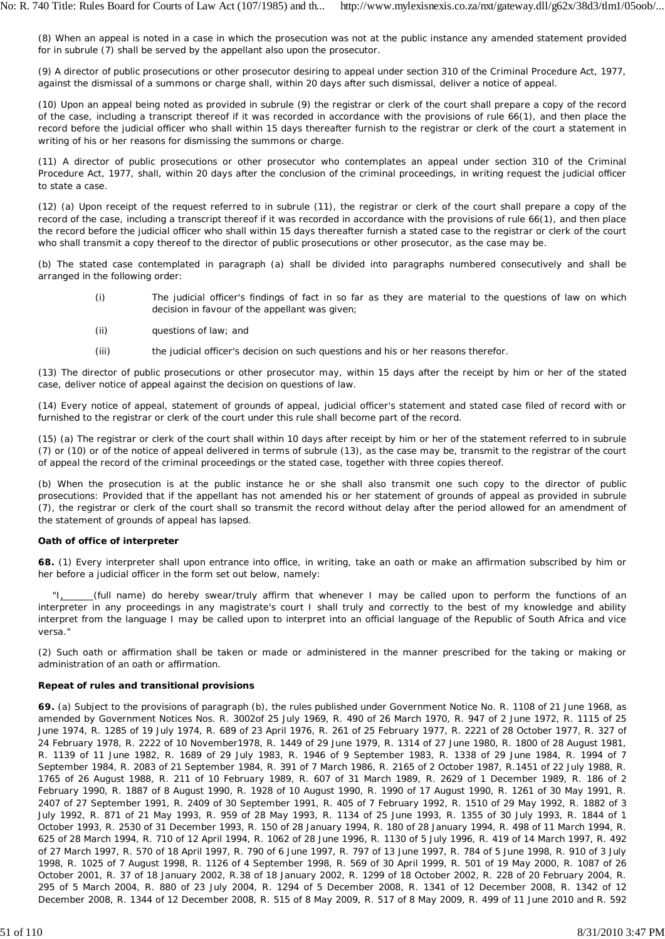(8) When an appeal is noted in a case in which the prosecution was not at the public instance any amended statement provided for in subrule (7) shall be served by the appellant also upon the prosecutor.

(9) A director of public prosecutions or other prosecutor desiring to appeal under section 310 of the Criminal Procedure Act, 1977, against the dismissal of a summons or charge shall, within 20 days after such dismissal, deliver a notice of appeal.

(10) Upon an appeal being noted as provided in subrule (9) the registrar or clerk of the court shall prepare a copy of the record of the case, including a transcript thereof if it was recorded in accordance with the provisions of rule 66(1), and then place the record before the judicial officer who shall within 15 days thereafter furnish to the registrar or clerk of the court a statement in writing of his or her reasons for dismissing the summons or charge.

(11) A director of public prosecutions or other prosecutor who contemplates an appeal under section 310 of the Criminal Procedure Act, 1977, shall, within 20 days after the conclusion of the criminal proceedings, in writing request the judicial officer to state a case.

(12) (*a*) Upon receipt of the request referred to in subrule (11), the registrar or clerk of the court shall prepare a copy of the record of the case, including a transcript thereof if it was recorded in accordance with the provisions of rule 66(1), and then place the record before the judicial officer who shall within 15 days thereafter furnish a stated case to the registrar or clerk of the court who shall transmit a copy thereof to the director of public prosecutions or other prosecutor, as the case may be.

(*b*) The stated case contemplated in paragraph (a) shall be divided into paragraphs numbered consecutively and shall be arranged in the following order:

- (i) The judicial officer's findings of fact in so far as they are material to the questions of law on which decision in favour of the appellant was given;
- (ii) questions of law; and
- (iii) the judicial officer's decision on such questions and his or her reasons therefor.

(13) The director of public prosecutions or other prosecutor may, within 15 days after the receipt by him or her of the stated case, deliver notice of appeal against the decision on questions of law.

(14) Every notice of appeal, statement of grounds of appeal, judicial officer's statement and stated case filed of record with or furnished to the registrar or clerk of the court under this rule shall become part of the record.

(15) (*a*) The registrar or clerk of the court shall within 10 days after receipt by him or her of the statement referred to in subrule (7) or (10) or of the notice of appeal delivered in terms of subrule (13), as the case may be, transmit to the registrar of the court of appeal the record of the criminal proceedings or the stated case, together with three copies thereof.

(*b*) When the prosecution is at the public instance he or she shall also transmit one such copy to the director of public prosecutions: Provided that if the appellant has not amended his or her statement of grounds of appeal as provided in subrule (7), the registrar or clerk of the court shall so transmit the record without delay after the period allowed for an amendment of the statement of grounds of appeal has lapsed.

# **Oath of office of interpreter**

**68.** (1) Every interpreter shall upon entrance into office, in writing, take an oath or make an affirmation subscribed by him or her before a judicial officer in the form set out below, namely:

(full name) do hereby swear/truly affirm that whenever I may be called upon to perform the functions of an interpreter in any proceedings in any magistrate's court I shall truly and correctly to the best of my knowledge and ability interpret from the language I may be called upon to interpret into an official language of the Republic of South Africa and *vice versa."*

(2) Such oath or affirmation shall be taken or made or administered in the manner prescribed for the taking or making or administration of an oath or affirmation.

# **Repeat of rules and transitional provisions**

**69.** (a) Subject to the provisions of paragraph (b), the rules published under Government Notice No. R. 1108 of 21 June 1968, as amended by Government Notices Nos. R. 3002of 25 July 1969, R. 490 of 26 March 1970, R. 947 of 2 June 1972, R. 1115 of 25 June 1974, R. 1285 of 19 July 1974, R. 689 of 23 April 1976, R. 261 of 25 February 1977, R. 2221 of 28 October 1977, R. 327 of 24 February 1978, R. 2222 of 10 November1978, R. 1449 of 29 June 1979, R. 1314 of 27 June 1980, R. 1800 of 28 August 1981, R. 1139 of 11 June 1982, R. 1689 of 29 July 1983, R. 1946 of 9 September 1983, R. 1338 of 29 June 1984, R. 1994 of 7 September 1984, R. 2083 of 21 September 1984, R. 391 of 7 March 1986, R. 2165 of 2 October 1987, R.1451 of 22 July 1988, R. 1765 of 26 August 1988, R. 211 of 10 February 1989, R. 607 of 31 March 1989, R. 2629 of 1 December 1989, R. 186 of 2 February 1990, R. 1887 of 8 August 1990, R. 1928 of 10 August 1990, R. 1990 of 17 August 1990, R. 1261 of 30 May 1991, R. 2407 of 27 September 1991, R. 2409 of 30 September 1991, R. 405 of 7 February 1992, R. 1510 of 29 May 1992, R. 1882 of 3 July 1992, R. 871 of 21 May 1993, R. 959 of 28 May 1993, R. 1134 of 25 June 1993, R. 1355 of 30 July 1993, R. 1844 of 1 October 1993, R. 2530 of 31 December 1993, R. 150 of 28 January 1994, R. 180 of 28 January 1994, R. 498 of 11 March 1994, R. 625 of 28 March 1994, R. 710 of 12 April 1994, R. 1062 of 28 June 1996, R. 1130 of 5 July 1996, R. 419 of 14 March 1997, R. 492 of 27 March 1997, R. 570 of 18 April 1997, R. 790 of 6 June 1997, R. 797 of 13 June 1997, R. 784 of 5 June 1998, R. 910 of 3 July 1998, R. 1025 of 7 August 1998, R. 1126 of 4 September 1998, R. 569 of 30 April 1999, R. 501 of 19 May 2000, R. 1087 of 26 October 2001, R. 37 of 18 January 2002, R.38 of 18 January 2002, R. 1299 of 18 October 2002, R. 228 of 20 February 2004, R. 295 of 5 March 2004, R. 880 of 23 July 2004, R. 1294 of 5 December 2008, R. 1341 of 12 December 2008, R. 1342 of 12 December 2008, R. 1344 of 12 December 2008, R. 515 of 8 May 2009, R. 517 of 8 May 2009, R. 499 of 11 June 2010 and R. 592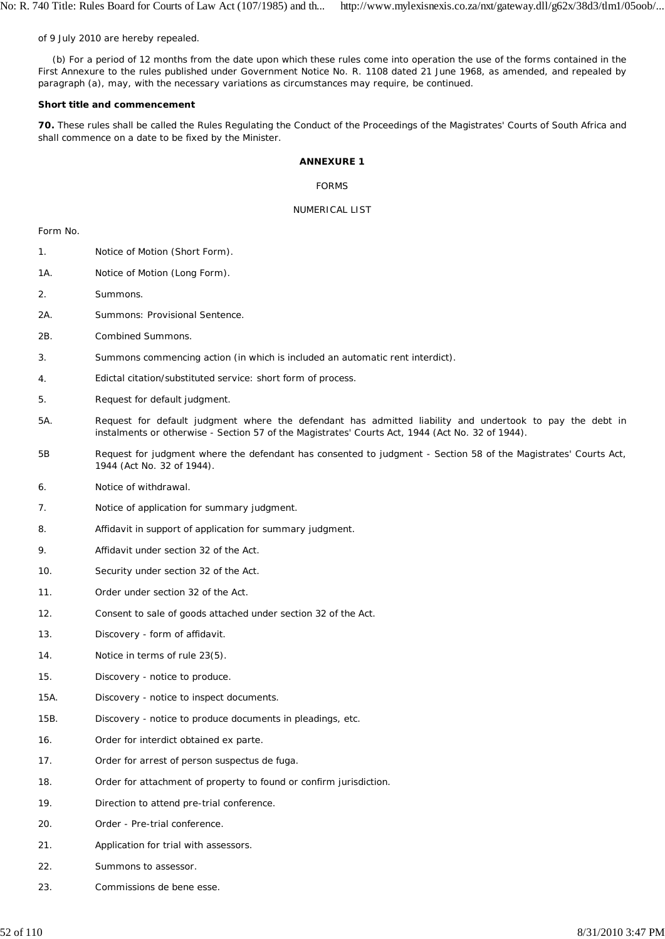of 9 July 2010 are hereby repealed.

(b) For a period of 12 months from the date upon which these rules come into operation the use of the forms contained in the First Annexure to the rules published under Government Notice No. R. 1108 dated 21 June 1968, as amended, and repealed by paragraph (a), may, with the necessary variations as circumstances may require, be continued.

### **Short title and commencement**

**70.** These rules shall be called the Rules Regulating the Conduct of the Proceedings of the Magistrates' Courts of South Africa and shall commence on a date to be fixed by the Minister.

## **ANNEXURE 1**

FORMS

## NUMERICAL LIST

Form No.

- 1. Notice of Motion (Short Form).
- 1A. Notice of Motion (Long Form).
- 2. Summons.
- 2A. Summons: Provisional Sentence.
- 2B. Combined Summons.
- 3. Summons commencing action (in which is included an automatic rent interdict).
- 4. Edictal citation/substituted service: short form of process.
- 5. Request for default judgment.
- 5A. Request for default judgment where the defendant has admitted liability and undertook to pay the debt in instalments or otherwise - Section 57 of the Magistrates' Courts Act, 1944 (Act No. 32 of 1944).
- 5B Request for judgment where the defendant has consented to judgment - Section 58 of the Magistrates' Courts Act, 1944 (Act No. 32 of 1944).
- 6. Notice of withdrawal.
- 7. Notice of application for summary judgment.
- 8. Affidavit in support of application for summary judgment.
- 9. Affidavit under section 32 of the Act.
- 10. Security under section 32 of the Act.
- 11. Order under section 32 of the Act.
- 12. Consent to sale of goods attached under section 32 of the Act.
- 13. Discovery - form of affidavit.
- 14. Notice in terms of rule 23(5).
- 15. Discovery - notice to produce.
- 15A. Discovery - notice to inspect documents.
- 15B. Discovery - notice to produce documents in pleadings, etc.
- 16. Order for interdict obtained *ex parte.*
- 17. Order for arrest of person *suspectus de fuga.*
- 18. Order for attachment of property to found or confirm jurisdiction.
- 19. Direction to attend pre-trial conference.
- 20. Order - Pre-trial conference.
- 21. Application for trial with assessors.
- 22. Summons to assessor.
- 23. Commissions de *bene esse.*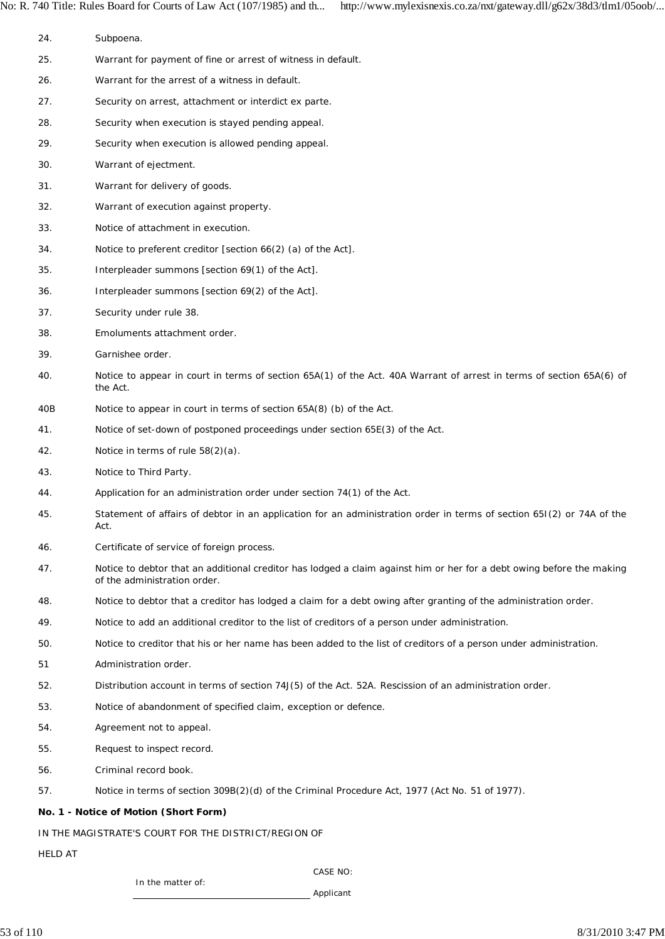No: R. 740 Title: Rules Board for Courts of Law Act (107/1985) and th... http://www.mylexisnexis.co.za/nxt/gateway.dll/g62x/38d3/tlm1/05oob/...

24. 25. 26. 27. 28. 29. 30. 31. 32. 33. 34. 35. 36. 37. 38. 39. 40. 40B 41. 42. 43. 44. 45. 46. 47. 48. 49. 50. 51 52. 53. 54. 55. 56. 57. **No. 1 - Notice of Motion (Short Form)** IN THE MAGISTRATE'S COURT FOR THE DISTRICT/REGION OF HELD AT CASE NO: In the matter of: Applicant Subpoena. Warrant for payment of fine or arrest of witness in default. Warrant for the arrest of a witness in default. Security on arrest, attachment or interdict ex parte. Security when execution is stayed pending appeal. Security when execution is allowed pending appeal. Warrant of ejectment. Warrant for delivery of goods. Warrant of execution against property. Notice of attachment in execution. Notice to preferent creditor [section 66(2) (a) of the Act]. Interpleader summons [section 69(1) of the Act]. Interpleader summons [section 69(2) of the Act]. Security under rule 38. Emoluments attachment order. Garnishee order. Notice to appear in court in terms of section 65A(1) of the Act. 40A Warrant of arrest in terms of section 65A(6) of the Act. Notice to appear in court in terms of section 65A(8) (b) of the Act. Notice of set-down of postponed proceedings under section 65E(3) of the Act. Notice in terms of rule 58(2)(a). Notice to Third Party. Application for an administration order under section 74(1) of the Act. Statement of affairs of debtor in an application for an administration order in terms of section 65I(2) or 74A of the Act. Certificate of service of foreign process. Notice to debtor that an additional creditor has lodged a claim against him or her for a debt owing before the making of the administration order. Notice to debtor that a creditor has lodged a claim for a debt owing after granting of the administration order. Notice to add an additional creditor to the list of creditors of a person under administration. Notice to creditor that his or her name has been added to the list of creditors of a person under administration. Administration order. Distribution account in terms of section 74J(5) of the Act. 52A. Rescission of an administration order. Notice of abandonment of specified claim, exception or defence. Agreement not to appeal. Request to inspect record. Criminal record book. Notice in terms of section 309B(2)(d) of the Criminal Procedure Act, 1977 (Act No. 51 of 1977).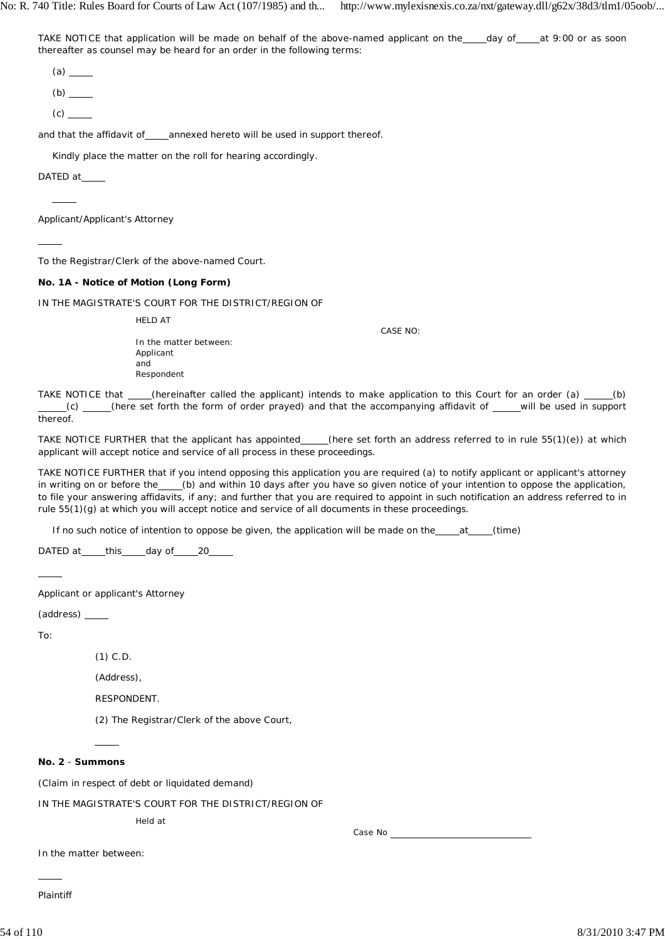No: R. 740 Title: Rules Board for Courts of Law Act (107/1985) and th... http://www.mylexisnexis.co.za/nxt/gateway.dll/g62x/38d3/tlm1/05oob/...

TAKE NOTICE that application will be made on behalf of the above-named applicant on the \_\_\_day of \_\_\_at 9:00 or as soon thereafter as counsel may be heard for an order in the following terms:

(a)

 $(b)$ <sub>\_\_\_\_</sub>

 $(c)$   $\qquad$ 

and that the affidavit of\_\_\_annexed hereto will be used in support thereof.

Kindly place the matter on the roll for hearing accordingly.

DATED at

 $\overline{a}$ 

 $\overline{a}$ 

Applicant/Applicant's Attorney

To the Registrar/Clerk of the above-named Court.

#### **No. 1A - Notice of Motion (Long Form)**

IN THE MAGISTRATE'S COURT FOR THE DISTRICT/REGION OF

HELD AT

In the matter between: Applicant and Respondent

CASE NO:

TAKE NOTICE that  $\qquad$  (hereinafter called the applicant) intends to make application to this Court for an order (a)  $\qquad$  (b) (c) \_\_\_\_(here set forth the form of order prayed) and that the accompanying affidavit of \_\_\_\_will be used in support thereof.

TAKE NOTICE FURTHER that the applicant has appointed\_\_\_\_(here set forth an address referred to in rule 55(1)(e)) at which applicant will accept notice and service of all process in these proceedings.

TAKE NOTICE FURTHER that if you intend opposing this application you are required (a) to notify applicant or applicant's attorney in writing on or before the (b) and within 10 days after you have so given notice of your intention to oppose the application, to file your answering affidavits, if any; and further that you are required to appoint in such notification an address referred to in rule 55(1)(g) at which you will accept notice and service of all documents in these proceedings.

If no such notice of intention to oppose be given, the application will be made on the \_\_\_\_at \_\_\_\_(time)

DATED at this day of 20

 $\overline{a}$ 

Applicant or applicant's Attorney

(address)

To:

(1) C.D.

(Address),

RESPONDENT.

(2) The Registrar/Clerk of the above Court,

## **No. 2** - **Summons**

 $\overline{a}$ 

(Claim in respect of debt or liquidated demand)

IN THE MAGISTRATE'S COURT FOR THE DISTRICT/REGION OF

Held at

Case No

In the matter between:

Plaintiff

 $\overline{a}$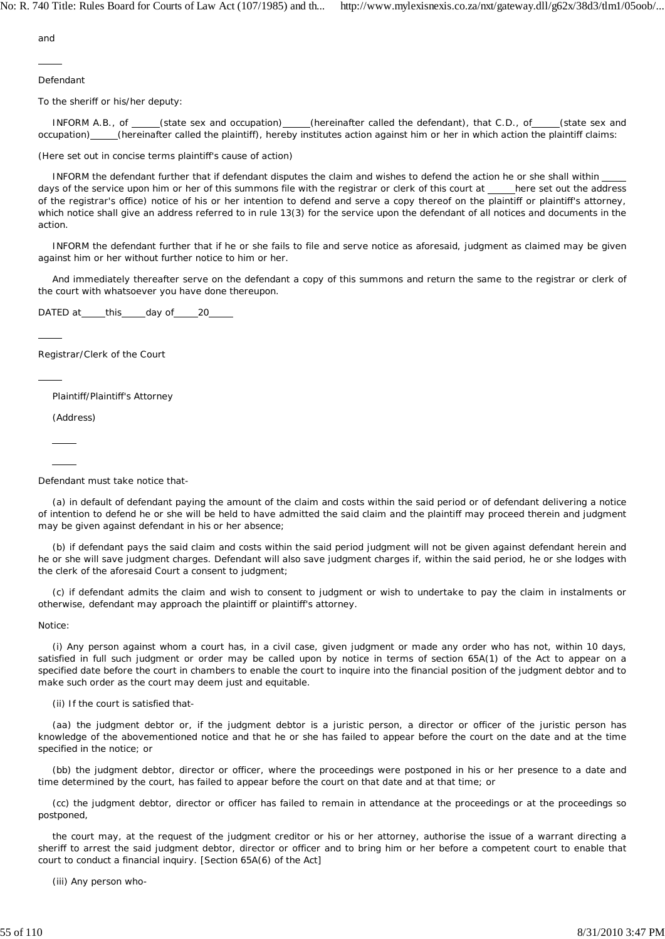and

 $\overline{a}$ 

Defendant

To the sheriff or his/her deputy:

INFORM A.B., of \_\_\_\_(state sex and occupation) \_\_\_\_(hereinafter called the defendant), that C.D., of \_\_\_\_(state sex and occupation) \_\_\_\_\_(hereinafter called the plaintiff), hereby institutes action against him or her in which action the plaintiff claims:

(Here set out in concise terms plaintiff's cause of action)

INFORM the defendant further that if defendant disputes the claim and wishes to defend the action he or she shall within days of the service upon him or her of this summons file with the registrar or clerk of this court at \_\_\_\_here set out the address of the registrar's office) notice of his or her intention to defend and serve a copy thereof on the plaintiff or plaintiff's attorney, which notice shall give an address referred to in rule 13(3) for the service upon the defendant of all notices and documents in the action.

INFORM the defendant further that if he or she fails to file and serve notice as aforesaid, judgment as claimed may be given against him or her without further notice to him or her.

And immediately thereafter serve on the defendant a copy of this summons and return the same to the registrar or clerk of the court with whatsoever you have done thereupon.

DATED at this day of 20

Registrar/Clerk of the Court

Plaintiff/Plaintiff's Attorney

(Address)

l  $\overline{a}$ 

 $\overline{a}$ 

 $\overline{a}$ 

Defendant must take notice that-

(a) in default of defendant paying the amount of the claim and costs within the said period or of defendant delivering a notice of intention to defend he or she will be held to have admitted the said claim and the plaintiff may proceed therein and judgment may be given against defendant in his or her absence;

(b) if defendant pays the said claim and costs within the said period judgment will not be given against defendant herein and he or she will save judgment charges. Defendant will also save judgment charges if, within the said period, he or she lodges with the clerk of the aforesaid Court a consent to judgment;

(c) if defendant admits the claim and wish to consent to judgment or wish to undertake to pay the claim in instalments or otherwise, defendant may approach the plaintiff or plaintiff's attorney.

Notice:

(i) Any person against whom a court has, in a civil case, given judgment or made any order who has not, within 10 days, satisfied in full such judgment or order may be called upon by notice in terms of section 65A(1) of the Act to appear on a specified date before the court in chambers to enable the court to inquire into the financial position of the judgment debtor and to make such order as the court may deem just and equitable.

(ii) If the court is satisfied that-

(aa) the judgment debtor or, if the judgment debtor is a juristic person, a director or officer of the juristic person has knowledge of the abovementioned notice and that he or she has failed to appear before the court on the date and at the time specified in the notice; or

(bb) the judgment debtor, director or officer, where the proceedings were postponed in his or her presence to a date and time determined by the court, has failed to appear before the court on that date and at that time; or

(cc) the judgment debtor, director or officer has failed to remain in attendance at the proceedings or at the proceedings so postponed,

the court may, at the request of the judgment creditor or his or her attorney, authorise the issue of a warrant directing a sheriff to arrest the said judgment debtor, director or officer and to bring him or her before a competent court to enable that court to conduct a financial inquiry. [Section 65A(6) of the Act]

(iii) Any person who-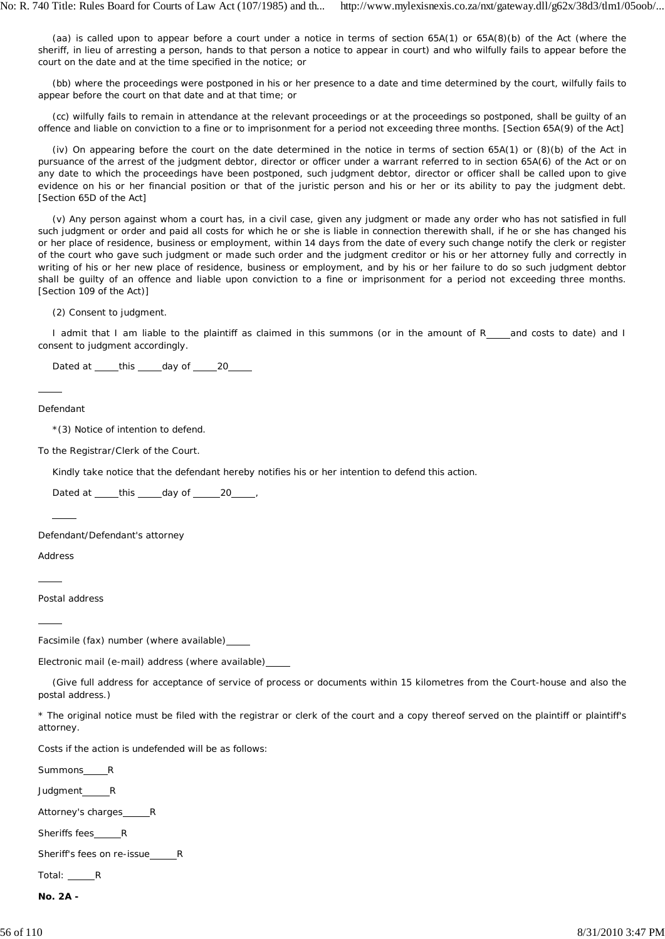(aa) is called upon to appear before a court under a notice in terms of section 65A(1) or 65A(8)(b) of the Act (where the sheriff, in lieu of arresting a person, hands to that person a notice to appear in court) and who wilfully fails to appear before the court on the date and at the time specified in the notice; or

(bb) where the proceedings were postponed in his or her presence to a date and time determined by the court, wilfully fails to appear before the court on that date and at that time; or

(cc) wilfully fails to remain in attendance at the relevant proceedings or at the proceedings so postponed, shall be guilty of an offence and liable on conviction to a fine or to imprisonment for a period not exceeding three months. [Section 65A(9) of the Act]

(iv) On appearing before the court on the date determined in the notice in terms of section 65A(1) or (8)(b) of the Act in pursuance of the arrest of the judgment debtor, director or officer under a warrant referred to in section 65A(6) of the Act or on any date to which the proceedings have been postponed, such judgment debtor, director or officer shall be called upon to give evidence on his or her financial position or that of the juristic person and his or her or its ability to pay the judgment debt. [Section 65D of the Act]

(v) Any person against whom a court has, in a civil case, given any judgment or made any order who has not satisfied in full such judgment or order and paid all costs for which he or she is liable in connection therewith shall, if he or she has changed his or her place of residence, business or employment, within 14 days from the date of every such change notify the clerk or register of the court who gave such judgment or made such order and the judgment creditor or his or her attorney fully and correctly in writing of his or her new place of residence, business or employment, and by his or her failure to do so such judgment debtor shall be guilty of an offence and liable upon conviction to a fine or imprisonment for a period not exceeding three months. [Section 109 of the Act)]

(2) Consent to judgment.

I admit that I am liable to the plaintiff as claimed in this summons (or in the amount of R\_\_\_and costs to date) and I consent to judgment accordingly.

Dated at this day of 20

Defendant

 $\overline{a}$ 

\*(3) Notice of intention to defend.

To the Registrar/Clerk of the Court.

Kindly take notice that the defendant hereby notifies his or her intention to defend this action.

Dated at  $_t$  this  $_d$  day of  $_2$  20  $_2$ ,

Defendant/Defendant's attorney

Address

 $\overline{a}$ 

 $\overline{a}$ 

l

Postal address

Facsimile (fax) number (where available)

Electronic mail (e-mail) address (where available)

(Give full address for acceptance of service of process or documents within 15 kilometres from the Court-house and also the postal address.)

\* The original notice must be filed with the registrar or clerk of the court and a copy thereof served on the plaintiff or plaintiff's attorney.

Costs if the action is undefended will be as follows:

Summons\_\_\_\_\_\_R

Judgment\_\_\_\_\_\_\_R

Attorney's charges\_\_\_\_ R

Sheriffs fees R

Sheriff's fees on re-issue R

Total: <u>R</u>

**No. 2A -**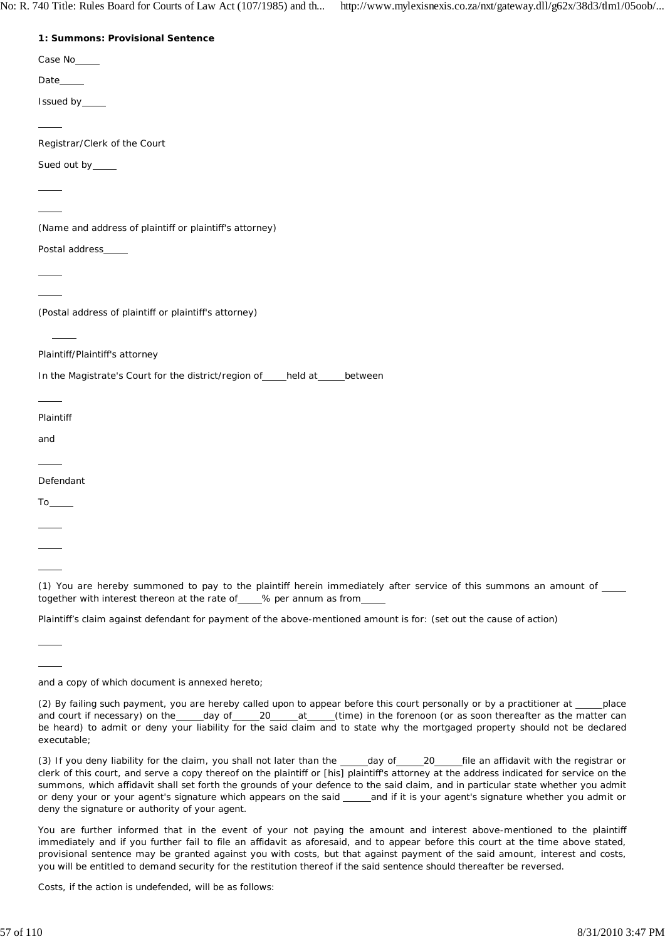No: R. 740 Title: Rules Board for Courts of Law Act (107/1985) and th... http://www.mylexisnexis.co.za/nxt/gateway.dll/g62x/38d3/tlm1/05oob/...

| 1: Summons: Provisional Sentence |  |
|----------------------------------|--|

| 1: Summons: Provisional Sentence                                                                                                                                                                                                                                                                                                                                                                                                                                           |
|----------------------------------------------------------------------------------------------------------------------------------------------------------------------------------------------------------------------------------------------------------------------------------------------------------------------------------------------------------------------------------------------------------------------------------------------------------------------------|
| Case No_____                                                                                                                                                                                                                                                                                                                                                                                                                                                               |
| Date_____                                                                                                                                                                                                                                                                                                                                                                                                                                                                  |
| Issued by_____                                                                                                                                                                                                                                                                                                                                                                                                                                                             |
| $\overline{\phantom{a}}$                                                                                                                                                                                                                                                                                                                                                                                                                                                   |
| Registrar/Clerk of the Court                                                                                                                                                                                                                                                                                                                                                                                                                                               |
| Sued out by____                                                                                                                                                                                                                                                                                                                                                                                                                                                            |
|                                                                                                                                                                                                                                                                                                                                                                                                                                                                            |
| $\overline{\phantom{a}}$                                                                                                                                                                                                                                                                                                                                                                                                                                                   |
| (Name and address of plaintiff or plaintiff's attorney)                                                                                                                                                                                                                                                                                                                                                                                                                    |
| Postal address____                                                                                                                                                                                                                                                                                                                                                                                                                                                         |
| $\overline{\phantom{a}}$                                                                                                                                                                                                                                                                                                                                                                                                                                                   |
|                                                                                                                                                                                                                                                                                                                                                                                                                                                                            |
| (Postal address of plaintiff or plaintiff's attorney)                                                                                                                                                                                                                                                                                                                                                                                                                      |
| $\frac{1}{2} \left( \frac{1}{2} \right) \left( \frac{1}{2} \right) \left( \frac{1}{2} \right) \left( \frac{1}{2} \right) \left( \frac{1}{2} \right) \left( \frac{1}{2} \right) \left( \frac{1}{2} \right) \left( \frac{1}{2} \right) \left( \frac{1}{2} \right) \left( \frac{1}{2} \right) \left( \frac{1}{2} \right) \left( \frac{1}{2} \right) \left( \frac{1}{2} \right) \left( \frac{1}{2} \right) \left( \frac{1}{2} \right) \left( \frac{1}{2} \right) \left( \frac$ |
| Plaintiff/Plaintiff's attorney                                                                                                                                                                                                                                                                                                                                                                                                                                             |
| In the Magistrate's Court for the district/region of ____ held at _____ between                                                                                                                                                                                                                                                                                                                                                                                            |
| $\overline{\phantom{a}}$                                                                                                                                                                                                                                                                                                                                                                                                                                                   |
| Plaintiff                                                                                                                                                                                                                                                                                                                                                                                                                                                                  |
| and                                                                                                                                                                                                                                                                                                                                                                                                                                                                        |
| $\overline{\phantom{a}}$                                                                                                                                                                                                                                                                                                                                                                                                                                                   |
| Defendant                                                                                                                                                                                                                                                                                                                                                                                                                                                                  |
|                                                                                                                                                                                                                                                                                                                                                                                                                                                                            |
| $\overline{\phantom{a}}$                                                                                                                                                                                                                                                                                                                                                                                                                                                   |
|                                                                                                                                                                                                                                                                                                                                                                                                                                                                            |

(1) You are hereby summoned to pay to the plaintiff herein immediately after service of this summons an amount of \_ together with interest thereon at the rate of \_\_\_\_% per annum as from\_

Plaintiff's claim against defendant for payment of the above-mentioned amount is for: (set out the cause of action)

Costs, if the action is undefended, will be as follows:

 $\overline{a}$ 

 $\overline{a}$  $\overline{a}$ 

and a copy of which document is annexed hereto;

<sup>(2)</sup> By failing such payment, you are hereby called upon to appear before this court personally or by a practitioner at \_\_\_\_place and court if necessary) on the day of 20 at (time) in the forenoon (or as soon thereafter as the matter can be heard) to admit or deny your liability for the said claim and to state why the mortgaged property should not be declared executable;

<sup>(3)</sup> If you deny liability for the claim, you shall not later than the \_\_\_\_day of \_\_\_\_20 file an affidavit with the registrar or clerk of this court, and serve a copy thereof on the plaintiff or [his] plaintiff's attorney at the address indicated for service on the summons, which affidavit shall set forth the grounds of your defence to the said claim, and in particular state whether you admit or deny your or your agent's signature which appears on the said \_\_\_\_and if it is your agent's signature whether you admit or deny the signature or authority of your agent.

You are further informed that in the event of your not paying the amount and interest above-mentioned to the plaintiff immediately and if you further fail to file an affidavit as aforesaid, and to appear before this court at the time above stated, provisional sentence may be granted against you with costs, but that against payment of the said amount, interest and costs, you will be entitled to demand security for the restitution thereof if the said sentence should thereafter be reversed.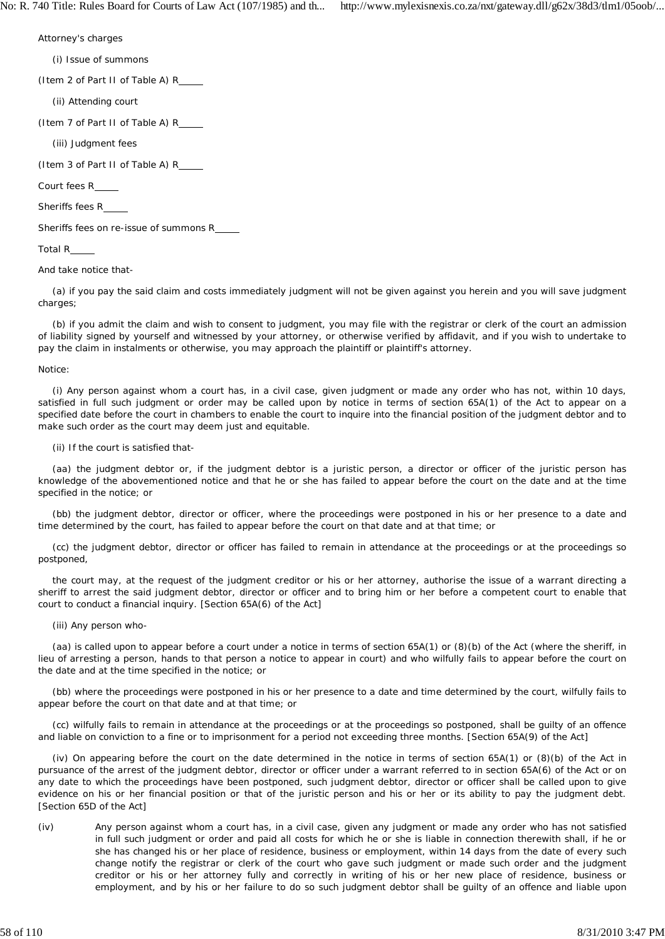No: R. 740 Title: Rules Board for Courts of Law Act (107/1985) and th... http://www.mylexisnexis.co.za/nxt/gateway.dll/g62x/38d3/tlm1/05oob/...

Attorney's charges

(i) Issue of summons

(Item 2 of Part II of Table A) R

(ii) Attending court

(Item 7 of Part II of Table A) R

(iii) Judgment fees

(Item 3 of Part II of Table A) R

Court fees R

Sheriffs fees R

Sheriffs fees on re-issue of summons R

## Total R

And take notice that-

(a) if you pay the said claim and costs immediately judgment will not be given against you herein and you will save judgment charges;

(b) if you admit the claim and wish to consent to judgment, you may file with the registrar or clerk of the court an admission of liability signed by yourself and witnessed by your attorney, or otherwise verified by affidavit, and if you wish to undertake to pay the claim in instalments or otherwise, you may approach the plaintiff or plaintiff's attorney.

#### Notice:

(i) Any person against whom a court has, in a civil case, given judgment or made any order who has not, within 10 days, satisfied in full such judgment or order may be called upon by notice in terms of section 65A(1) of the Act to appear on a specified date before the court in chambers to enable the court to inquire into the financial position of the judgment debtor and to make such order as the court may deem just and equitable.

#### (ii) If the court is satisfied that-

(aa) the judgment debtor or, if the judgment debtor is a juristic person, a director or officer of the juristic person has knowledge of the abovementioned notice and that he or she has failed to appear before the court on the date and at the time specified in the notice; or

(bb) the judgment debtor, director or officer, where the proceedings were postponed in his or her presence to a date and time determined by the court, has failed to appear before the court on that date and at that time; or

(cc) the judgment debtor, director or officer has failed to remain in attendance at the proceedings or at the proceedings so postponed,

the court may, at the request of the judgment creditor or his or her attorney, authorise the issue of a warrant directing a sheriff to arrest the said judgment debtor, director or officer and to bring him or her before a competent court to enable that court to conduct a financial inquiry. [Section 65A(6) of the Act]

### (iii) Any person who-

(aa) is called upon to appear before a court under a notice in terms of section 65A(1) or (8)(b) of the Act (where the sheriff, in lieu of arresting a person, hands to that person a notice to appear in court) and who wilfully fails to appear before the court on the date and at the time specified in the notice; or

(bb) where the proceedings were postponed in his or her presence to a date and time determined by the court, wilfully fails to appear before the court on that date and at that time; or

(cc) wilfully fails to remain in attendance at the proceedings or at the proceedings so postponed, shall be guilty of an offence and liable on conviction to a fine or to imprisonment for a period not exceeding three months. [Section 65A(9) of the Act]

(iv) On appearing before the court on the date determined in the notice in terms of section 65A(1) or (8)(b) of the Act in pursuance of the arrest of the judgment debtor, director or officer under a warrant referred to in section 65A(6) of the Act or on any date to which the proceedings have been postponed, such judgment debtor, director or officer shall be called upon to give evidence on his or her financial position or that of the juristic person and his or her or its ability to pay the judgment debt. [Section 65D of the Act]

(iv) Any person against whom a court has, in a civil case, given any judgment or made any order who has not satisfied in full such judgment or order and paid all costs for which he or she is liable in connection therewith shall, if he or she has changed his or her place of residence, business or employment, within 14 days from the date of every such change notify the registrar or clerk of the court who gave such judgment or made such order and the judgment creditor or his or her attorney fully and correctly in writing of his or her new place of residence, business or employment, and by his or her failure to do so such judgment debtor shall be guilty of an offence and liable upon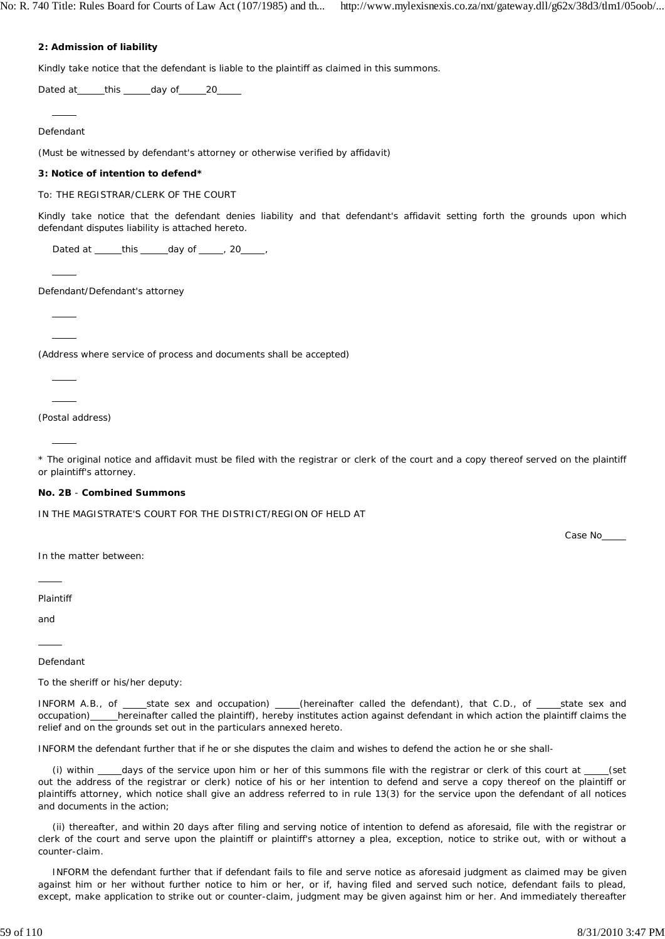## **2: Admission of liability**

Kindly take notice that the defendant is liable to the plaintiff as claimed in this summons.

Dated at \_\_\_\_\_this \_\_\_\_\_day of \_\_\_\_\_20\_\_\_\_\_

Defendant

l

 $\overline{a}$ 

 $\overline{a}$  $\overline{a}$ 

 $\overline{a}$  $\overline{a}$ 

l

(Must be witnessed by defendant's attorney or otherwise verified by affidavit)

### **3: Notice of intention to defend\***

To: THE REGISTRAR/CLERK OF THE COURT

Kindly take notice that the defendant denies liability and that defendant's affidavit setting forth the grounds upon which defendant disputes liability is attached hereto.

Dated at  $_t$  this  $_0$  day of  $_0$ , 20 ,

Defendant/Defendant's attorney

(Address where service of process and documents shall be accepted)

(Postal address)

\* The original notice and affidavit must be filed with the registrar or clerk of the court and a copy thereof served on the plaintiff or plaintiff's attorney.

#### **No. 2B** - **Combined Summons**

IN THE MAGISTRATE'S COURT FOR THE DISTRICT/REGION OF HELD AT

Case No

In the matter between:

Plaintiff

 $\overline{a}$ 

and

 $\overline{a}$ 

Defendant

To the sheriff or his/her deputy:

INFORM A.B., of \_\_\_\_state sex and occupation) \_\_\_\_(hereinafter called the defendant), that C.D., of \_\_\_\_state sex and occupation) hereinafter called the plaintiff), hereby institutes action against defendant in which action the plaintiff claims the relief and on the grounds set out in the particulars annexed hereto.

INFORM the defendant further that if he or she disputes the claim and wishes to defend the action he or she shall-

(i) within days of the service upon him or her of this summons file with the registrar or clerk of this court at  $\frac{1}{\sqrt{2}}$ out the address of the registrar or clerk) notice of his or her intention to defend and serve a copy thereof on the plaintiff or plaintiffs attorney, which notice shall give an address referred to in rule 13(3) for the service upon the defendant of all notices and documents in the action;

(ii) thereafter, and within 20 days after filing and serving notice of intention to defend as aforesaid, file with the registrar or clerk of the court and serve upon the plaintiff or plaintiff's attorney a plea, exception, notice to strike out, with or without a counter-claim.

INFORM the defendant further that if defendant fails to file and serve notice as aforesaid judgment as claimed may be given against him or her without further notice to him or her, or if, having filed and served such notice, defendant fails to plead, except, make application to strike out or counter-claim, judgment may be given against him or her. And immediately thereafter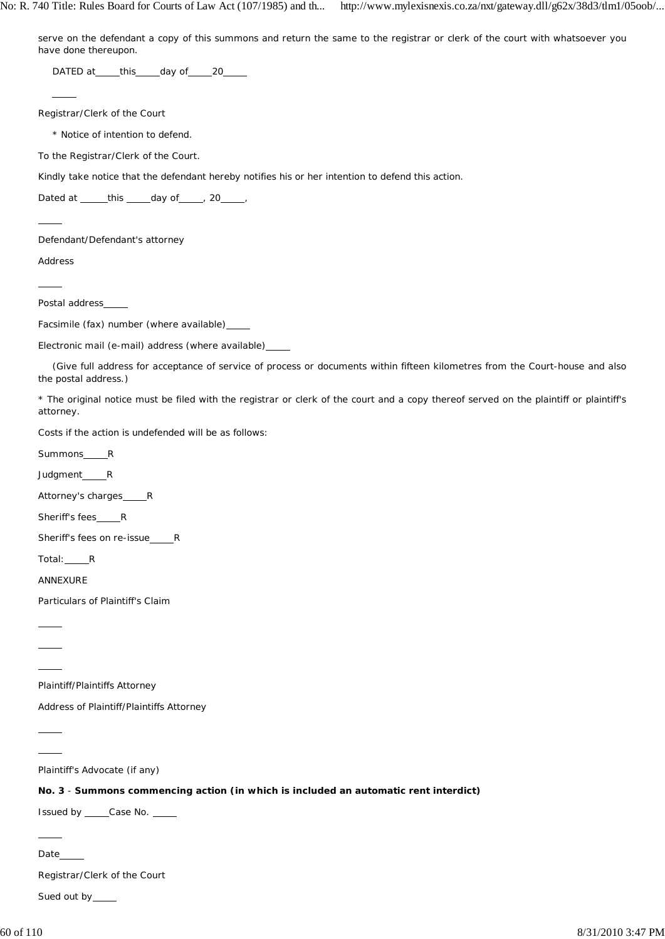serve on the defendant a copy of this summons and return the same to the registrar or clerk of the court with whatsoever you have done thereupon.

DATED at this day of 20

Registrar/Clerk of the Court

\* Notice of intention to defend.

To the Registrar/Clerk of the Court.

Kindly take notice that the defendant hereby notifies his or her intention to defend this action.

Dated at  $_t$  this  $_$  day of  $_$  , 20  $_$  ,

Defendant/Defendant's attorney

Address

 $\overline{a}$ 

 $\overline{a}$ 

 $\overline{a}$ 

Postal address

Facsimile (fax) number (where available)

Electronic mail (e-mail) address (where available)

(Give full address for acceptance of service of process or documents within fifteen kilometres from the Court-house and also the postal address.)

\* The original notice must be filed with the registrar or clerk of the court and a copy thereof served on the plaintiff or plaintiff's attorney.

Costs if the action is undefended will be as follows:

Summons\_\_\_\_\_R

Judgment\_\_\_\_\_R

Attorney's charges\_\_\_\_\_R

Sheriff's fees\_\_\_\_\_R

Sheriff's fees on re-issue\_\_\_\_\_\_R

Total: R

ANNEXURE

 $\overline{a}$  $\overline{a}$  $\overline{a}$ 

 $\overline{a}$  $\overline{a}$ 

Particulars of Plaintiff's Claim

Plaintiff/Plaintiffs Attorney

Address of Plaintiff/Plaintiffs Attorney

Plaintiff's Advocate (if any)

**No. 3** - **Summons commencing action (in which is included an automatic rent interdict)**

Issued by Case No.

Date

 $\overline{a}$ 

Registrar/Clerk of the Court

Sued out by\_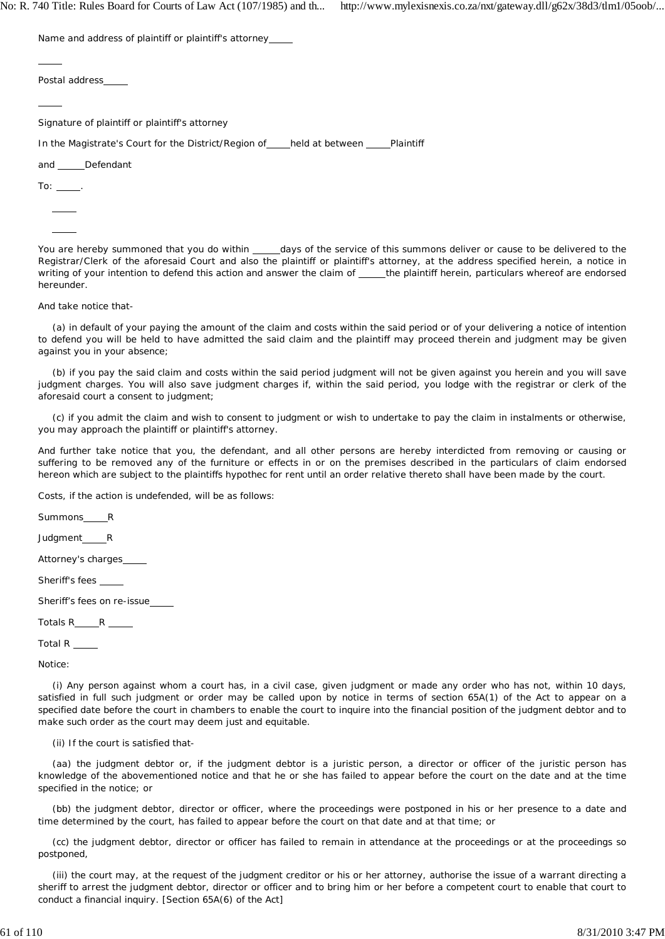No: R. 740 Title: Rules Board for Courts of Law Act (107/1985) and th... http://www.mylexisnexis.co.za/nxt/gateway.dll/g62x/38d3/tlm1/05oob/...

Name and address of plaintiff or plaintiff's attorney

Postal address

Signature of plaintiff or plaintiff's attorney

In the Magistrate's Court for the District/Region of held at between Plaintiff

and Defendant

To:  $\_\_$  $\overline{a}$ 

 $\overline{a}$ 

 $\overline{a}$ 

 $\overline{a}$ 

You are hereby summoned that you do within \_\_\_\_days of the service of this summons deliver or cause to be delivered to the Registrar/Clerk of the aforesaid Court and also the plaintiff or plaintiff's attorney, at the address specified herein, a notice in writing of your intention to defend this action and answer the claim of \_\_\_\_the plaintiff herein, particulars whereof are endorsed hereunder.

And take notice that-

(a) in default of your paying the amount of the claim and costs within the said period or of your delivering a notice of intention to defend you will be held to have admitted the said claim and the plaintiff may proceed therein and judgment may be given against you in your absence;

(b) if you pay the said claim and costs within the said period judgment will not be given against you herein and you will save judgment charges. You will also save judgment charges if, within the said period, you lodge with the registrar or clerk of the aforesaid court a consent to judgment;

(c) if you admit the claim and wish to consent to judgment or wish to undertake to pay the claim in instalments or otherwise, you may approach the plaintiff or plaintiff's attorney.

And further take notice that you, the defendant, and all other persons are hereby interdicted from removing or causing or suffering to be removed any of the furniture or effects in or on the premises described in the particulars of claim endorsed hereon which are subject to the plaintiffs hypothec for rent until an order relative thereto shall have been made by the court.

Costs, if the action is undefended, will be as follows:

Summons R Judgment\_\_\_\_\_R Attorney's charges Sheriff's fees Sheriff's fees on re-issue Totals R R Total R

Notice:

(i) Any person against whom a court has, in a civil case, given judgment or made any order who has not, within 10 days, satisfied in full such judgment or order may be called upon by notice in terms of section 65A(1) of the Act to appear on a specified date before the court in chambers to enable the court to inquire into the financial position of the judgment debtor and to make such order as the court may deem just and equitable.

(ii) If the court is satisfied that-

(aa) the judgment debtor *or,* if the judgment debtor is a juristic person, a director or officer of the juristic person has knowledge of the abovementioned notice and that he or she has failed to appear before the court on the date and at the time specified in the notice; or

(bb) the judgment debtor, director *or* officer, where the proceedings were postponed in his or her presence to a date and time determined by the court, has failed to appear before the court on that date and at that time; or

(cc) the judgment debtor, director or officer has failed to remain in attendance at the proceedings or at the proceedings so postponed,

(iii) the court may, at the request of the judgment creditor or his or her attorney, authorise the issue of a warrant directing a sheriff to arrest the judgment debtor, director or officer and to bring him or her before a competent court to enable that court to conduct a financial inquiry. [Section 65A(6) of the Act]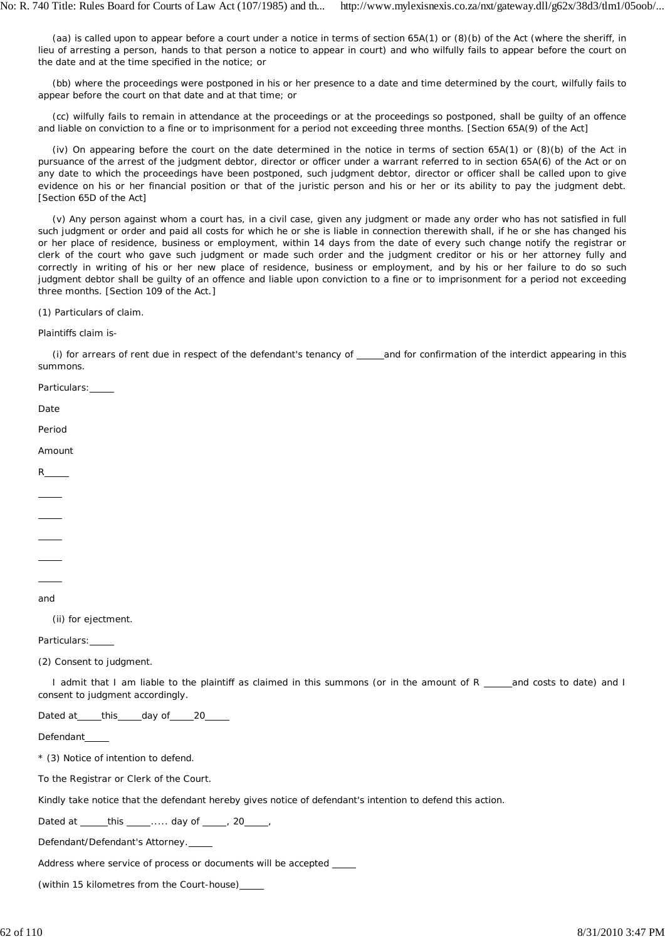(aa) is called upon to appear before a court under a notice in terms of section 65A(1) or (8)(b) of the Act (where the sheriff, in lieu of arresting a person, hands to that person a notice to appear in court) and who wilfully fails to appear before the court on the date and at the time specified in the notice; or

(bb) where the proceedings were postponed in his or her presence to a date and time determined by the court, wilfully fails to appear before the court on that date and at that time; or

(cc) wilfully fails to remain in attendance at the proceedings or at the proceedings so postponed, shall be guilty of an offence and liable on conviction to a fine or to imprisonment for a period not exceeding three months. [Section 65A(9) of the Act]

(iv) On appearing before the court on the date determined in the notice in terms of section 65A(1) or (8)(b) of the Act in pursuance of the arrest of the judgment debtor, director or officer under a warrant referred to in section 65A(6) of the Act or on any date to which the proceedings have been postponed, such judgment debtor, director or officer shall be called upon to give evidence on his or her financial position or that of the juristic person and his or her or its ability to pay the judgment debt. [Section 65D of the Act]

(v) Any person against whom a court has, in a civil case, given any judgment or made any order who has not satisfied in full such judgment or order and paid all costs for which he or she is liable in connection therewith shall, if he or she has changed his or her place of residence, business or employment, within 14 days from the date of every such change notify the registrar or clerk of the court who gave such judgment or made such order and the judgment creditor or his or her attorney fully and correctly in writing of his or her new place of residence, business or employment, and by his or her failure to do so such judgment debtor shall be guilty of an offence and liable upon conviction to a fine or to imprisonment for a period not exceeding three months. [Section 109 of the Act.]

(1) Particulars of claim.

Plaintiffs claim is-

Particulars:

(i) for arrears of rent due in respect of the defendant's tenancy of \_\_\_\_and for confirmation of the interdict appearing in this summons.

| Date                                                                                                                                                                                                                                                                                                                                                                                                                         |
|------------------------------------------------------------------------------------------------------------------------------------------------------------------------------------------------------------------------------------------------------------------------------------------------------------------------------------------------------------------------------------------------------------------------------|
| Period                                                                                                                                                                                                                                                                                                                                                                                                                       |
| Amount                                                                                                                                                                                                                                                                                                                                                                                                                       |
| $R_{\text{max}}$                                                                                                                                                                                                                                                                                                                                                                                                             |
|                                                                                                                                                                                                                                                                                                                                                                                                                              |
| $\frac{1}{\sqrt{2}}\left( \frac{1}{\sqrt{2}}\right) ^{2}+\frac{1}{\sqrt{2}}\left( \frac{1}{\sqrt{2}}\right) ^{2}+\frac{1}{\sqrt{2}}\left( \frac{1}{\sqrt{2}}\right) ^{2}+\frac{1}{\sqrt{2}}\left( \frac{1}{\sqrt{2}}\right) ^{2}+\frac{1}{\sqrt{2}}\left( \frac{1}{\sqrt{2}}\right) ^{2}+\frac{1}{\sqrt{2}}\left( \frac{1}{\sqrt{2}}\right) ^{2}+\frac{1}{\sqrt{2}}\left( \frac{1}{\sqrt{2}}\right) ^{2}+\frac{1}{\sqrt{2}}$ |
| $\frac{1}{1}$                                                                                                                                                                                                                                                                                                                                                                                                                |
| $\overline{\phantom{0}}$                                                                                                                                                                                                                                                                                                                                                                                                     |
|                                                                                                                                                                                                                                                                                                                                                                                                                              |
| and                                                                                                                                                                                                                                                                                                                                                                                                                          |
| (ii) for ejectment.                                                                                                                                                                                                                                                                                                                                                                                                          |
| Particulars: ____                                                                                                                                                                                                                                                                                                                                                                                                            |
| (2) Consent to judgment.                                                                                                                                                                                                                                                                                                                                                                                                     |
| I admit that I am liable to the plaintiff as claimed in this summons (or in the amount of R ____and costs to date) and I<br>consent to judgment accordingly.                                                                                                                                                                                                                                                                 |
| Dated at _____this _____day of _____20_____                                                                                                                                                                                                                                                                                                                                                                                  |
| Defendant____                                                                                                                                                                                                                                                                                                                                                                                                                |
| * (3) Notice of intention to defend.                                                                                                                                                                                                                                                                                                                                                                                         |
| To the Registrar or Clerk of the Court.                                                                                                                                                                                                                                                                                                                                                                                      |
| Kindly take notice that the defendant hereby gives notice of defendant's intention to defend this action.                                                                                                                                                                                                                                                                                                                    |
| Dated at ______this _____ day of _____, 20_____,                                                                                                                                                                                                                                                                                                                                                                             |
| Defendant/Defendant's Attorney.                                                                                                                                                                                                                                                                                                                                                                                              |
| Address where service of process or documents will be accepted ____                                                                                                                                                                                                                                                                                                                                                          |
| (within 15 kilometres from the Court-house)____                                                                                                                                                                                                                                                                                                                                                                              |
|                                                                                                                                                                                                                                                                                                                                                                                                                              |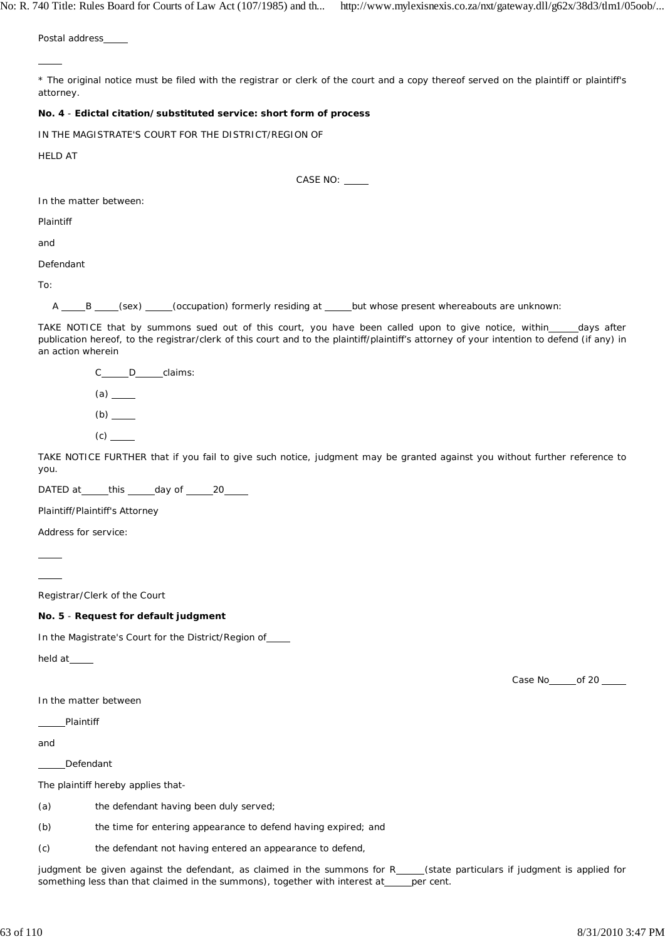Postal address\_

\* The original notice must be filed with the registrar or clerk of the court and a copy thereof served on the plaintiff or plaintiff's attorney.

### **No. 4** - **Edictal citation/substituted service: short form of process**

IN THE MAGISTRATE'S COURT FOR THE DISTRICT/REGION OF

HELD AT

 $\overline{a}$ 

CASE NO:

In the matter between:

Plaintiff

and

Defendant

To:

A B G (sex) (sex) (occupation) formerly residing at but whose present whereabouts are unknown:

TAKE NOTICE that by summons sued out of this court, you have been called upon to give notice, within \_\_\_\_\_days after publication hereof, to the registrar/clerk of this court and to the plaintiff/plaintiff's attorney of your intention to defend (if any) in an action wherein

C D claims:  $(a)$ <sub> $\underline{\qquad}$ </sub>  $(b)$ <sub>\_\_\_\_</sub> (c)

TAKE NOTICE FURTHER that if you fail to give such notice, judgment may be granted against you without further reference to you.

DATED at \_\_\_\_\_\_ this \_\_\_\_\_\_ day of \_\_\_\_\_\_ 20\_\_\_\_\_

Plaintiff/Plaintiff's Attorney

Address for service:

 $\overline{a}$ 

 $\overline{a}$ 

Registrar/Clerk of the Court

## **No. 5** - **Request for default judgment**

In the Magistrate's Court for the District/Region of

held at\_\_\_\_

In the matter between

Plaintiff

and

Defendant

The plaintiff hereby applies that-

(a) the defendant having been duly served;

(b) the time for entering appearance to defend having expired; and

(c) the defendant not having entered an appearance to defend,

judgment be given against the defendant, as claimed in the summons for R\_\_\_\_(state particulars if judgment is applied for something less than that claimed in the summons), together with interest at per cent.

Case No of 20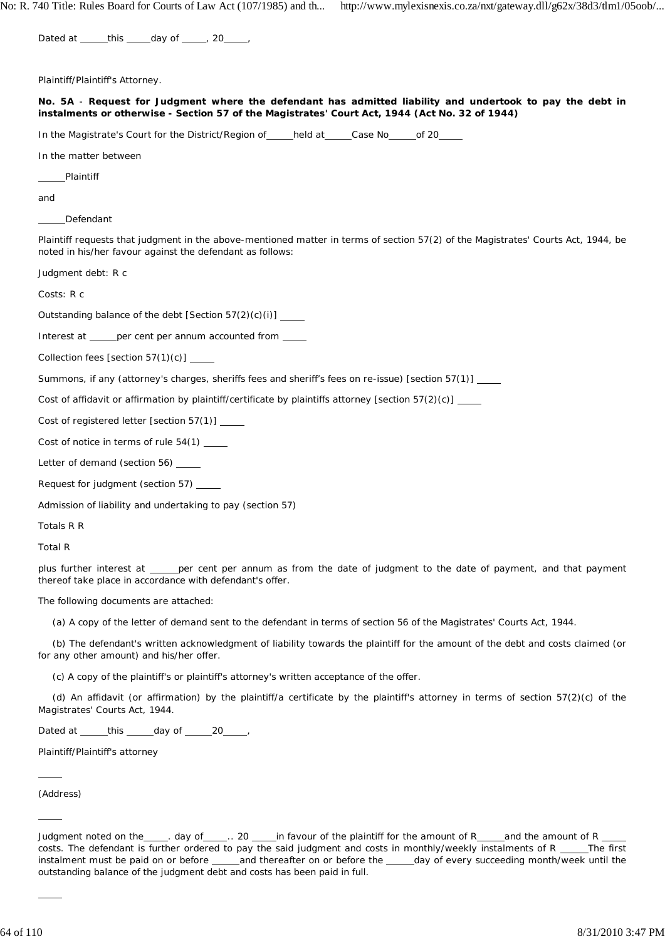Dated at  $_t$  this  $_$  day of  $_$   $_$ , 20  $_$ 

Plaintiff/Plaintiff's Attorney.

**No. 5A** - **Request for Judgment where the defendant has admitted liability and undertook to pay the debt in instalments or otherwise - Section 57 of the Magistrates' Court Act, 1944 (Act No. 32 of 1944)**

In the Magistrate's Court for the District/Region of \_\_\_\_held at \_\_\_\_Case No \_\_\_\_\_ of 20

In the matter between

Plaintiff

and

Defendant

Plaintiff requests that judgment in the above-mentioned matter in terms of section 57(2) of the Magistrates' Courts Act, 1944, be noted in his/her favour against the defendant as follows:

Judgment debt: R c

Costs: R c

Outstanding balance of the debt [Section 57(2)(c)(i)]

Interest at per cent per annum accounted from

Collection fees [section 57(1)(c)] \_\_

Summons, if any (attorney's charges, sheriffs fees and sheriff's fees on re-issue) [section 57(1)]

Cost of affidavit or affirmation by plaintiff/certificate by plaintiffs attorney [section  $57(2)(c)$ ]

Cost of registered letter [section 57(1)]

Cost of notice in terms of rule 54(1) \_\_\_\_\_

Letter of demand (section 56) \_\_\_\_

Request for judgment (section 57)

Admission of liability and undertaking to pay (section 57)

Totals R R

Total R

plus further interest at \_\_\_\_\_ per cent per annum as from the date of judgment to the date of payment, and that payment thereof take place in accordance with defendant's offer.

The following documents are attached:

(a) A copy of the letter of demand sent to the defendant in terms of section 56 of the Magistrates' Courts Act, 1944.

(b) The defendant's written acknowledgment of liability towards the plaintiff for the amount of the debt and costs claimed (or for any other amount) and his/her offer.

(c) A copy of the plaintiff's or plaintiff's attorney's written acceptance of the offer.

(d) An affidavit (or affirmation) by the plaintiff/a certificate by the plaintiff's attorney in terms of section 57(2)(c) of the Magistrates' Courts Act, 1944.

Dated at  $_t$  this  $_$  day of  $_2$  20  $_$ ,

Plaintiff/Plaintiff's attorney

(Address)

 $\overline{a}$ 

 $\overline{a}$ 

 $\overline{a}$ 

Judgment noted on the example of example . 20 edge in favour of the plaintiff for the amount of Reform and the amount of R costs. The defendant is further ordered to pay the said judgment and costs in monthly/weekly instalments of R The first instalment must be paid on or before \_\_\_\_\_and thereafter on or before the \_\_\_\_day of every succeeding month/week until the outstanding balance of the judgment debt and costs has been paid in full.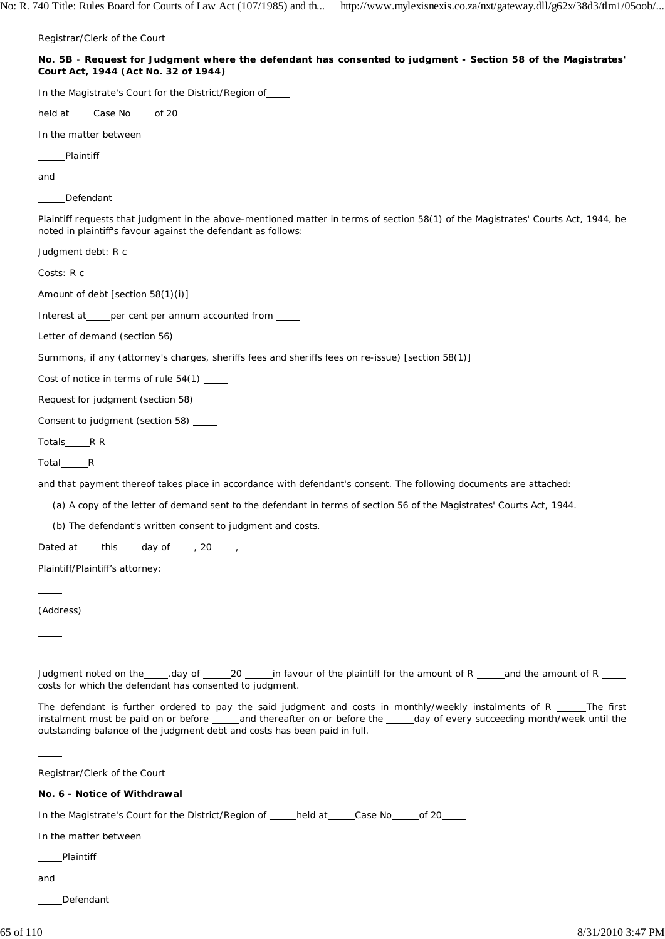Registrar/Clerk of the Court

| No. 5B - Request for Judgment where the defendant has consented to judgment - Section 58 of the Magistrates' |
|--------------------------------------------------------------------------------------------------------------|
| Court Act, 1944 (Act No. 32 of 1944)                                                                         |

In the Magistrate's Court for the District/Region of

held at \_\_\_\_\_Case No \_\_\_\_\_ of 20\_\_\_

In the matter between

Plaintiff

and

Defendant

Plaintiff requests that judgment in the above-mentioned matter in terms of section 58(1) of the Magistrates' Courts Act, 1944, be noted in plaintiff's favour against the defendant as follows:

Judgment debt: R c

Costs: R c

Amount of debt [section 58(1)(i)]

Interest at per cent per annum accounted from

Letter of demand (section 56)

Summons, if any (attorney's charges, sheriffs fees and sheriffs fees on re-issue) [section 58(1)]

Cost of notice in terms of rule 54(1)

Request for judgment (section 58)

Consent to judgment (section 58)

Totals\_\_\_\_\_\_\_R R

Total R

and that payment thereof takes place in accordance with defendant's consent. The following documents are attached:

(a) A copy of the letter of demand sent to the defendant in terms of section 56 of the Magistrates' Courts Act, 1944.

(b) The defendant's written consent to judgment and costs.

Dated at this day of , 20 ,

Plaintiff/Plaintiff's attorney:

(Address)

 $\overline{a}$ 

 $\overline{a}$  $\overline{a}$ 

 $\overline{a}$ 

Judgment noted on the \_\_\_\_\_.day of \_\_\_\_\_\_20 \_\_\_\_\_\_in favour of the plaintiff for the amount of R \_\_\_\_\_\_and the amount of R \_ costs for which the defendant has consented to judgment.

The defendant is further ordered to pay the said judgment and costs in monthly/weekly instalments of R  $\_\_$ The first instalment must be paid on or before \_\_\_\_\_and thereafter on or before the \_\_\_\_day of every succeeding month/week until the outstanding balance of the judgment debt and costs has been paid in full.

Registrar/Clerk of the Court

**No. 6 - Notice of Withdrawal**

In the Magistrate's Court for the District/Region of \_\_\_\_\_held at \_\_\_\_\_Case No \_\_\_\_\_of 20\_\_\_

In the matter between

Plaintiff

and

Defendant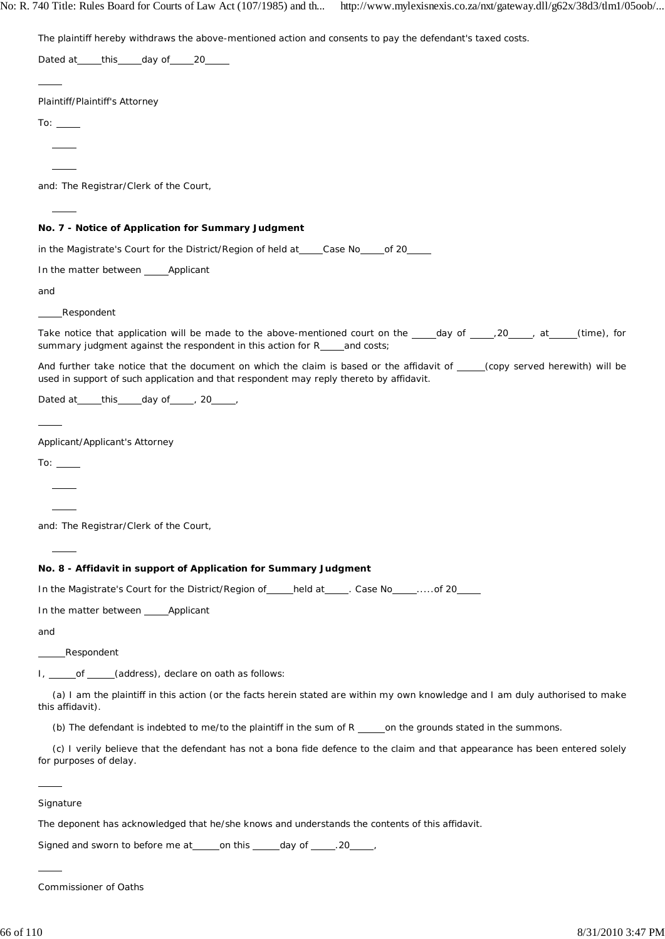No: R. 740 Title: Rules Board for Courts of Law Act (107/1985) and th... http://www.mylexisnexis.co.za/nxt/gateway.dll/g62x/38d3/tlm1/05oob/...

The plaintiff hereby withdraws the above-mentioned action and consents to pay the defendant's taxed costs.

Dated at this day of 20  $\overline{a}$ Plaintiff/Plaintiff's Attorney To:  $\overline{\phantom{0}}$  $\overline{\phantom{0}}$  $\overline{a}$ and: The Registrar/Clerk of the Court,  $\overline{a}$ **No. 7 - Notice of Application for Summary Judgment** in the Magistrate's Court for the District/Region of held at\_\_\_\_Case No\_\_\_\_of 20\_\_ In the matter between \_\_\_\_\_ Applicant and Respondent Take notice that application will be made to the above-mentioned court on the  $\rule{1em}{0.25mm}$   $\frac{1}{20}$  at (time), for summary judgment against the respondent in this action for R\_\_\_and costs; And further take notice that the document on which the claim is based or the affidavit of (copy served herewith) will be used in support of such application and that respondent may reply thereto by affidavit. Dated at  $\qquad$  this day of , 20  $\overline{a}$ Applicant/Applicant's Attorney To:  $\_\_$ l  $\overline{a}$ and: The Registrar/Clerk of the Court,  $\overline{a}$ **No. 8 - Affidavit in support of Application for Summary Judgment** In the Magistrate's Court for the District/Region of \_\_\_\_\_held at \_\_\_\_\_. Case No \_\_\_\_\_.....of 20 In the matter between \_\_\_\_\_ Applicant and Respondent I, \_\_\_\_\_\_ of \_\_\_\_\_\_(address), declare on oath as follows: (a) I am the plaintiff in this action (or the facts herein stated are within my own knowledge and I am duly authorised to make this affidavit). (b) The defendant is indebted to me/to the plaintiff in the sum of  $R$  on the grounds stated in the summons. (c) I verily believe that the defendant has not a bona fide defence to the claim and that appearance has been entered solely for purposes of delay.  $\overline{a}$ **Signature** The deponent has acknowledged that he/she knows and understands the contents of this affidavit.

Signed and sworn to before me at \_\_\_\_\_ on this \_\_\_\_\_ day of \_\_\_\_\_. 20\_\_\_\_\_,

Commissioner of Oaths

 $\overline{a}$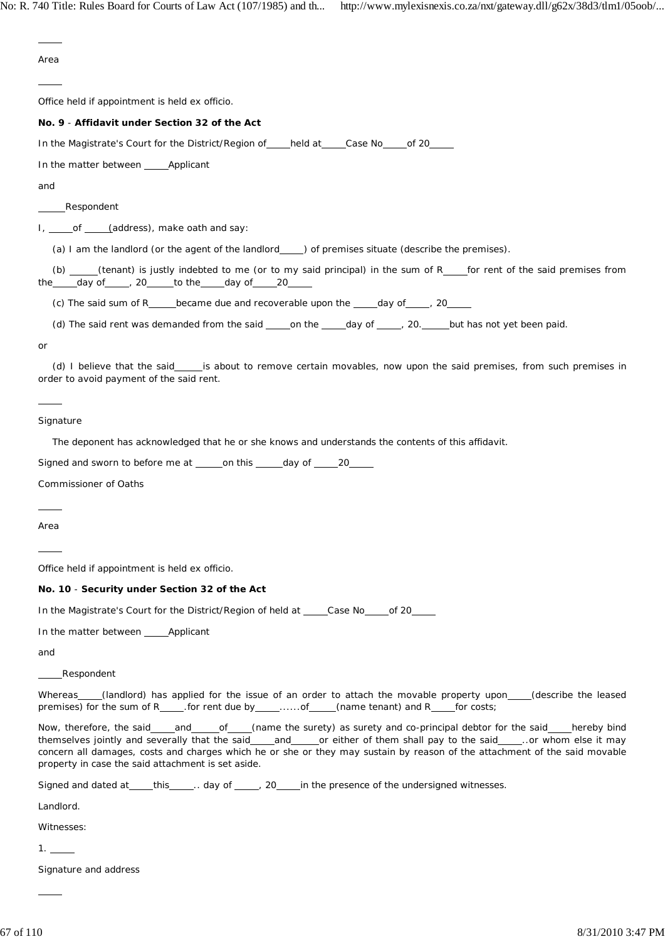$\overline{a}$ Area  $\overline{a}$ Office held if appointment is held ex officio. **No. 9** - **Affidavit under Section 32 of the Act** In the Magistrate's Court for the District/Region of held at Case No of 20 In the matter between \_\_\_\_\_ Applicant and Respondent I, of (address), make oath and say: (a) I am the landlord (or the agent of the landlord \_\_\_\_\_) of premises situate (describe the premises). (b)  $f(x)$  (tenant) is justly indebted to me (or to my said principal) in the sum of R for rent of the said premises from the \_\_\_\_ day of \_\_\_\_\_, 20 \_\_\_\_ to the \_\_\_\_ day of \_\_\_\_ 20 (c) The said sum of R\_\_\_\_\_became due and recoverable upon the  $\_\_\_day$  of  $\_\_\_$ , 20 $\_\_\_\_$ (d) The said rent was demanded from the said  $\_\_\_$ on the  $\_\_\_$ day of  $\_\_\_$ , 20.  $\_\_\_$ but has not yet been paid. or (d) I believe that the said is about to remove certain movables, now upon the said premises, from such premises in order to avoid payment of the said rent.  $\overline{a}$ **Signature** The deponent has acknowledged that he or she knows and understands the contents of this affidavit. Signed and sworn to before me at \_\_\_\_\_on this \_\_\_\_\_day of \_\_\_\_\_20\_ Commissioner of Oaths  $\overline{a}$ Area  $\overline{a}$ Office held if appointment is held ex officio. **No. 10** - **Security under Section 32 of the Act** In the Magistrate's Court for the District/Region of held at \_\_\_\_Case No of 20 In the matter between Applicant and Respondent Whereas (landlord) has applied for the issue of an order to attach the movable property upon (describe the leased premises) for the sum of R\_\_\_\_\_.for rent due by \_\_\_\_\_......of \_\_\_\_\_(name tenant) and R\_\_\_\_\_for costs; Now, therefore, the said and of (name the surety) as surety and co-principal debtor for the said hereby bind themselves jointly and severally that the said and or either of them shall pay to the said .... or whom else it may concern all damages, costs and charges which he or she or they may sustain by reason of the attachment of the said movable property in case the said attachment is set aside. Signed and dated at  $_{\text{this}}$  ... day of  $_{\text{max}}$ , 20 in the presence of the undersigned witnesses. Landlord. Witnesses:  $1. -$ Signature and address  $\overline{a}$ 67 of 110 8/31/2010 3:47 PM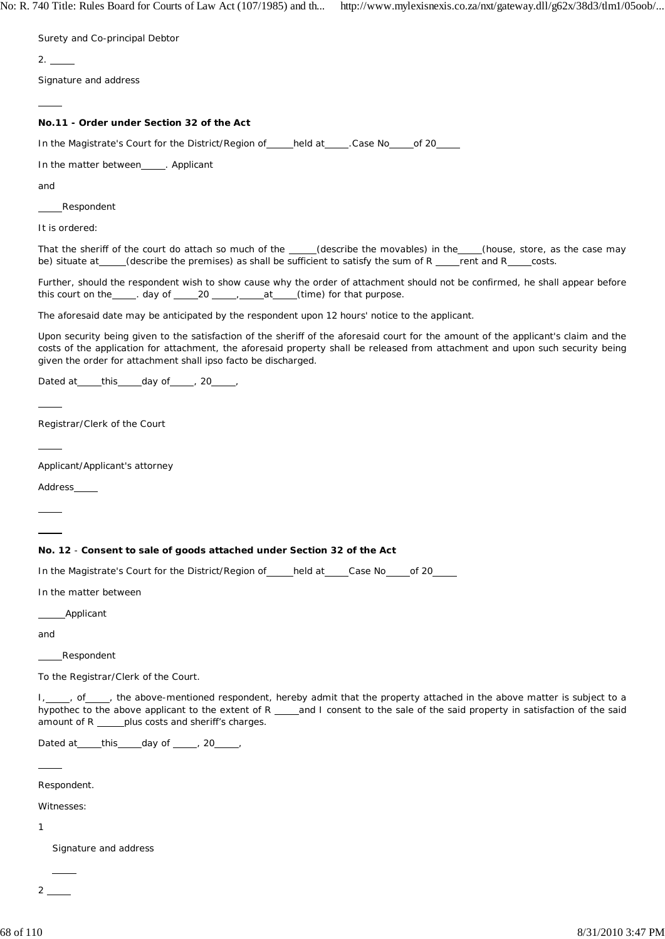Surety and Co-principal Debtor

 $2.2$ 

Signature and address

## **No.11 - Order under Section 32 of the Act**

In the Magistrate's Court for the District/Region of \_\_\_\_held at \_\_\_\_\_. Case No \_\_\_\_\_ of 20

In the matter between\_\_\_\_\_. Applicant

and

 $\overline{a}$ 

Respondent

It is ordered:

That the sheriff of the court do attach so much of the \_\_\_\_(describe the movables) in the \_\_\_(house, store, as the case may be) situate at  $($ describe the premises) as shall be sufficient to satisfy the sum of R  $($  rent and R  $($  costs.

Further, should the respondent wish to show cause why the order of attachment should not be confirmed, he shall appear before this court on the \_\_\_\_\_. day of \_\_\_\_\_20 \_\_\_\_\_\_\_\_\_\_\_\_at \_\_\_\_(time) for that purpose.

The aforesaid date may be anticipated by the respondent upon 12 hours' notice to the applicant.

Upon security being given to the satisfaction of the sheriff of the aforesaid court for the amount of the applicant's claim and the costs of the application for attachment, the aforesaid property shall be released from attachment and upon such security being given the order for attachment shall *ipso facto* be discharged.

Dated at  $_t$  this  $_d$  day of  $_d$ , 20 ,  $_0$ 

Registrar/Clerk of the Court

Applicant/Applicant's attorney

Address

 $\overline{a}$ 

 $\overline{a}$ 

# **No. 12** - **Consent to sale of goods attached under Section 32 of the Act**

In the Magistrate's Court for the District/Region of held at Case No of 20

In the matter between

Applicant

and

Respondent

To the Registrar/Clerk of the Court.

I, of , the above-mentioned respondent, hereby admit that the property attached in the above matter is subject to a hypothec to the above applicant to the extent of R  $\frac{1}{2}$  and I consent to the sale of the said property in satisfaction of the said amount of R \_\_\_\_\_plus costs and sheriff's charges.

Dated at  $_t$  this  $_t$  day of  $_t$  , 20  $_t$ ,

Respondent.

Witnesses:

1

Signature and address

 2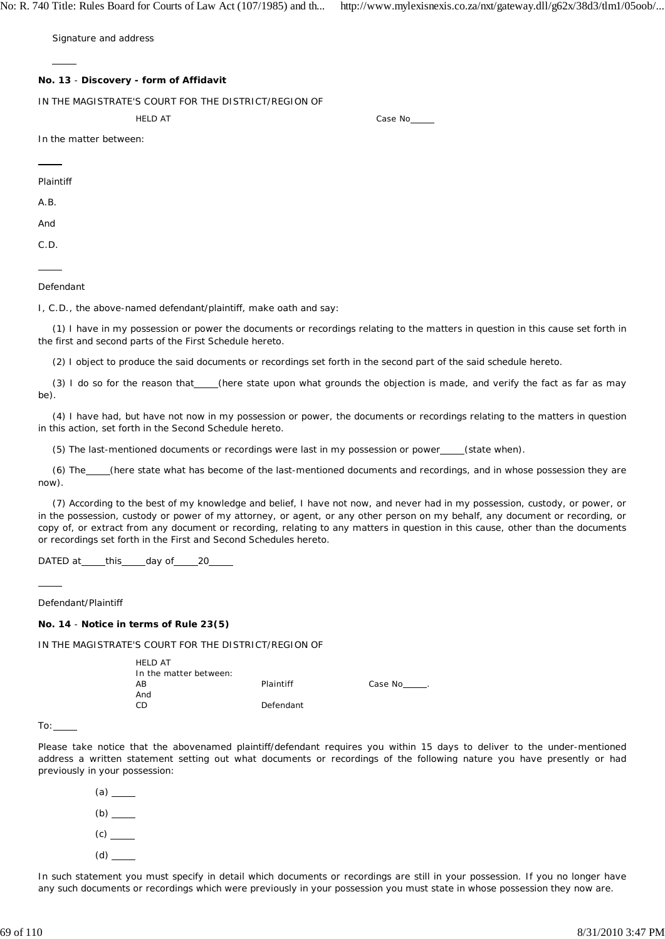No: R. 740 Title: Rules Board for Courts of Law Act (107/1985) and th... http://www.mylexisnexis.co.za/nxt/gateway.dll/g62x/38d3/tlm1/05oob/...

Signature and address

### **No. 13** - **Discovery - form of Affidavit**

IN THE MAGISTRATE'S COURT FOR THE DISTRICT/REGION OF

HELD AT Case No. 2006

In the matter between:

Plaintiff

 $\overline{a}$ 

A.B.

And

C.D.

 $\overline{a}$ 

#### Defendant

I, C.D., the above-named defendant/plaintiff, make oath and say:

(1) I have in my possession or power the documents or recordings relating to the matters in question in this cause set forth in the first and second parts of the First Schedule hereto.

(2) I object to produce the said documents or recordings set forth in the second part of the said schedule hereto.

(3) I do so for the reason that\_\_\_(here state upon what grounds the objection is made, and verify the fact as far as may be).

(4) I have had, but have not now in my possession or power, the documents or recordings relating to the matters in question in this action, set forth in the Second Schedule hereto.

(5) The last-mentioned documents or recordings were last in my possession or power \_\_\_\_(state when).

(6) The (here state what has become of the last-mentioned documents and recordings, and in whose possession they are now).

(7) According to the best of my knowledge and belief, I have not now, and never had in my possession, custody, or power, or in the possession, custody or power of my attorney, or agent, or any other person on my behalf, any document or recording, or copy of, or extract from any document or recording, relating to any matters in question in this cause, other than the documents or recordings set forth in the First and Second Schedules hereto.

DATED at \_\_\_\_\_this \_\_\_\_\_day of \_\_\_\_\_20\_\_

### Defendant/Plaintiff

### **No. 14** - **Notice in terms of Rule 23(5)**

HELD AT

IN THE MAGISTRATE'S COURT FOR THE DISTRICT/REGION OF

| HELD AT                |           |                |
|------------------------|-----------|----------------|
| In the matter between: |           |                |
| AΒ                     | Plaintiff | Case No______. |
| And                    |           |                |
| CD                     | Defendant |                |
|                        |           |                |

To:

 $\overline{a}$ 

Please take notice that the abovenamed plaintiff/defendant requires you within 15 days to deliver to the under-mentioned address a written statement setting out what documents or recordings of the following nature you have presently or had previously in your possession:

(a) (b)  $(c)$ (d)

In such statement you must specify in detail which documents or recordings are still in your possession. If you no longer have any such documents or recordings which were previously in your possession you must state in whose possession they now are.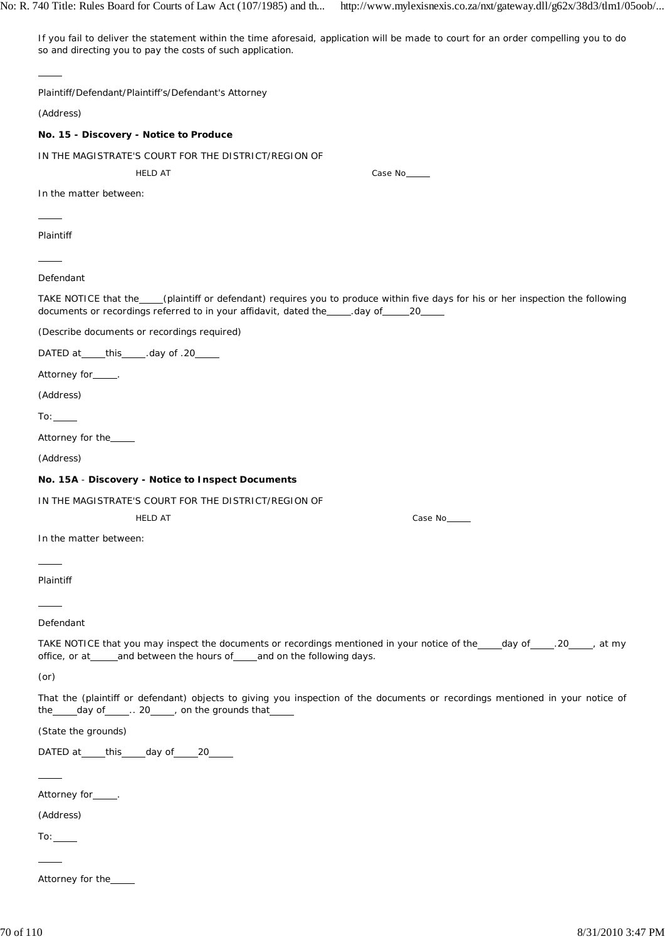If you fail to deliver the statement within the time aforesaid, application will be made to court for an order compelling you to do so and directing you to pay the costs of such application.

| Plaintiff/Defendant/Plaintiff's/Defendant's Attorney                                                                                                                                                                             |                                                                                                                                  |  |
|----------------------------------------------------------------------------------------------------------------------------------------------------------------------------------------------------------------------------------|----------------------------------------------------------------------------------------------------------------------------------|--|
| (Address)                                                                                                                                                                                                                        |                                                                                                                                  |  |
| No. 15 - Discovery - Notice to Produce                                                                                                                                                                                           |                                                                                                                                  |  |
| IN THE MAGISTRATE'S COURT FOR THE DISTRICT/REGION OF                                                                                                                                                                             |                                                                                                                                  |  |
| <b>HELD AT</b>                                                                                                                                                                                                                   | Case No_____                                                                                                                     |  |
| In the matter between:                                                                                                                                                                                                           |                                                                                                                                  |  |
|                                                                                                                                                                                                                                  |                                                                                                                                  |  |
| Plaintiff                                                                                                                                                                                                                        |                                                                                                                                  |  |
|                                                                                                                                                                                                                                  |                                                                                                                                  |  |
| Defendant                                                                                                                                                                                                                        |                                                                                                                                  |  |
| documents or recordings referred to in your affidavit, dated the _____. day of ______ 20_____                                                                                                                                    | TAKE NOTICE that the___(plaintiff or defendant) requires you to produce within five days for his or her inspection the following |  |
| (Describe documents or recordings required)                                                                                                                                                                                      |                                                                                                                                  |  |
| DATED at ______ this ______. day of .20_____                                                                                                                                                                                     |                                                                                                                                  |  |
| Attorney for_____.                                                                                                                                                                                                               |                                                                                                                                  |  |
| (Address)                                                                                                                                                                                                                        |                                                                                                                                  |  |
| $\mathsf{To:}\_\_\_\_\_\$                                                                                                                                                                                                        |                                                                                                                                  |  |
| Attorney for the____                                                                                                                                                                                                             |                                                                                                                                  |  |
| (Address)                                                                                                                                                                                                                        |                                                                                                                                  |  |
| No. 15A - Discovery - Notice to Inspect Documents                                                                                                                                                                                |                                                                                                                                  |  |
| IN THE MAGISTRATE'S COURT FOR THE DISTRICT/REGION OF                                                                                                                                                                             |                                                                                                                                  |  |
| <b>HELD AT</b>                                                                                                                                                                                                                   | Case No                                                                                                                          |  |
| In the matter between:                                                                                                                                                                                                           |                                                                                                                                  |  |
| $\frac{1}{2}$ . The set of the set of the set of the set of the set of the set of the set of the set of the set of the set of the set of the set of the set of the set of the set of the set of the set of the set of the set of |                                                                                                                                  |  |
| Plaintiff                                                                                                                                                                                                                        |                                                                                                                                  |  |
|                                                                                                                                                                                                                                  |                                                                                                                                  |  |
| Defendant                                                                                                                                                                                                                        |                                                                                                                                  |  |
| office, or at____and between the hours of___and on the following days.                                                                                                                                                           | TAKE NOTICE that you may inspect the documents or recordings mentioned in your notice of the ____day of _____, at my             |  |
| (or)                                                                                                                                                                                                                             |                                                                                                                                  |  |
| the _____ day of ______. 20_____, on the grounds that                                                                                                                                                                            | That the (plaintiff or defendant) objects to giving you inspection of the documents or recordings mentioned in your notice of    |  |
| (State the grounds)                                                                                                                                                                                                              |                                                                                                                                  |  |
| DATED at _____this _____day of _____20______                                                                                                                                                                                     |                                                                                                                                  |  |
|                                                                                                                                                                                                                                  |                                                                                                                                  |  |
| Attorney for <sub>_____</sub> .                                                                                                                                                                                                  |                                                                                                                                  |  |
| (Address)                                                                                                                                                                                                                        |                                                                                                                                  |  |
|                                                                                                                                                                                                                                  |                                                                                                                                  |  |
|                                                                                                                                                                                                                                  |                                                                                                                                  |  |
| Attorney for the                                                                                                                                                                                                                 |                                                                                                                                  |  |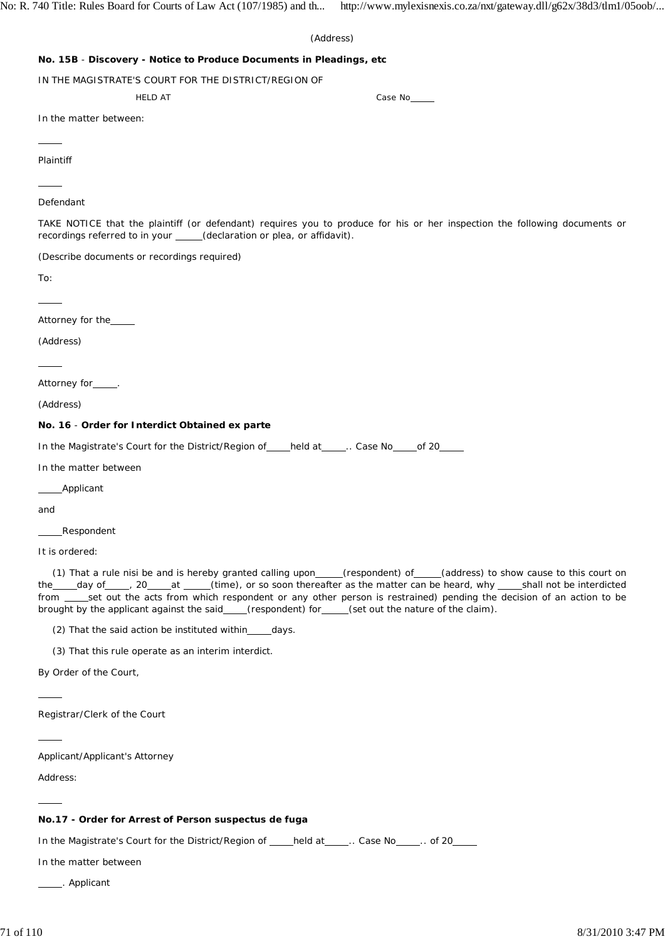| (Address)                                                                                                                                                                                                                                                                                                                                                                                                                                                                                          |  |  |  |  |
|----------------------------------------------------------------------------------------------------------------------------------------------------------------------------------------------------------------------------------------------------------------------------------------------------------------------------------------------------------------------------------------------------------------------------------------------------------------------------------------------------|--|--|--|--|
| No. 15B - Discovery - Notice to Produce Documents in Pleadings, etc                                                                                                                                                                                                                                                                                                                                                                                                                                |  |  |  |  |
| IN THE MAGISTRATE'S COURT FOR THE DISTRICT/REGION OF                                                                                                                                                                                                                                                                                                                                                                                                                                               |  |  |  |  |
| <b>HELD AT</b><br>Case No_____                                                                                                                                                                                                                                                                                                                                                                                                                                                                     |  |  |  |  |
| In the matter between:                                                                                                                                                                                                                                                                                                                                                                                                                                                                             |  |  |  |  |
|                                                                                                                                                                                                                                                                                                                                                                                                                                                                                                    |  |  |  |  |
| Plaintiff                                                                                                                                                                                                                                                                                                                                                                                                                                                                                          |  |  |  |  |
|                                                                                                                                                                                                                                                                                                                                                                                                                                                                                                    |  |  |  |  |
| Defendant                                                                                                                                                                                                                                                                                                                                                                                                                                                                                          |  |  |  |  |
| TAKE NOTICE that the plaintiff (or defendant) requires you to produce for his or her inspection the following documents or<br>recordings referred to in your _____(declaration or plea, or affidavit).                                                                                                                                                                                                                                                                                             |  |  |  |  |
| (Describe documents or recordings required)                                                                                                                                                                                                                                                                                                                                                                                                                                                        |  |  |  |  |
| To:                                                                                                                                                                                                                                                                                                                                                                                                                                                                                                |  |  |  |  |
|                                                                                                                                                                                                                                                                                                                                                                                                                                                                                                    |  |  |  |  |
| Attorney for the_____                                                                                                                                                                                                                                                                                                                                                                                                                                                                              |  |  |  |  |
| (Address)                                                                                                                                                                                                                                                                                                                                                                                                                                                                                          |  |  |  |  |
|                                                                                                                                                                                                                                                                                                                                                                                                                                                                                                    |  |  |  |  |
| Attorney for_____.                                                                                                                                                                                                                                                                                                                                                                                                                                                                                 |  |  |  |  |
| (Address)                                                                                                                                                                                                                                                                                                                                                                                                                                                                                          |  |  |  |  |
| No. 16 - Order for Interdict Obtained ex parte                                                                                                                                                                                                                                                                                                                                                                                                                                                     |  |  |  |  |
| In the Magistrate's Court for the District/Region of ____held at _____ Case No _____of 20_____                                                                                                                                                                                                                                                                                                                                                                                                     |  |  |  |  |
| In the matter between                                                                                                                                                                                                                                                                                                                                                                                                                                                                              |  |  |  |  |
| _Applicant                                                                                                                                                                                                                                                                                                                                                                                                                                                                                         |  |  |  |  |
| and                                                                                                                                                                                                                                                                                                                                                                                                                                                                                                |  |  |  |  |
| _Respondent                                                                                                                                                                                                                                                                                                                                                                                                                                                                                        |  |  |  |  |
| It is ordered:                                                                                                                                                                                                                                                                                                                                                                                                                                                                                     |  |  |  |  |
| (1) That a rule nisi be and is hereby granted calling upon____(respondent) of____(address) to show cause to this court on<br>the ____day of _____, 20____at ____(time), or so soon thereafter as the matter can be heard, why ____shall not be interdicted<br>from ____set out the acts from which respondent or any other person is restrained) pending the decision of an action to be<br>brought by the applicant against the said_<br>(respondent) for _____(set out the nature of the claim). |  |  |  |  |

(2) That the said action be instituted within $\rule{1em}{0.15mm}$  days.

(3) That this rule operate as an interim interdict.

By Order of the Court,

Registrar/Clerk of the Court

Applicant/Applicant's Attorney

Address:

 $\overline{a}$ 

 $\overline{a}$ 

 $\overline{a}$ 

### **No.17 - Order for Arrest of Person** *suspectus de fuga*

In the Magistrate's Court for the District/Region of \_\_\_\_held at \_\_\_\_\_.. Case No \_\_\_\_\_.. of 20\_\_\_\_

In the matter between

. Applicant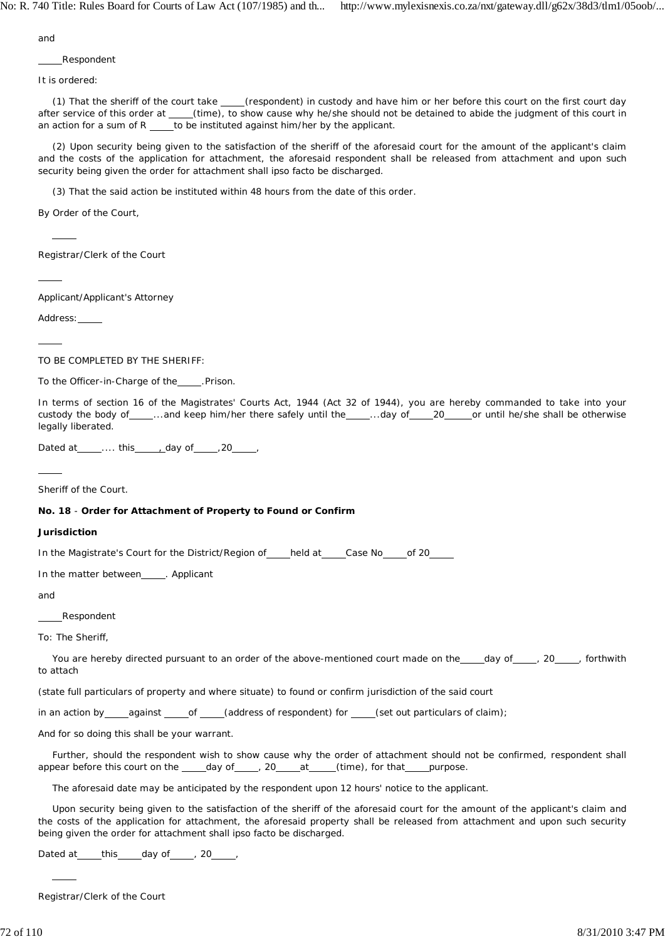and

Respondent

It is ordered:

(1) That the sheriff of the court take \_\_\_(respondent) in custody and have him or her before this court on the first court day after service of this order at \_\_\_\_(time), to show cause why he/she should not be detained to abide the judgment of this court in an action for a sum of  $R$  \_\_\_\_\_to be instituted against him/her by the applicant.

(2) Upon security being given to the satisfaction of the sheriff of the aforesaid court for the amount of the applicant's claim and the costs of the application for attachment, the aforesaid respondent shall be released from attachment and upon such security being given the order for attachment shall *ipso facto* be discharged.

(3) That the said action be instituted within 48 hours from the date of this order.

By Order of the Court,

Registrar/Clerk of the Court

Applicant/Applicant's Attorney

Address:

 $\overline{a}$ 

 $\overline{a}$ 

 $\overline{a}$ 

TO BE COMPLETED BY THE SHERIFF:

To the Officer-in-Charge of the \_\_\_\_\_. Prison.

In terms of section 16 of the Magistrates' Courts Act, 1944 (Act 32 of 1944), you are hereby commanded to take into your custody the body of \_\_\_\_..and keep him/her there safely until the \_\_\_\_..day of \_\_\_\_20 \_\_\_\_or until he/she shall be otherwise legally liberated.

Dated at \_\_\_\_\_.... this \_\_\_\_\_\_ day of \_\_\_\_\_ , 20

 $\overline{a}$ 

Sheriff of the Court.

### **No. 18** - **Order for Attachment of Property to Found or Confirm**

### **Jurisdiction**

In the Magistrate's Court for the District/Region of held at Case No compute 20

In the matter between\_\_\_\_\_. Applicant

and

Respondent

To: The Sheriff,

You are hereby directed pursuant to an order of the above-mentioned court made on the \_\_\_\_\_day of \_\_\_\_\_, 20 \_\_\_\_\_, forthwith to attach

(state full particulars of property and where situate) to found or confirm jurisdiction of the said court

in an action by \_\_\_\_against \_\_\_\_\_of \_\_\_\_(address of respondent) for \_\_\_\_(set out particulars of claim);

And for so doing this shall be your warrant.

Further, should the respondent wish to show cause why the order of attachment should not be confirmed, respondent shall appear before this court on the  $raday of$  , 20 at (time), for that purpose.

The aforesaid date may be anticipated by the respondent upon 12 hours' notice to the applicant.

Upon security being given to the satisfaction of the sheriff of the aforesaid court for the amount of the applicant's claim and the costs of the application for attachment, the aforesaid property shall be released from attachment and upon such security being given the order for attachment shall *ipso facto* be discharged.

Dated at  $_t$  this  $_t$  day of  $_t$  , 20  $_t$ ,

Registrar/Clerk of the Court

 $\overline{a}$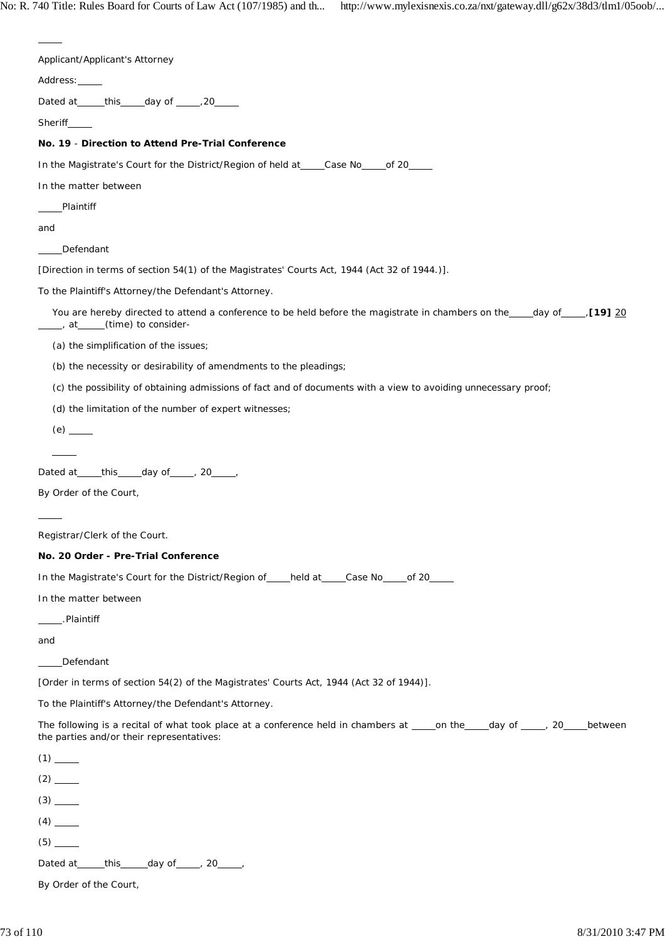| Applicant/Applicant's Attorney                                                                                                                                              |
|-----------------------------------------------------------------------------------------------------------------------------------------------------------------------------|
| Address: _____                                                                                                                                                              |
| Dated at _____this _____day of ______, 20_____                                                                                                                              |
| Sheriff_____                                                                                                                                                                |
| No. 19 - Direction to Attend Pre-Trial Conference                                                                                                                           |
| In the Magistrate's Court for the District/Region of held at ____Case No_____of 20____                                                                                      |
| In the matter between                                                                                                                                                       |
| Plaintiff                                                                                                                                                                   |
| and                                                                                                                                                                         |
| Defendant                                                                                                                                                                   |
| [Direction in terms of section 54(1) of the Magistrates' Courts Act, 1944 (Act 32 of 1944.)].                                                                               |
| To the Plaintiff's Attorney/the Defendant's Attorney.                                                                                                                       |
| You are hereby directed to attend a conference to be held before the magistrate in chambers on the ____day of _____, [19] 20<br>_____, at_____(time) to consider-           |
| (a) the simplification of the issues;                                                                                                                                       |
| (b) the necessity or desirability of amendments to the pleadings;                                                                                                           |
| (c) the possibility of obtaining admissions of fact and of documents with a view to avoiding unnecessary proof;                                                             |
| (d) the limitation of the number of expert witnesses;                                                                                                                       |
| $(e)$ <sub>_____</sub>                                                                                                                                                      |
|                                                                                                                                                                             |
| Dated at _____this _____day of _____, 20_____,                                                                                                                              |
| By Order of the Court,                                                                                                                                                      |
|                                                                                                                                                                             |
| Registrar/Clerk of the Court.                                                                                                                                               |
| No. 20 Order - Pre-Trial Conference                                                                                                                                         |
| In the Magistrate's Court for the District/Region of ____ held at ____ Case No _____ of 20_____                                                                             |
| In the matter between                                                                                                                                                       |
| .Plaintiff                                                                                                                                                                  |
| and                                                                                                                                                                         |
| Defendant                                                                                                                                                                   |
| [Order in terms of section 54(2) of the Magistrates' Courts Act, 1944 (Act 32 of 1944)].                                                                                    |
| To the Plaintiff's Attorney/the Defendant's Attorney.                                                                                                                       |
| The following is a recital of what took place at a conference held in chambers at ____on the ____day of ____, 20___<br>between<br>the parties and/or their representatives: |
|                                                                                                                                                                             |
|                                                                                                                                                                             |
|                                                                                                                                                                             |
|                                                                                                                                                                             |
|                                                                                                                                                                             |
| Dated at _____this _____day of _____, 20_____,                                                                                                                              |
| By Order of the Court,                                                                                                                                                      |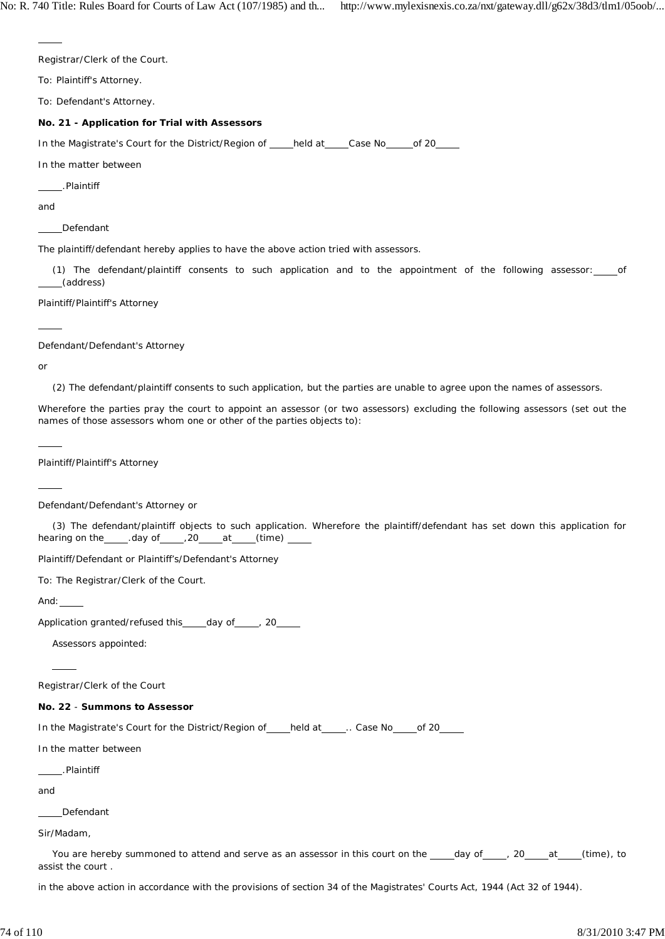Registrar/Clerk of the Court.

To: Plaintiff's Attorney.

To: Defendant's Attorney.

### **No. 21 - Application for Trial with Assessors**

In the Magistrate's Court for the District/Region of held at Case No of 20

In the matter between

.Plaintiff

and

 $\overline{a}$ 

Defendant

The plaintiff/defendant hereby applies to have the above action tried with assessors.

(1) The defendant/plaintiff consents to such application and to the appointment of the following assessor: of (address)

Plaintiff/Plaintiff's Attorney

Defendant/Defendant's Attorney

or

 $\overline{a}$ 

 $\overline{a}$ 

 $\overline{a}$ 

(2) The defendant/plaintiff consents to such application, but the parties are unable to agree upon the names of assessors.

Wherefore the parties pray the court to appoint an assessor (or two assessors) excluding the following assessors (set out the names of those assessors whom one or other of the parties objects to):

Plaintiff/Plaintiff's Attorney

Defendant/Defendant's Attorney or

(3) The defendant/plaintiff objects to such application. Wherefore the plaintiff/defendant has set down this application for hearing on the \_\_\_\_\_.day of \_\_\_\_\_, 20 \_\_\_\_\_ at \_\_\_\_(time) \_\_

Plaintiff/Defendant or Plaintiff's/Defendant's Attorney

To: The Registrar/Clerk of the Court.

And:

 $\overline{\phantom{0}}$ 

Application granted/refused this day of , 20

Assessors appointed:

Registrar/Clerk of the Court

### **No. 22** - **Summons to Assessor**

In the Magistrate's Court for the District/Region of held at \_\_\_\_\_. Case No \_\_\_\_\_ of 20

In the matter between

.Plaintiff

and

Defendant

Sir/Madam,

You are hereby summoned to attend and serve as an assessor in this court on the \_\_\_\_\_day of \_\_\_\_\_, 20 \_\_\_\_at \_\_\_\_(time), to assist the court .

in the above action in accordance with the provisions of section 34 of the Magistrates' Courts Act, 1944 (Act 32 of 1944).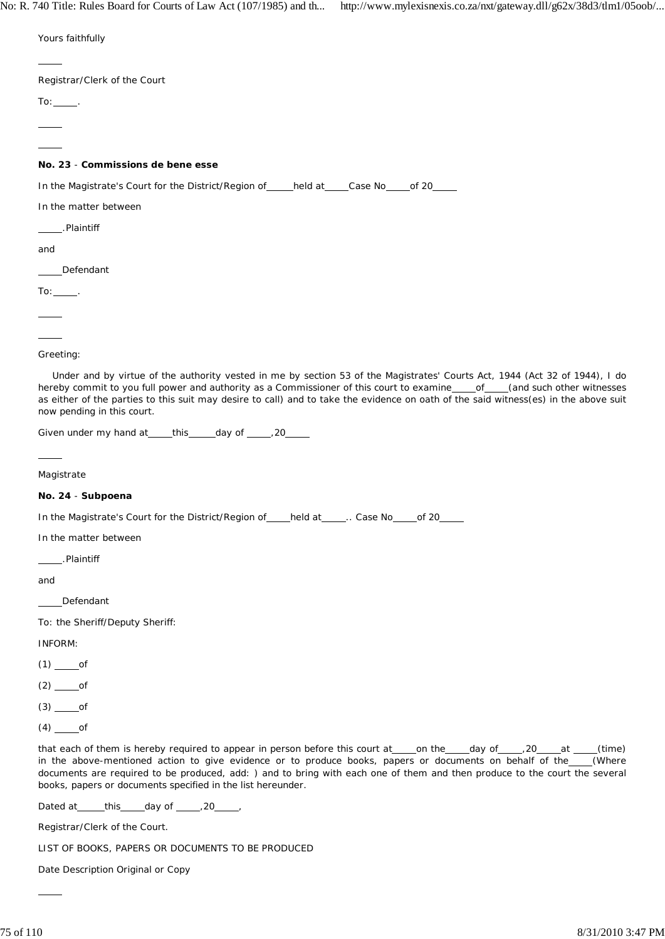| Yours faithfully                                                                                                                                                                                                                                                                                                                                                                                                                                 |
|--------------------------------------------------------------------------------------------------------------------------------------------------------------------------------------------------------------------------------------------------------------------------------------------------------------------------------------------------------------------------------------------------------------------------------------------------|
|                                                                                                                                                                                                                                                                                                                                                                                                                                                  |
| Registrar/Clerk of the Court                                                                                                                                                                                                                                                                                                                                                                                                                     |
| $To:$ _______.                                                                                                                                                                                                                                                                                                                                                                                                                                   |
|                                                                                                                                                                                                                                                                                                                                                                                                                                                  |
|                                                                                                                                                                                                                                                                                                                                                                                                                                                  |
| No. 23 - Commissions de bene esse                                                                                                                                                                                                                                                                                                                                                                                                                |
| In the Magistrate's Court for the District/Region of _____held at ____Case No _____of 20_____                                                                                                                                                                                                                                                                                                                                                    |
| In the matter between                                                                                                                                                                                                                                                                                                                                                                                                                            |
| _____.Plaintiff                                                                                                                                                                                                                                                                                                                                                                                                                                  |
| and                                                                                                                                                                                                                                                                                                                                                                                                                                              |
| _Defendant                                                                                                                                                                                                                                                                                                                                                                                                                                       |
| $To:$ _______.                                                                                                                                                                                                                                                                                                                                                                                                                                   |
|                                                                                                                                                                                                                                                                                                                                                                                                                                                  |
|                                                                                                                                                                                                                                                                                                                                                                                                                                                  |
| Greeting:                                                                                                                                                                                                                                                                                                                                                                                                                                        |
| Under and by virtue of the authority vested in me by section 53 of the Magistrates' Courts Act, 1944 (Act 32 of 1944), I do<br>hereby commit to you full power and authority as a Commissioner of this court to examine____of____(and such other witnesses<br>as either of the parties to this suit may desire to call) and to take the evidence on oath of the said witness(es) in the above suit<br>now pending in this court.                 |
| Given under my hand at _____ this _____ day of ______, 20_____                                                                                                                                                                                                                                                                                                                                                                                   |
|                                                                                                                                                                                                                                                                                                                                                                                                                                                  |
| Magistrate                                                                                                                                                                                                                                                                                                                                                                                                                                       |
| No. 24 - Subpoena                                                                                                                                                                                                                                                                                                                                                                                                                                |
| In the Magistrate's Court for the District/Region of _____held at ______. Case No _____of 20_                                                                                                                                                                                                                                                                                                                                                    |
| In the matter between                                                                                                                                                                                                                                                                                                                                                                                                                            |
| .Plaintiff                                                                                                                                                                                                                                                                                                                                                                                                                                       |
| and                                                                                                                                                                                                                                                                                                                                                                                                                                              |
| Defendant                                                                                                                                                                                                                                                                                                                                                                                                                                        |
| To: the Sheriff/Deputy Sheriff:                                                                                                                                                                                                                                                                                                                                                                                                                  |
| INFORM:                                                                                                                                                                                                                                                                                                                                                                                                                                          |
|                                                                                                                                                                                                                                                                                                                                                                                                                                                  |
|                                                                                                                                                                                                                                                                                                                                                                                                                                                  |
|                                                                                                                                                                                                                                                                                                                                                                                                                                                  |
| $(4)$ ______of                                                                                                                                                                                                                                                                                                                                                                                                                                   |
| that each of them is hereby required to appear in person before this court at ____on the ____day of _____,20____at ____(time)<br>in the above-mentioned action to give evidence or to produce books, papers or documents on behalf of the____(Where<br>documents are required to be produced, add: ) and to bring with each one of them and then produce to the court the several<br>books, papers or documents specified in the list hereunder. |
| Dated at _____this _____day of ______, 20_____,                                                                                                                                                                                                                                                                                                                                                                                                  |
| Registrar/Clerk of the Court.                                                                                                                                                                                                                                                                                                                                                                                                                    |

LIST OF BOOKS, PAPERS OR DOCUMENTS TO BE PRODUCED

Date Description Original or Copy

 $\overline{a}$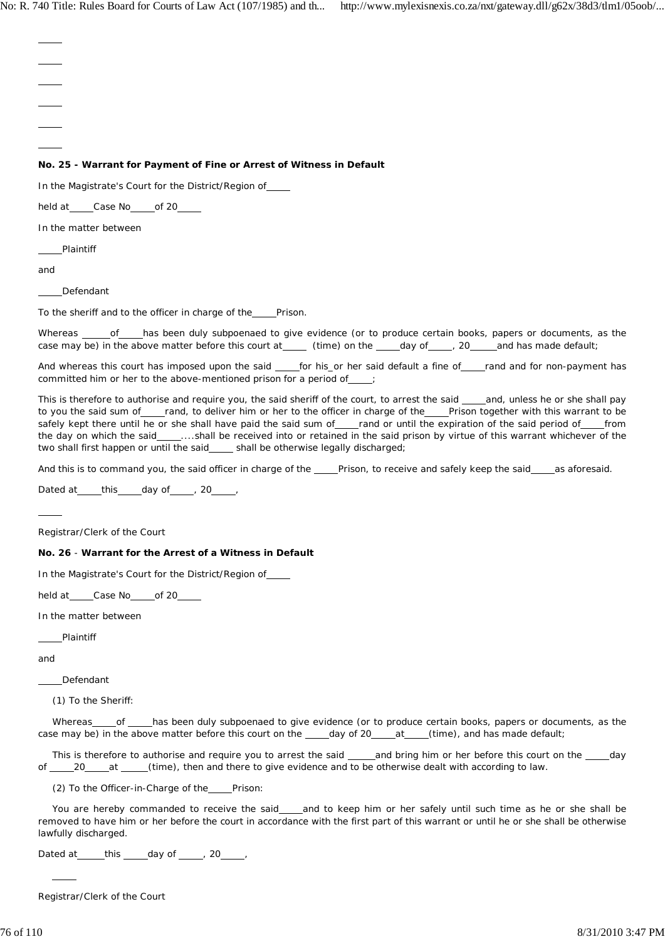$\overline{a}$  $\overline{a}$  $\overline{a}$  $\overline{a}$  $\overline{a}$  $\overline{a}$ **No. 25 - Warrant for Payment of Fine or Arrest of Witness in Default** In the Magistrate's Court for the District/Region of held at \_\_\_\_\_Case No \_\_\_\_\_ of 20 In the matter between Plaintiff and Defendant To the sheriff and to the officer in charge of the Prison. Whereas \_\_\_\_\_ of \_\_\_\_has been duly subpoenaed to give evidence (or to produce certain books, papers or documents, as the case may be) in the above matter before this court at \_\_\_\_ (time) on the \_\_\_\_day of \_\_\_\_, 20 \_\_\_\_and has made default; And whereas this court has imposed upon the said for his\_or her said default a fine of rand and for non-payment has committed him or her to the above-mentioned prison for a period of This is therefore to authorise and require you, the said sheriff of the court, to arrest the said \_\_\_and, unless he or she shall pay to you the said sum of\_\_\_rand, to deliver him or her to the officer in charge of the Prison together with this warrant to be safely kept there until he or she shall have paid the said sum of\_\_\_rand or until the expiration of the said period of\_\_\_from the day on which the said\_\_\_\_...shall be received into or retained in the said prison by virtue of this warrant whichever of the two shall first happen or until the said\_\_\_\_ shall be otherwise legally discharged; And this is to command you, the said officer in charge of the Prison, to receive and safely keep the said as aforesaid. Dated at  $_{\text{this}}$  day of , 20 ,  $\overline{a}$ Registrar/Clerk of the Court **No. 26** - **Warrant for the Arrest of a Witness in Default** In the Magistrate's Court for the District/Region of held at Case No of 20 In the matter between Plaintiff and Defendant (1) To the Sheriff: Whereas of has been duly subpoenaed to give evidence (or to produce certain books, papers or documents, as the case may be) in the above matter before this court on the \_\_\_\_\_day of 20\_\_\_\_at \_\_\_\_(time), and has made default; This is therefore to authorise and require you to arrest the said and bring him or her before this court on the day of 20 at (time), then and there to give evidence and to be otherwise dealt with according to law. (2) To the Officer-in-Charge of the Prison: You are hereby commanded to receive the said\_\_\_and to keep him or her safely until such time as he or she shall be removed to have him or her before the court in accordance with the first part of this warrant or until he or she shall be otherwise lawfully discharged.

Dated at  $_t$  this  $_d$  day of  $_t$  , 20  $_t$ ,

Registrar/Clerk of the Court

 $\overline{a}$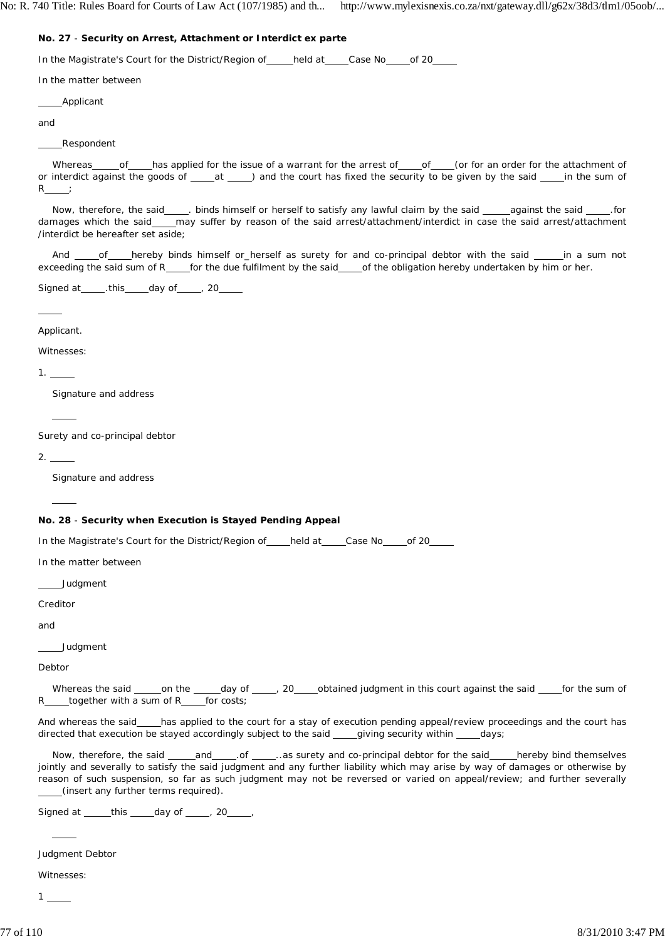#### **No. 27** - **Security on Arrest, Attachment or Interdict ex** *parte*

In the Magistrate's Court for the District/Region of \_\_\_\_\_ held at \_\_\_\_ Case No \_\_\_ of 20

In the matter between

Applicant

and

Respondent

Whereas\_of\_has applied for the issue of a warrant for the arrest of \_of \_of (or for an order for the attachment of or interdict against the goods of \_\_\_\_\_at \_\_\_\_\_) and the court has fixed the security to be given by the said \_\_\_\_\_in the sum of  $\mathsf{R}$ 

Now, therefore, the said \_\_\_\_. binds himself or herself to satisfy any lawful claim by the said \_\_\_\_\_against the said \_\_\_\_\_. for damages which the said may suffer by reason of the said arrest/attachment/interdict in case the said arrest/attachment /interdict be hereafter set aside;

And \_\_\_\_of\_\_\_\_hereby binds himself or\_herself as surety for and co-principal debtor with the said \_\_\_\_\_in a sum not exceeding the said sum of R for the due fulfilment by the said of the obligation hereby undertaken by him or her.

Signed at \_\_\_\_\_\_, this \_\_\_\_\_ day of \_\_\_\_\_, 20\_

Applicant.

 $\overline{a}$ 

Witnesses:

 $1.$ 

Signature and address

Surety and co-principal debtor

 $2.$ 

l

 $\overline{a}$ 

Signature and address

## **No. 28** - **Security when Execution is Stayed Pending Appeal**

In the Magistrate's Court for the District/Region of held at Case No of 20

In the matter between

Judgment

Creditor

and

Judgment

Debtor

Whereas the said \_\_\_\_\_on the \_\_\_\_\_day of \_\_\_\_\_, 20\_\_\_\_obtained judgment in this court against the said \_\_\_\_for the sum of  $R$  together with a sum of  $R$  for costs;

And whereas the said\_\_\_has applied to the court for a stay of execution pending appeal/review proceedings and the court has directed that execution be stayed accordingly subject to the said \_\_\_\_\_giving security within \_\_\_\_\_days;

Now, therefore, the said \_\_\_\_and\_\_\_\_\_.of \_\_\_\_\_..as surety and co-principal debtor for the said\_\_\_\_hereby bind themselves jointly and severally to satisfy the said judgment and any further liability which may arise by way of damages or otherwise by reason of such suspension, so far as such judgment may not be reversed or varied on appeal/review; and further severally (insert any further terms required).

Signed at this day of , 20,

Judgment Debtor

Witnesses:

 $\overline{a}$ 

1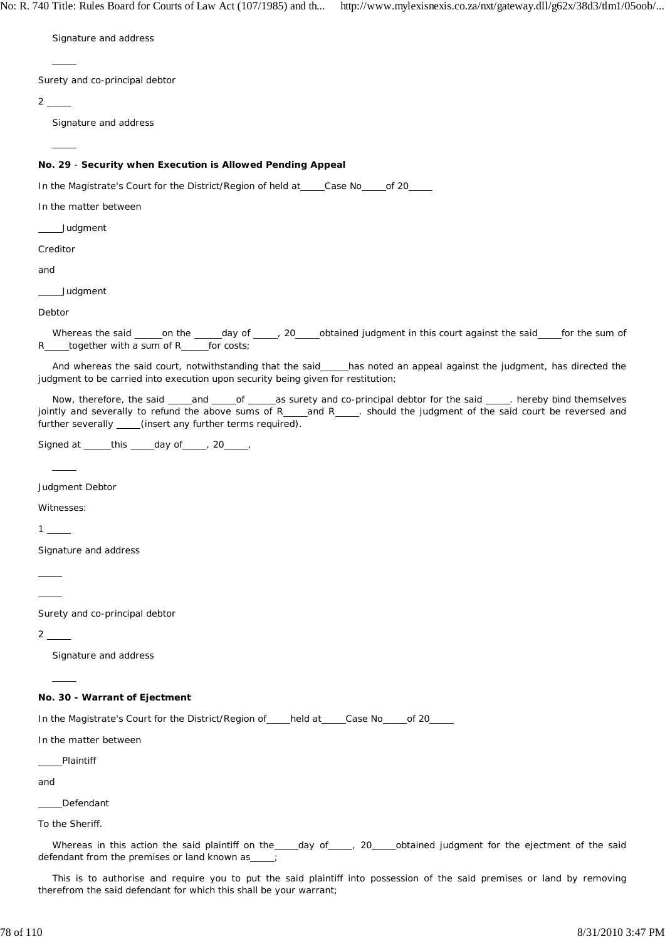Signature and address

Surety and co-principal debtor

 $2\equiv$ 

 $\overline{\phantom{0}}$ 

 $\overline{a}$ 

Signature and address

# **No. 29** - **Security when Execution is Allowed Pending Appeal**

In the Magistrate's Court for the District/Region of held at \_\_\_\_Case No \_\_\_\_\_ of 20

In the matter between

Judgment

Creditor

and

**Judament** 

Debtor

Whereas the said \_\_\_\_\_\_on the \_\_\_\_\_\_\_day of \_\_\_\_\_\_, 20\_\_\_\_\_obtained judgment in this court against the said \_\_\_\_\_\_for the sum of R\_\_\_\_together with a sum of R\_\_\_\_for costs;

And whereas the said court, notwithstanding that the said has noted an appeal against the judgment, has directed the judgment to be carried into execution upon security being given for restitution;

Now, therefore, the said \_\_\_\_and \_\_\_\_\_of \_\_\_\_\_\_as surety and co-principal debtor for the said \_\_\_\_\_\_. hereby bind themselves jointly and severally to refund the above sums of R\_\_\_\_\_and R\_\_\_\_\_. should the judgment of the said court be reversed and further severally \_\_\_\_(insert any further terms required).

Signed at  $_t$  this  $_$  day of  $_$ , 20  $_$ 

Judgment Debtor

Witnesses:

1

 $\overline{a}$ 

Signature and address

 $\overline{a}$ 

 $\overline{a}$ 

Surety and co-principal debtor

 $2$   $-$ 

l

Signature and address

#### **No. 30 - Warrant of Ejectment**

In the Magistrate's Court for the District/Region of held at Case No of 20

In the matter between

Plaintiff

and

Defendant

To the Sheriff.

Whereas in this action the said plaintiff on the \_\_\_\_ day of \_\_\_\_\_, 20 \_\_\_\_ obtained judgment for the ejectment of the said defendant from the premises or land known as  $\frac{1}{2}$ ;

This is to authorise and require you to put the said plaintiff into possession of the said premises or land by removing therefrom the said defendant for which this shall be your warrant;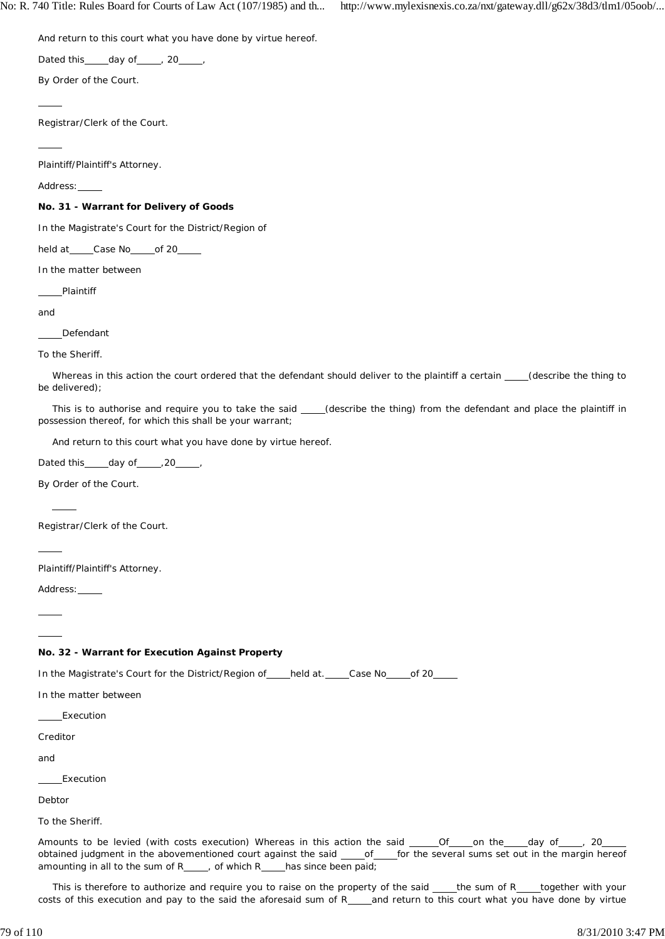And return to this court what you have done by virtue hereof.

Dated this  $\qquad \qquad$  day of  $\qquad \qquad$  , 20

By Order of the Court.

Registrar/Clerk of the Court.

Plaintiff/Plaintiff's Attorney.

Address:

 $\overline{a}$ 

 $\overline{a}$ 

#### **No. 31 - Warrant for Delivery of Goods**

In the Magistrate's Court for the District/Region of

held at \_\_\_\_\_Case No \_\_\_\_\_ of 20\_\_\_

In the matter between

Plaintiff

and

Defendant

To the Sheriff.

Whereas in this action the court ordered that the defendant should deliver to the plaintiff a certain (describe the thing to be delivered);

This is to authorise and require you to take the said \_\_\_\_(describe the thing) from the defendant and place the plaintiff in possession thereof, for which this shall be your warrant;

And return to this court what you have done by virtue hereof.

Dated this \_\_\_\_\_ day of \_\_\_\_\_ , 20 \_\_\_\_\_ ,

By Order of the Court.

Registrar/Clerk of the Court.

 $\overline{a}$ 

 $\overline{a}$  $\overline{a}$   $\overline{a}$ 

Plaintiff/Plaintiff's Attorney.

Address:

# **No. 32 - Warrant for Execution Against Property**

In the Magistrate's Court for the District/Region of elected at. Case No of 20

In the matter between

Execution

Creditor

and

Execution

Debtor

To the Sheriff.

Amounts to be levied (with costs execution) Whereas in this action the said \_\_\_\_\_Of \_\_\_\_\_on the \_\_\_\_\_day of \_\_\_\_\_, 20 obtained judgment in the abovementioned court against the said \_\_\_\_of\_\_\_\_for the several sums set out in the margin hereof amounting in all to the sum of  $R_{\text{max}}$ , of which  $R_{\text{max}}$  has since been paid;

This is therefore to authorize and require you to raise on the property of the said \_\_\_the sum of R\_\_\_together with your costs of this execution and pay to the said the aforesaid sum of R\_\_\_and return to this court what you have done by virtue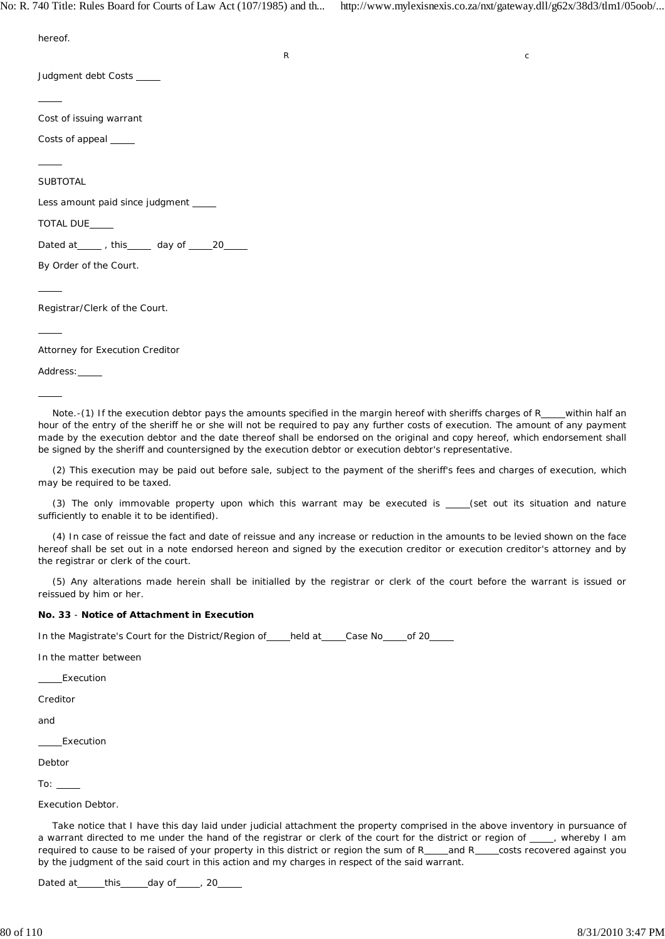hereof. R contract to the contract of the contract of the contract of the contract of the contract of the contract of the contract of the contract of the contract of the contract of the contract of the contract of the contract of Judgment debt Costs  $\overline{a}$ Cost of issuing warrant Costs of appeal \_\_\_\_\_  $\overline{a}$ **SUBTOTAL** Less amount paid since judgment TOTAL DUE Dated at  $\frac{m}{20}$ , this day of  $\frac{20}{20}$ By Order of the Court.  $\overline{a}$ Registrar/Clerk of the Court.  $\overline{a}$ Attorney for Execution Creditor

Address:

 $\overline{a}$ 

Note.-(1) If the execution debtor pays the amounts specified in the margin hereof with sheriffs charges of  $R$  within half an hour of the entry of the sheriff he or she will not be required to pay any further costs of execution. The amount of any payment made by the execution debtor and the date thereof shall be endorsed on the original and copy hereof, which endorsement shall be signed by the sheriff and countersigned by the execution debtor or execution debtor's representative.

(2) This execution may be paid out before sale, subject to the payment of the sheriff's fees and charges of execution, which may be required to be taxed.

(3) The only immovable property upon which this warrant may be executed is  $\_\_\_\$  (set out its situation and nature sufficiently to enable it to be identified).

(4) In case of reissue the fact and date of reissue and any increase or reduction in the amounts to be levied shown on the face hereof shall be set out in a note endorsed hereon and signed by the execution creditor or execution creditor's attorney and by the registrar or clerk of the court.

(5) Any alterations made herein shall be initialled by the registrar or clerk of the court before the warrant is issued or reissued by him or her.

### **No. 33** - **Notice of Attachment in Execution**

In the Magistrate's Court for the District/Region of \_\_\_\_held at \_\_\_\_\_Case No \_\_\_\_\_ of 20

In the matter between

Execution

Creditor

and

Execution

Debtor

To:

Execution Debtor.

Take notice that I have this day laid under judicial attachment the property comprised in the above inventory in pursuance of a warrant directed to me under the hand of the registrar or clerk of the court for the district or region of  $\quad$ , whereby I am required to cause to be raised of your property in this district or region the sum of R\_\_\_and R\_\_costs recovered against you by the judgment of the said court in this action and my charges in respect of the said warrant.

Dated at  $_t$  this  $_$  day of  $_$ , 20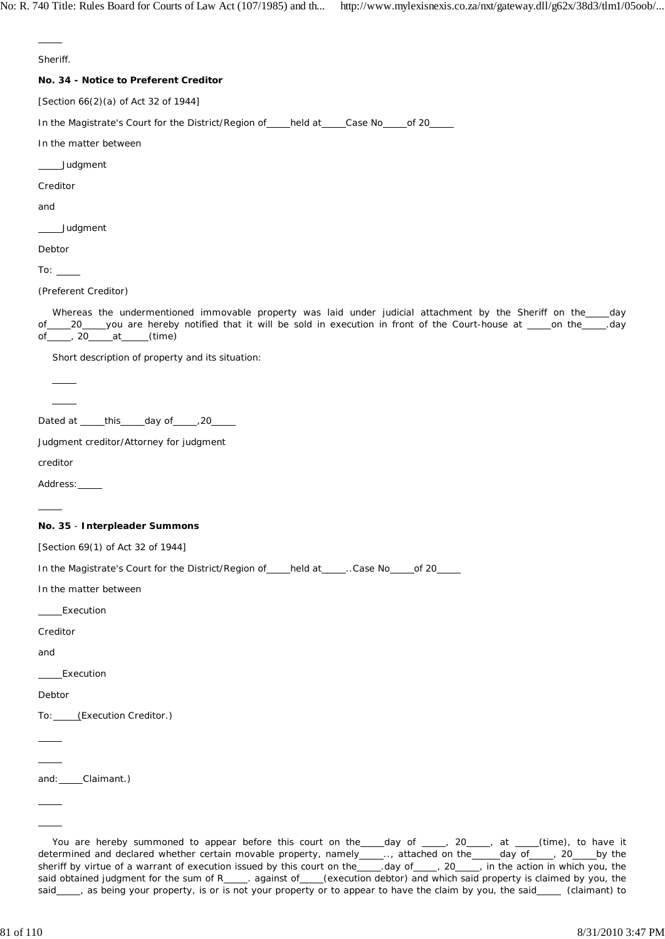Sheriff.

 $\overline{a}$ 

### **No. 34 - Notice to Preferent Creditor**

[Section 66(2)(a) of Act 32 of 1944]

In the Magistrate's Court for the District/Region of \_\_\_\_\_held at \_\_\_\_\_Case No \_\_\_\_\_ of 20

In the matter between

Judgment

Creditor

and

Judgment

Debtor

To:  $\_\_$ 

(Preferent Creditor)

Whereas the undermentioned immovable property was laid under judicial attachment by the Sheriff on the day of 20 you are hereby notified that it will be sold in execution in front of the Court-house at \_\_\_\_on the \_\_\_\_.day<br>of \_\_\_\_, 20 \_\_\_\_at \_\_\_\_(time) of \_\_\_\_\_, 20\_\_\_\_\_at \_\_\_\_\_(time)

Short description of property and its situation:

Dated at  $_t$  this  $_d$  day of  $_t$  ,20

Judgment creditor/Attorney for judgment

creditor

 $\overline{a}$ 

 $\overline{\phantom{a}}$  $\overline{a}$ 

Address:

### **No. 35** - **Interpleader Summons**

[Section 69(1) of Act 32 of 1944]

In the Magistrate's Court for the District/Region of held at held case No of 20

In the matter between

Execution

Creditor

and

Execution

Debtor

 $\overline{a}$  $\overline{a}$ 

 $\overline{a}$  $\overline{a}$ 

To: (Execution Creditor.)

and: Claimant.)

You are hereby summoned to appear before this court on the  $\_$  day of  $\_\_$ , 20  $\_\_$ , at  $\_\_$  (time), to have it determined and declared whether certain movable property, namely equational attached on the equation of  $\frac{1}{2}$  and  $\frac{1}{2}$  or  $\frac{1}{2}$  by the sheriff by virtue of a warrant of execution issued by this court on the \_\_\_\_\_,day of \_\_\_\_, 20 \_\_\_, in the action in which you, the said obtained judgment for the sum of R\_\_\_\_\_. against of \_\_\_\_(execution debtor) and which said property is claimed by you, the said\_\_\_, as being your property, is or is not your property or to appear to have the claim by you, the said\_\_\_\_ (claimant) to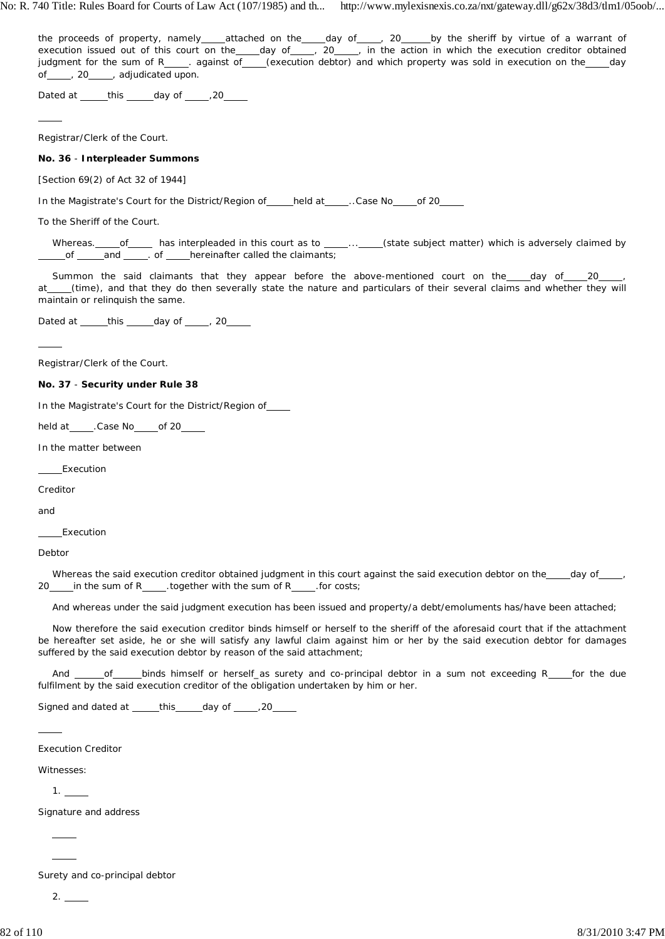the proceeds of property, namely attached on the day of , 20 by the sheriff by virtue of a warrant of execution issued out of this court on the \_\_\_\_day of \_\_\_\_, 20 \_\_\_\_, in the action in which the execution creditor obtained judgment for the sum of R  $\qquad$  against of  $\qquad$  (execution debtor) and which property was sold in execution on the day of \_\_\_\_\_, 20\_\_\_\_\_, adjudicated upon.

Dated at this day of ,20

Registrar/Clerk of the Court.

 $\overline{a}$ 

# **No. 36** - **Interpleader Summons**

[Section 69(2) of Act 32 of 1944]

In the Magistrate's Court for the District/Region of \_\_\_\_\_held at \_\_\_\_\_. Case No \_\_\_\_ of 20

To the Sheriff of the Court.

Whereas. of has interpleaded in this court as to entity estate subject matter) which is adversely claimed by of and of hereinafter called the claimants;

Summon the said claimants that they appear before the above-mentioned court on the day of 20 at (time), and that they do then severally state the nature and particulars of their several claims and whether they will maintain or relinquish the same.

Dated at  $_t$  this  $_t$  day of  $_t$  , 20

Registrar/Clerk of the Court.

# **No. 37** - **Security under Rule 38**

In the Magistrate's Court for the District/Region of

held at \_\_\_\_\_\_. Case No \_\_\_\_\_ of 20\_\_\_\_\_

In the matter between

Execution

Creditor

and

 $\overline{a}$ 

Execution

Debtor

Whereas the said execution creditor obtained judgment in this court against the said execution debtor on the day of 20\_\_\_\_in the sum of R\_\_\_\_\_.together with the sum of R\_\_\_\_\_.for costs;

And whereas under the said judgment execution has been issued and property/a debt/emoluments has/have been attached;

Now therefore the said execution creditor binds himself or herself to the sheriff of the aforesaid court that if the attachment be hereafter set aside, he or she will satisfy any lawful claim against him or her by the said execution debtor for damages suffered by the said execution debtor by reason of the said attachment;

And \_\_\_\_\_of\_\_\_\_\_binds himself or herself\_as surety and co-principal debtor in a sum not exceeding R\_\_\_\_for the due fulfilment by the said execution creditor of the obligation undertaken by him or her.

Signed and dated at \_\_\_\_\_this \_\_\_\_\_day of \_\_\_\_\_, 20\_\_\_\_

Execution Creditor

Witnesses:

 $\overline{a}$ 

1.

Signature and address

Surety and co-principal debtor

 $2.$ 

 $\overline{a}$  $\overline{a}$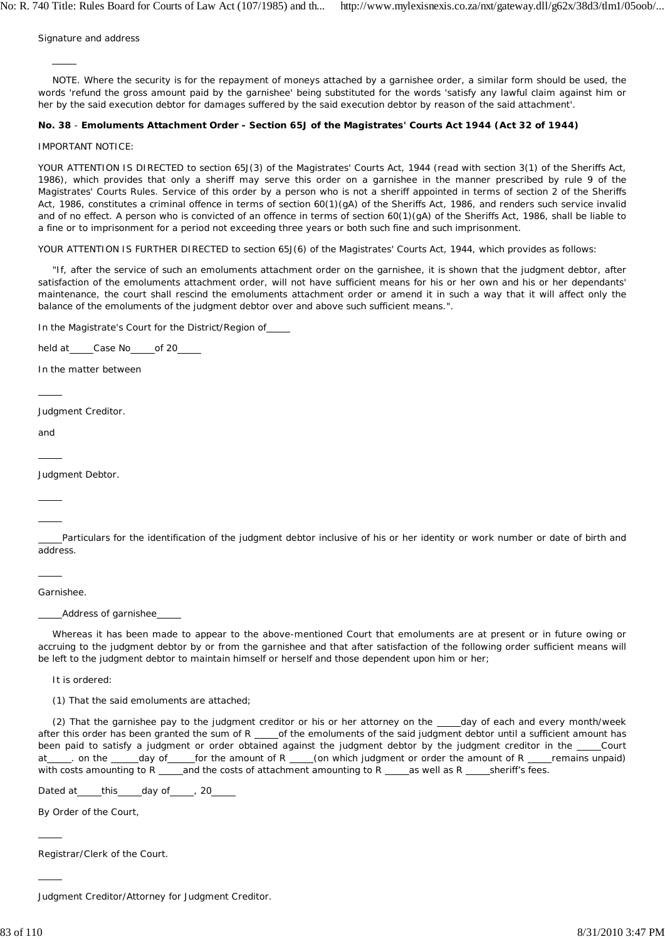Signature and address

 $\overline{a}$ 

NOTE. Where the security is for the repayment of moneys attached by a garnishee order, a similar form should be used, the words 'refund the gross amount paid by the garnishee' being substituted for the words 'satisfy any lawful claim against him or her by the said execution debtor for damages suffered by the said execution debtor by reason of the said attachment'.

## **No. 38** - **Emoluments Attachment Order - Section 65J of the Magistrates' Courts Act 1944 (Act 32 of 1944)**

#### IMPORTANT NOTICE:

YOUR ATTENTION IS DIRECTED to section 65J(3) of the Magistrates' Courts Act, 1944 (read with section 3(1) of the Sheriffs Act, 1986), which provides that only a sheriff may serve this order on a garnishee in the manner prescribed by rule 9 of the Magistrates' Courts Rules. Service of this order by a person who is not a sheriff appointed in terms of section 2 of the Sheriffs Act, 1986, constitutes a criminal offence in terms of section 60(1)(gA) of the Sheriffs Act, 1986, and renders such service invalid and of no effect. A person who is convicted of an offence in terms of section 60(1)(gA) of the Sheriffs Act, 1986, shall be liable to a fine or to imprisonment for a period not exceeding three years or both such fine and such imprisonment.

YOUR ATTENTION IS FURTHER DIRECTED to section 65J(6) of the Magistrates' Courts Act, 1944, which provides as follows:

"If, after the service of such an emoluments attachment order on the garnishee, it is shown that the judgment debtor, after satisfaction of the emoluments attachment order, will not have sufficient means for his or her own and his or her dependants' maintenance, the court shall rescind the emoluments attachment order or amend it in such a way that it will affect only the balance of the emoluments of the judgment debtor over and above such sufficient means.".

In the Magistrate's Court for the District/Region of

held at \_\_\_\_\_Case No \_\_\_\_\_of 20\_\_\_\_

In the matter between

Judgment Creditor.

and

 $\overline{a}$ 

 $\overline{a}$ 

 $\overline{a}$ 

 $\overline{a}$ 

Judgment Debtor.

 $\overline{a}$ 

 Particulars for the identification of the judgment debtor inclusive of his or her identity or work number or date of birth and address.

Garnishee.

Address of garnishee

Whereas it has been made to appear to the above-mentioned Court that emoluments are at present or in future owing or accruing to the judgment debtor by or from the garnishee and that after satisfaction of the following order sufficient means will be left to the judgment debtor to maintain himself or herself and those dependent upon him or her;

It is ordered:

(1) That the said emoluments are attached;

(2) That the garnishee pay to the judgment creditor or his or her attorney on the \_\_\_\_day of each and every month/week after this order has been granted the sum of  $R$  \_\_\_\_\_of the emoluments of the said judgment debtor until a sufficient amount has been paid to satisfy a judgment or order obtained against the judgment debtor by the judgment creditor in the \_\_\_\_Court at \_\_\_\_\_. on the \_\_\_\_\_day of \_\_\_\_\_for the amount of R \_\_\_\_\_(on which judgment or order the amount of R \_\_\_\_remains unpaid) with costs amounting to R  $\_\_\_\$ and the costs of attachment amounting to R  $\_\_\_\$ as well as R  $\_\_\_\$ sheriff's fees.

Dated at this day of , 20

By Order of the Court,

Registrar/Clerk of the Court.

Judgment Creditor/Attorney for Judgment Creditor.

 $\overline{a}$ 

 $\overline{a}$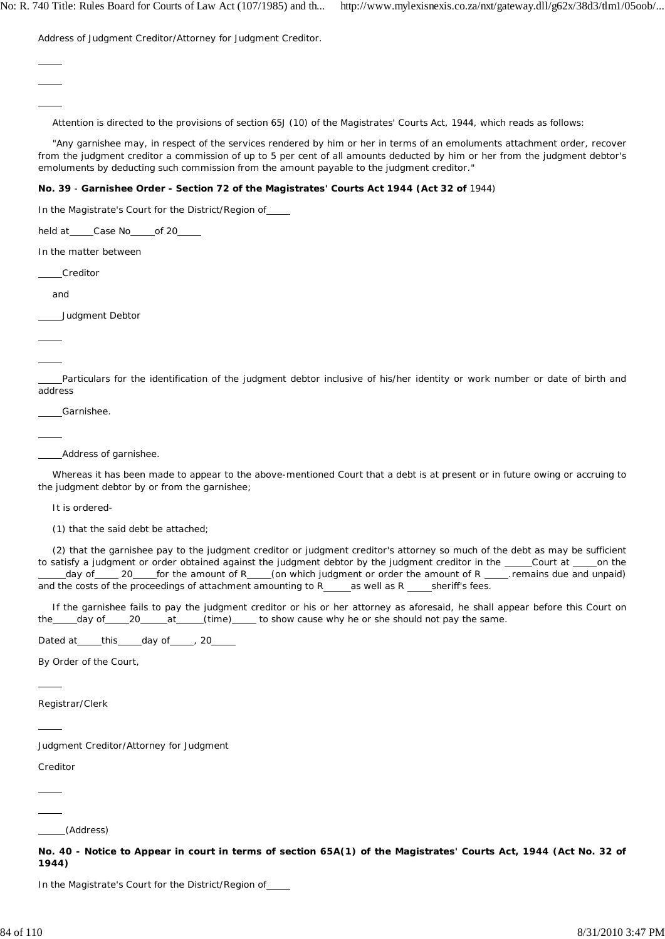Address of Judgment Creditor/Attorney for Judgment Creditor.

Attention is directed to the provisions of section 65J (10) of the Magistrates' Courts Act, 1944, which reads as follows:

"Any garnishee may, in respect of the services rendered by him or her in terms of an emoluments attachment order, recover from the judgment creditor a commission of up to 5 per cent of all amounts deducted by him or her from the judgment debtor's emoluments by deducting such commission from the amount payable to the judgment creditor."

# **No. 39** - **Garnishee Order - Section 72 of the Magistrates' Courts Act 1944 (Act 32 of** 1944)

In the Magistrate's Court for the District/Region of

held at \_\_\_\_\_Case No \_\_\_\_\_of 20\_\_\_\_\_

In the matter between

Creditor

and

 $\overline{a}$  $\overline{a}$  $\overline{a}$ 

Judgment Debtor

 $\overline{a}$ 

 $\overline{a}$ 

 $\overline{a}$ 

 Particulars for the identification of the judgment debtor inclusive of his/her identity or work number or date of birth and address

Garnishee.

Address of garnishee.

Whereas it has been made to appear to the above-mentioned Court that a debt is at present or in future owing or accruing to the judgment debtor by or from the garnishee;

It is ordered-

(1) that the said debt be attached;

(2) that the garnishee pay to the judgment creditor or judgment creditor's attorney so much of the debt as may be sufficient to satisfy a judgment or order obtained against the judgment debtor by the judgment creditor in the \_\_\_\_Court at \_\_\_\_on the day of 20 for the amount of R (on which judgment or order the amount of R contains due and unpaid) and the costs of the proceedings of attachment amounting to  $R_{\text{max}}$  as well as  $R_{\text{max}}$  sheriff's fees.

If the garnishee fails to pay the judgment creditor or his or her attorney as aforesaid, he shall appear before this Court on the day of 20 at (time) to show cause why he or she should not pay the same.

Dated at \_\_\_\_\_this \_\_\_\_\_day of \_\_\_\_\_, 20

By Order of the Court,

Registrar/Clerk

Judgment Creditor/Attorney for Judgment

Creditor

 $\overline{a}$ 

 $\overline{a}$ 

 $\overline{a}$  $\overline{a}$ 

(Address)

**No. 40 - Notice to Appear in court in terms of section 65A(1) of the Magistrates' Courts Act, 1944 (Act No. 32 of 1944)**

In the Magistrate's Court for the District/Region of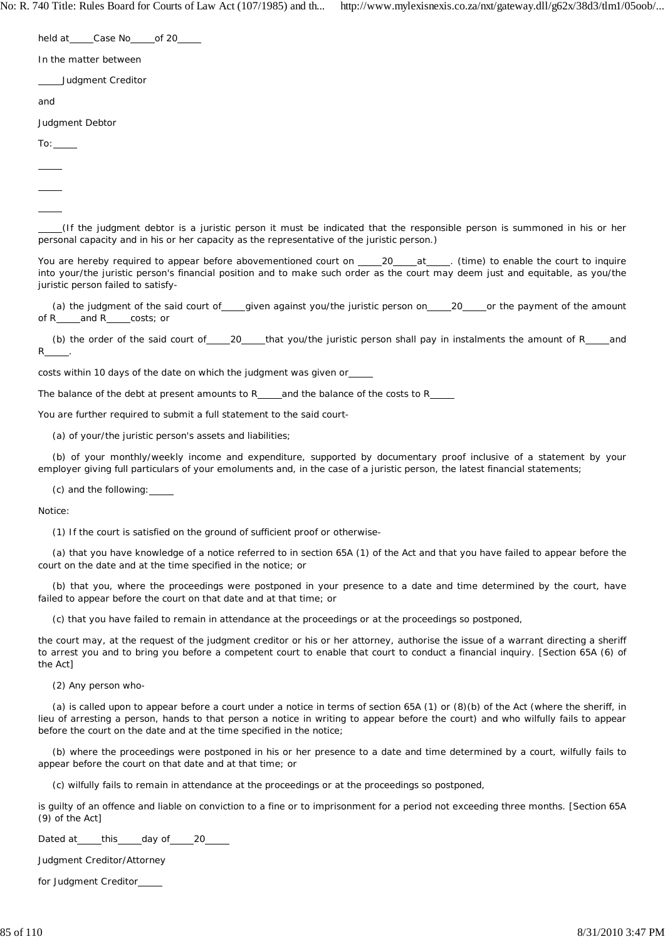held at \_\_\_\_\_Case No \_\_\_\_\_ of 20\_\_\_

In the matter between

Judgment Creditor

and

Judgment Debtor

To:

 $\overline{a}$  $\overline{a}$  $\overline{a}$ 

 (If the judgment debtor is a juristic person it must be indicated that the responsible person is summoned in his or her personal capacity and in his or her capacity as the representative of the juristic person.)

You are hereby required to appear before abovementioned court on 20 at . (time) to enable the court to inquire into your/the juristic person's financial position and to make such order as the court may deem just and equitable, as you/the juristic person failed to satisfy-

(a) the judgment of the said court of given against you/the juristic person on 20 or the payment of the amount of R<sub>\_\_\_\_</sub>and R<sub>\_\_\_\_</sub>costs; or

(b) the order of the said court of  $20$  that you/the juristic person shall pay in instalments the amount of R and  $\mathsf{R}$ 

costs within 10 days of the date on which the judgment was given or

The balance of the debt at present amounts to R $\qquad$  and the balance of the costs to R $\qquad$ 

You are further required to submit a full statement to the said court-

(a) of your/the juristic person's assets and liabilities;

(b) of your monthly/weekly income and expenditure, supported by documentary proof inclusive of a statement by your employer giving full particulars of your emoluments and, in the case of a juristic person, the latest financial statements;

(c) and the following:

Notice:

(1) If the court is satisfied on the ground of sufficient proof or otherwise-

(a) that you have knowledge of a notice referred to in section 65A (1) of the Act and that you have failed to appear before the court on the date and at the time specified in the notice; or

(b) that you, where the proceedings were postponed in your presence to a date and time determined by the court, have failed to appear before the court on that date and at that time; or

(c) that you have failed to remain in attendance at the proceedings or at the proceedings so postponed,

the court may, at the request of the judgment creditor or his or her attorney, authorise the issue of a warrant directing a sheriff to arrest you and to bring you before a competent court to enable that court to conduct a financial inquiry. [Section 65A (6) of the Act]

(2) Any person who-

(a) is called upon to appear before a court under a notice in terms of section 65A (1) or (8)(b) of the Act (where the sheriff, in lieu of arresting a person, hands to that person a notice in writing to appear before the court) and who wilfully fails to appear before the court on the date and at the time specified in the notice;

(b) where the proceedings were postponed in his or her presence to a date and time determined by a court, wilfully fails to appear before the court on that date and at that time; or

(c) wilfully fails to remain in attendance at the proceedings or at the proceedings so postponed,

is guilty of an offence and liable on conviction to a fine or to imprisonment for a period not exceeding three months. [Section 65A (9) of the Act]

Dated at \_\_\_\_\_this \_\_\_\_\_day of \_\_\_\_\_20\_\_\_

Judgment Creditor/Attorney

for Judgment Creditor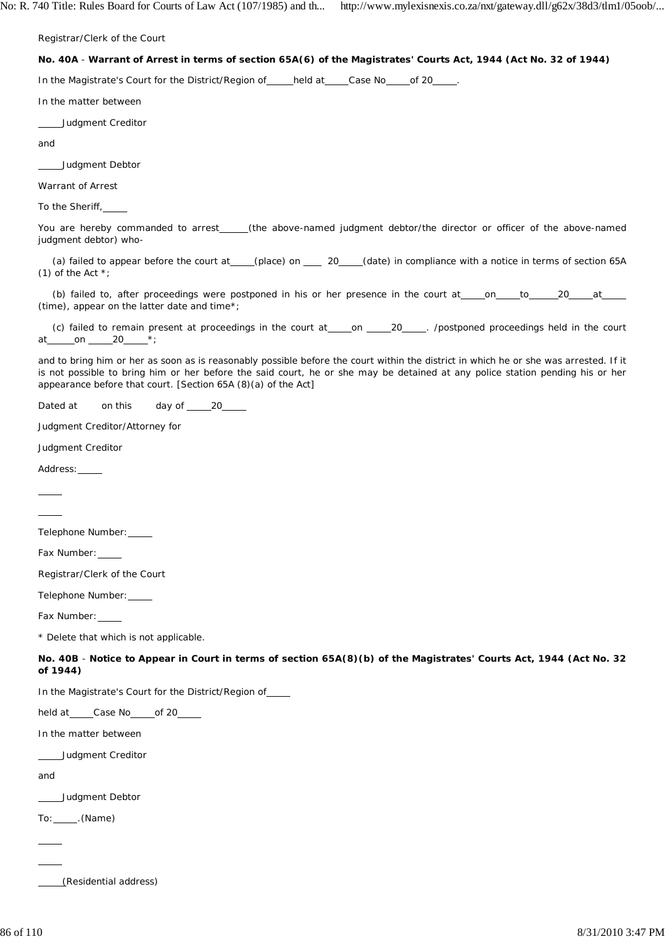Registrar/Clerk of the Court

# **No. 40A** - **Warrant of Arrest in terms of section 65A(6) of the Magistrates' Courts Act, 1944 (Act No. 32 of 1944)**

In the Magistrate's Court for the District/Region of held at Case No of 20

In the matter between

Judgment Creditor

and

Judgment Debtor

Warrant of Arrest

To the Sheriff,

You are hereby commanded to arrest\_\_\_\_\_(the above-named judgment debtor/the director or officer of the above-named judgment debtor) who-

(a) failed to appear before the court at (place) on 20 (date) in compliance with a notice in terms of section 65A (1) of the Act  $*$ ;

(b) failed to, after proceedings were postponed in his or her presence in the court at on to 20 at  $\overline{\phantom{a}}$ (time), appear on the latter date and time\*;

(c) failed to remain present at proceedings in the court at on 20 . /postponed proceedings held in the court at on 20 \*;

and to bring him or her as soon as is reasonably possible before the court within the district in which he or she was arrested. If it is not possible to bring him or her before the said court, he or she may be detained at any police station pending his or her appearance before that court. [Section 65A (8)(a) of the Act]

Dated at on this day of 20

Judgment Creditor/Attorney for

Judgment Creditor

Address:

 $\overline{a}$  $\overline{a}$ 

Telephone Number:

Fax Number:

Registrar/Clerk of the Court

Telephone Number:

Fax Number:

\* Delete that which is not applicable.

**No. 40B** - **Notice to Appear in Court in terms of section 65A(8)(b) of the Magistrates' Courts Act, 1944 (Act No. 32 of 1944)**

In the Magistrate's Court for the District/Region of

held at \_\_\_\_\_Case No \_\_\_\_\_ of 20\_\_\_

In the matter between

Judgment Creditor

and

Judgment Debtor

To: \_\_\_\_\_\_. (Name)

 $\overline{a}$ 

 $\overline{a}$ 

(Residential address)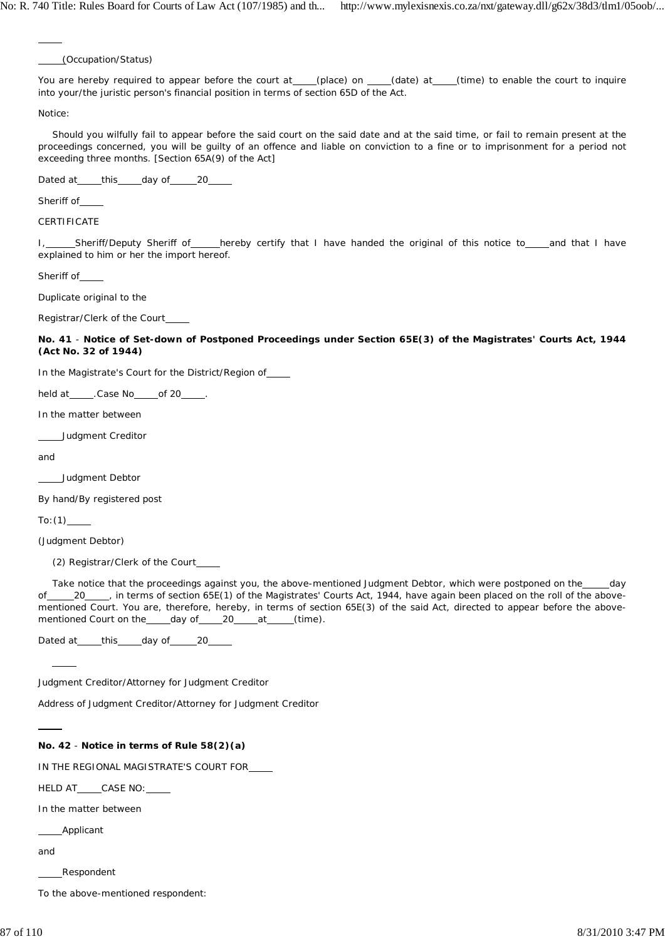(Occupation/Status)

You are hereby required to appear before the court at (place) on (date) at (time) to enable the court to inquire into your/the juristic person's financial position in terms of section 65D of the Act.

Notice:

 $\overline{a}$ 

Should you wilfully fail to appear before the said court on the said date and at the said time, or fail to remain present at the proceedings concerned, you will be guilty of an offence and liable on conviction to a fine or to imprisonment for a period not exceeding three months. [Section 65A(9) of the Act]

Dated at \_\_\_\_\_this \_\_\_\_\_day of \_\_\_\_\_\_20\_\_\_\_\_

Sheriff of

**CERTIFICATE** 

I, Sheriff/Deputy Sheriff of hereby certify that I have handed the original of this notice to and that I have explained to him or her the import hereof.

Sheriff of\_

Duplicate original to the

Registrar/Clerk of the Court

**No. 41** - **Notice of Set-down of Postponed Proceedings under Section 65E(3) of the Magistrates' Courts Act, 1944 (Act No. 32 of 1944)**

In the Magistrate's Court for the District/Region of

held at \_\_\_\_\_. Case No \_\_\_\_\_ of 20\_\_\_\_\_.

In the matter between

Judgment Creditor

and

\_\_Judgment Debtor

By hand/By registered post

 $To: (1)$ 

 $\overline{\phantom{a}}$ 

(Judgment Debtor)

(2) Registrar/Clerk of the Court

Take notice that the proceedings against you, the above-mentioned Judgment Debtor, which were postponed on the \_\_\_\_day of 20 , in terms of section 65E(1) of the Magistrates' Courts Act, 1944, have again been placed on the roll of the abovementioned Court. You are, therefore, hereby, in terms of section 65E(3) of the said Act, directed to appear before the abovementioned Court on the \_\_\_\_\_day of \_\_\_\_\_20\_\_\_\_\_at \_\_\_\_\_(time).

Dated at \_\_\_\_\_this \_\_\_\_\_day of \_\_\_\_\_20\_\_\_

Judgment Creditor/Attorney for Judgment Creditor

Address of Judgment Creditor/Attorney for Judgment Creditor

### **No. 42** - **Notice in terms of Rule 58(2)(a)**

IN THE REGIONAL MAGISTRATE'S COURT FOR

HELD AT CASE NO:

In the matter between

Applicant

and

Respondent

To the above-mentioned respondent: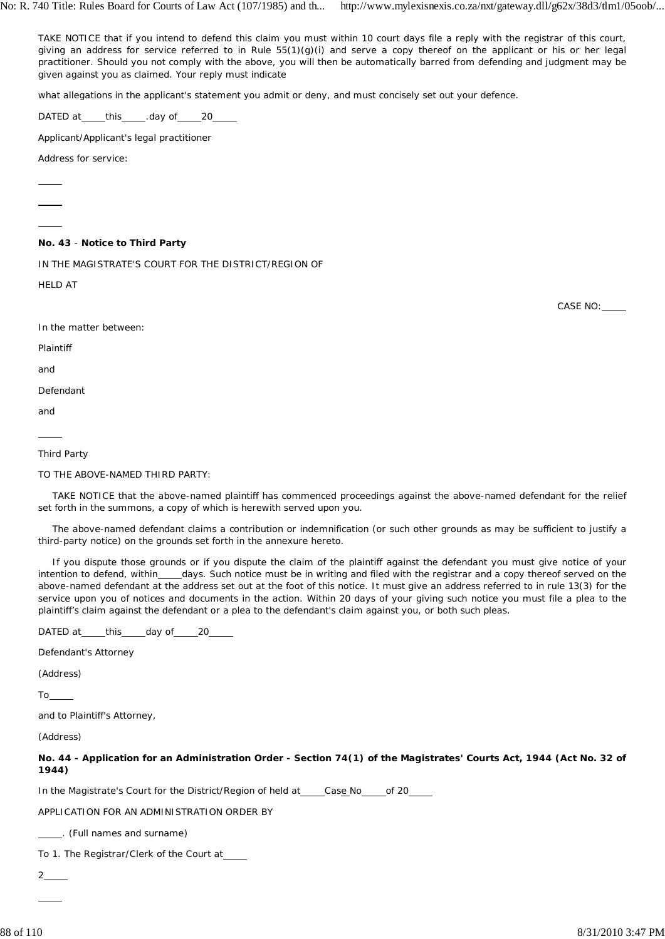TAKE NOTICE that if you intend to defend this claim you must within 10 court days file a reply with the registrar of this court, giving an address for service referred to in Rule 55(1)(g)(i) and serve a copy thereof on the applicant or his or her legal practitioner. Should you not comply with the above, you will then be automatically barred from defending and judgment may be given against you as claimed. Your reply must indicate

what allegations in the applicant's statement you admit or deny, and must concisely set out your defence.

DATED at this ... day of 20

Applicant/Applicant's legal practitioner

Address for service:

 $\overline{a}$ 

# **No. 43** - **Notice to Third Party**

IN THE MAGISTRATE'S COURT FOR THE DISTRICT/REGION OF

HELD AT

In the matter between:

Plaintiff

and

Defendant

and

 $\overline{a}$ 

# Third Party

TO THE ABOVE-NAMED THIRD PARTY:

TAKE NOTICE that the above-named plaintiff has commenced proceedings against the above-named defendant for the relief set forth in the summons, a copy of which is herewith served upon you.

The above-named defendant claims a contribution or indemnification (or such other grounds as may be sufficient to justify a third-party notice) on the grounds set forth in the annexure hereto.

If you dispute those grounds or if you dispute the claim of the plaintiff against the defendant you must give notice of your intention to defend, within days. Such notice must be in writing and filed with the registrar and a copy thereof served on the above-named defendant at the address set out at the foot of this notice. It must give an address referred to in rule 13(3) for the service upon you of notices and documents in the action. Within 20 days of your giving such notice you must file a plea to the plaintiff's claim against the defendant or a plea to the defendant's claim against you, or both such pleas.

DATED at this day of 20

Defendant's Attorney

(Address)

To

and to Plaintiff's Attorney,

(Address)

**No. 44 - Application for an Administration Order - Section 74(1) of the Magistrates' Courts Act, 1944 (Act No. 32 of 1944)**

In the Magistrate's Court for the District/Region of held at Case No of 20

APPLICATION FOR AN ADMINISTRATION ORDER BY

. (Full names and surname)

To 1. The Registrar/Clerk of the Court at

2

 $\overline{a}$ 

CASE NO: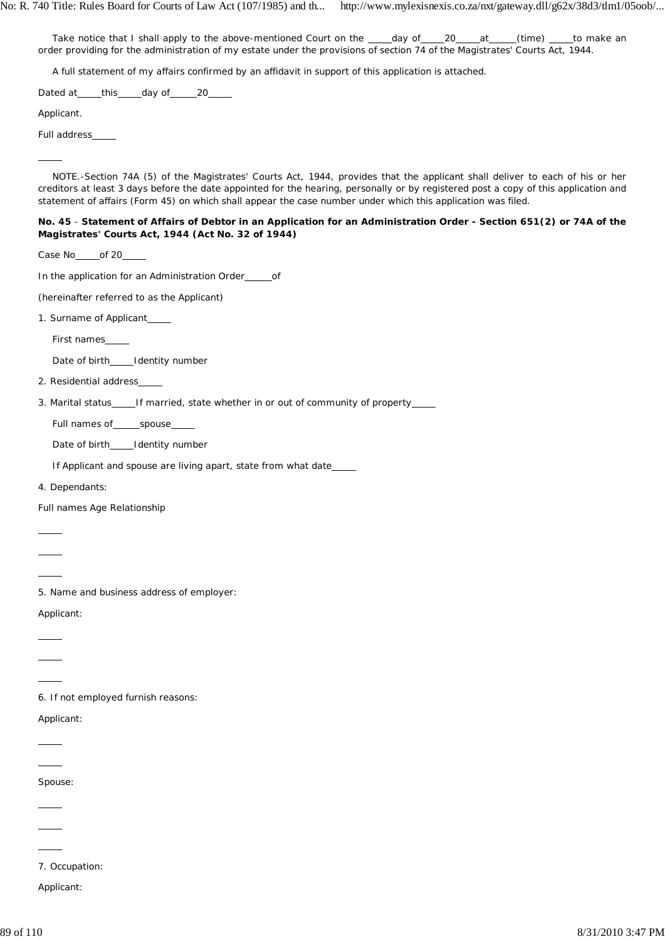Take notice that I shall apply to the above-mentioned Court on the \_\_\_\_day of \_\_\_\_20 \_\_\_at \_\_\_\_(time) \_\_\_\_to make an order providing for the administration of my estate under the provisions of section 74 of the Magistrates' Courts Act, 1944.

A full statement of my affairs confirmed by an affidavit in support of this application is attached.

Dated at \_\_\_\_this \_\_\_\_day of \_\_\_\_\_20\_\_\_\_\_

Applicant.

 $\overline{a}$ 

Full address

NOTE.-Section 74A (5) of the Magistrates' Courts Act, 1944, provides that the applicant shall deliver to each of his or her creditors at least 3 days before the date appointed for the hearing, personally or by registered post a copy of this application and statement of affairs (Form 45) on which shall appear the case number under which this application was filed.

# **No. 45** - **Statement of Affairs of Debtor in an Application for an Administration Order - Section 651(2) or 74A of the Magistrates' Courts Act, 1944 (Act No. 32 of 1944)**

Case No<sub>\_\_\_\_\_\_</sub>of 20\_\_\_\_\_

In the application for an Administration Order \_\_\_\_\_\_ of

(hereinafter referred to as the Applicant)

1. Surname of Applicant

First names

Date of birth Identity number

2. Residential address

3. Marital status\_\_\_\_\_If married, state whether in or out of community of property\_\_\_\_

Full names of spouse

Date of birth Identity number

If Applicant and spouse are living apart, state from what date

4. Dependants:

Full names Age Relationship

 $\overline{a}$ 

 $\overline{a}$  $\overline{a}$ 

 $\overline{a}$  $\overline{a}$  $\overline{a}$ 

 $\overline{a}$ 

5. Name and business address of employer:

Applicant:

6. If not employed furnish reasons:

Applicant:

 $\overline{a}$ Spouse:

 $\overline{a}$ 

 $\overline{a}$ 

 $\overline{a}$ 

7. Occupation:

Applicant: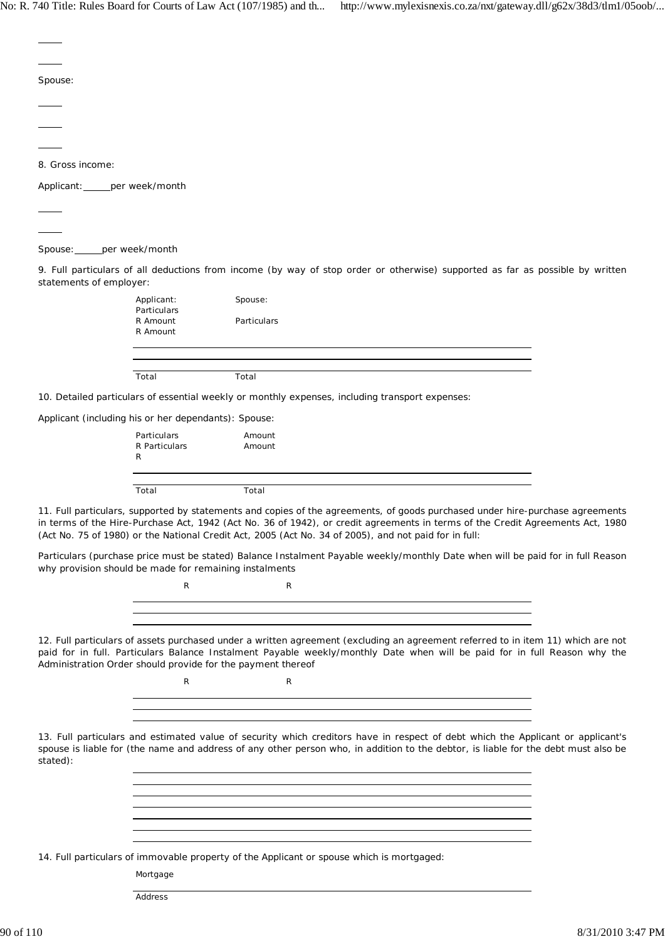| Spouse:                      |                                                             |                                                                                                                                                                                                                                                                                                                                                                          |  |
|------------------------------|-------------------------------------------------------------|--------------------------------------------------------------------------------------------------------------------------------------------------------------------------------------------------------------------------------------------------------------------------------------------------------------------------------------------------------------------------|--|
|                              |                                                             |                                                                                                                                                                                                                                                                                                                                                                          |  |
|                              |                                                             |                                                                                                                                                                                                                                                                                                                                                                          |  |
| 8. Gross income:             |                                                             |                                                                                                                                                                                                                                                                                                                                                                          |  |
| Applicant: per week/month    |                                                             |                                                                                                                                                                                                                                                                                                                                                                          |  |
|                              |                                                             |                                                                                                                                                                                                                                                                                                                                                                          |  |
|                              |                                                             |                                                                                                                                                                                                                                                                                                                                                                          |  |
| Spouse: _____ per week/month |                                                             |                                                                                                                                                                                                                                                                                                                                                                          |  |
| statements of employer:      |                                                             | 9. Full particulars of all deductions from income (by way of stop order or otherwise) supported as far as possible by written                                                                                                                                                                                                                                            |  |
|                              | Applicant:<br>Particulars                                   | Spouse:                                                                                                                                                                                                                                                                                                                                                                  |  |
|                              | R Amount<br>R Amount                                        | Particulars                                                                                                                                                                                                                                                                                                                                                              |  |
|                              |                                                             |                                                                                                                                                                                                                                                                                                                                                                          |  |
|                              | Total                                                       | Total                                                                                                                                                                                                                                                                                                                                                                    |  |
|                              |                                                             | 10. Detailed particulars of essential weekly or monthly expenses, including transport expenses:                                                                                                                                                                                                                                                                          |  |
|                              | Applicant (including his or her dependants): Spouse:        |                                                                                                                                                                                                                                                                                                                                                                          |  |
|                              | Particulars                                                 | Amount                                                                                                                                                                                                                                                                                                                                                                   |  |
|                              | R Particulars<br>R                                          | Amount                                                                                                                                                                                                                                                                                                                                                                   |  |
|                              | Total                                                       | Total                                                                                                                                                                                                                                                                                                                                                                    |  |
|                              |                                                             | 11. Full particulars, supported by statements and copies of the agreements, of goods purchased under hire-purchase agreements<br>in terms of the Hire-Purchase Act, 1942 (Act No. 36 of 1942), or credit agreements in terms of the Credit Agreements Act, 1980<br>(Act No. 75 of 1980) or the National Credit Act, 2005 (Act No. 34 of 2005), and not paid for in full: |  |
|                              | why provision should be made for remaining instalments      | Particulars (purchase price must be stated) Balance Instalment Payable weekly/monthly Date when will be paid for in full Reason                                                                                                                                                                                                                                          |  |
|                              | R                                                           | R                                                                                                                                                                                                                                                                                                                                                                        |  |
|                              |                                                             | ,我们也不会有什么。""我们的人,我们也不会有什么?""我们的人,我们也不会有什么?""我们的人,我们也不会有什么?""我们的人,我们也不会有什么?""我们的人                                                                                                                                                                                                                                                                                         |  |
|                              | Administration Order should provide for the payment thereof | 12. Full particulars of assets purchased under a written agreement (excluding an agreement referred to in item 11) which are not<br>paid for in full. Particulars Balance Instalment Payable weekly/monthly Date when will be paid for in full Reason why the                                                                                                            |  |
|                              | R                                                           | R                                                                                                                                                                                                                                                                                                                                                                        |  |
|                              |                                                             | <u> 1989 - Johann Stoff, deutscher Stoffen und der Stoffen und der Stoffen und der Stoffen und der Stoffen und der</u>                                                                                                                                                                                                                                                   |  |
| stated):                     |                                                             | 13. Full particulars and estimated value of security which creditors have in respect of debt which the Applicant or applicant's<br>spouse is liable for (the name and address of any other person who, in addition to the debtor, is liable for the debt must also be                                                                                                    |  |
|                              |                                                             | and the control of the control of the control of the control of the control of the control of the control of the<br><u> 1989 - Andrea Andrew Maria (h. 1989).</u>                                                                                                                                                                                                        |  |
|                              |                                                             | and the control of the control of the control of the control of the control of the control of the control of the                                                                                                                                                                                                                                                         |  |
|                              |                                                             | the control of the control of the control of the control of the control of the control of the control of the control of the control of the control of the control of the control of the control of the control of the control                                                                                                                                            |  |
|                              | Mortgage                                                    | 14. Full particulars of immovable property of the Applicant or spouse which is mortgaged:                                                                                                                                                                                                                                                                                |  |
|                              | Address                                                     |                                                                                                                                                                                                                                                                                                                                                                          |  |
|                              |                                                             |                                                                                                                                                                                                                                                                                                                                                                          |  |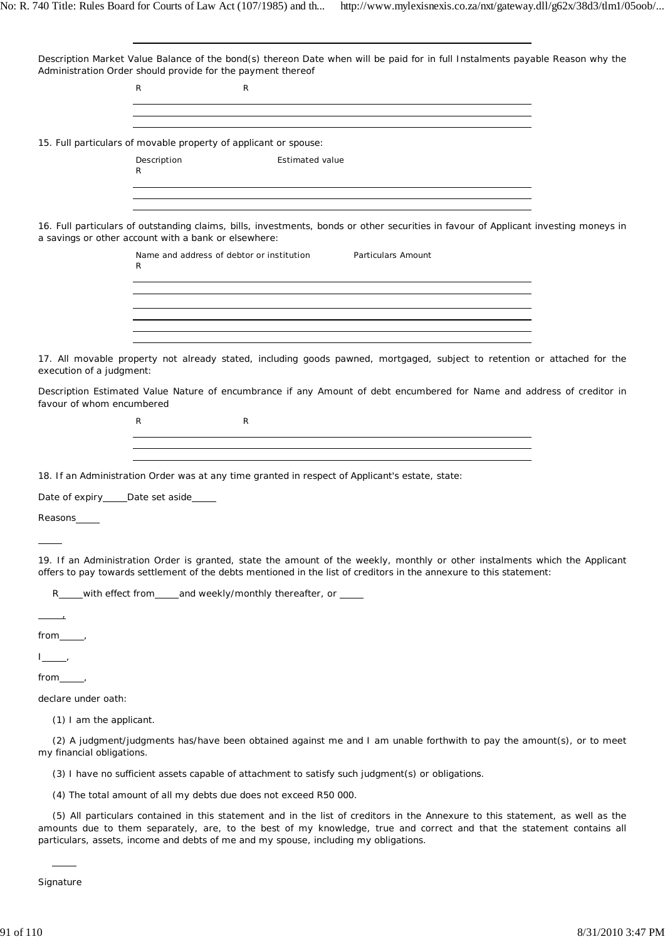| Description Market Value Balance of the bond(s) thereon Date when will be paid for in full Instalments payable Reason why the                                                                                                                                                                                                                    |  |
|--------------------------------------------------------------------------------------------------------------------------------------------------------------------------------------------------------------------------------------------------------------------------------------------------------------------------------------------------|--|
| Administration Order should provide for the payment thereof<br>R<br>R                                                                                                                                                                                                                                                                            |  |
| ,我们也不会有什么。""我们的人,我们也不会有什么?""我们的人,我们也不会有什么?""我们的人,我们也不会有什么?""我们的人,我们也不会有什么?""我们的人                                                                                                                                                                                                                                                                 |  |
| and the control of the control of the control of the control of the control of the control of the control of the<br><u> 1989 - Johann Stoff, deutscher Stoffen und der Stoffen und der Stoffen und der Stoffen und der Stoffen und der</u>                                                                                                       |  |
| 15. Full particulars of movable property of applicant or spouse:                                                                                                                                                                                                                                                                                 |  |
| Description<br><b>Estimated value</b>                                                                                                                                                                                                                                                                                                            |  |
| R                                                                                                                                                                                                                                                                                                                                                |  |
|                                                                                                                                                                                                                                                                                                                                                  |  |
| 16. Full particulars of outstanding claims, bills, investments, bonds or other securities in favour of Applicant investing moneys in<br>a savings or other account with a bank or elsewhere:                                                                                                                                                     |  |
| Name and address of debtor or institution<br>Particulars Amount                                                                                                                                                                                                                                                                                  |  |
| R                                                                                                                                                                                                                                                                                                                                                |  |
|                                                                                                                                                                                                                                                                                                                                                  |  |
|                                                                                                                                                                                                                                                                                                                                                  |  |
| ,我们也不会有什么。""我们的人,我们也不会有什么?""我们的人,我们也不会有什么?""我们的人,我们也不会有什么?""我们的人,我们也不会有什么?""我们的人                                                                                                                                                                                                                                                                 |  |
| <u> 1989 - Johann Barn, mars ann an t-Amhain ann an t-Amhain ann an t-Amhain ann an t-Amhain an t-Amhain ann an t-</u>                                                                                                                                                                                                                           |  |
| 17. All movable property not already stated, including goods pawned, mortgaged, subject to retention or attached for the<br>execution of a judgment:                                                                                                                                                                                             |  |
| Description Estimated Value Nature of encumbrance if any Amount of debt encumbered for Name and address of creditor in                                                                                                                                                                                                                           |  |
| favour of whom encumbered<br>R<br>R                                                                                                                                                                                                                                                                                                              |  |
|                                                                                                                                                                                                                                                                                                                                                  |  |
| <u> 1989 - Johann Stoff, deutscher Stoffen und der Stoffen und der Stoffen und der Stoffen und der Stoffen und der</u>                                                                                                                                                                                                                           |  |
| 18. If an Administration Order was at any time granted in respect of Applicant's estate, state:                                                                                                                                                                                                                                                  |  |
| Date of expiry _____ Date set aside ______                                                                                                                                                                                                                                                                                                       |  |
|                                                                                                                                                                                                                                                                                                                                                  |  |
| Reasons                                                                                                                                                                                                                                                                                                                                          |  |
|                                                                                                                                                                                                                                                                                                                                                  |  |
| 19. If an Administration Order is granted, state the amount of the weekly, monthly or other instalments which the Applicant<br>offers to pay towards settlement of the debts mentioned in the list of creditors in the annexure to this statement:                                                                                               |  |
| R____with effect from____and weekly/monthly thereafter, or ____                                                                                                                                                                                                                                                                                  |  |
|                                                                                                                                                                                                                                                                                                                                                  |  |
|                                                                                                                                                                                                                                                                                                                                                  |  |
| $\frac{1}{2}$                                                                                                                                                                                                                                                                                                                                    |  |
| $from \_\_\$                                                                                                                                                                                                                                                                                                                                     |  |
| declare under oath:                                                                                                                                                                                                                                                                                                                              |  |
| (1) I am the applicant.                                                                                                                                                                                                                                                                                                                          |  |
|                                                                                                                                                                                                                                                                                                                                                  |  |
| (2) A judgment/judgments has/have been obtained against me and I am unable forthwith to pay the amount(s), or to meet<br>my financial obligations.                                                                                                                                                                                               |  |
| (3) I have no sufficient assets capable of attachment to satisfy such judgment(s) or obligations.                                                                                                                                                                                                                                                |  |
| (4) The total amount of all my debts due does not exceed R50 000.                                                                                                                                                                                                                                                                                |  |
| (5) All particulars contained in this statement and in the list of creditors in the Annexure to this statement, as well as the<br>amounts due to them separately, are, to the best of my knowledge, true and correct and that the statement contains all<br>particulars, assets, income and debts of me and my spouse, including my obligations. |  |
|                                                                                                                                                                                                                                                                                                                                                  |  |
|                                                                                                                                                                                                                                                                                                                                                  |  |

Signature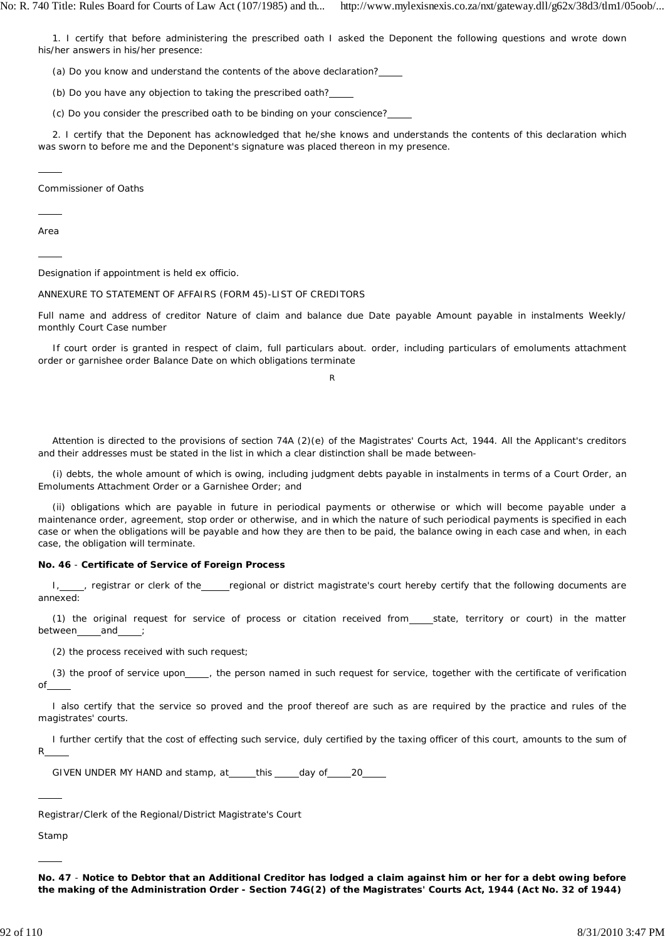1. I certify that before administering the prescribed oath I asked the Deponent the following questions and wrote down his/her answers in his/her presence:

(a) Do you know and understand the contents of the above declaration?

(b) Do you have any objection to taking the prescribed oath?

(c) Do you consider the prescribed oath to be binding on your conscience?

2. I certify that the Deponent has acknowledged that he/she knows and understands the contents of this declaration which was sworn to before me and the Deponent's signature was placed thereon in my presence.

Commissioner of Oaths

Area

 $\overline{a}$ 

 $\overline{a}$ 

 $\overline{a}$ 

Designation if appointment is held ex officio.

# ANNEXURE TO STATEMENT OF AFFAIRS (FORM 45)-LIST OF CREDITORS

Full name and address of creditor Nature of claim and balance due Date payable Amount payable in instalments Weekly/ monthly Court Case number

If court order is granted in respect of claim, full particulars about. order, including particulars of emoluments attachment order or garnishee order Balance Date on which obligations terminate

R

Attention is directed to the provisions of section 74A (2)(e) of the Magistrates' Courts Act, 1944. All the Applicant's creditors and their addresses must be stated in the list in which a clear distinction shall be made between-

(i) debts, the whole amount of which is owing, including judgment debts payable in instalments in terms of a Court Order, an Emoluments Attachment Order or a Garnishee Order; and

(ii) obligations which are payable in future in periodical payments or otherwise or which will become payable under a maintenance order, agreement, stop order or otherwise, and in which the nature of such periodical payments is specified in each case or when the obligations will be payable and how they are then to be paid, the balance owing in each case and when, in each case, the obligation will terminate.

# **No. 46** - **Certificate of Service of Foreign Process**

I, cegistrar or clerk of the regional or district magistrate's court hereby certify that the following documents are annexed:

(1) the original request for service of process or citation received from\_\_\_state, territory or court) in the matter between and

(2) the process received with such request;

(3) the proof of service upon\_\_\_\_, the person named in such request for service, together with the certificate of verification of

I also certify that the service so proved and the proof thereof are such as are required by the practice and rules of the magistrates' courts.

I further certify that the cost of effecting such service, duly certified by the taxing officer of this court, amounts to the sum of R

GIVEN UNDER MY HAND and stamp, at \_\_\_\_ this \_\_\_\_ day of \_\_\_\_ 20\_

Registrar/Clerk of the Regional/District Magistrate's Court

Stamp

 $\overline{a}$ 

 $\overline{a}$ 

**No. 47** - **Notice to Debtor that an Additional Creditor has lodged a claim against him or her for a debt owing before the making of the Administration Order - Section 74G(2) of the Magistrates' Courts Act, 1944 (Act No. 32 of 1944)**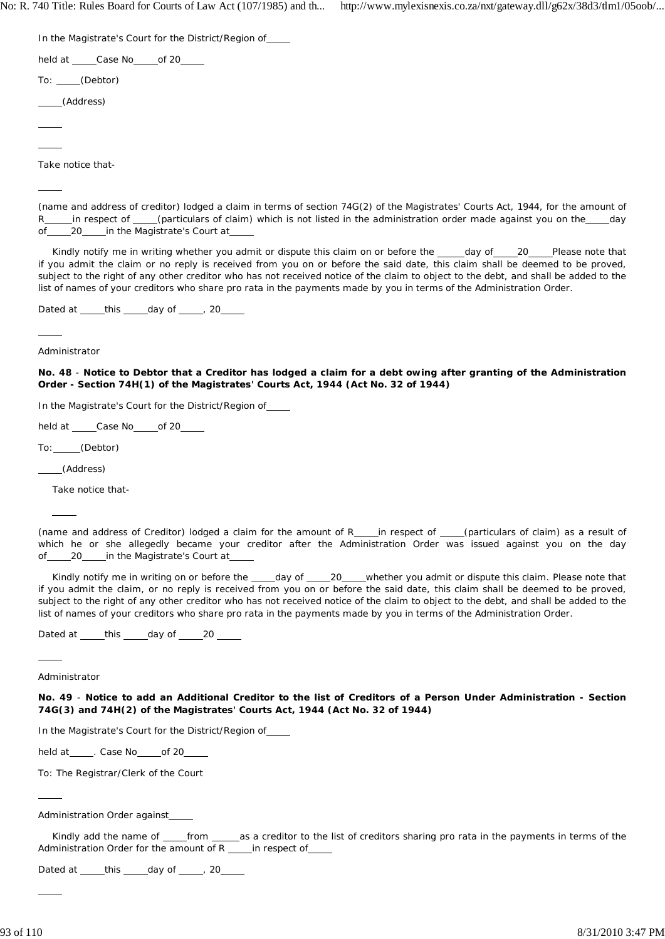In the Magistrate's Court for the District/Region of

held at Case No of 20

To: (Debtor)

(Address)

 $\overline{a}$ 

 $\overline{a}$ 

 $\overline{a}$ 

 $\overline{a}$ 

Take notice that-

(name and address of creditor) lodged a claim in terms of section 74G(2) of the Magistrates' Courts Act, 1944, for the amount of R in respect of (particulars of claim) which is not listed in the administration order made against you on the day of 20 in the Magistrate's Court at

Kindly notify me in writing whether you admit or dispute this claim on or before the day of 20 Please note that if you admit the claim or no reply is received from you on or before the said date, this claim shall be deemed to be proved, subject to the right of any other creditor who has not received notice of the claim to object to the debt, and shall be added to the list of names of your creditors who share pro rata in the payments made by you in terms of the Administration Order.

Dated at  $_t$  this  $_d$  day of  $_t$  , 20

Administrator

**No. 48** - **Notice to Debtor that a Creditor has lodged a claim for a debt owing after granting of the Administration Order - Section 74H(1) of the Magistrates' Courts Act, 1944 (Act No. 32 of 1944)**

In the Magistrate's Court for the District/Region of

held at \_\_\_\_\_Case No\_\_\_\_\_of 20\_\_\_

To: (Debtor)

(Address)

 $\overline{a}$ 

Take notice that-

(name and address of Creditor) lodged a claim for the amount of R\_\_\_in respect of \_\_\_(particulars of claim) as a result of which he or she allegedly became your creditor after the Administration Order was issued against you on the day of 20 in the Magistrate's Court at

Kindly notify me in writing on or before the \_\_\_\_day of \_\_\_\_20\_\_\_whether you admit or dispute this claim. Please note that if you admit the claim, or no reply is received from you on or before the said date, this claim shall be deemed to be proved, subject to the right of any other creditor who has not received notice of the claim to object to the debt, and shall be added to the list of names of your creditors who share pro rata in the payments made by you in terms of the Administration Order.

Dated at  $_t$  this  $_d$  day of 20

 $\overline{a}$ Administrator

 $\overline{a}$ 

 $\overline{a}$ 

**No. 49** - **Notice to add an Additional Creditor to the list of Creditors of a Person Under Administration - Section 74G(3) and 74H(2) of the Magistrates' Courts Act, 1944 (Act No. 32 of 1944)**

In the Magistrate's Court for the District/Region of

held at \_\_\_\_\_. Case No \_\_\_\_\_ of 20\_\_\_

To: The Registrar/Clerk of the Court

Administration Order against

Kindly add the name of \_\_\_\_from \_\_\_\_\_as a creditor to the list of creditors sharing pro rata in the payments in terms of the Administration Order for the amount of R in respect of

Dated at  $_t$  this  $_d$  day of  $_t$  , 20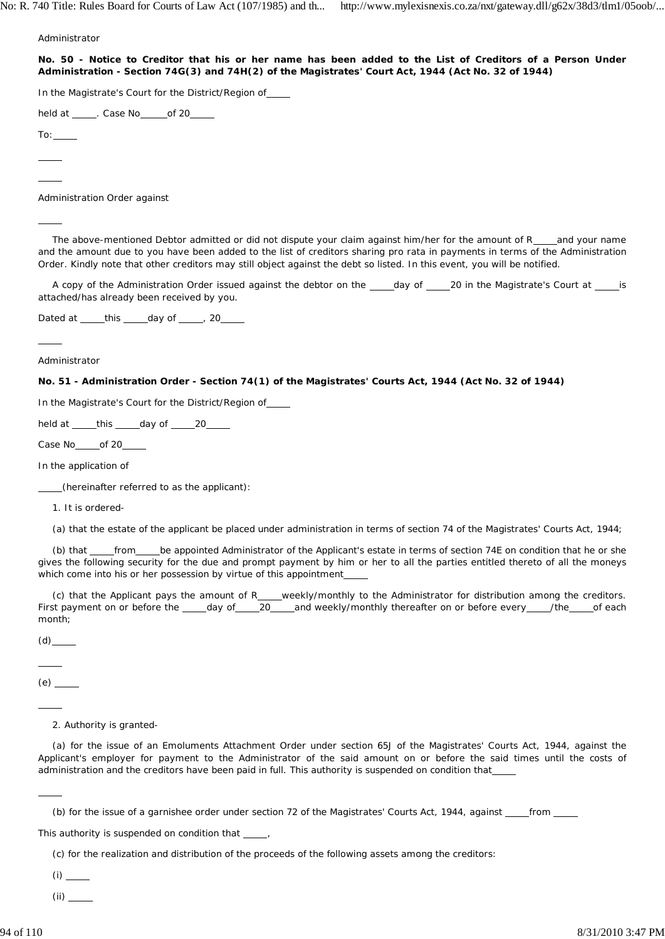Administrator

**No. 50 - Notice to Creditor that his or her name has been added to the List of Creditors of a Person Under Administration - Section 74G(3) and 74H(2) of the Magistrates' Court Act, 1944 (Act No. 32 of 1944)**

In the Magistrate's Court for the District/Region of

held at \_\_\_\_\_. Case No\_\_\_\_\_of 20\_\_\_

 $To:$ 

 $\overline{a}$  $\overline{a}$ 

 $\overline{a}$ 

 $\overline{a}$ 

Administration Order against

The above-mentioned Debtor admitted or did not dispute your claim against him/her for the amount of R and your name and the amount due to you have been added to the list of creditors sharing pro rata in payments in terms of the Administration Order. Kindly note that other creditors may still object against the debt so listed. In this event, you will be notified.

A copy of the Administration Order issued against the debtor on the day of 20 in the Magistrate's Court at is attached/has already been received by you.

Dated at  $_t$  this  $_d$  day of  $_t$  , 20

Administrator

#### **No. 51 - Administration Order - Section 74(1) of the Magistrates' Courts Act, 1944 (Act No. 32 of 1944)**

In the Magistrate's Court for the District/Region of

held at  $_t$  this  $_d$  day of 20

Case No<sub>od</sub> of 20

In the application of

(hereinafter referred to as the applicant):

1. It is ordered-

(a) that the estate of the applicant be placed under administration in terms of section 74 of the Magistrates' Courts Act, 1944;

(b) that from be appointed Administrator of the Applicant's estate in terms of section 74E on condition that he or she gives the following security for the due and prompt payment by him or her to all the parties entitled thereto of all the moneys which come into his or her possession by virtue of this appointment

(c) that the Applicant pays the amount of R\_\_\_\_weekly/monthly to the Administrator for distribution among the creditors. First payment on or before the \_\_\_\_day of \_\_\_\_20 \_\_\_\_and weekly/monthly thereafter on or before every \_\_\_\_/the \_\_\_\_of each month;

 $(d)$ 

 $\overline{a}$ 

 $(e)$   $\qquad$ 

 $\overline{a}$ 

 $\overline{a}$ 

2. Authority is granted-

(a) for the issue of an Emoluments Attachment Order under section 65J of the Magistrates' Courts Act, 1944, against the Applicant's employer for payment to the Administrator of the said amount on or before the said times until the costs of administration and the creditors have been paid in full. This authority is suspended on condition that

(b) for the issue of a garnishee order under section 72 of the Magistrates' Courts Act, 1944, against from

This authority is suspended on condition that  $\frac{1}{\sqrt{1-\frac{1}{n}}},$ 

(c) for the realization and distribution of the proceeds of the following assets among the creditors:

 $(i)$ 

(ii)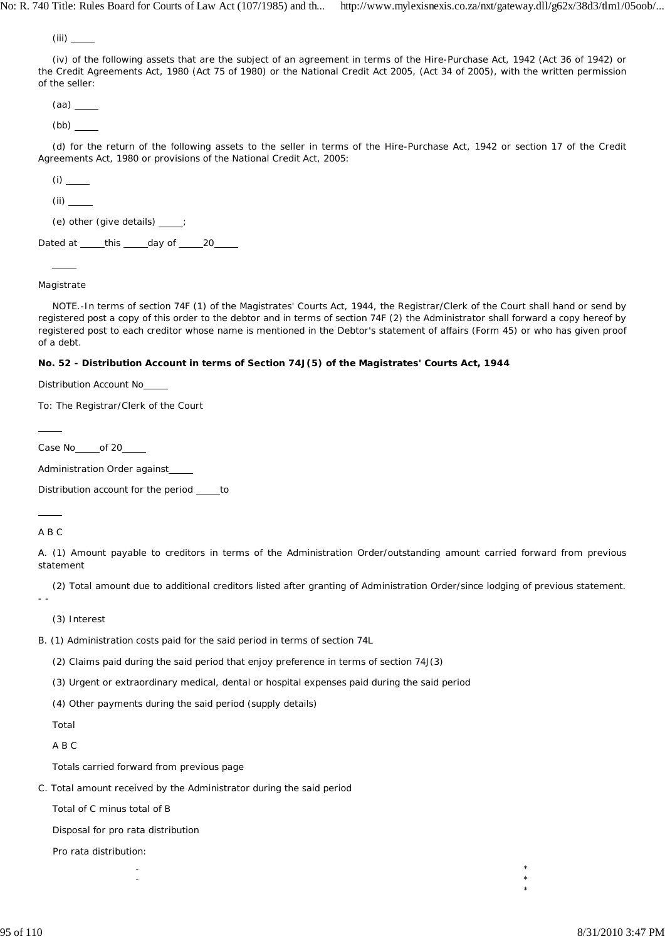$(iii)$ 

(iv) of the following assets that are the subject of an agreement in terms of the Hire-Purchase Act, 1942 (Act 36 of 1942) or the Credit Agreements Act, 1980 (Act 75 of 1980) or the National Credit Act 2005, (Act 34 of 2005), with the written permission of the seller:

 $(aa)$   $\qquad$ 

 $(bb)$   $\qquad$ 

(d) for the return of the following assets to the seller in terms of the Hire-Purchase Act, 1942 or section 17 of the Credit Agreements Act, 1980 or provisions of the National Credit Act, 2005:

 $(i)$ 

 $(ii)$   $\qquad$ 

(e) other (give details) ;

Dated at \_\_\_\_\_this \_\_\_\_\_day of \_\_\_\_\_20\_\_\_\_\_

# Magistrate

 $\overline{a}$ 

NOTE.-In terms of section 74F (1) of the Magistrates' Courts Act, 1944, the Registrar/Clerk of the Court shall hand or send by registered post a copy of this order to the debtor and in terms of section 74F (2) the Administrator shall forward a copy hereof by registered post to each creditor whose name is mentioned in the Debtor's statement of affairs (Form 45) or who has given proof of a debt.

# **No. 52 - Distribution Account in terms of Section 74J(5) of the Magistrates' Courts Act, 1944**

Distribution Account No

To: The Registrar/Clerk of the Court

Case No of 20

Administration Order against\_

Distribution account for the period \_\_\_\_\_ to

### A B C

 $\overline{a}$ 

 $\overline{a}$ 

A. (1) Amount payable to creditors in terms of the Administration Order/outstanding amount carried forward from previous statement

(2) Total amount due to additional creditors listed after granting of Administration Order/since lodging of previous statement.

 $\star$   $\star$  $\star$   $\star$ 

- -

(3) Interest

B. (1) Administration costs paid for the said period in terms of section 74L

(2) Claims paid during the said period that enjoy preference in terms of section 74J(3)

(3) Urgent or extraordinary medical, dental or hospital expenses paid during the said period

(4) Other payments during the said period (supply details)

Total

A B C

Totals carried forward from previous page

C. Total amount received by the Administrator during the said period

Total of C minus total of B

Disposal for pro rata distribution

Pro rata distribution:

\*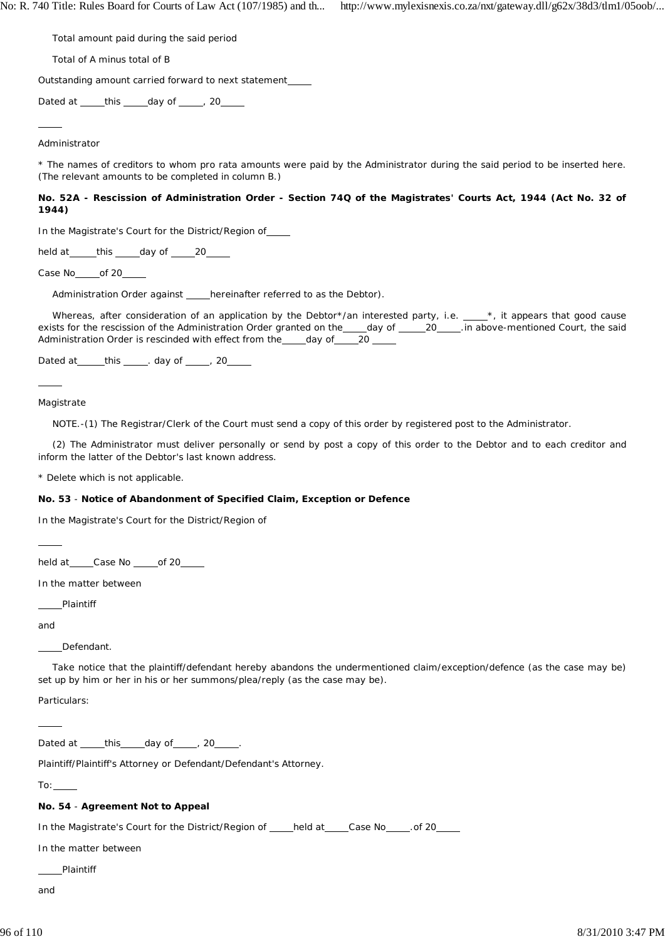Total amount paid during the said period

Total of A minus total of B

Outstanding amount carried forward to next statement

Dated at  $_t$  this  $_d$  day of  $_t$  , 20

 $\overline{a}$ Administrator

\* The names of creditors to whom *pro rata* amounts were paid by the Administrator during the said period to be inserted here. (The relevant amounts to be completed in column B.)

**No. 52A - Rescission of Administration Order - Section 74Q of the Magistrates' Courts Act, 1944 (Act No. 32 of 1944)**

In the Magistrate's Court for the District/Region of

held at this day of 20

Case No\_\_\_\_\_of 20\_

Administration Order against \_\_\_\_hereinafter referred to as the Debtor).

Whereas, after consideration of an application by the Debtor\*/an interested party, i.e.  $\_\_\_\ast$ , it appears that good cause exists for the rescission of the Administration Order granted on the \_\_\_\_day of \_\_\_\_\_20 \_\_\_\_. in above-mentioned Court, the said Administration Order is rescinded with effect from the \_\_\_\_ day of \_\_\_\_ 20 \_\_\_

Dated at  $_t$  this  $_t$  day of  $_t$  20

Magistrate

 $\overline{a}$ 

NOTE.-(1) The Registrar/Clerk of the Court must send a copy of this order by registered post to the Administrator.

(2) The Administrator must deliver personally or send by post a copy of this order to the Debtor and to each creditor and inform the latter of the Debtor's last known address.

\* Delete which is not applicable.

### **No. 53** - **Notice of Abandonment of Specified Claim, Exception or Defence**

In the Magistrate's Court for the District/Region of

held at Case No of 20

In the matter between

Plaintiff

and

 $\overline{a}$ 

 $\overline{a}$ 

Defendant.

Take notice that the plaintiff/defendant hereby abandons the undermentioned claim/exception/defence (as the case may be) set up by him or her in his or her summons/plea/reply (as the case may be).

Particulars:

Dated at  $_t$  this  $_t$  day of  $_t$  , 20  $_t$ .

Plaintiff/Plaintiff's Attorney or Defendant/Defendant's Attorney.

 $To:$ 

### **No. 54** - **Agreement Not to Appeal**

In the Magistrate's Court for the District/Region of \_\_\_\_held at \_\_\_\_Case No \_\_\_\_\_. of 20

In the matter between

Plaintiff

and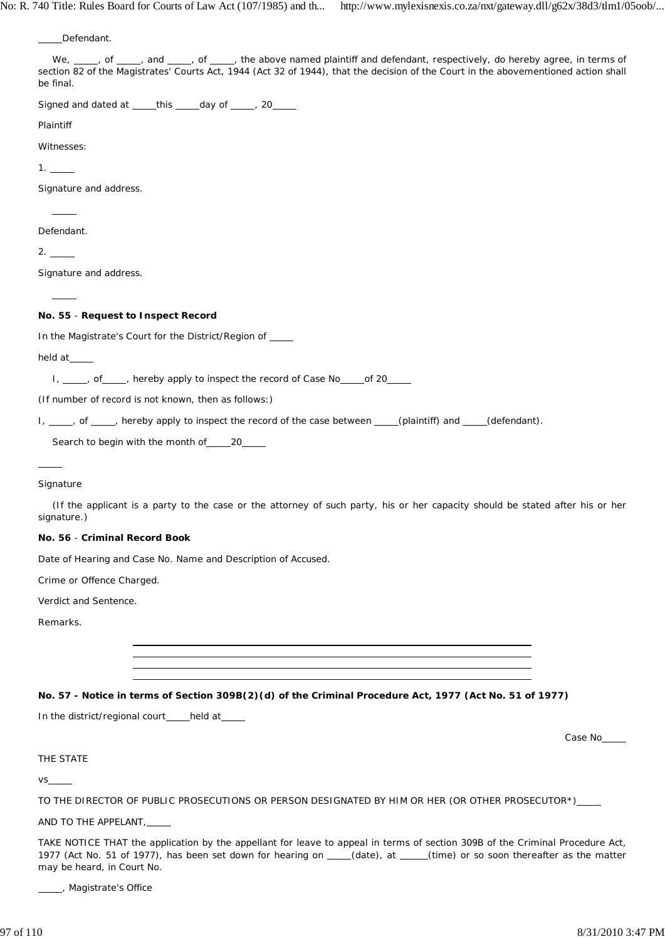Defendant.

| <b>DUILIUGIII</b>                                                                                                                                                                                                                                                                        |
|------------------------------------------------------------------------------------------------------------------------------------------------------------------------------------------------------------------------------------------------------------------------------------------|
| We, ___, of ___, and ___, of ___, the above named plaintiff and defendant, respectively, do hereby agree, in terms of<br>section 82 of the Magistrates' Courts Act, 1944 (Act 32 of 1944), that the decision of the Court in the abovementioned action shall<br>be final.                |
| Signed and dated at _____this _____day of _____, 20_____                                                                                                                                                                                                                                 |
| Plaintiff                                                                                                                                                                                                                                                                                |
| Witnesses:                                                                                                                                                                                                                                                                               |
| 1.                                                                                                                                                                                                                                                                                       |
| Signature and address.                                                                                                                                                                                                                                                                   |
|                                                                                                                                                                                                                                                                                          |
| Defendant.                                                                                                                                                                                                                                                                               |
|                                                                                                                                                                                                                                                                                          |
| Signature and address.                                                                                                                                                                                                                                                                   |
|                                                                                                                                                                                                                                                                                          |
| No. 55 - Request to Inspect Record                                                                                                                                                                                                                                                       |
| In the Magistrate's Court for the District/Region of ____                                                                                                                                                                                                                                |
| held at                                                                                                                                                                                                                                                                                  |
| I, ____, of ____, hereby apply to inspect the record of Case No _____ of 20_____                                                                                                                                                                                                         |
| (If number of record is not known, then as follows:)                                                                                                                                                                                                                                     |
| I, ____, of ____, hereby apply to inspect the record of the case between ____(plaintiff) and ____(defendant).                                                                                                                                                                            |
| Search to begin with the month of _______ 20______                                                                                                                                                                                                                                       |
|                                                                                                                                                                                                                                                                                          |
| Signature                                                                                                                                                                                                                                                                                |
| (If the applicant is a party to the case or the attorney of such party, his or her capacity should be stated after his or her<br>signature.)                                                                                                                                             |
| No. 56 - Criminal Record Book                                                                                                                                                                                                                                                            |
| Date of Hearing and Case No. Name and Description of Accused.                                                                                                                                                                                                                            |
| Crime or Offence Charged.                                                                                                                                                                                                                                                                |
| Verdict and Sentence.                                                                                                                                                                                                                                                                    |
| Remarks.                                                                                                                                                                                                                                                                                 |
|                                                                                                                                                                                                                                                                                          |
|                                                                                                                                                                                                                                                                                          |
|                                                                                                                                                                                                                                                                                          |
| No. 57 - Notice in terms of Section 309B(2)(d) of the Criminal Procedure Act, 1977 (Act No. 51 of 1977)                                                                                                                                                                                  |
| In the district/regional court____held at____                                                                                                                                                                                                                                            |
| Case No                                                                                                                                                                                                                                                                                  |
| THE STATE                                                                                                                                                                                                                                                                                |
|                                                                                                                                                                                                                                                                                          |
| TO THE DIRECTOR OF PUBLIC PROSECUTIONS OR PERSON DESIGNATED BY HIM OR HER (OR OTHER PROSECUTOR*)____                                                                                                                                                                                     |
| AND TO THE APPELANT, _____                                                                                                                                                                                                                                                               |
| TAKE NOTICE THAT the application by the appellant for leave to appeal in terms of section 309B of the Criminal Procedure Act,<br>1977 (Act No. 51 of 1977), has been set down for hearing on ____(date), at ____(time) or so soon thereafter as the matter<br>may be heard, in Court No. |

Lacker Magistrate's Office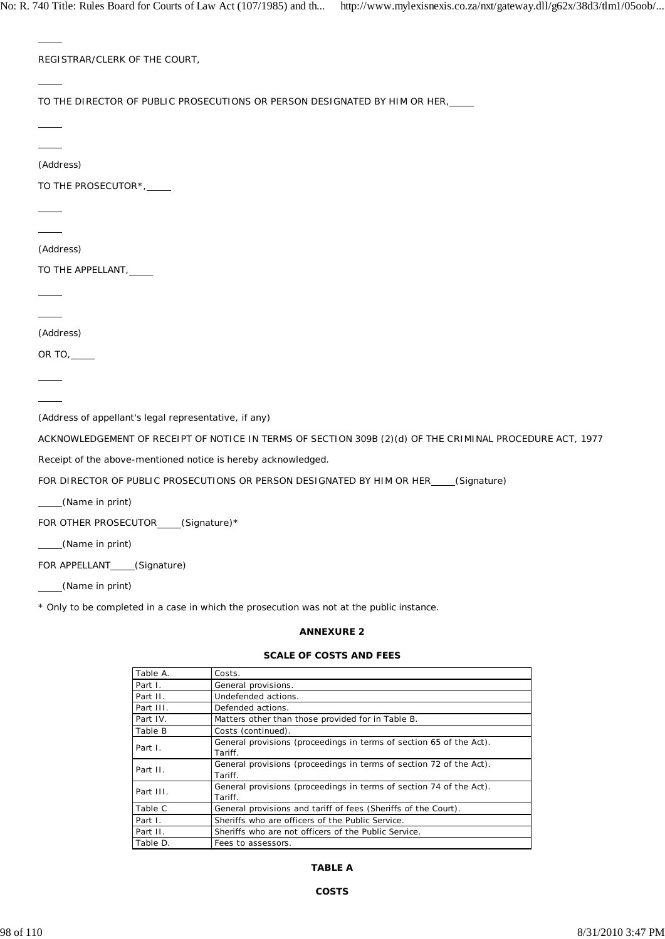| REGISTRAR/CLERK OF THE COURT,                         |                       |                                                                                                          |  |
|-------------------------------------------------------|-----------------------|----------------------------------------------------------------------------------------------------------|--|
|                                                       |                       |                                                                                                          |  |
|                                                       |                       | TO THE DIRECTOR OF PUBLIC PROSECUTIONS OR PERSON DESIGNATED BY HIM OR HER, _____                         |  |
|                                                       |                       |                                                                                                          |  |
|                                                       |                       |                                                                                                          |  |
| (Address)                                             |                       |                                                                                                          |  |
| TO THE PROSECUTOR*,                                   |                       |                                                                                                          |  |
|                                                       |                       |                                                                                                          |  |
|                                                       |                       |                                                                                                          |  |
|                                                       |                       |                                                                                                          |  |
| (Address)                                             |                       |                                                                                                          |  |
| TO THE APPELLANT,                                     |                       |                                                                                                          |  |
|                                                       |                       |                                                                                                          |  |
|                                                       |                       |                                                                                                          |  |
| (Address)                                             |                       |                                                                                                          |  |
| OR TO,_____                                           |                       |                                                                                                          |  |
|                                                       |                       |                                                                                                          |  |
|                                                       |                       |                                                                                                          |  |
|                                                       |                       |                                                                                                          |  |
| (Address of appellant's legal representative, if any) |                       |                                                                                                          |  |
|                                                       |                       | ACKNOWLEDGEMENT OF RECEIPT OF NOTICE IN TERMS OF SECTION 309B (2)(d) OF THE CRIMINAL PROCEDURE ACT, 1977 |  |
|                                                       |                       | Receipt of the above-mentioned notice is hereby acknowledged.                                            |  |
|                                                       |                       | FOR DIRECTOR OF PUBLIC PROSECUTIONS OR PERSON DESIGNATED BY HIM OR HER___(Signature)                     |  |
| (Name in print)                                       |                       |                                                                                                          |  |
| FOR OTHER PROSECUTOR____(Signature)*                  |                       |                                                                                                          |  |
|                                                       |                       |                                                                                                          |  |
| (Name in print)                                       |                       |                                                                                                          |  |
| FOR APPELLANT____(Signature)                          |                       |                                                                                                          |  |
| (Name in print)                                       |                       |                                                                                                          |  |
|                                                       |                       | * Only to be completed in a case in which the prosecution was not at the public instance.                |  |
|                                                       |                       | <b>ANNEXURE 2</b>                                                                                        |  |
|                                                       |                       | <b>SCALE OF COSTS AND FEES</b>                                                                           |  |
|                                                       | Table A.              | Costs.                                                                                                   |  |
|                                                       | Part I.               | General provisions.                                                                                      |  |
|                                                       | Part II.<br>Part III. | Undefended actions.<br>Defended actions.                                                                 |  |
|                                                       | Part IV.              | Matters other than those provided for in Table B.                                                        |  |
|                                                       | Table B               | Costs (continued).                                                                                       |  |
|                                                       | Part I.               | General provisions (proceedings in terms of section 65 of the Act).<br>Tariff.                           |  |
|                                                       | Part II.              | General provisions (proceedings in terms of section 72 of the Act).<br>Tariff.                           |  |
|                                                       | Part III.             | General provisions (proceedings in terms of section 74 of the Act).<br>Tariff.                           |  |
|                                                       | Table C               | General provisions and tariff of fees (Sheriffs of the Court).                                           |  |
|                                                       | Part I.<br>Part II.   | Sheriffs who are officers of the Public Service.<br>Sheriffs who are not officers of the Public Service. |  |
|                                                       | Table D.              | Fees to assessors.                                                                                       |  |

**TABLE A**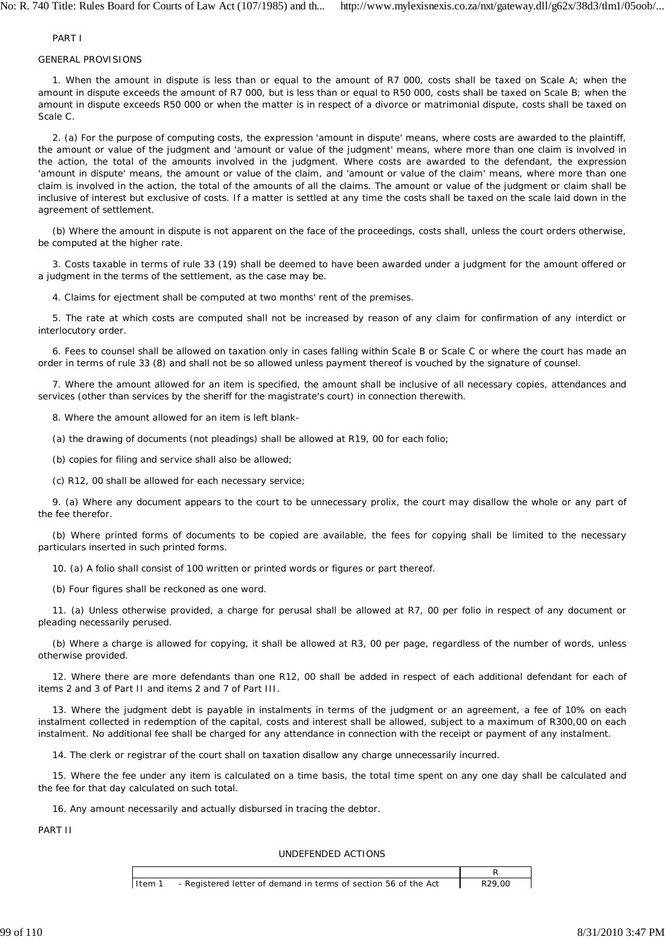### PART I

### GENERAL PROVISIONS

1. When the amount in dispute is less than or equal to the amount of R7 000, costs shall be taxed on Scale A; when the amount in dispute exceeds the amount of R7 000, but is less than or equal to R50 000, costs shall be taxed on Scale B; when the amount in dispute exceeds R50 000 or when the matter is in respect of a divorce or matrimonial dispute, costs shall be taxed on Scale C.

2. (a) For the purpose of computing costs, the expression 'amount in dispute' means, where costs are awarded to the plaintiff, the amount or value of the judgment and 'amount or value of the judgment' means, where more than one claim is involved in the action, the total of the amounts involved in the judgment. Where costs are awarded to the defendant, the expression 'amount in dispute' means, the amount or value of the claim, and 'amount or value of the claim' means, where more than one claim is involved in the action, the total of the amounts of all the claims. The amount or value of the judgment or claim shall be inclusive of interest but exclusive of costs. If a matter is settled at any time the costs shall be taxed on the scale laid down in the agreement of settlement.

(b) Where the amount in dispute is not apparent on the face of the proceedings, costs shall, unless the court orders otherwise, be computed at the higher rate.

3. Costs taxable in terms of rule 33 (19) shall be deemed to have been awarded under a judgment for the amount offered or a judgment in the terms of the settlement, as the case may be.

4. Claims for ejectment shall be computed at two months' rent of the premises.

5. The rate at which costs are computed shall not be increased by reason of any claim for confirmation of any interdict or interlocutory order.

6. Fees to counsel shall be allowed on taxation only in cases falling within Scale B or Scale C or where the court has made an order in terms of rule 33 (8) and shall not be so allowed unless payment thereof is vouched by the signature of counsel.

7. Where the amount allowed for an item is specified, the amount shall be inclusive of all necessary copies, attendances and services (other than services by the sheriff for the magistrate's court) in connection therewith.

8. Where the amount allowed for an item is left blank-

(a) the drawing of documents (not pleadings) shall be allowed at R19, 00 for each folio;

(b) copies for filing and service shall also be allowed;

(c) R12, 00 shall be allowed for each necessary service;

9. (a) Where any document appears to the court to be unnecessary prolix, the court may disallow the whole or any part of the fee therefor.

(b) Where printed forms of documents to be copied are available, the fees for copying shall be limited to the necessary particulars inserted in such printed forms.

10. (a) A folio shall consist of 100 written or printed words or figures or part thereof.

(b) Four figures shall be reckoned as one word.

11. (a) Unless otherwise provided, a charge for perusal shall be allowed at R7, 00 per folio in respect of any document or pleading necessarily perused.

(b) Where a charge is allowed for copying, it shall be allowed at R3, 00 per page, regardless of the number of words, unless otherwise provided.

12. Where there are more defendants than one R12, 00 shall be added in respect of each additional defendant for each of items 2 and 3 of Part II and items 2 and 7 of Part III.

13. Where the judgment debt is payable in instalments in terms of the judgment or an agreement, a fee of 10% on each instalment collected in redemption of the capital, costs and interest shall be allowed, subject to a maximum of R300,00 on each instalment. No additional fee shall be charged for any attendance in connection with the receipt or payment of any instalment.

14. The clerk or registrar of the court shall on taxation disallow any charge unnecessarily incurred.

15. Where the fee under any item is calculated on a time basis, the total time spent on any one day shall be calculated and the fee for that day calculated on such total.

16. Any amount necessarily and actually disbursed in tracing the debtor.

PART II

### UNDEFENDED ACTIONS

| Item 1 | - Registered letter of demand in terms of section 56 of the Act | R <sub>29</sub> .00 |
|--------|-----------------------------------------------------------------|---------------------|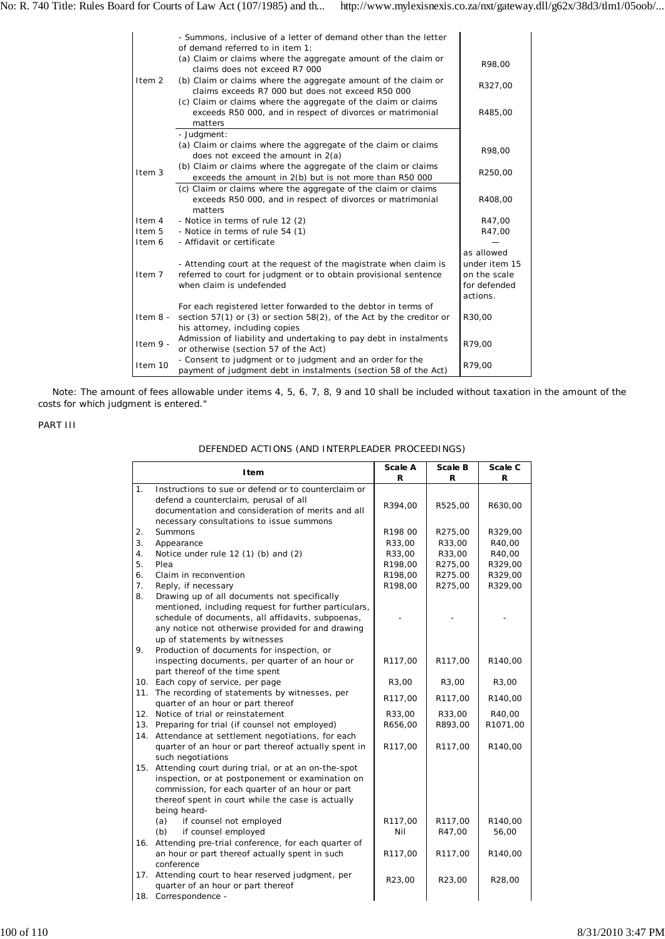|                   | - Summons, inclusive of a letter of demand other than the letter<br>of demand referred to in item 1:<br>(a) Claim or claims where the aggregate amount of the claim or        |                                                                         |
|-------------------|-------------------------------------------------------------------------------------------------------------------------------------------------------------------------------|-------------------------------------------------------------------------|
|                   | claims does not exceed R7 000                                                                                                                                                 | R98.00                                                                  |
| Item 2            | (b) Claim or claims where the aggregate amount of the claim or<br>claims exceeds R7 000 but does not exceed R50 000                                                           | R327,00                                                                 |
|                   | $(c)$ Claim or claims where the aggregate of the claim or claims<br>exceeds R50 000, and in respect of divorces or matrimonial<br>matters                                     | R485,00                                                                 |
|                   | - Judgment:                                                                                                                                                                   |                                                                         |
|                   | (a) Claim or claims where the aggregate of the claim or claims<br>does not exceed the amount in $2(a)$                                                                        | R98.00                                                                  |
| Item <sub>3</sub> | (b) Claim or claims where the aggregate of the claim or claims<br>exceeds the amount in $2(b)$ but is not more than R50 000                                                   | R250,00                                                                 |
|                   | (c) Claim or claims where the aggregate of the claim or claims<br>exceeds R50 000, and in respect of divorces or matrimonial<br>matters                                       | R408.00                                                                 |
| Item 4            | - Notice in terms of rule 12 (2)                                                                                                                                              | R47,00                                                                  |
| Item 5            | - Notice in terms of rule 54 (1)                                                                                                                                              | R47,00                                                                  |
| Item 6            | - Affidavit or certificate                                                                                                                                                    |                                                                         |
| Item 7            | - Attending court at the request of the magistrate when claim is<br>referred to court for judgment or to obtain provisional sentence<br>when claim is undefended              | as allowed<br>under item 15<br>on the scale<br>for defended<br>actions. |
| Item $8 -$        | For each registered letter forwarded to the debtor in terms of<br>section $57(1)$ or (3) or section $58(2)$ , of the Act by the creditor or<br>his attorney, including copies | R30,00                                                                  |
| Item $9 -$        | Admission of liability and undertaking to pay debt in instalments<br>or otherwise (section 57 of the Act)                                                                     | R79,00                                                                  |
| Item 10           | - Consent to judgment or to judgment and an order for the<br>payment of judgment debt in instalments (section 58 of the Act)                                                  | R79,00                                                                  |

*Note:* The amount of fees allowable under items 4, 5, 6, 7, 8, 9 and 10 shall be included without taxation in the amount of the costs for which judgment is entered."

# PART III

|  |  | DEFENDED ACTIONS (AND INTERPLEADER PROCEEDINGS) |
|--|--|-------------------------------------------------|
|  |  |                                                 |

|     | Item                                                                                                                                                                                                                               | Scale A | Scale B | Scale C  |
|-----|------------------------------------------------------------------------------------------------------------------------------------------------------------------------------------------------------------------------------------|---------|---------|----------|
|     |                                                                                                                                                                                                                                    | R       | R       | R        |
| 1.  | Instructions to sue or defend or to counterclaim or<br>defend a counterclaim, perusal of all<br>documentation and consideration of merits and all                                                                                  | R394,00 | R525,00 | R630,00  |
|     | necessary consultations to issue summons                                                                                                                                                                                           |         |         |          |
| 2.  | <b>Summons</b>                                                                                                                                                                                                                     | R198 00 | R275,00 | R329,00  |
| 3.  | Appearance                                                                                                                                                                                                                         | R33,00  | R33,00  | R40,00   |
| 4.  | Notice under rule 12 (1) (b) and (2)                                                                                                                                                                                               | R33,00  | R33,00  | R40,00   |
| 5.  | Plea                                                                                                                                                                                                                               | R198,00 | R275,00 | R329,00  |
| 6.  | Claim in reconvention                                                                                                                                                                                                              | R198,00 | R275.00 | R329,00  |
| 7.  | Reply, if necessary                                                                                                                                                                                                                | R198,00 | R275,00 | R329,00  |
| 8.  | Drawing up of all documents not specifically                                                                                                                                                                                       |         |         |          |
|     | mentioned, including request for further particulars,<br>schedule of documents, all affidavits, subpoenas,<br>any notice not otherwise provided for and drawing<br>up of statements by witnesses                                   |         |         |          |
| 9.  | Production of documents for inspection, or                                                                                                                                                                                         |         |         |          |
|     | inspecting documents, per quarter of an hour or                                                                                                                                                                                    | R117,00 | R117,00 | R140,00  |
|     | part thereof of the time spent                                                                                                                                                                                                     |         |         |          |
|     | 10. Each copy of service, per page                                                                                                                                                                                                 | R3,00   | R3,00   | R3,00    |
| 11. | The recording of statements by witnesses, per                                                                                                                                                                                      | R117,00 | R117,00 | R140,00  |
|     | quarter of an hour or part thereof                                                                                                                                                                                                 |         |         |          |
|     | 12. Notice of trial or reinstatement                                                                                                                                                                                               | R33,00  | R33,00  | R40,00   |
|     | 13. Preparing for trial (if counsel not employed)                                                                                                                                                                                  | R656,00 | R893,00 | R1071,00 |
|     | 14. Attendance at settlement negotiations, for each                                                                                                                                                                                |         |         |          |
|     | quarter of an hour or part thereof actually spent in<br>such negotiations                                                                                                                                                          | R117,00 | R117,00 | R140,00  |
|     | 15. Attending court during trial, or at an on-the-spot<br>inspection, or at postponement or examination on<br>commission, for each quarter of an hour or part<br>thereof spent in court while the case is actually<br>being heard- |         |         |          |
|     | if counsel not employed<br>(a)                                                                                                                                                                                                     | R117,00 | R117,00 | R140,00  |
|     | (b)<br>if counsel employed                                                                                                                                                                                                         | Nil     | R47,00  | 56,00    |
|     | 16. Attending pre-trial conference, for each quarter of                                                                                                                                                                            |         |         |          |
|     | an hour or part thereof actually spent in such<br>conference                                                                                                                                                                       | R117,00 | R117,00 | R140,00  |
|     | 17. Attending court to hear reserved judgment, per                                                                                                                                                                                 |         |         |          |
|     | quarter of an hour or part thereof                                                                                                                                                                                                 | R23,00  | R23,00  | R28,00   |
|     | 18. Correspondence -                                                                                                                                                                                                               |         |         |          |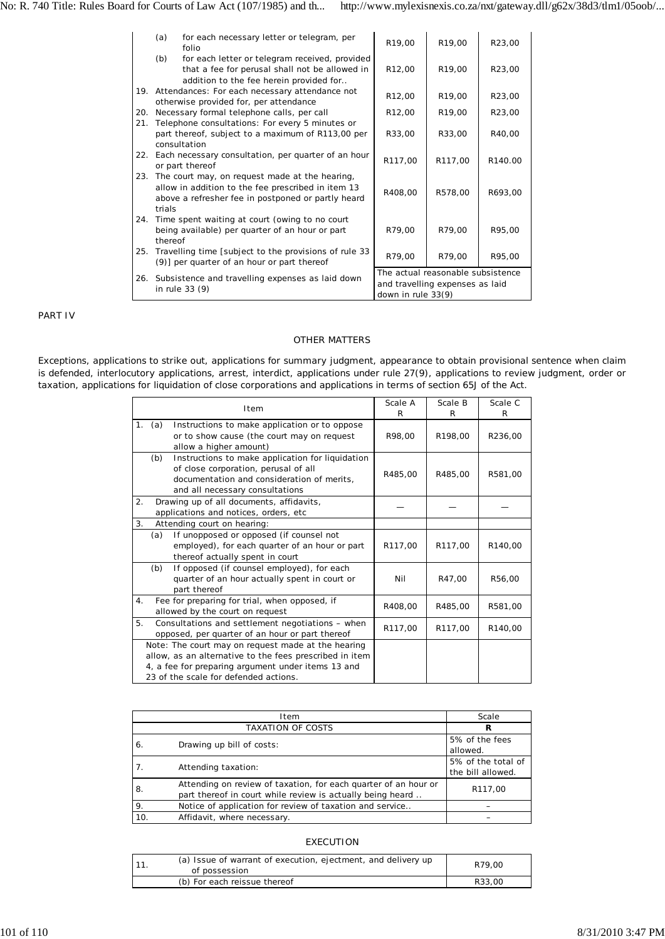|     | (a)     | for each necessary letter or telegram, per<br>folio                                                                                                        | R19,00                                                                                     | R19,00              | R23,00  |
|-----|---------|------------------------------------------------------------------------------------------------------------------------------------------------------------|--------------------------------------------------------------------------------------------|---------------------|---------|
|     | (b)     | for each letter or telegram received, provided<br>that a fee for perusal shall not be allowed in<br>addition to the fee herein provided for                | R <sub>12</sub> ,00                                                                        | R <sub>19</sub> ,00 | R23.00  |
|     |         | 19. Attendances: For each necessary attendance not<br>otherwise provided for, per attendance                                                               | R <sub>12</sub> ,00                                                                        | R <sub>19</sub> .00 | R23.00  |
| 20. |         | Necessary formal telephone calls, per call                                                                                                                 | R <sub>12</sub> ,00                                                                        | R <sub>19</sub> ,00 | R23.00  |
| 21. |         | Telephone consultations: For every 5 minutes or<br>part thereof, subject to a maximum of R113,00 per<br>consultation                                       | R33,00                                                                                     | R33,00              | R40,00  |
|     |         | 22. Each necessary consultation, per quarter of an hour<br>or part thereof                                                                                 | R117,00                                                                                    | R117,00             | R140.00 |
| 23. | trials  | The court may, on request made at the hearing,<br>allow in addition to the fee prescribed in item 13<br>above a refresher fee in postponed or partly heard | R408,00                                                                                    | R578,00             | R693,00 |
|     | thereof | 24. Time spent waiting at court (owing to no court<br>being available) per quarter of an hour or part                                                      | R79,00                                                                                     | R79,00              | R95.00  |
| 25. |         | Travelling time [subject to the provisions of rule 33<br>(9)] per quarter of an hour or part thereof                                                       | R79,00                                                                                     | R79,00              | R95,00  |
|     |         | 26. Subsistence and travelling expenses as laid down<br>in rule 33 (9)                                                                                     | The actual reasonable subsistence<br>and travelling expenses as laid<br>down in rule 33(9) |                     |         |

PART IV

#### OTHER MATTERS

Exceptions, applications to strike out, applications for summary judgment, appearance to obtain provisional sentence when claim is defended, interlocutory applications, arrest, interdict, applications under rule 27(9), applications to review judgment, order or taxation, applications for liquidation of close corporations and applications in terms of section 65J of the Act.

|    |     | Item                                                                                                                                                                                                         | Scale A<br>R | Scale B<br>R | Scale C<br>R |
|----|-----|--------------------------------------------------------------------------------------------------------------------------------------------------------------------------------------------------------------|--------------|--------------|--------------|
| 1. | (a) | Instructions to make application or to oppose<br>or to show cause (the court may on request<br>allow a higher amount)                                                                                        | R98.00       | R198.00      | R236,00      |
|    | (b) | Instructions to make application for liquidation<br>of close corporation, perusal of all<br>documentation and consideration of merits,<br>and all necessary consultations                                    | R485,00      | R485.00      | R581,00      |
| 2. |     | Drawing up of all documents, affidavits,<br>applications and notices, orders, etc.                                                                                                                           |              |              |              |
| 3. |     | Attending court on hearing:                                                                                                                                                                                  |              |              |              |
|    | (a) | If unopposed or opposed (if counsel not<br>employed), for each quarter of an hour or part<br>thereof actually spent in court                                                                                 | R117,00      | R117,00      | R140,00      |
|    | (b) | If opposed (if counsel employed), for each<br>quarter of an hour actually spent in court or<br>part thereof                                                                                                  | Nil          | R47,00       | R56,00       |
| 4. |     | Fee for preparing for trial, when opposed, if<br>allowed by the court on request                                                                                                                             | R408,00      | R485,00      | R581,00      |
| 5. |     | Consultations and settlement negotiations - when<br>opposed, per quarter of an hour or part thereof                                                                                                          | R117,00      | R117,00      | R140,00      |
|    |     | Note: The court may on request made at the hearing<br>allow, as an alternative to the fees prescribed in item<br>4, a fee for preparing argument under items 13 and<br>23 of the scale for defended actions. |              |              |              |

|     | Item                                                                                                                          | Scale                                   |
|-----|-------------------------------------------------------------------------------------------------------------------------------|-----------------------------------------|
|     | TAXATION OF COSTS                                                                                                             | R                                       |
| 6.  | Drawing up bill of costs:                                                                                                     | 5% of the fees<br>allowed.              |
| 7.  | Attending taxation:                                                                                                           | 5% of the total of<br>the bill allowed. |
| 8.  | Attending on review of taxation, for each quarter of an hour or<br>part thereof in court while review is actually being heard | R117,00                                 |
| 9.  | Notice of application for review of taxation and service                                                                      |                                         |
| 10. | Affidavit, where necessary.                                                                                                   |                                         |

#### EXECUTION

| 111 | (a) Issue of warrant of execution, ejectment, and delivery up<br>of possession | R79.00 |
|-----|--------------------------------------------------------------------------------|--------|
|     | (b) For each reissue thereof                                                   | R33.00 |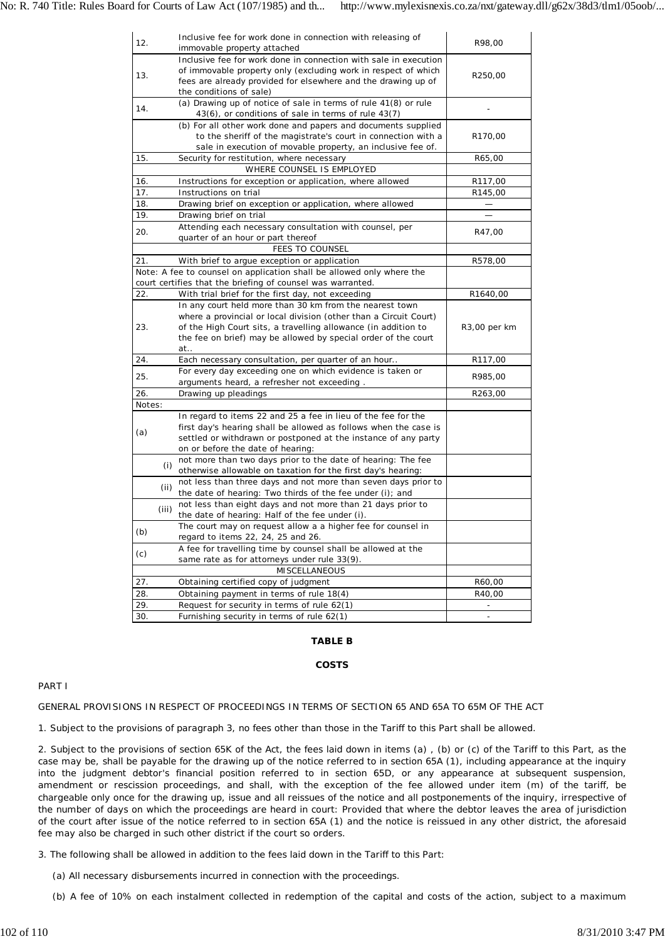| 12.           |       | Inclusive fee for work done in connection with releasing of<br>immovable property attached                                                                                                                                                                             | R98,00                   |
|---------------|-------|------------------------------------------------------------------------------------------------------------------------------------------------------------------------------------------------------------------------------------------------------------------------|--------------------------|
| 13.           |       | Inclusive fee for work done in connection with sale in execution<br>of immovable property only (excluding work in respect of which<br>fees are already provided for elsewhere and the drawing up of<br>the conditions of sale)                                         | R250,00                  |
| 14.           |       | (a) Drawing up of notice of sale in terms of rule 41(8) or rule<br>43(6), or conditions of sale in terms of rule 43(7)                                                                                                                                                 |                          |
|               |       | (b) For all other work done and papers and documents supplied<br>to the sheriff of the magistrate's court in connection with a<br>sale in execution of movable property, an inclusive fee of.                                                                          | R170,00                  |
| 15.           |       | Security for restitution, where necessary                                                                                                                                                                                                                              | R65,00                   |
|               |       | WHERE COUNSEL IS EMPLOYED                                                                                                                                                                                                                                              |                          |
| 16.           |       | Instructions for exception or application, where allowed                                                                                                                                                                                                               | R117,00                  |
| 17.           |       | Instructions on trial                                                                                                                                                                                                                                                  | R145,00                  |
| 18.           |       | Drawing brief on exception or application, where allowed                                                                                                                                                                                                               |                          |
| 19.           |       | Drawing brief on trial                                                                                                                                                                                                                                                 |                          |
| 20.           |       | Attending each necessary consultation with counsel, per                                                                                                                                                                                                                | R47,00                   |
|               |       | quarter of an hour or part thereof                                                                                                                                                                                                                                     |                          |
|               |       | <b>FEES TO COUNSEL</b>                                                                                                                                                                                                                                                 |                          |
| 21.           |       | With brief to argue exception or application                                                                                                                                                                                                                           | R578,00                  |
|               |       | Note: A fee to counsel on application shall be allowed only where the                                                                                                                                                                                                  |                          |
|               |       | court certifies that the briefing of counsel was warranted.                                                                                                                                                                                                            |                          |
| 22.           |       | With trial brief for the first day, not exceeding                                                                                                                                                                                                                      | R1640,00                 |
| 23.           |       | In any court held more than 30 km from the nearest town<br>where a provincial or local division (other than a Circuit Court)<br>of the High Court sits, a travelling allowance (in addition to<br>the fee on brief) may be allowed by special order of the court<br>at | R3,00 per km             |
| 24.           |       | Each necessary consultation, per quarter of an hour                                                                                                                                                                                                                    | R <sub>117</sub> ,00     |
| 25.           |       | For every day exceeding one on which evidence is taken or<br>arguments heard, a refresher not exceeding.                                                                                                                                                               | R985,00                  |
| 26.           |       | Drawing up pleadings                                                                                                                                                                                                                                                   | R263,00                  |
| <i>Notes:</i> |       |                                                                                                                                                                                                                                                                        |                          |
| (a)           |       | In regard to items 22 and 25 a fee in lieu of the fee for the<br>first day's hearing shall be allowed as follows when the case is<br>settled or withdrawn or postponed at the instance of any party<br>on or before the date of hearing:                               |                          |
|               | (i)   | not more than two days prior to the date of hearing: The fee<br>otherwise allowable on taxation for the first day's hearing:                                                                                                                                           |                          |
|               | (ii)  | not less than three days and not more than seven days prior to<br>the date of hearing: Two thirds of the fee under (i); and                                                                                                                                            |                          |
|               | (iii) | not less than eight days and not more than 21 days prior to<br>the date of hearing: Half of the fee under (i).                                                                                                                                                         |                          |
| (b)           |       | The court may on request allow a a higher fee for counsel in                                                                                                                                                                                                           |                          |
| (c)           |       | regard to items 22, 24, 25 and 26.<br>A fee for travelling time by counsel shall be allowed at the                                                                                                                                                                     |                          |
|               |       | same rate as for attorneys under rule 33(9).                                                                                                                                                                                                                           |                          |
|               |       | <b>MISCELLANEOUS</b>                                                                                                                                                                                                                                                   |                          |
| 27.           |       | Obtaining certified copy of judgment                                                                                                                                                                                                                                   | R60,00                   |
| 28.           |       | Obtaining payment in terms of rule 18(4)                                                                                                                                                                                                                               | R40,00                   |
| 29.           |       | Request for security in terms of rule 62(1)                                                                                                                                                                                                                            | $\overline{\phantom{a}}$ |
| 30.           |       | Furnishing security in terms of rule 62(1)                                                                                                                                                                                                                             | $\overline{\phantom{a}}$ |

### **TABLE B**

# **COSTS**

# PART I

GENERAL PROVISIONS IN RESPECT OF PROCEEDINGS IN TERMS OF SECTION 65 AND 65A TO 65M OF THE ACT

1. Subject to the provisions of paragraph 3, no fees other than those in the Tariff to this Part shall be allowed.

2. Subject to the provisions of section 65K of the Act, the fees laid down in items (a) , (b) or (c) of the Tariff to this Part, as the case may be, shall be payable for the drawing up of the notice referred to in section 65A (1), including appearance at the inquiry into the judgment debtor's financial position referred to in section 65D, or any appearance at subsequent suspension, amendment or rescission proceedings, and shall, with the exception of the fee allowed under item (m) of the tariff, be chargeable only once for the drawing up, issue and all reissues of the notice and all postponements of the inquiry, irrespective of the number of days on which the proceedings are heard in court: Provided that where the debtor leaves the area of jurisdiction of the court after issue of the notice referred to in section 65A (1) and the notice is reissued in any other district, the aforesaid fee may also be charged in such other district if the court so orders.

3. The following shall be allowed in addition to the fees laid down in the Tariff to this Part:

(a) All necessary disbursements incurred in connection with the proceedings.

(b) A fee of 10% on each instalment collected in redemption of the capital and costs of the action, subject to a maximum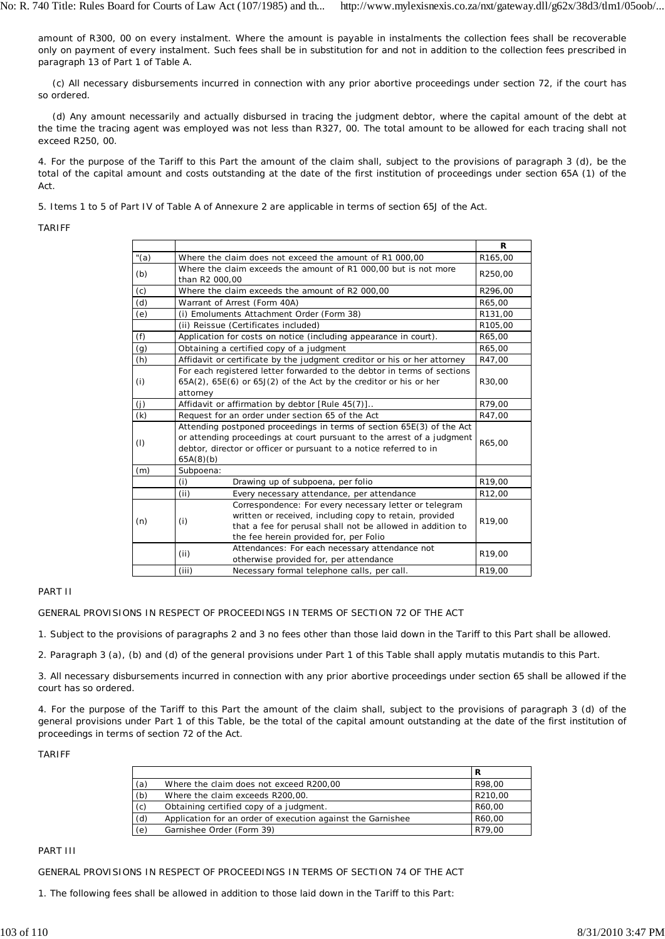amount of R300, 00 on every instalment. Where the amount is payable in instalments the collection fees shall be recoverable only on payment of every instalment. Such fees shall be in substitution for and not in addition to the collection fees prescribed in paragraph 13 of Part 1 of Table A.

(c) All necessary disbursements incurred in connection with any prior abortive proceedings under section 72, if the court has so ordered.

(d) Any amount necessarily and actually disbursed in tracing the judgment debtor, where the capital amount of the debt at the time the tracing agent was employed was not less than R327, 00. The total amount to be allowed for each tracing shall not exceed R250, 00.

4. For the purpose of the Tariff to this Part the amount of the claim shall, subject to the provisions of paragraph 3 (d), be the total of the capital amount and costs outstanding at the date of the first institution of proceedings under section 65A (1) of the Act.

5. Items 1 to 5 of Part IV of Table A of Annexure 2 are applicable in terms of section 65J of the Act.

## TARIFF

|         |                                                                                                                                                                                                                                    | R       |  |
|---------|------------------------------------------------------------------------------------------------------------------------------------------------------------------------------------------------------------------------------------|---------|--|
| " $(a)$ | Where the claim does not exceed the amount of R1 000,00                                                                                                                                                                            |         |  |
| (b)     | Where the claim exceeds the amount of R1 000,00 but is not more<br>than R2 000,00                                                                                                                                                  |         |  |
| (c)     | Where the claim exceeds the amount of R2 000,00                                                                                                                                                                                    | R296,00 |  |
| (d)     | Warrant of Arrest (Form 40A)                                                                                                                                                                                                       | R65,00  |  |
| (e)     | (i) Emoluments Attachment Order (Form 38)                                                                                                                                                                                          |         |  |
|         | (ii) Reissue (Certificates included)                                                                                                                                                                                               | R105,00 |  |
| (f)     | Application for costs on notice (including appearance in court).                                                                                                                                                                   | R65,00  |  |
| (g)     | Obtaining a certified copy of a judgment                                                                                                                                                                                           | R65,00  |  |
| (h)     | Affidavit or certificate by the judgment creditor or his or her attorney                                                                                                                                                           | R47,00  |  |
| (i)     | For each registered letter forwarded to the debtor in terms of sections<br>$65A(2)$ , $65E(6)$ or $65J(2)$ of the Act by the creditor or his or her<br>attorney                                                                    |         |  |
| (j)     | Affidavit or affirmation by debtor [Rule 45(7)]                                                                                                                                                                                    | R79,00  |  |
| (k)     | Request for an order under section 65 of the Act                                                                                                                                                                                   |         |  |
| (1)     | Attending postponed proceedings in terms of section 65E(3) of the Act<br>or attending proceedings at court pursuant to the arrest of a judgment<br>debtor, director or officer or pursuant to a notice referred to in<br>65A(8)(b) |         |  |
| (m)     | Subpoena:                                                                                                                                                                                                                          |         |  |
|         | (i)<br>Drawing up of subpoena, per folio                                                                                                                                                                                           | R19,00  |  |
|         | Every necessary attendance, per attendance<br>(ii)                                                                                                                                                                                 | R12,00  |  |
| (n)     | Correspondence: For every necessary letter or telegram<br>written or received, including copy to retain, provided<br>(i)<br>that a fee for perusal shall not be allowed in addition to<br>the fee herein provided for, per Folio   | R19,00  |  |
|         | Attendances: For each necessary attendance not<br>(ii)<br>otherwise provided for, per attendance                                                                                                                                   | R19.00  |  |
|         | (iii)<br>Necessary formal telephone calls, per call.                                                                                                                                                                               | R19,00  |  |

# PART II

GENERAL PROVISIONS IN RESPECT OF PROCEEDINGS IN TERMS OF SECTION 72 OF THE ACT

1. Subject to the provisions of paragraphs 2 and 3 no fees other than those laid down in the Tariff to this Part shall be allowed.

2. Paragraph 3 (a), (b) and (d) of the general provisions under Part 1 of this Table shall apply mutatis mutandis to this Part.

3. All necessary disbursements incurred in connection with any prior abortive proceedings under section 65 shall be allowed if the court has so ordered.

4. For the purpose of the Tariff to this Part the amount of the claim shall, subject to the provisions of paragraph 3 (d) of the general provisions under Part 1 of this Table, be the total of the capital amount outstanding at the date of the first institution of proceedings in terms of section 72 of the Act.

### TARIFF

|     |                                                             | R       |
|-----|-------------------------------------------------------------|---------|
| (a) | Where the claim does not exceed R200,00                     | R98.00  |
| (b) | Where the claim exceeds R200,00.                            | R210,00 |
| (c) | Obtaining certified copy of a judgment.                     | R60,00  |
| (d) | Application for an order of execution against the Garnishee | R60.00  |
| (e) | Garnishee Order (Form 39)                                   | R79.00  |

# PART III

GENERAL PROVISIONS IN RESPECT OF PROCEEDINGS IN TERMS OF SECTION 74 OF THE ACT

1. The following fees shall be allowed in addition to those laid down in the Tariff to this Part: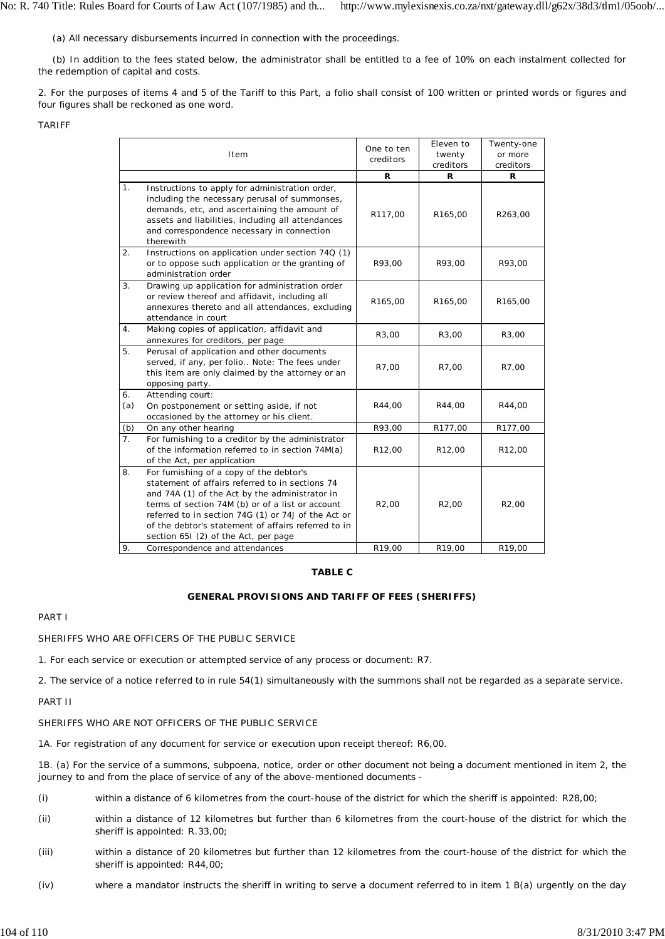(a) All necessary disbursements incurred in connection with the proceedings.

(b) In addition to the fees stated below, the administrator shall be entitled to a fee of 10% on each instalment collected for the redemption of capital and costs.

2. For the purposes of items 4 and 5 of the Tariff to this Part, a folio shall consist of 100 written or printed words or figures and four figures shall be reckoned as one word.

TARIFF

|                  | Item                                                                                                                                                                                                                                                                                                                                                    | One to ten<br>creditors | Eleven to<br>twenty<br>creditors | Twenty-one<br>or more<br>creditors |
|------------------|---------------------------------------------------------------------------------------------------------------------------------------------------------------------------------------------------------------------------------------------------------------------------------------------------------------------------------------------------------|-------------------------|----------------------------------|------------------------------------|
|                  |                                                                                                                                                                                                                                                                                                                                                         | R                       | R                                | R                                  |
| 1 <sub>1</sub>   | Instructions to apply for administration order,<br>including the necessary perusal of summonses,<br>demands, etc, and ascertaining the amount of<br>assets and liabilities, including all attendances<br>and correspondence necessary in connection<br>therewith                                                                                        | R117,00                 | R165,00                          | R263,00                            |
| 2.               | Instructions on application under section 74Q (1)<br>or to oppose such application or the granting of<br>administration order                                                                                                                                                                                                                           | R93,00                  | R93,00                           | R93,00                             |
| 3.               | Drawing up application for administration order<br>or review thereof and affidavit, including all<br>annexures thereto and all attendances, excluding<br>attendance in court                                                                                                                                                                            | R165,00                 | R165,00                          | R165,00                            |
| 4.               | Making copies of application, affidavit and<br>annexures for creditors, per page                                                                                                                                                                                                                                                                        | R3,00                   | R3,00                            | R3,00                              |
| 5.               | Perusal of application and other documents<br>served, if any, per folio Note: The fees under<br>this item are only claimed by the attorney or an<br>opposing party.                                                                                                                                                                                     | R7,00                   | R7,00                            | R7,00                              |
| 6.<br>(a)        | Attending court:<br>On postponement or setting aside, if not<br>occasioned by the attorney or his client.                                                                                                                                                                                                                                               | R44,00                  | R44,00                           | R44,00                             |
| (b)              | On any other hearing                                                                                                                                                                                                                                                                                                                                    | R93,00                  | R177,00                          | R177,00                            |
| $\overline{7}$ . | For furnishing to a creditor by the administrator<br>of the information referred to in section 74M(a)<br>of the Act, per application                                                                                                                                                                                                                    | R <sub>12</sub> ,00     | R <sub>12</sub> ,00              | R <sub>12</sub> ,00                |
| 8.               | For furnishing of a copy of the debtor's<br>statement of affairs referred to in sections 74<br>and 74A (1) of the Act by the administrator in<br>terms of section 74M (b) or of a list or account<br>referred to in section 74G (1) or 74J of the Act or<br>of the debtor's statement of affairs referred to in<br>section 651 (2) of the Act, per page | R <sub>2</sub> ,00      | R <sub>2</sub> ,00               | R <sub>2</sub> ,00                 |
| 9.               | Correspondence and attendances                                                                                                                                                                                                                                                                                                                          | R <sub>19</sub> ,00     | R19,00                           | R19,00                             |

### **TABLE C**

### **GENERAL PROVISIONS AND TARIFF OF FEES (SHERIFFS)**

# PART I

SHERIFFS WHO ARE OFFICERS OF THE PUBLIC SERVICE

1. For each service or execution or attempted service of any process or document: R7.

2. The service of a notice referred to in rule 54(1) simultaneously with the summons shall not be regarded as a separate service.

PART II

### SHERIFFS WHO ARE NOT OFFICERS OF THE PUBLIC SERVICE

1A. For registration of any document for service or execution upon receipt thereof: R6,00.

1B. (a) For the service of a summons, subpoena, notice, order or other document not being a document mentioned in item 2, the journey to and from the place of service of any of the above-mentioned documents -

- (i) within a distance of 6 kilometres from the court-house of the district for which the sheriff is appointed: R28,00;
- (ii) within a distance of 12 kilometres but further than 6 kilometres from the court-house of the district for which the sheriff is appointed: R.33,00;
- (iii) within a distance of 20 kilometres but further than 12 kilometres from the court-house of the district for which the sheriff is appointed: R44,00;
- (iv) where a mandator instructs the sheriff in writing to serve a document referred to in item 1 B(a) urgently on the day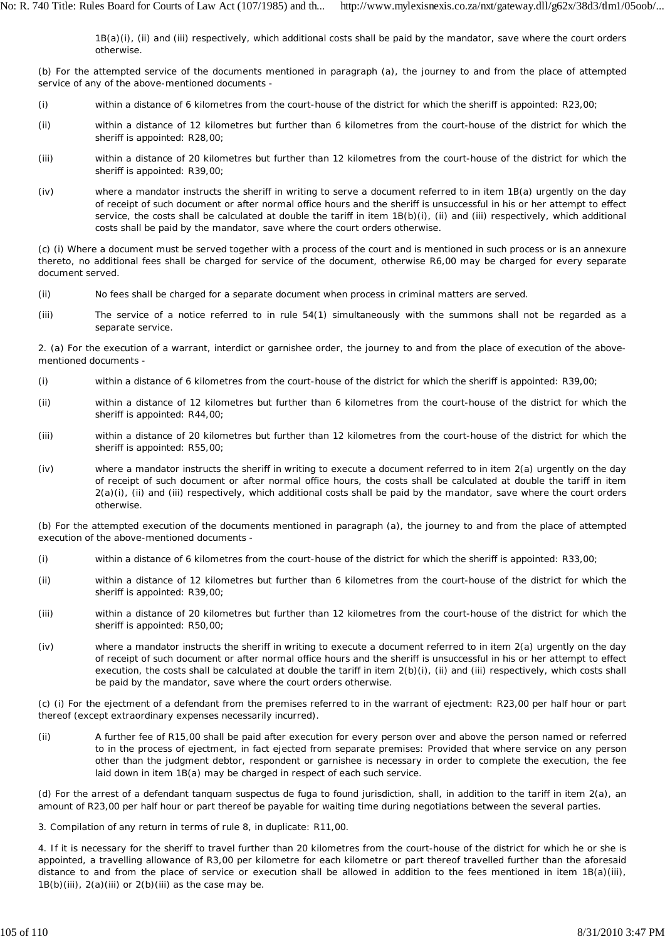1B(a)(i), (ii) and (iii) respectively, which additional costs shall be paid by the mandator, save where the court orders otherwise.

(b) For the attempted service of the documents mentioned in paragraph (a), the journey to and from the place of attempted service of any of the above-mentioned documents -

- (i) within a distance of 6 kilometres from the court-house of the district for which the sheriff is appointed: R23,00;
- (ii) within a distance of 12 kilometres but further than 6 kilometres from the court-house of the district for which the sheriff is appointed: R28,00;
- (iii) within a distance of 20 kilometres but further than 12 kilometres from the court-house of the district for which the sheriff is appointed: R39,00;
- $(iv)$ where a mandator instructs the sheriff in writing to serve a document referred to in item 1B(a) urgently on the day of receipt of such document or after normal office hours and the sheriff is unsuccessful in his or her attempt to effect service, the costs shall be calculated at double the tariff in item 1B(b)(i), (ii) and (iii) respectively, which additional costs shall be paid by the mandator, save where the court orders otherwise.

(c) (i) Where a document must be served together with a process of the court and is mentioned in such process or is an annexure thereto, no additional fees shall be charged for service of the document, otherwise R6,00 may be charged for every separate document served.

- (ii) No fees shall be charged for a separate document when process in criminal matters are served.
- (iii) The service of a notice referred to in rule 54(1) simultaneously with the summons shall not be regarded as a separate service.

2. (a) For the execution of a warrant, interdict or garnishee order, the journey to and from the place of execution of the abovementioned documents -

- (i) within a distance of 6 kilometres from the court-house of the district for which the sheriff is appointed: R39,00;
- (ii) within a distance of 12 kilometres but further than 6 kilometres from the court-house of the district for which the sheriff is appointed: R44,00;
- (iii) within a distance of 20 kilometres but further than 12 kilometres from the court-house of the district for which the sheriff is appointed: R55,00;
- (iv) where a mandator instructs the sheriff in writing to execute a document referred to in item 2(a) urgently on the day of receipt of such document or after normal office hours, the costs shall be calculated at double the tariff in item 2(a)(i), (ii) and (iii) respectively, which additional costs shall be paid by the mandator, save where the court orders otherwise.

(b) For the attempted execution of the documents mentioned in paragraph (a), the journey to and from the place of attempted execution of the above-mentioned documents -

- (i) within a distance of 6 kilometres from the court-house of the district for which the sheriff is appointed: R33,00;
- (ii) within a distance of 12 kilometres but further than 6 kilometres from the court-house of the district for which the sheriff is appointed: R39,00;
- (iii) within a distance of 20 kilometres but further than 12 kilometres from the court-house of the district for which the sheriff is appointed: R50,00;
- (iv) where a mandator instructs the sheriff in writing to execute a document referred to in item 2(a) urgently on the day of receipt of such document or after normal office hours and the sheriff is unsuccessful in his or her attempt to effect execution, the costs shall be calculated at double the tariff in item 2(b)(i), (ii) and (iii) respectively, which costs shall be paid by the mandator, save where the court orders otherwise.

(c) (i) For the ejectment of a defendant from the premises referred to in the warrant of ejectment: R23,00 per half hour or part thereof (except extraordinary expenses necessarily incurred).

(ii) A further fee of R15,00 shall be paid after execution for every person over and above the person named or referred to in the process of ejectment, in fact ejected from separate premises: Provided that where service on any person other than the judgment debtor, respondent or garnishee is necessary in order to complete the execution, the fee laid down in item 1B(a) may be charged in respect of each such service.

(d) For the arrest of a defendant *tanquam suspectus de fuga* to found jurisdiction, shall, in addition to the tariff in item 2(a), an amount of R23,00 per half hour or part thereof be payable for waiting time during negotiations between the several parties.

3. Compilation of any return in terms of rule 8, in duplicate: R11,00.

4. If it is necessary for the sheriff to travel further than 20 kilometres from the court-house of the district for which he or she is appointed, a travelling allowance of R3,00 per kilometre for each kilometre or part thereof travelled further than the aforesaid distance to and from the place of service or execution shall be allowed in addition to the fees mentioned in item 1B(a)(iii),  $1B(b)(iii)$ ,  $2(a)(iii)$  or  $2(b)(iii)$  as the case may be.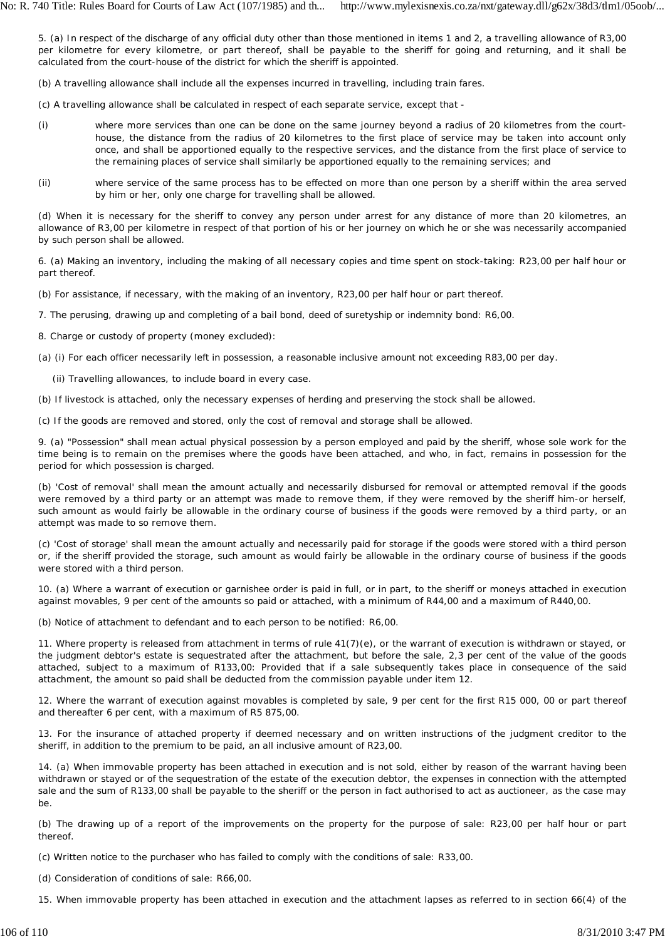5. (a) In respect of the discharge of any official duty other than those mentioned in items 1 and 2, a travelling allowance of R3,00 per kilometre for every kilometre, or part thereof, shall be payable to the sheriff for going and returning, and it shall be calculated from the court-house of the district for which the sheriff is appointed.

- (b) A travelling allowance shall include all the expenses incurred in travelling, including train fares.
- (c) A travelling allowance shall be calculated in respect of each separate service, except that -
- (i) where more services than one can be done on the same journey beyond a radius of 20 kilometres from the courthouse, the distance from the radius of 20 kilometres to the first place of service may be taken into account only once, and shall be apportioned equally to the respective services, and the distance from the first place of service to the remaining places of service shall similarly be apportioned equally to the remaining services; and
- (ii) where service of the same process has to be effected on more than one person by a sheriff within the area served by him or her, only one charge for travelling shall be allowed.

(d) When it is necessary for the sheriff to convey any person under arrest for any distance of more than 20 kilometres, an allowance of R3,00 per kilometre in respect of that portion of his or her journey on which he or she was necessarily accompanied by such person shall be allowed.

6. (a) Making an inventory, including the making of all necessary copies and time spent on stock-taking: R23,00 per half hour or part thereof.

(b) For assistance, if necessary, with the making of an inventory, R23,00 per half hour or part thereof.

7. The perusing, drawing up and completing of a bail bond, deed of suretyship or indemnity bond: R6,00.

8. Charge or custody of property (money excluded):

(a) (i) For each officer necessarily left in possession, a reasonable inclusive amount not exceeding R83,00 per day.

(ii) Travelling allowances, to include board in every case.

(b) If livestock is attached, only the necessary expenses of herding and preserving the stock shall be allowed.

(c) If the goods are removed and stored, only the cost of removal and storage shall be allowed.

9. (a) "Possession" shall mean actual physical possession by a person employed and paid by the sheriff, whose sole work for the time being is to remain on the premises where the goods have been attached, and who, in fact, remains in possession for the period for which possession is charged.

(b) 'Cost of removal' shall mean the amount actually and necessarily disbursed for removal or attempted removal if the goods were removed by a third party or an attempt was made to remove them, if they were removed by the sheriff him-or herself, such amount as would fairly be allowable in the ordinary course of business if the goods were removed by a third party, or an attempt was made to so remove them.

(c) 'Cost of storage' shall mean the amount actually and necessarily paid for storage if the goods were stored with a third person or, if the sheriff provided the storage, such amount as would fairly be allowable in the ordinary course of business if the goods were stored with a third person.

10. (a) Where a warrant of execution or garnishee order is paid in full, or in part, to the sheriff or moneys attached in execution against movables, 9 per cent of the amounts so paid or attached, with a minimum of R44,00 and a maximum of R440,00.

(b) Notice of attachment to defendant and to each person to be notified: R6,00.

11. Where property is released from attachment in terms of rule 41(7)(e), or the warrant of execution is withdrawn or stayed, or the judgment debtor's estate is sequestrated after the attachment, but before the sale, 2,3 per cent of the value of the goods attached, subject to a maximum of R133,00: Provided that if a sale subsequently takes place in consequence of the said attachment, the amount so paid shall be deducted from the commission payable under item 12.

12. Where the warrant of execution against movables is completed by sale, 9 per cent for the first R15 000, 00 or part thereof and thereafter 6 per cent, with a maximum of R5 875,00.

13. For the insurance of attached property if deemed necessary and on written instructions of the judgment creditor to the sheriff, in addition to the premium to be paid, an all inclusive amount of R23,00.

14. (a) When immovable property has been attached in execution and is not sold, either by reason of the warrant having been withdrawn or stayed or of the sequestration of the estate of the execution debtor, the expenses in connection with the attempted sale and the sum of R133,00 shall be payable to the sheriff or the person in fact authorised to act as auctioneer, as the case may be.

(b) The drawing up of a report of the improvements on the property for the purpose of sale: R23,00 per half hour or part thereof.

(c) Written notice to the purchaser who has failed to comply with the conditions of sale: R33,00.

(d) Consideration of conditions of sale: R66,00.

15. When immovable property has been attached in execution and the attachment lapses as referred to in section 66(4) of the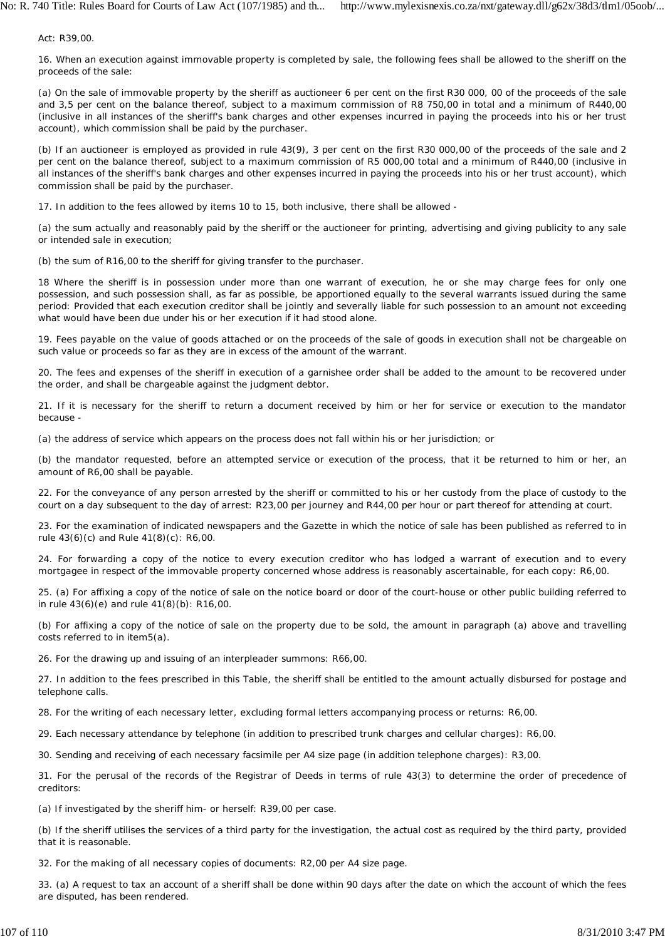Act: R39,00.

16. When an execution against immovable property is completed by sale, the following fees shall be allowed to the sheriff on the proceeds of the sale:

(a) On the sale of immovable property by the sheriff as auctioneer 6 per cent on the first R30 000, 00 of the proceeds of the sale and 3,5 per cent on the balance thereof, subject to a maximum commission of R8 750,00 in total and a minimum of R440,00 (inclusive in all instances of the sheriff's bank charges and other expenses incurred in paying the proceeds into his or her trust account), which commission shall be paid by the purchaser.

(b) If an auctioneer is employed as provided in rule 43(9), 3 per cent on the first R30 000,00 of the proceeds of the sale and 2 per cent on the balance thereof, subject to a maximum commission of R5 000,00 total and a minimum of R440,00 (inclusive in all instances of the sheriff's bank charges and other expenses incurred in paying the proceeds into his or her trust account), which commission shall be paid by the purchaser.

17. In addition to the fees allowed by items 10 to 15, both inclusive, there shall be allowed -

(a) the sum actually and reasonably paid by the sheriff or the auctioneer for printing, advertising and giving publicity to any sale or intended sale in execution;

(b) the sum of R16,00 to the sheriff for giving transfer to the purchaser.

18 Where the sheriff is in possession under more than one warrant of execution, he or she may charge fees for only one possession, and such possession shall, as far as possible, be apportioned equally to the several warrants issued during the same period: Provided that each execution creditor shall be jointly and severally liable for such possession to an amount not exceeding what would have been due under his or her execution if it had stood alone.

19. Fees payable on the value of goods attached or on the proceeds of the sale of goods in execution shall not be chargeable on such value or proceeds so far as they are in excess of the amount of the warrant.

20. The fees and expenses of the sheriff in execution of a garnishee order shall be added to the amount to be recovered under the order, and shall be chargeable against the judgment debtor.

21. If it is necessary for the sheriff to return a document received by him or her for service or execution to the mandator because -

(a) the address of service which appears on the process does not fall within his or her jurisdiction; or

(b) the mandator requested, before an attempted service or execution of the process, that it be returned to him or her, an amount of R6,00 shall be payable.

22. For the conveyance of any person arrested by the sheriff or committed to his or her custody from the place of custody to the court on a day subsequent to the day of arrest: R23,00 per journey and R44,00 per hour or part thereof for attending at court.

23. For the examination of indicated newspapers and the *Gazette* in which the notice of sale has been published as referred to in rule 43(6)(c) and Rule 41(8)(c): R6,00.

24. For forwarding a copy of the notice to every execution creditor who has lodged a warrant of execution and to every mortgagee in respect of the immovable property concerned whose address is reasonably ascertainable, for each copy: R6,00.

25. (a) For affixing a copy of the notice of sale on the notice board or door of the court-house or other public building referred to in rule 43(6)(e) and rule 41(8)(b): R16,00.

(b) For affixing a copy of the notice of sale on the property due to be sold, the amount in paragraph (a) above and travelling costs referred to in item5(a).

26. For the drawing up and issuing of an interpleader summons: R66,00.

27. In addition to the fees prescribed in this Table, the sheriff shall be entitled to the amount actually disbursed for postage and telephone calls.

28. For the writing of each necessary letter, excluding formal letters accompanying process or returns: R6,00.

29. Each necessary attendance by telephone (in addition to prescribed trunk charges and cellular charges): R6,00.

30. Sending and receiving of each necessary facsimile per A4 size page (in addition telephone charges): R3,00.

31. For the perusal of the records of the Registrar of Deeds in terms of rule 43(3) to determine the order of precedence of creditors:

(a) If investigated by the sheriff him- or herself: R39,00 per case.

(b) If the sheriff utilises the services of a third party for the investigation, the actual cost as required by the third party, provided that it is reasonable.

32. For the making of all necessary copies of documents: R2,00 per A4 size page.

33. (a) A request to tax an account of a sheriff shall be done within 90 days after the date on which the account of which the fees are disputed, has been rendered.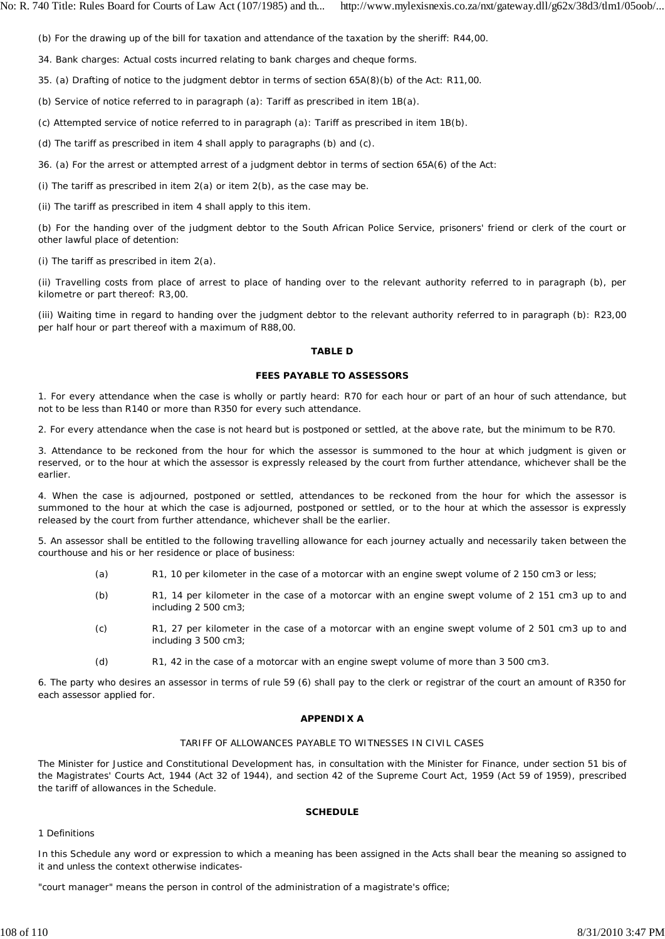(b) For the drawing up of the bill for taxation and attendance of the taxation by the sheriff: R44,00.

34. Bank charges: Actual costs incurred relating to bank charges and cheque forms.

35. (a) Drafting of notice to the judgment debtor in terms of section 65A(8)(b) of the Act: R11,00.

(b) Service of notice referred to in paragraph (a): Tariff as prescribed in item 1B(a).

(c) Attempted service of notice referred to in paragraph (a): Tariff as prescribed in item 1B(b).

(d) The tariff as prescribed in item 4 shall apply to paragraphs (b) and (c).

36. (a) For the arrest or attempted arrest of a judgment debtor in terms of section 65A(6) of the Act:

(i) The tariff as prescribed in item  $2(a)$  or item  $2(b)$ , as the case may be.

(ii) The tariff as prescribed in item 4 shall apply to this item.

(b) For the handing *over* of the judgment debtor to the South African Police Service, prisoners' friend or clerk of the court or other lawful place of detention:

(i) The tariff as prescribed in item 2(a).

(ii) Travelling costs from place of arrest to place of handing over to the relevant authority referred to in paragraph (b), per kilometre or part thereof: R3,00.

(iii) Waiting time in regard to handing over the judgment debtor to the relevant authority referred to in paragraph (b): R23,00 per half hour or part thereof with a maximum of R88,00.

### **TABLE D**

## **FEES PAYABLE TO ASSESSORS**

1. For every attendance when the case is wholly or partly heard: R70 for each hour or part of an hour of such attendance, but not to be less than R140 or more than R350 for every such attendance.

2. For every attendance when the case is not heard but is postponed or settled, at the above rate, but the minimum to be R70.

3. Attendance to be reckoned from the hour for which the assessor is summoned to the hour at which judgment is given or reserved, or to the hour at which the assessor is expressly released by the court from further attendance, whichever shall be the earlier.

4. When the case is adjourned, postponed or settled, attendances to be reckoned from the hour for which the assessor is summoned to the hour at which the case is adjourned, postponed or settled, or to the hour at which the assessor is expressly released by the court from further attendance, whichever shall be the earlier.

5. An assessor shall be entitled to the following travelling allowance for each journey actually and necessarily taken between the courthouse and his or her residence or place of business:

- (a) R1, 10 per kilometer in the case of a motorcar with an engine swept volume of 2 150 cm3 or less;
- (b) R1, 14 per kilometer in the case of a motorcar with an engine swept volume of 2 151 cm3 up to and including 2 500 cm3;
- (c) R1, 27 per kilometer in the case of a motorcar with an engine swept volume of 2 501 cm3 up to and including 3 500 cm3;
- (d) R1, 42 in the case of a motorcar with an engine swept volume of more than 3 500 cm3.

6. The party who desires an assessor in terms of rule 59 (6) shall pay to the clerk or registrar of the court an amount of R350 for each assessor applied for.

### **APPENDIX A**

### TARIFF OF ALLOWANCES PAYABLE TO WITNESSES IN CIVIL CASES

The Minister for Justice and Constitutional Development has, in consultation with the Minister for Finance, under section 51 bis of the Magistrates' Courts Act, 1944 (Act 32 of 1944), and section 42 of the Supreme Court Act, 1959 (Act 59 of 1959), prescribed the tariff of allowances in the Schedule.

# **SCHEDULE**

### 1 Definitions

In this Schedule any word or expression to which a meaning has been assigned in the Acts shall bear the meaning so assigned to it and unless the context otherwise indicates-

"court manager" means the person in control of the administration of a magistrate's office;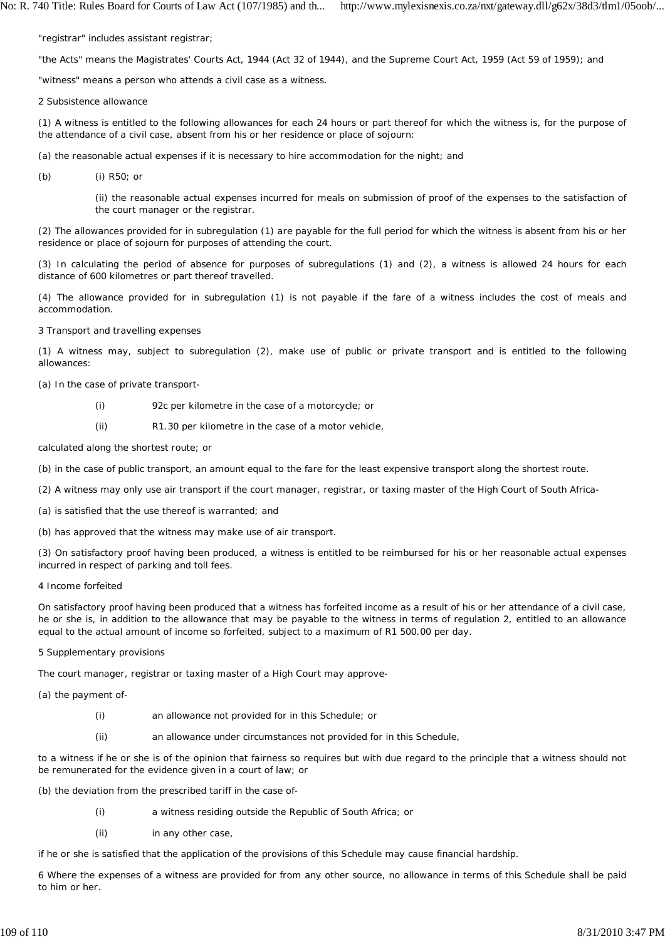"registrar" includes assistant registrar;

"the Acts" means the Magistrates' Courts Act, 1944 (Act 32 of 1944), and the Supreme Court Act, 1959 (Act 59 of 1959); and

"witness" means a person who attends a civil case as a witness.

2 Subsistence allowance

(1) A witness is entitled to the following allowances for each 24 hours or part thereof for which the witness is, for the purpose of the attendance of a civil case, absent from his or her residence or place of sojourn:

(a) the reasonable actual expenses if it is necessary to hire accommodation for the night; and

(b) (i) R50; or

> (ii) the reasonable actual expenses incurred for meals on submission of proof of the expenses to the satisfaction of the court manager or the registrar.

(2) The allowances provided for in subregulation (1) are payable for the full period for which the witness is absent from his or her residence or place of sojourn for purposes of attending the court.

(3) In calculating the period of absence for purposes of subregulations (1) and (2), a witness is allowed 24 hours for each distance of 600 kilometres or part thereof travelled.

(4) The allowance provided for in subregulation (1) is not payable if the fare of a witness includes the cost of meals and accommodation.

3 Transport and travelling expenses

(1) A witness may, subject to subregulation (2), make use of public or private transport and is entitled to the following allowances:

(a) In the case of private transport-

- (i) 92c per kilometre in the case of a motorcycle; or
- (ii) R1.30 per kilometre in the case of a motor vehicle,

calculated along the shortest route; or

- (b) in the case of public transport, an amount equal to the fare for the least expensive transport along the shortest route.
- (2) A witness may only use air transport if the court manager, registrar, or taxing master of the High Court of South Africa-
- (a) is satisfied that the use thereof is warranted; and
- (b) has approved that the witness may make use of air transport.

(3) On satisfactory proof having been produced, a witness is entitled to be reimbursed for his or her reasonable actual expenses incurred in respect of parking and toll fees.

4 Income forfeited

On satisfactory proof having been produced that a witness has forfeited income as a result of his or her attendance of a civil case, he or she is, in addition to the allowance that may be payable to the witness in terms of regulation 2, entitled to an allowance equal to the actual amount of income so forfeited, subject to a maximum of R1 500.00 per day.

5 Supplementary provisions

The court manager, registrar or taxing master of a High Court may approve-

(a) the payment of-

- (i) an allowance not provided for in this Schedule; or
- (ii) an allowance under circumstances not provided for in this Schedule,

to a witness if he or she is of the opinion that fairness so requires but with due regard to the principle that a witness should not be remunerated for the evidence given in a court of law; or

(b) the deviation from the prescribed tariff in the case of-

- (i) a witness residing outside the Republic of South Africa; or
- (ii) in any other case,

if he or she is satisfied that the application of the provisions of this Schedule may cause financial hardship.

6 Where the expenses of a witness are provided for from any other source, no allowance in terms of this Schedule shall be paid to him or her.